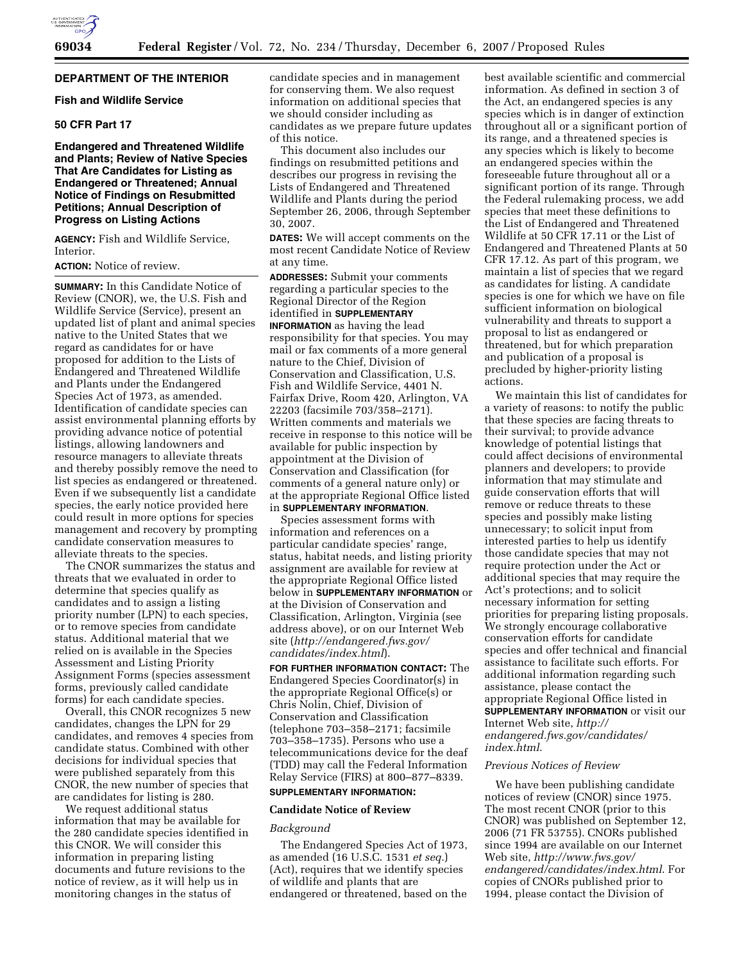## **DEPARTMENT OF THE INTERIOR**

## **Fish and Wildlife Service**

## **50 CFR Part 17**

## **Endangered and Threatened Wildlife and Plants; Review of Native Species That Are Candidates for Listing as Endangered or Threatened; Annual Notice of Findings on Resubmitted Petitions; Annual Description of Progress on Listing Actions**

**AGENCY:** Fish and Wildlife Service, Interior.

**ACTION:** Notice of review.

**SUMMARY:** In this Candidate Notice of Review (CNOR), we, the U.S. Fish and Wildlife Service (Service), present an updated list of plant and animal species native to the United States that we regard as candidates for or have proposed for addition to the Lists of Endangered and Threatened Wildlife and Plants under the Endangered Species Act of 1973, as amended. Identification of candidate species can assist environmental planning efforts by providing advance notice of potential listings, allowing landowners and resource managers to alleviate threats and thereby possibly remove the need to list species as endangered or threatened. Even if we subsequently list a candidate species, the early notice provided here could result in more options for species management and recovery by prompting candidate conservation measures to alleviate threats to the species.

The CNOR summarizes the status and threats that we evaluated in order to determine that species qualify as candidates and to assign a listing priority number (LPN) to each species, or to remove species from candidate status. Additional material that we relied on is available in the Species Assessment and Listing Priority Assignment Forms (species assessment forms, previously called candidate forms) for each candidate species.

Overall, this CNOR recognizes 5 new candidates, changes the LPN for 29 candidates, and removes 4 species from candidate status. Combined with other decisions for individual species that were published separately from this CNOR, the new number of species that are candidates for listing is 280.

We request additional status information that may be available for the 280 candidate species identified in this CNOR. We will consider this information in preparing listing documents and future revisions to the notice of review, as it will help us in monitoring changes in the status of

candidate species and in management for conserving them. We also request information on additional species that we should consider including as candidates as we prepare future updates of this notice.

This document also includes our findings on resubmitted petitions and describes our progress in revising the Lists of Endangered and Threatened Wildlife and Plants during the period September 26, 2006, through September 30, 2007.

**DATES:** We will accept comments on the most recent Candidate Notice of Review at any time.

**ADDRESSES:** Submit your comments regarding a particular species to the Regional Director of the Region identified in **SUPPLEMENTARY INFORMATION** as having the lead responsibility for that species. You may mail or fax comments of a more general nature to the Chief, Division of Conservation and Classification, U.S. Fish and Wildlife Service, 4401 N. Fairfax Drive, Room 420, Arlington, VA 22203 (facsimile 703/358–2171). Written comments and materials we receive in response to this notice will be available for public inspection by appointment at the Division of Conservation and Classification (for comments of a general nature only) or at the appropriate Regional Office listed in **SUPPLEMENTARY INFORMATION**.

Species assessment forms with information and references on a particular candidate species' range, status, habitat needs, and listing priority assignment are available for review at the appropriate Regional Office listed below in **SUPPLEMENTARY INFORMATION** or at the Division of Conservation and Classification, Arlington, Virginia (see address above), or on our Internet Web site (*http://endangered.fws.gov/ candidates/index.html*).

**FOR FURTHER INFORMATION CONTACT:** The Endangered Species Coordinator(s) in the appropriate Regional Office(s) or Chris Nolin, Chief, Division of Conservation and Classification (telephone 703–358–2171; facsimile 703–358–1735). Persons who use a telecommunications device for the deaf (TDD) may call the Federal Information Relay Service (FIRS) at 800–877–8339.

# **SUPPLEMENTARY INFORMATION:**

#### **Candidate Notice of Review**

## *Background*

The Endangered Species Act of 1973, as amended (16 U.S.C. 1531 *et seq.*) (Act), requires that we identify species of wildlife and plants that are endangered or threatened, based on the best available scientific and commercial information. As defined in section 3 of the Act, an endangered species is any species which is in danger of extinction throughout all or a significant portion of its range, and a threatened species is any species which is likely to become an endangered species within the foreseeable future throughout all or a significant portion of its range. Through the Federal rulemaking process, we add species that meet these definitions to the List of Endangered and Threatened Wildlife at 50 CFR 17.11 or the List of Endangered and Threatened Plants at 50 CFR 17.12. As part of this program, we maintain a list of species that we regard as candidates for listing. A candidate species is one for which we have on file sufficient information on biological vulnerability and threats to support a proposal to list as endangered or threatened, but for which preparation and publication of a proposal is precluded by higher-priority listing actions.

We maintain this list of candidates for a variety of reasons: to notify the public that these species are facing threats to their survival; to provide advance knowledge of potential listings that could affect decisions of environmental planners and developers; to provide information that may stimulate and guide conservation efforts that will remove or reduce threats to these species and possibly make listing unnecessary; to solicit input from interested parties to help us identify those candidate species that may not require protection under the Act or additional species that may require the Act's protections; and to solicit necessary information for setting priorities for preparing listing proposals. We strongly encourage collaborative conservation efforts for candidate species and offer technical and financial assistance to facilitate such efforts. For additional information regarding such assistance, please contact the appropriate Regional Office listed in **SUPPLEMENTARY INFORMATION** or visit our Internet Web site, *http:// endangered.fws.gov/candidates/ index.html*.

## *Previous Notices of Review*

We have been publishing candidate notices of review (CNOR) since 1975. The most recent CNOR (prior to this CNOR) was published on September 12, 2006 (71 FR 53755). CNORs published since 1994 are available on our Internet Web site, *http://www.fws.gov/ endangered/candidates/index.html*. For copies of CNORs published prior to 1994, please contact the Division of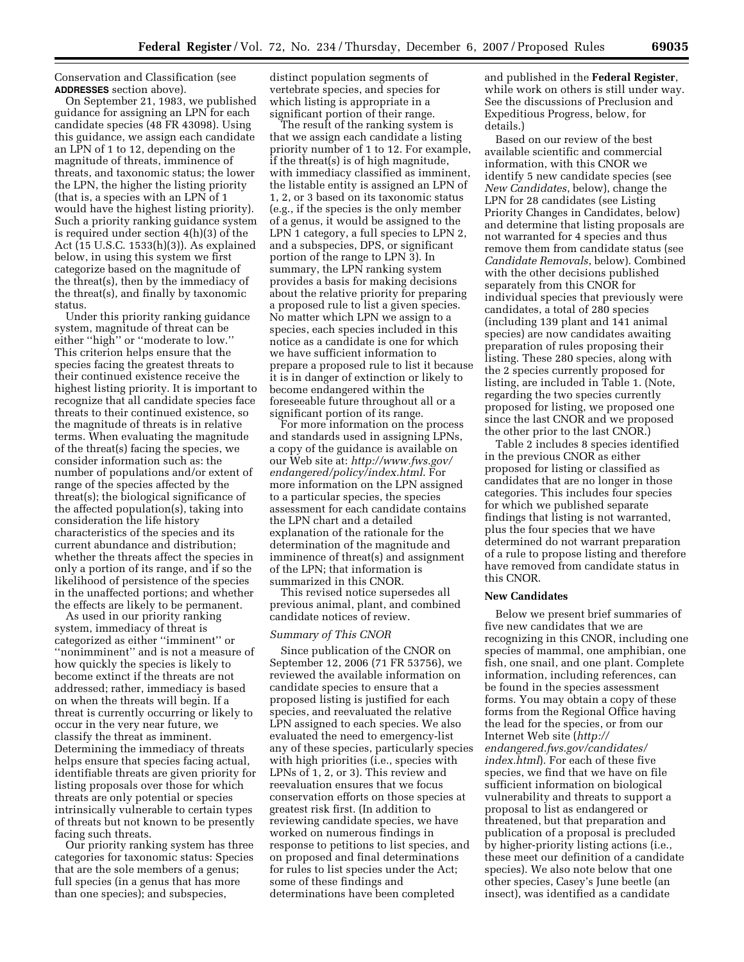Conservation and Classification (see **ADDRESSES** section above).

On September 21, 1983, we published guidance for assigning an LPN for each candidate species (48 FR 43098). Using this guidance, we assign each candidate an LPN of 1 to 12, depending on the magnitude of threats, imminence of threats, and taxonomic status; the lower the LPN, the higher the listing priority (that is, a species with an LPN of 1 would have the highest listing priority). Such a priority ranking guidance system is required under section 4(h)(3) of the Act (15 U.S.C. 1533(h)(3)). As explained below, in using this system we first categorize based on the magnitude of the threat(s), then by the immediacy of the threat(s), and finally by taxonomic status.

Under this priority ranking guidance system, magnitude of threat can be either "high" or "moderate to low." This criterion helps ensure that the species facing the greatest threats to their continued existence receive the highest listing priority. It is important to recognize that all candidate species face threats to their continued existence, so the magnitude of threats is in relative terms. When evaluating the magnitude of the threat(s) facing the species, we consider information such as: the number of populations and/or extent of range of the species affected by the threat(s); the biological significance of the affected population(s), taking into consideration the life history characteristics of the species and its current abundance and distribution; whether the threats affect the species in only a portion of its range, and if so the likelihood of persistence of the species in the unaffected portions; and whether the effects are likely to be permanent.

As used in our priority ranking system, immediacy of threat is categorized as either ''imminent'' or ''nonimminent'' and is not a measure of how quickly the species is likely to become extinct if the threats are not addressed; rather, immediacy is based on when the threats will begin. If a threat is currently occurring or likely to occur in the very near future, we classify the threat as imminent. Determining the immediacy of threats helps ensure that species facing actual, identifiable threats are given priority for listing proposals over those for which threats are only potential or species intrinsically vulnerable to certain types of threats but not known to be presently facing such threats.

Our priority ranking system has three categories for taxonomic status: Species that are the sole members of a genus; full species (in a genus that has more than one species); and subspecies,

distinct population segments of vertebrate species, and species for which listing is appropriate in a significant portion of their range.

The result of the ranking system is that we assign each candidate a listing priority number of 1 to 12. For example, if the threat(s) is of high magnitude, with immediacy classified as imminent, the listable entity is assigned an LPN of 1, 2, or 3 based on its taxonomic status (e.g., if the species is the only member of a genus, it would be assigned to the LPN 1 category, a full species to LPN 2, and a subspecies, DPS, or significant portion of the range to LPN 3). In summary, the LPN ranking system provides a basis for making decisions about the relative priority for preparing a proposed rule to list a given species. No matter which LPN we assign to a species, each species included in this notice as a candidate is one for which we have sufficient information to prepare a proposed rule to list it because it is in danger of extinction or likely to become endangered within the foreseeable future throughout all or a significant portion of its range.

For more information on the process and standards used in assigning LPNs, a copy of the guidance is available on our Web site at: *http://www.fws.gov/ endangered/policy/index.html*. For more information on the LPN assigned to a particular species, the species assessment for each candidate contains the LPN chart and a detailed explanation of the rationale for the determination of the magnitude and imminence of threat(s) and assignment of the LPN; that information is summarized in this CNOR.

This revised notice supersedes all previous animal, plant, and combined candidate notices of review.

## *Summary of This CNOR*

Since publication of the CNOR on September 12, 2006 (71 FR 53756), we reviewed the available information on candidate species to ensure that a proposed listing is justified for each species, and reevaluated the relative LPN assigned to each species. We also evaluated the need to emergency-list any of these species, particularly species with high priorities (i.e., species with LPNs of 1, 2, or 3). This review and reevaluation ensures that we focus conservation efforts on those species at greatest risk first. (In addition to reviewing candidate species, we have worked on numerous findings in response to petitions to list species, and on proposed and final determinations for rules to list species under the Act; some of these findings and determinations have been completed

and published in the **Federal Register**, while work on others is still under way. See the discussions of Preclusion and Expeditious Progress, below, for details.)

Based on our review of the best available scientific and commercial information, with this CNOR we identify 5 new candidate species (see *New Candidates*, below), change the LPN for 28 candidates (see Listing Priority Changes in Candidates, below) and determine that listing proposals are not warranted for 4 species and thus remove them from candidate status (see *Candidate Removals*, below). Combined with the other decisions published separately from this CNOR for individual species that previously were candidates, a total of 280 species (including 139 plant and 141 animal species) are now candidates awaiting preparation of rules proposing their listing. These 280 species, along with the 2 species currently proposed for listing, are included in Table 1. (Note, regarding the two species currently proposed for listing, we proposed one since the last CNOR and we proposed the other prior to the last CNOR.)

Table 2 includes 8 species identified in the previous CNOR as either proposed for listing or classified as candidates that are no longer in those categories. This includes four species for which we published separate findings that listing is not warranted, plus the four species that we have determined do not warrant preparation of a rule to propose listing and therefore have removed from candidate status in this CNOR.

## **New Candidates**

Below we present brief summaries of five new candidates that we are recognizing in this CNOR, including one species of mammal, one amphibian, one fish, one snail, and one plant. Complete information, including references, can be found in the species assessment forms. You may obtain a copy of these forms from the Regional Office having the lead for the species, or from our Internet Web site (*http:// endangered.fws.gov/candidates/ index.html*). For each of these five species, we find that we have on file sufficient information on biological vulnerability and threats to support a proposal to list as endangered or threatened, but that preparation and publication of a proposal is precluded by higher-priority listing actions (i.e., these meet our definition of a candidate species). We also note below that one other species, Casey's June beetle (an insect), was identified as a candidate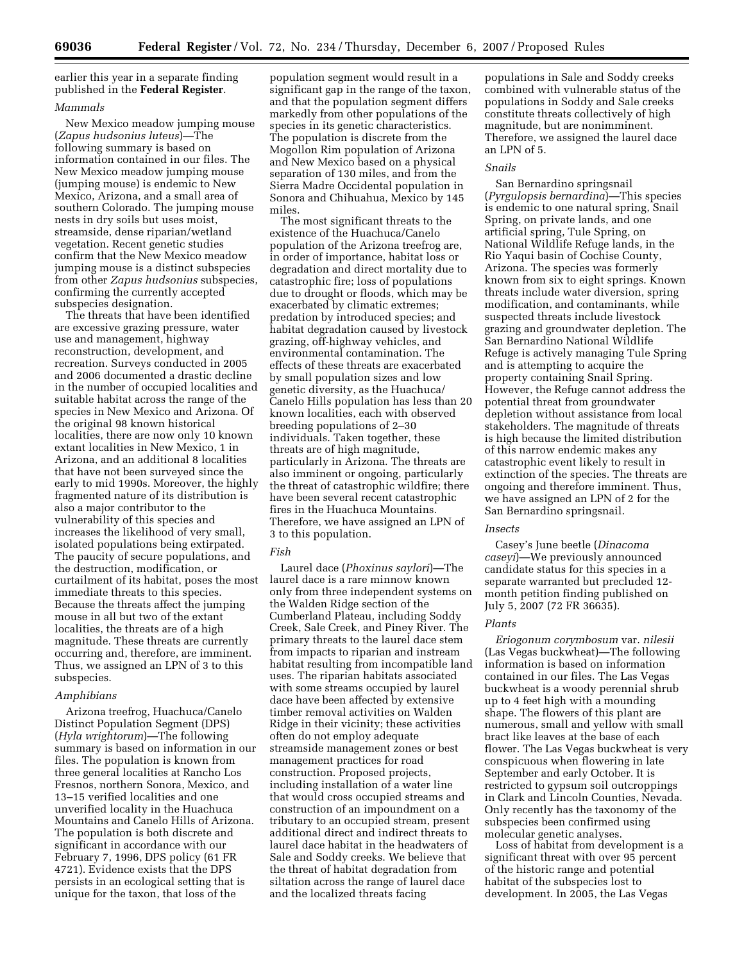earlier this year in a separate finding published in the **Federal Register**.

## *Mammals*

New Mexico meadow jumping mouse (*Zapus hudsonius luteus*)—The following summary is based on information contained in our files. The New Mexico meadow jumping mouse (jumping mouse) is endemic to New Mexico, Arizona, and a small area of southern Colorado. The jumping mouse nests in dry soils but uses moist, streamside, dense riparian/wetland vegetation. Recent genetic studies confirm that the New Mexico meadow jumping mouse is a distinct subspecies from other *Zapus hudsonius* subspecies, confirming the currently accepted subspecies designation.

The threats that have been identified are excessive grazing pressure, water use and management, highway reconstruction, development, and recreation. Surveys conducted in 2005 and 2006 documented a drastic decline in the number of occupied localities and suitable habitat across the range of the species in New Mexico and Arizona. Of the original 98 known historical localities, there are now only 10 known extant localities in New Mexico, 1 in Arizona, and an additional 8 localities that have not been surveyed since the early to mid 1990s. Moreover, the highly fragmented nature of its distribution is also a major contributor to the vulnerability of this species and increases the likelihood of very small, isolated populations being extirpated. The paucity of secure populations, and the destruction, modification, or curtailment of its habitat, poses the most immediate threats to this species. Because the threats affect the jumping mouse in all but two of the extant localities, the threats are of a high magnitude. These threats are currently occurring and, therefore, are imminent. Thus, we assigned an LPN of 3 to this subspecies.

#### *Amphibians*

Arizona treefrog, Huachuca/Canelo Distinct Population Segment (DPS) (*Hyla wrightorum*)—The following summary is based on information in our files. The population is known from three general localities at Rancho Los Fresnos, northern Sonora, Mexico, and 13–15 verified localities and one unverified locality in the Huachuca Mountains and Canelo Hills of Arizona. The population is both discrete and significant in accordance with our February 7, 1996, DPS policy (61 FR 4721). Evidence exists that the DPS persists in an ecological setting that is unique for the taxon, that loss of the

population segment would result in a significant gap in the range of the taxon, and that the population segment differs markedly from other populations of the species in its genetic characteristics. The population is discrete from the Mogollon Rim population of Arizona and New Mexico based on a physical separation of 130 miles, and from the Sierra Madre Occidental population in Sonora and Chihuahua, Mexico by 145 miles.

The most significant threats to the existence of the Huachuca/Canelo population of the Arizona treefrog are, in order of importance, habitat loss or degradation and direct mortality due to catastrophic fire; loss of populations due to drought or floods, which may be exacerbated by climatic extremes; predation by introduced species; and habitat degradation caused by livestock grazing, off-highway vehicles, and environmental contamination. The effects of these threats are exacerbated by small population sizes and low genetic diversity, as the Huachuca/ Canelo Hills population has less than 20 known localities, each with observed breeding populations of 2–30 individuals. Taken together, these threats are of high magnitude, particularly in Arizona. The threats are also imminent or ongoing, particularly the threat of catastrophic wildfire; there have been several recent catastrophic fires in the Huachuca Mountains. Therefore, we have assigned an LPN of 3 to this population.

### *Fish*

Laurel dace (*Phoxinus saylori*)—The laurel dace is a rare minnow known only from three independent systems on the Walden Ridge section of the Cumberland Plateau, including Soddy Creek, Sale Creek, and Piney River. The primary threats to the laurel dace stem from impacts to riparian and instream habitat resulting from incompatible land uses. The riparian habitats associated with some streams occupied by laurel dace have been affected by extensive timber removal activities on Walden Ridge in their vicinity; these activities often do not employ adequate streamside management zones or best management practices for road construction. Proposed projects, including installation of a water line that would cross occupied streams and construction of an impoundment on a tributary to an occupied stream, present additional direct and indirect threats to laurel dace habitat in the headwaters of Sale and Soddy creeks. We believe that the threat of habitat degradation from siltation across the range of laurel dace and the localized threats facing

populations in Sale and Soddy creeks combined with vulnerable status of the populations in Soddy and Sale creeks constitute threats collectively of high magnitude, but are nonimminent. Therefore, we assigned the laurel dace an LPN of 5.

#### *Snails*

San Bernardino springsnail (*Pyrgulopsis bernardina*)—This species is endemic to one natural spring, Snail Spring, on private lands, and one artificial spring, Tule Spring, on National Wildlife Refuge lands, in the Rio Yaqui basin of Cochise County, Arizona. The species was formerly known from six to eight springs. Known threats include water diversion, spring modification, and contaminants, while suspected threats include livestock grazing and groundwater depletion. The San Bernardino National Wildlife Refuge is actively managing Tule Spring and is attempting to acquire the property containing Snail Spring. However, the Refuge cannot address the potential threat from groundwater depletion without assistance from local stakeholders. The magnitude of threats is high because the limited distribution of this narrow endemic makes any catastrophic event likely to result in extinction of the species. The threats are ongoing and therefore imminent. Thus, we have assigned an LPN of 2 for the San Bernardino springsnail.

#### *Insects*

Casey's June beetle (*Dinacoma caseyi*)—We previously announced candidate status for this species in a separate warranted but precluded 12 month petition finding published on July 5, 2007 (72 FR 36635).

#### *Plants*

*Eriogonum corymbosum* var. *nilesii*  (Las Vegas buckwheat)—The following information is based on information contained in our files. The Las Vegas buckwheat is a woody perennial shrub up to 4 feet high with a mounding shape. The flowers of this plant are numerous, small and yellow with small bract like leaves at the base of each flower. The Las Vegas buckwheat is very conspicuous when flowering in late September and early October. It is restricted to gypsum soil outcroppings in Clark and Lincoln Counties, Nevada. Only recently has the taxonomy of the subspecies been confirmed using molecular genetic analyses.

Loss of habitat from development is a significant threat with over 95 percent of the historic range and potential habitat of the subspecies lost to development. In 2005, the Las Vegas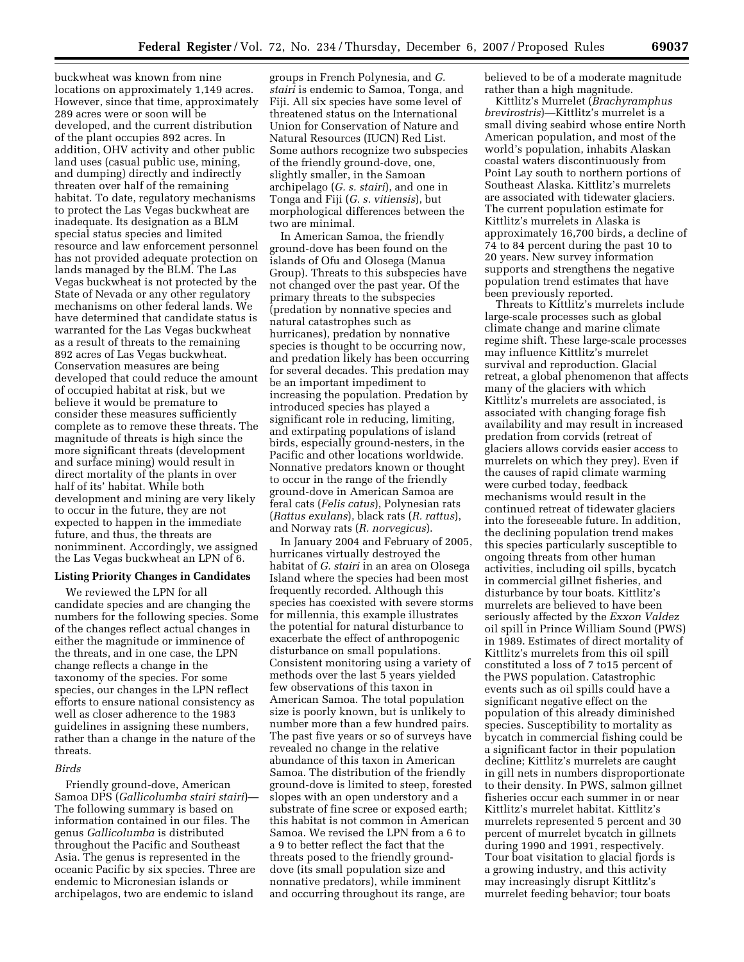buckwheat was known from nine locations on approximately 1,149 acres. However, since that time, approximately 289 acres were or soon will be developed, and the current distribution of the plant occupies 892 acres. In addition, OHV activity and other public land uses (casual public use, mining, and dumping) directly and indirectly threaten over half of the remaining habitat. To date, regulatory mechanisms to protect the Las Vegas buckwheat are inadequate. Its designation as a BLM special status species and limited resource and law enforcement personnel has not provided adequate protection on lands managed by the BLM. The Las Vegas buckwheat is not protected by the State of Nevada or any other regulatory mechanisms on other federal lands. We have determined that candidate status is warranted for the Las Vegas buckwheat as a result of threats to the remaining 892 acres of Las Vegas buckwheat. Conservation measures are being developed that could reduce the amount of occupied habitat at risk, but we believe it would be premature to consider these measures sufficiently complete as to remove these threats. The magnitude of threats is high since the more significant threats (development and surface mining) would result in direct mortality of the plants in over half of its' habitat. While both development and mining are very likely to occur in the future, they are not expected to happen in the immediate future, and thus, the threats are nonimminent. Accordingly, we assigned the Las Vegas buckwheat an LPN of 6.

## **Listing Priority Changes in Candidates**

We reviewed the LPN for all candidate species and are changing the numbers for the following species. Some of the changes reflect actual changes in either the magnitude or imminence of the threats, and in one case, the LPN change reflects a change in the taxonomy of the species. For some species, our changes in the LPN reflect efforts to ensure national consistency as well as closer adherence to the 1983 guidelines in assigning these numbers, rather than a change in the nature of the threats.

#### *Birds*

Friendly ground-dove, American Samoa DPS (*Gallicolumba stairi stairi*)— The following summary is based on information contained in our files. The genus *Gallicolumba* is distributed throughout the Pacific and Southeast Asia. The genus is represented in the oceanic Pacific by six species. Three are endemic to Micronesian islands or archipelagos, two are endemic to island

groups in French Polynesia, and *G. stairi* is endemic to Samoa, Tonga, and Fiji. All six species have some level of threatened status on the International Union for Conservation of Nature and Natural Resources (IUCN) Red List. Some authors recognize two subspecies of the friendly ground-dove, one, slightly smaller, in the Samoan archipelago (*G. s. stairi*), and one in Tonga and Fiji (*G. s. vitiensis*), but morphological differences between the two are minimal.

In American Samoa, the friendly ground-dove has been found on the islands of Ofu and Olosega (Manua Group). Threats to this subspecies have not changed over the past year. Of the primary threats to the subspecies (predation by nonnative species and natural catastrophes such as hurricanes), predation by nonnative species is thought to be occurring now, and predation likely has been occurring for several decades. This predation may be an important impediment to increasing the population. Predation by introduced species has played a significant role in reducing, limiting, and extirpating populations of island birds, especially ground-nesters, in the Pacific and other locations worldwide. Nonnative predators known or thought to occur in the range of the friendly ground-dove in American Samoa are feral cats (*Felis catus*), Polynesian rats (*Rattus exulans*), black rats (*R. rattus*), and Norway rats (*R. norvegicus*).

In January 2004 and February of 2005, hurricanes virtually destroyed the habitat of *G. stairi* in an area on Olosega Island where the species had been most frequently recorded. Although this species has coexisted with severe storms for millennia, this example illustrates the potential for natural disturbance to exacerbate the effect of anthropogenic disturbance on small populations. Consistent monitoring using a variety of methods over the last 5 years yielded few observations of this taxon in American Samoa. The total population size is poorly known, but is unlikely to number more than a few hundred pairs. The past five years or so of surveys have revealed no change in the relative abundance of this taxon in American Samoa. The distribution of the friendly ground-dove is limited to steep, forested slopes with an open understory and a substrate of fine scree or exposed earth; this habitat is not common in American Samoa. We revised the LPN from a 6 to a 9 to better reflect the fact that the threats posed to the friendly grounddove (its small population size and nonnative predators), while imminent and occurring throughout its range, are

believed to be of a moderate magnitude rather than a high magnitude.

Kittlitz's Murrelet (*Brachyramphus brevirostris*)—Kittlitz's murrelet is a small diving seabird whose entire North American population, and most of the world's population, inhabits Alaskan coastal waters discontinuously from Point Lay south to northern portions of Southeast Alaska. Kittlitz's murrelets are associated with tidewater glaciers. The current population estimate for Kittlitz's murrelets in Alaska is approximately 16,700 birds, a decline of 74 to 84 percent during the past 10 to 20 years. New survey information supports and strengthens the negative population trend estimates that have been previously reported.

Threats to Kittlitz's murrelets include large-scale processes such as global climate change and marine climate regime shift. These large-scale processes may influence Kittlitz's murrelet survival and reproduction. Glacial retreat, a global phenomenon that affects many of the glaciers with which Kittlitz's murrelets are associated, is associated with changing forage fish availability and may result in increased predation from corvids (retreat of glaciers allows corvids easier access to murrelets on which they prey). Even if the causes of rapid climate warming were curbed today, feedback mechanisms would result in the continued retreat of tidewater glaciers into the foreseeable future. In addition, the declining population trend makes this species particularly susceptible to ongoing threats from other human activities, including oil spills, bycatch in commercial gillnet fisheries, and disturbance by tour boats. Kittlitz's murrelets are believed to have been seriously affected by the *Exxon Valdez*  oil spill in Prince William Sound (PWS) in 1989. Estimates of direct mortality of Kittlitz's murrelets from this oil spill constituted a loss of 7 to15 percent of the PWS population. Catastrophic events such as oil spills could have a significant negative effect on the population of this already diminished species. Susceptibility to mortality as bycatch in commercial fishing could be a significant factor in their population decline; Kittlitz's murrelets are caught in gill nets in numbers disproportionate to their density. In PWS, salmon gillnet fisheries occur each summer in or near Kittlitz's murrelet habitat. Kittlitz's murrelets represented 5 percent and 30 percent of murrelet bycatch in gillnets during 1990 and 1991, respectively. Tour boat visitation to glacial fjords is a growing industry, and this activity may increasingly disrupt Kittlitz's murrelet feeding behavior; tour boats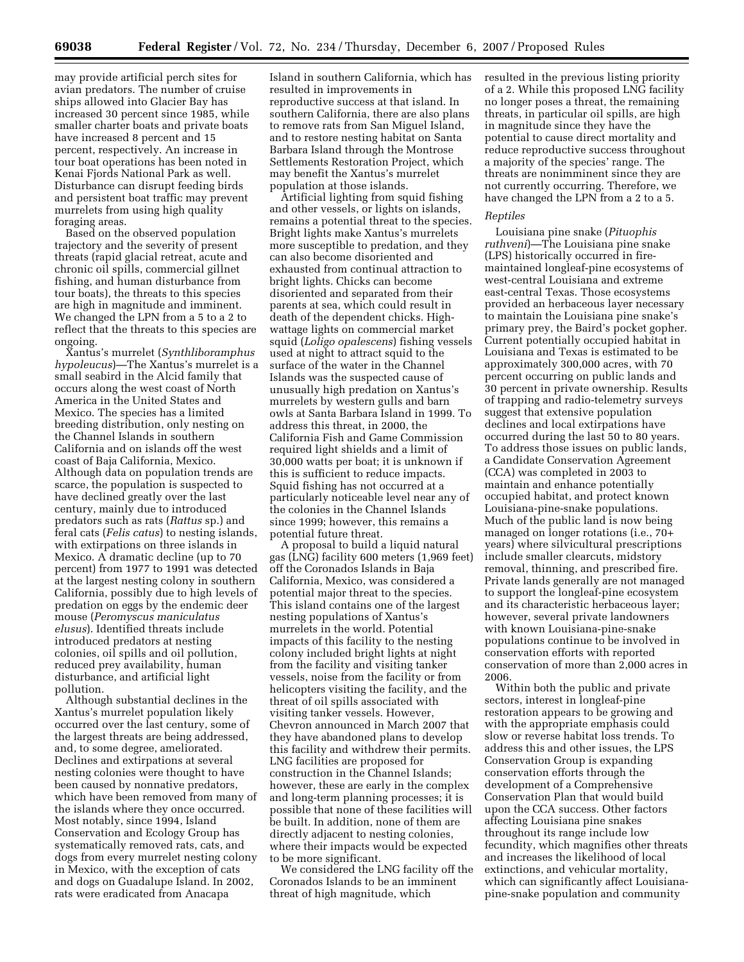may provide artificial perch sites for avian predators. The number of cruise ships allowed into Glacier Bay has increased 30 percent since 1985, while smaller charter boats and private boats have increased 8 percent and 15 percent, respectively. An increase in tour boat operations has been noted in Kenai Fjords National Park as well. Disturbance can disrupt feeding birds and persistent boat traffic may prevent murrelets from using high quality foraging areas.

Based on the observed population trajectory and the severity of present threats (rapid glacial retreat, acute and chronic oil spills, commercial gillnet fishing, and human disturbance from tour boats), the threats to this species are high in magnitude and imminent. We changed the LPN from a 5 to a 2 to reflect that the threats to this species are ongoing.

Xantus's murrelet (*Synthliboramphus hypoleucus*)—The Xantus's murrelet is a small seabird in the Alcid family that occurs along the west coast of North America in the United States and Mexico. The species has a limited breeding distribution, only nesting on the Channel Islands in southern California and on islands off the west coast of Baja California, Mexico. Although data on population trends are scarce, the population is suspected to have declined greatly over the last century, mainly due to introduced predators such as rats (*Rattus* sp.) and feral cats (*Felis catus*) to nesting islands, with extirpations on three islands in Mexico. A dramatic decline (up to 70 percent) from 1977 to 1991 was detected at the largest nesting colony in southern California, possibly due to high levels of predation on eggs by the endemic deer mouse (*Peromyscus maniculatus elusus*). Identified threats include introduced predators at nesting colonies, oil spills and oil pollution, reduced prey availability, human disturbance, and artificial light pollution.

Although substantial declines in the Xantus's murrelet population likely occurred over the last century, some of the largest threats are being addressed, and, to some degree, ameliorated. Declines and extirpations at several nesting colonies were thought to have been caused by nonnative predators, which have been removed from many of the islands where they once occurred. Most notably, since 1994, Island Conservation and Ecology Group has systematically removed rats, cats, and dogs from every murrelet nesting colony in Mexico, with the exception of cats and dogs on Guadalupe Island. In 2002, rats were eradicated from Anacapa

Island in southern California, which has resulted in improvements in reproductive success at that island. In southern California, there are also plans to remove rats from San Miguel Island, and to restore nesting habitat on Santa Barbara Island through the Montrose Settlements Restoration Project, which may benefit the Xantus's murrelet population at those islands.

Artificial lighting from squid fishing and other vessels, or lights on islands, remains a potential threat to the species. Bright lights make Xantus's murrelets more susceptible to predation, and they can also become disoriented and exhausted from continual attraction to bright lights. Chicks can become disoriented and separated from their parents at sea, which could result in death of the dependent chicks. Highwattage lights on commercial market squid (*Loligo opalescens*) fishing vessels used at night to attract squid to the surface of the water in the Channel Islands was the suspected cause of unusually high predation on Xantus's murrelets by western gulls and barn owls at Santa Barbara Island in 1999. To address this threat, in 2000, the California Fish and Game Commission required light shields and a limit of 30,000 watts per boat; it is unknown if this is sufficient to reduce impacts. Squid fishing has not occurred at a particularly noticeable level near any of the colonies in the Channel Islands since 1999; however, this remains a potential future threat.

A proposal to build a liquid natural gas (LNG) facility 600 meters (1,969 feet) off the Coronados Islands in Baja California, Mexico, was considered a potential major threat to the species. This island contains one of the largest nesting populations of Xantus's murrelets in the world. Potential impacts of this facility to the nesting colony included bright lights at night from the facility and visiting tanker vessels, noise from the facility or from helicopters visiting the facility, and the threat of oil spills associated with visiting tanker vessels. However, Chevron announced in March 2007 that they have abandoned plans to develop this facility and withdrew their permits. LNG facilities are proposed for construction in the Channel Islands; however, these are early in the complex and long-term planning processes; it is possible that none of these facilities will be built. In addition, none of them are directly adjacent to nesting colonies, where their impacts would be expected to be more significant.

We considered the LNG facility off the Coronados Islands to be an imminent threat of high magnitude, which

resulted in the previous listing priority of a 2. While this proposed LNG facility no longer poses a threat, the remaining threats, in particular oil spills, are high in magnitude since they have the potential to cause direct mortality and reduce reproductive success throughout a majority of the species' range. The threats are nonimminent since they are not currently occurring. Therefore, we have changed the LPN from a 2 to a 5.

#### *Reptiles*

Louisiana pine snake (*Pituophis ruthveni*)—The Louisiana pine snake (LPS) historically occurred in firemaintained longleaf-pine ecosystems of west-central Louisiana and extreme east-central Texas. Those ecosystems provided an herbaceous layer necessary to maintain the Louisiana pine snake's primary prey, the Baird's pocket gopher. Current potentially occupied habitat in Louisiana and Texas is estimated to be approximately 300,000 acres, with 70 percent occurring on public lands and 30 percent in private ownership. Results of trapping and radio-telemetry surveys suggest that extensive population declines and local extirpations have occurred during the last 50 to 80 years. To address those issues on public lands, a Candidate Conservation Agreement (CCA) was completed in 2003 to maintain and enhance potentially occupied habitat, and protect known Louisiana-pine-snake populations. Much of the public land is now being managed on longer rotations (i.e., 70+ years) where silvicultural prescriptions include smaller clearcuts, midstory removal, thinning, and prescribed fire. Private lands generally are not managed to support the longleaf-pine ecosystem and its characteristic herbaceous layer; however, several private landowners with known Louisiana-pine-snake populations continue to be involved in conservation efforts with reported conservation of more than 2,000 acres in 2006.

Within both the public and private sectors, interest in longleaf-pine restoration appears to be growing and with the appropriate emphasis could slow or reverse habitat loss trends. To address this and other issues, the LPS Conservation Group is expanding conservation efforts through the development of a Comprehensive Conservation Plan that would build upon the CCA success. Other factors affecting Louisiana pine snakes throughout its range include low fecundity, which magnifies other threats and increases the likelihood of local extinctions, and vehicular mortality, which can significantly affect Louisianapine-snake population and community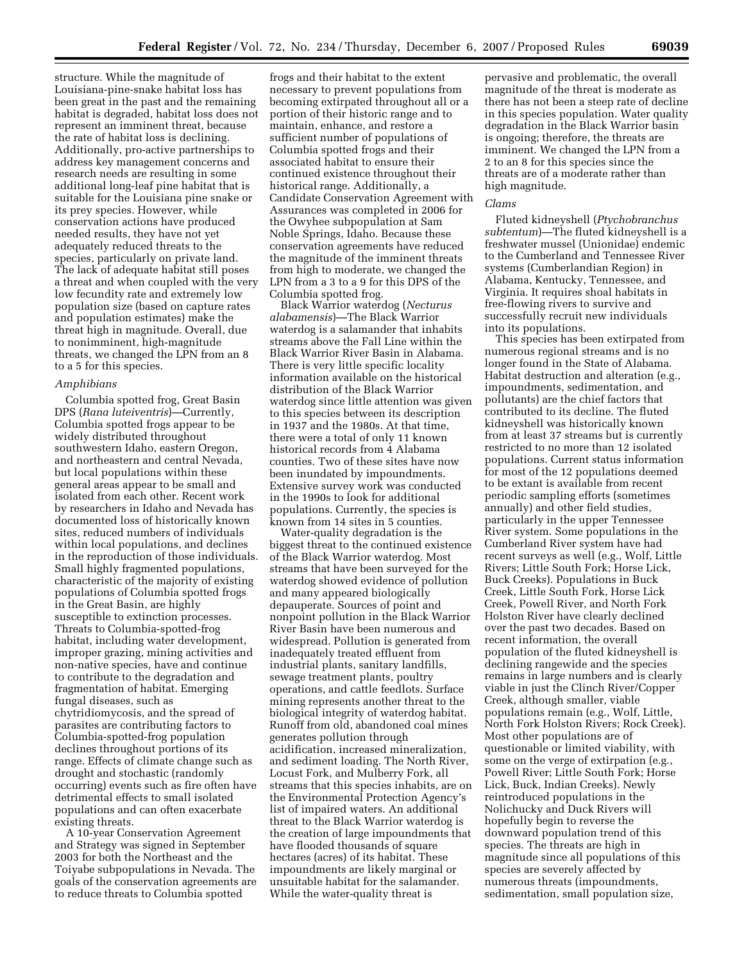structure. While the magnitude of Louisiana-pine-snake habitat loss has been great in the past and the remaining habitat is degraded, habitat loss does not represent an imminent threat, because the rate of habitat loss is declining. Additionally, pro-active partnerships to address key management concerns and research needs are resulting in some additional long-leaf pine habitat that is suitable for the Louisiana pine snake or its prey species. However, while conservation actions have produced needed results, they have not yet adequately reduced threats to the species, particularly on private land. The lack of adequate habitat still poses a threat and when coupled with the very low fecundity rate and extremely low population size (based on capture rates and population estimates) make the threat high in magnitude. Overall, due to nonimminent, high-magnitude threats, we changed the LPN from an 8 to a 5 for this species.

#### *Amphibians*

Columbia spotted frog, Great Basin DPS (*Rana luteiventris*)—Currently, Columbia spotted frogs appear to be widely distributed throughout southwestern Idaho, eastern Oregon, and northeastern and central Nevada, but local populations within these general areas appear to be small and isolated from each other. Recent work by researchers in Idaho and Nevada has documented loss of historically known sites, reduced numbers of individuals within local populations, and declines in the reproduction of those individuals. Small highly fragmented populations, characteristic of the majority of existing populations of Columbia spotted frogs in the Great Basin, are highly susceptible to extinction processes. Threats to Columbia-spotted-frog habitat, including water development, improper grazing, mining activities and non-native species, have and continue to contribute to the degradation and fragmentation of habitat. Emerging fungal diseases, such as chytridiomycosis, and the spread of parasites are contributing factors to Columbia-spotted-frog population declines throughout portions of its range. Effects of climate change such as drought and stochastic (randomly occurring) events such as fire often have detrimental effects to small isolated populations and can often exacerbate existing threats.

A 10-year Conservation Agreement and Strategy was signed in September 2003 for both the Northeast and the Toiyabe subpopulations in Nevada. The goals of the conservation agreements are to reduce threats to Columbia spotted

frogs and their habitat to the extent necessary to prevent populations from becoming extirpated throughout all or a portion of their historic range and to maintain, enhance, and restore a sufficient number of populations of Columbia spotted frogs and their associated habitat to ensure their continued existence throughout their historical range. Additionally, a Candidate Conservation Agreement with Assurances was completed in 2006 for the Owyhee subpopulation at Sam Noble Springs, Idaho. Because these conservation agreements have reduced the magnitude of the imminent threats from high to moderate, we changed the LPN from a 3 to a 9 for this DPS of the Columbia spotted frog.

Black Warrior waterdog (*Necturus alabamensis*)—The Black Warrior waterdog is a salamander that inhabits streams above the Fall Line within the Black Warrior River Basin in Alabama. There is very little specific locality information available on the historical distribution of the Black Warrior waterdog since little attention was given to this species between its description in 1937 and the 1980s. At that time, there were a total of only 11 known historical records from 4 Alabama counties. Two of these sites have now been inundated by impoundments. Extensive survey work was conducted in the 1990s to look for additional populations. Currently, the species is known from 14 sites in 5 counties.

Water-quality degradation is the biggest threat to the continued existence of the Black Warrior waterdog. Most streams that have been surveyed for the waterdog showed evidence of pollution and many appeared biologically depauperate. Sources of point and nonpoint pollution in the Black Warrior River Basin have been numerous and widespread. Pollution is generated from inadequately treated effluent from industrial plants, sanitary landfills, sewage treatment plants, poultry operations, and cattle feedlots. Surface mining represents another threat to the biological integrity of waterdog habitat. Runoff from old, abandoned coal mines generates pollution through acidification, increased mineralization, and sediment loading. The North River, Locust Fork, and Mulberry Fork, all streams that this species inhabits, are on the Environmental Protection Agency's list of impaired waters. An additional threat to the Black Warrior waterdog is the creation of large impoundments that have flooded thousands of square hectares (acres) of its habitat. These impoundments are likely marginal or unsuitable habitat for the salamander. While the water-quality threat is

pervasive and problematic, the overall magnitude of the threat is moderate as there has not been a steep rate of decline in this species population. Water quality degradation in the Black Warrior basin is ongoing; therefore, the threats are imminent. We changed the LPN from a 2 to an 8 for this species since the threats are of a moderate rather than high magnitude.

#### *Clams*

Fluted kidneyshell (*Ptychobranchus subtentum*)—The fluted kidneyshell is a freshwater mussel (Unionidae) endemic to the Cumberland and Tennessee River systems (Cumberlandian Region) in Alabama, Kentucky, Tennessee, and Virginia. It requires shoal habitats in free-flowing rivers to survive and successfully recruit new individuals into its populations.

This species has been extirpated from numerous regional streams and is no longer found in the State of Alabama. Habitat destruction and alteration (e.g., impoundments, sedimentation, and pollutants) are the chief factors that contributed to its decline. The fluted kidneyshell was historically known from at least 37 streams but is currently restricted to no more than 12 isolated populations. Current status information for most of the 12 populations deemed to be extant is available from recent periodic sampling efforts (sometimes annually) and other field studies, particularly in the upper Tennessee River system. Some populations in the Cumberland River system have had recent surveys as well (e.g., Wolf, Little Rivers; Little South Fork; Horse Lick, Buck Creeks). Populations in Buck Creek, Little South Fork, Horse Lick Creek, Powell River, and North Fork Holston River have clearly declined over the past two decades. Based on recent information, the overall population of the fluted kidneyshell is declining rangewide and the species remains in large numbers and is clearly viable in just the Clinch River/Copper Creek, although smaller, viable populations remain (e.g., Wolf, Little, North Fork Holston Rivers; Rock Creek). Most other populations are of questionable or limited viability, with some on the verge of extirpation (e.g., Powell River; Little South Fork; Horse Lick, Buck, Indian Creeks). Newly reintroduced populations in the Nolichucky and Duck Rivers will hopefully begin to reverse the downward population trend of this species. The threats are high in magnitude since all populations of this species are severely affected by numerous threats (impoundments, sedimentation, small population size,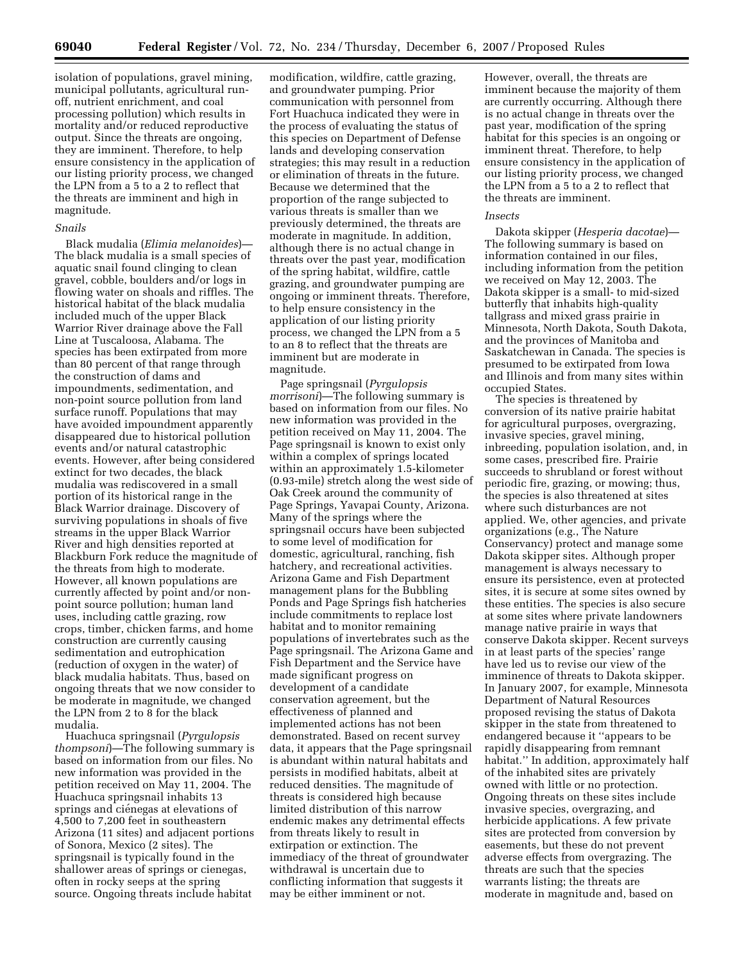isolation of populations, gravel mining, municipal pollutants, agricultural runoff, nutrient enrichment, and coal processing pollution) which results in mortality and/or reduced reproductive output. Since the threats are ongoing, they are imminent. Therefore, to help ensure consistency in the application of our listing priority process, we changed the LPN from a 5 to a 2 to reflect that the threats are imminent and high in magnitude.

## *Snails*

Black mudalia (*Elimia melanoides*)— The black mudalia is a small species of aquatic snail found clinging to clean gravel, cobble, boulders and/or logs in flowing water on shoals and riffles. The historical habitat of the black mudalia included much of the upper Black Warrior River drainage above the Fall Line at Tuscaloosa, Alabama. The species has been extirpated from more than 80 percent of that range through the construction of dams and impoundments, sedimentation, and non-point source pollution from land surface runoff. Populations that may have avoided impoundment apparently disappeared due to historical pollution events and/or natural catastrophic events. However, after being considered extinct for two decades, the black mudalia was rediscovered in a small portion of its historical range in the Black Warrior drainage. Discovery of surviving populations in shoals of five streams in the upper Black Warrior River and high densities reported at Blackburn Fork reduce the magnitude of the threats from high to moderate. However, all known populations are currently affected by point and/or nonpoint source pollution; human land uses, including cattle grazing, row crops, timber, chicken farms, and home construction are currently causing sedimentation and eutrophication (reduction of oxygen in the water) of black mudalia habitats. Thus, based on ongoing threats that we now consider to be moderate in magnitude, we changed the LPN from 2 to 8 for the black mudalia.

Huachuca springsnail (*Pyrgulopsis thompsoni*)—The following summary is based on information from our files. No new information was provided in the petition received on May 11, 2004. The Huachuca springsnail inhabits 13 springs and ciénegas at elevations of 4,500 to 7,200 feet in southeastern Arizona (11 sites) and adjacent portions of Sonora, Mexico (2 sites). The springsnail is typically found in the shallower areas of springs or cienegas, often in rocky seeps at the spring source. Ongoing threats include habitat

modification, wildfire, cattle grazing, and groundwater pumping. Prior communication with personnel from Fort Huachuca indicated they were in the process of evaluating the status of this species on Department of Defense lands and developing conservation strategies; this may result in a reduction or elimination of threats in the future. Because we determined that the proportion of the range subjected to various threats is smaller than we previously determined, the threats are moderate in magnitude. In addition, although there is no actual change in threats over the past year, modification of the spring habitat, wildfire, cattle grazing, and groundwater pumping are ongoing or imminent threats. Therefore, to help ensure consistency in the application of our listing priority process, we changed the LPN from a 5 to an 8 to reflect that the threats are imminent but are moderate in magnitude.

Page springsnail (*Pyrgulopsis morrisoni*)—The following summary is based on information from our files. No new information was provided in the petition received on May 11, 2004. The Page springsnail is known to exist only within a complex of springs located within an approximately 1.5-kilometer (0.93-mile) stretch along the west side of Oak Creek around the community of Page Springs, Yavapai County, Arizona. Many of the springs where the springsnail occurs have been subjected to some level of modification for domestic, agricultural, ranching, fish hatchery, and recreational activities. Arizona Game and Fish Department management plans for the Bubbling Ponds and Page Springs fish hatcheries include commitments to replace lost habitat and to monitor remaining populations of invertebrates such as the Page springsnail. The Arizona Game and Fish Department and the Service have made significant progress on development of a candidate conservation agreement, but the effectiveness of planned and implemented actions has not been demonstrated. Based on recent survey data, it appears that the Page springsnail is abundant within natural habitats and persists in modified habitats, albeit at reduced densities. The magnitude of threats is considered high because limited distribution of this narrow endemic makes any detrimental effects from threats likely to result in extirpation or extinction. The immediacy of the threat of groundwater withdrawal is uncertain due to conflicting information that suggests it may be either imminent or not.

However, overall, the threats are imminent because the majority of them are currently occurring. Although there is no actual change in threats over the past year, modification of the spring habitat for this species is an ongoing or imminent threat. Therefore, to help ensure consistency in the application of our listing priority process, we changed the LPN from a 5 to a 2 to reflect that the threats are imminent.

#### *Insects*

Dakota skipper (*Hesperia dacotae*)— The following summary is based on information contained in our files, including information from the petition we received on May 12, 2003. The Dakota skipper is a small- to mid-sized butterfly that inhabits high-quality tallgrass and mixed grass prairie in Minnesota, North Dakota, South Dakota, and the provinces of Manitoba and Saskatchewan in Canada. The species is presumed to be extirpated from Iowa and Illinois and from many sites within occupied States.

The species is threatened by conversion of its native prairie habitat for agricultural purposes, overgrazing, invasive species, gravel mining, inbreeding, population isolation, and, in some cases, prescribed fire. Prairie succeeds to shrubland or forest without periodic fire, grazing, or mowing; thus, the species is also threatened at sites where such disturbances are not applied. We, other agencies, and private organizations (e.g., The Nature Conservancy) protect and manage some Dakota skipper sites. Although proper management is always necessary to ensure its persistence, even at protected sites, it is secure at some sites owned by these entities. The species is also secure at some sites where private landowners manage native prairie in ways that conserve Dakota skipper. Recent surveys in at least parts of the species' range have led us to revise our view of the imminence of threats to Dakota skipper. In January 2007, for example, Minnesota Department of Natural Resources proposed revising the status of Dakota skipper in the state from threatened to endangered because it ''appears to be rapidly disappearing from remnant habitat.'' In addition, approximately half of the inhabited sites are privately owned with little or no protection. Ongoing threats on these sites include invasive species, overgrazing, and herbicide applications. A few private sites are protected from conversion by easements, but these do not prevent adverse effects from overgrazing. The threats are such that the species warrants listing; the threats are moderate in magnitude and, based on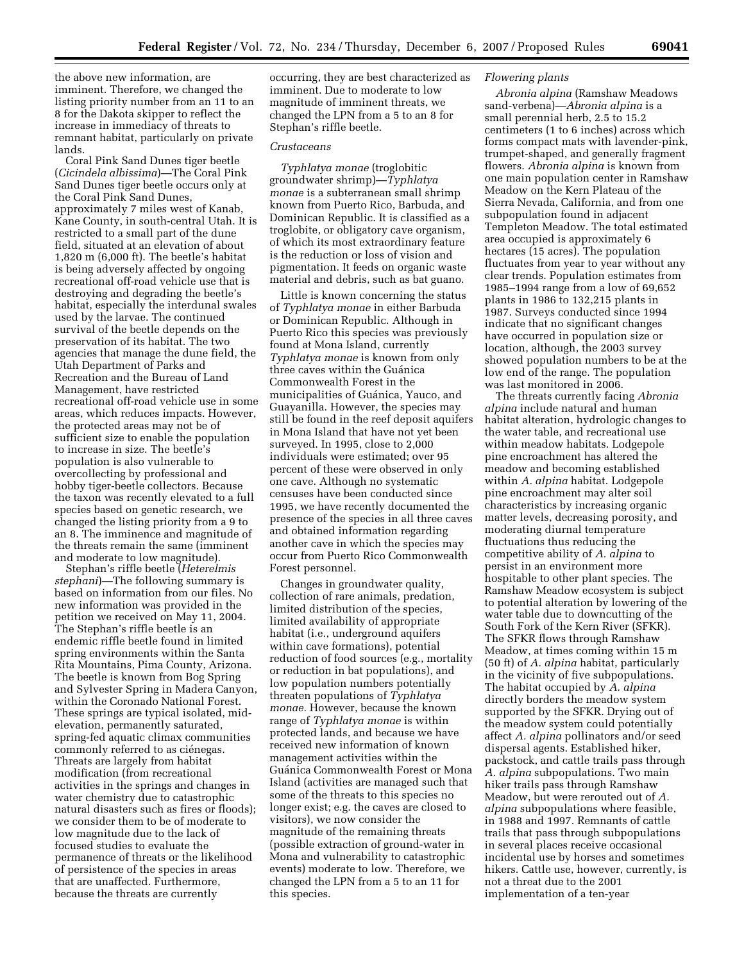the above new information, are imminent. Therefore, we changed the listing priority number from an 11 to an 8 for the Dakota skipper to reflect the increase in immediacy of threats to remnant habitat, particularly on private lands.

Coral Pink Sand Dunes tiger beetle (*Cicindela albissima*)—The Coral Pink Sand Dunes tiger beetle occurs only at the Coral Pink Sand Dunes, approximately 7 miles west of Kanab, Kane County, in south-central Utah. It is restricted to a small part of the dune field, situated at an elevation of about 1,820 m (6,000 ft). The beetle's habitat is being adversely affected by ongoing recreational off-road vehicle use that is destroying and degrading the beetle's habitat, especially the interdunal swales used by the larvae. The continued survival of the beetle depends on the preservation of its habitat. The two agencies that manage the dune field, the Utah Department of Parks and Recreation and the Bureau of Land Management, have restricted recreational off-road vehicle use in some areas, which reduces impacts. However, the protected areas may not be of sufficient size to enable the population to increase in size. The beetle's population is also vulnerable to overcollecting by professional and hobby tiger-beetle collectors. Because the taxon was recently elevated to a full species based on genetic research, we changed the listing priority from a 9 to an 8. The imminence and magnitude of the threats remain the same (imminent and moderate to low magnitude).

Stephan's riffle beetle (*Heterelmis stephani*)—The following summary is based on information from our files. No new information was provided in the petition we received on May 11, 2004. The Stephan's riffle beetle is an endemic riffle beetle found in limited spring environments within the Santa Rita Mountains, Pima County, Arizona. The beetle is known from Bog Spring and Sylvester Spring in Madera Canyon, within the Coronado National Forest. These springs are typical isolated, midelevation, permanently saturated, spring-fed aquatic climax communities commonly referred to as ciénegas. Threats are largely from habitat modification (from recreational activities in the springs and changes in water chemistry due to catastrophic natural disasters such as fires or floods); we consider them to be of moderate to low magnitude due to the lack of focused studies to evaluate the permanence of threats or the likelihood of persistence of the species in areas that are unaffected. Furthermore, because the threats are currently

occurring, they are best characterized as imminent. Due to moderate to low magnitude of imminent threats, we changed the LPN from a 5 to an 8 for Stephan's riffle beetle.

## *Crustaceans*

*Typhlatya monae* (troglobitic groundwater shrimp)—*Typhlatya monae* is a subterranean small shrimp known from Puerto Rico, Barbuda, and Dominican Republic. It is classified as a troglobite, or obligatory cave organism, of which its most extraordinary feature is the reduction or loss of vision and pigmentation. It feeds on organic waste material and debris, such as bat guano.

Little is known concerning the status of *Typhlatya monae* in either Barbuda or Dominican Republic. Although in Puerto Rico this species was previously found at Mona Island, currently *Typhlatya monae* is known from only three caves within the Guánica Commonwealth Forest in the municipalities of Guánica, Yauco, and Guayanilla. However, the species may still be found in the reef deposit aquifers in Mona Island that have not yet been surveyed. In 1995, close to 2,000 individuals were estimated; over 95 percent of these were observed in only one cave. Although no systematic censuses have been conducted since 1995, we have recently documented the presence of the species in all three caves and obtained information regarding another cave in which the species may occur from Puerto Rico Commonwealth Forest personnel.

Changes in groundwater quality, collection of rare animals, predation, limited distribution of the species, limited availability of appropriate habitat (i.e., underground aquifers within cave formations), potential reduction of food sources (e.g., mortality or reduction in bat populations), and low population numbers potentially threaten populations of *Typhlatya monae.* However, because the known range of *Typhlatya monae* is within protected lands, and because we have received new information of known management activities within the Guánica Commonwealth Forest or Mona Island (activities are managed such that some of the threats to this species no longer exist; e.g. the caves are closed to visitors), we now consider the magnitude of the remaining threats (possible extraction of ground-water in Mona and vulnerability to catastrophic events) moderate to low. Therefore, we changed the LPN from a 5 to an 11 for this species.

## *Flowering plants*

*Abronia alpina* (Ramshaw Meadows sand-verbena)—*Abronia alpina* is a small perennial herb, 2.5 to 15.2 centimeters (1 to 6 inches) across which forms compact mats with lavender-pink, trumpet-shaped, and generally fragment flowers. *Abronia alpina* is known from one main population center in Ramshaw Meadow on the Kern Plateau of the Sierra Nevada, California, and from one subpopulation found in adjacent Templeton Meadow. The total estimated area occupied is approximately 6 hectares (15 acres). The population fluctuates from year to year without any clear trends. Population estimates from 1985–1994 range from a low of 69,652 plants in 1986 to 132,215 plants in 1987. Surveys conducted since 1994 indicate that no significant changes have occurred in population size or location, although, the 2003 survey showed population numbers to be at the low end of the range. The population was last monitored in 2006.

The threats currently facing *Abronia alpina* include natural and human habitat alteration, hydrologic changes to the water table, and recreational use within meadow habitats. Lodgepole pine encroachment has altered the meadow and becoming established within *A. alpina* habitat. Lodgepole pine encroachment may alter soil characteristics by increasing organic matter levels, decreasing porosity, and moderating diurnal temperature fluctuations thus reducing the competitive ability of *A. alpina* to persist in an environment more hospitable to other plant species. The Ramshaw Meadow ecosystem is subject to potential alteration by lowering of the water table due to downcutting of the South Fork of the Kern River (SFKR). The SFKR flows through Ramshaw Meadow, at times coming within 15 m (50 ft) of *A. alpina* habitat, particularly in the vicinity of five subpopulations. The habitat occupied by *A. alpina*  directly borders the meadow system supported by the SFKR. Drying out of the meadow system could potentially affect *A. alpina* pollinators and/or seed dispersal agents. Established hiker, packstock, and cattle trails pass through *A. alpina* subpopulations. Two main hiker trails pass through Ramshaw Meadow, but were rerouted out of *A. alpina* subpopulations where feasible, in 1988 and 1997. Remnants of cattle trails that pass through subpopulations in several places receive occasional incidental use by horses and sometimes hikers. Cattle use, however, currently, is not a threat due to the 2001 implementation of a ten-year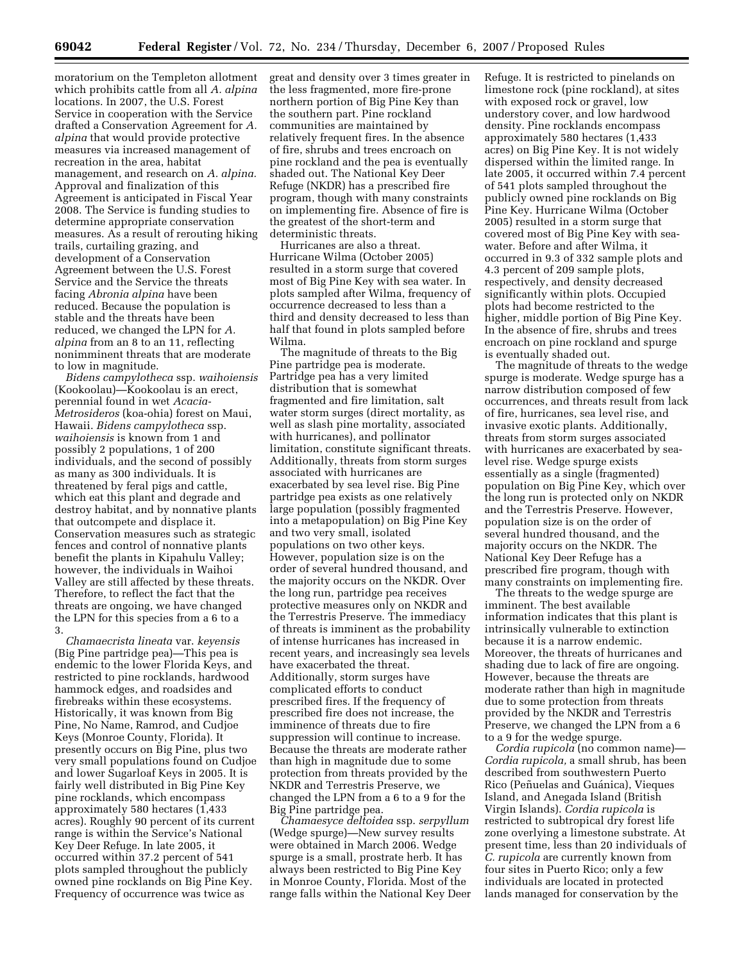moratorium on the Templeton allotment which prohibits cattle from all *A. alpina*  locations. In 2007, the U.S. Forest Service in cooperation with the Service drafted a Conservation Agreement for *A. alpina* that would provide protective measures via increased management of recreation in the area, habitat management, and research on *A. alpina.*  Approval and finalization of this Agreement is anticipated in Fiscal Year 2008. The Service is funding studies to determine appropriate conservation measures. As a result of rerouting hiking trails, curtailing grazing, and development of a Conservation Agreement between the U.S. Forest Service and the Service the threats facing *Abronia alpina* have been reduced. Because the population is stable and the threats have been reduced, we changed the LPN for *A. alpina* from an 8 to an 11, reflecting nonimminent threats that are moderate to low in magnitude.

*Bidens campylotheca* ssp. *waihoiensis*  (Kookoolau)—Kookoolau is an erect, perennial found in wet *Acacia-Metrosideros* (koa-ohia) forest on Maui, Hawaii. *Bidens campylotheca* ssp. *waihoiensis* is known from 1 and possibly 2 populations, 1 of 200 individuals, and the second of possibly as many as 300 individuals. It is threatened by feral pigs and cattle, which eat this plant and degrade and destroy habitat, and by nonnative plants that outcompete and displace it. Conservation measures such as strategic fences and control of nonnative plants benefit the plants in Kipahulu Valley; however, the individuals in Waihoi Valley are still affected by these threats. Therefore, to reflect the fact that the threats are ongoing, we have changed the LPN for this species from a 6 to a 3.

*Chamaecrista lineata* var. *keyensis*  (Big Pine partridge pea)—This pea is endemic to the lower Florida Keys, and restricted to pine rocklands, hardwood hammock edges, and roadsides and firebreaks within these ecosystems. Historically, it was known from Big Pine, No Name, Ramrod, and Cudjoe Keys (Monroe County, Florida). It presently occurs on Big Pine, plus two very small populations found on Cudjoe and lower Sugarloaf Keys in 2005. It is fairly well distributed in Big Pine Key pine rocklands, which encompass approximately 580 hectares (1,433 acres). Roughly 90 percent of its current range is within the Service's National Key Deer Refuge. In late 2005, it occurred within 37.2 percent of 541 plots sampled throughout the publicly owned pine rocklands on Big Pine Key. Frequency of occurrence was twice as

great and density over 3 times greater in the less fragmented, more fire-prone northern portion of Big Pine Key than the southern part. Pine rockland communities are maintained by relatively frequent fires. In the absence of fire, shrubs and trees encroach on pine rockland and the pea is eventually shaded out. The National Key Deer Refuge (NKDR) has a prescribed fire program, though with many constraints on implementing fire. Absence of fire is the greatest of the short-term and deterministic threats.

Hurricanes are also a threat. Hurricane Wilma (October 2005) resulted in a storm surge that covered most of Big Pine Key with sea water. In plots sampled after Wilma, frequency of occurrence decreased to less than a third and density decreased to less than half that found in plots sampled before Wilma.

The magnitude of threats to the Big Pine partridge pea is moderate. Partridge pea has a very limited distribution that is somewhat fragmented and fire limitation, salt water storm surges (direct mortality, as well as slash pine mortality, associated with hurricanes), and pollinator limitation, constitute significant threats. Additionally, threats from storm surges associated with hurricanes are exacerbated by sea level rise. Big Pine partridge pea exists as one relatively large population (possibly fragmented into a metapopulation) on Big Pine Key and two very small, isolated populations on two other keys. However, population size is on the order of several hundred thousand, and the majority occurs on the NKDR. Over the long run, partridge pea receives protective measures only on NKDR and the Terrestris Preserve. The immediacy of threats is imminent as the probability of intense hurricanes has increased in recent years, and increasingly sea levels have exacerbated the threat. Additionally, storm surges have complicated efforts to conduct prescribed fires. If the frequency of prescribed fire does not increase, the imminence of threats due to fire suppression will continue to increase. Because the threats are moderate rather than high in magnitude due to some protection from threats provided by the NKDR and Terrestris Preserve, we changed the LPN from a 6 to a 9 for the Big Pine partridge pea.

*Chamaesyce deltoidea* ssp. *serpyllum*  (Wedge spurge)—New survey results were obtained in March 2006. Wedge spurge is a small, prostrate herb. It has always been restricted to Big Pine Key in Monroe County, Florida. Most of the range falls within the National Key Deer Refuge. It is restricted to pinelands on limestone rock (pine rockland), at sites with exposed rock or gravel, low understory cover, and low hardwood density. Pine rocklands encompass approximately 580 hectares (1,433 acres) on Big Pine Key. It is not widely dispersed within the limited range. In late 2005, it occurred within 7.4 percent of 541 plots sampled throughout the publicly owned pine rocklands on Big Pine Key. Hurricane Wilma (October 2005) resulted in a storm surge that covered most of Big Pine Key with seawater. Before and after Wilma, it occurred in 9.3 of 332 sample plots and 4.3 percent of 209 sample plots, respectively, and density decreased significantly within plots. Occupied plots had become restricted to the higher, middle portion of Big Pine Key. In the absence of fire, shrubs and trees encroach on pine rockland and spurge is eventually shaded out.

The magnitude of threats to the wedge spurge is moderate. Wedge spurge has a narrow distribution composed of few occurrences, and threats result from lack of fire, hurricanes, sea level rise, and invasive exotic plants. Additionally, threats from storm surges associated with hurricanes are exacerbated by sealevel rise. Wedge spurge exists essentially as a single (fragmented) population on Big Pine Key, which over the long run is protected only on NKDR and the Terrestris Preserve. However, population size is on the order of several hundred thousand, and the majority occurs on the NKDR. The National Key Deer Refuge has a prescribed fire program, though with many constraints on implementing fire.

The threats to the wedge spurge are imminent. The best available information indicates that this plant is intrinsically vulnerable to extinction because it is a narrow endemic. Moreover, the threats of hurricanes and shading due to lack of fire are ongoing. However, because the threats are moderate rather than high in magnitude due to some protection from threats provided by the NKDR and Terrestris Preserve, we changed the LPN from a 6 to a 9 for the wedge spurge.

*Cordia rupicola* (no common name)— *Cordia rupicola,* a small shrub, has been described from southwestern Puerto Rico (Peñuelas and Guánica), Vieques Island, and Anegada Island (British Virgin Islands). *Cordia rupicola* is restricted to subtropical dry forest life zone overlying a limestone substrate. At present time, less than 20 individuals of *C. rupicola* are currently known from four sites in Puerto Rico; only a few individuals are located in protected lands managed for conservation by the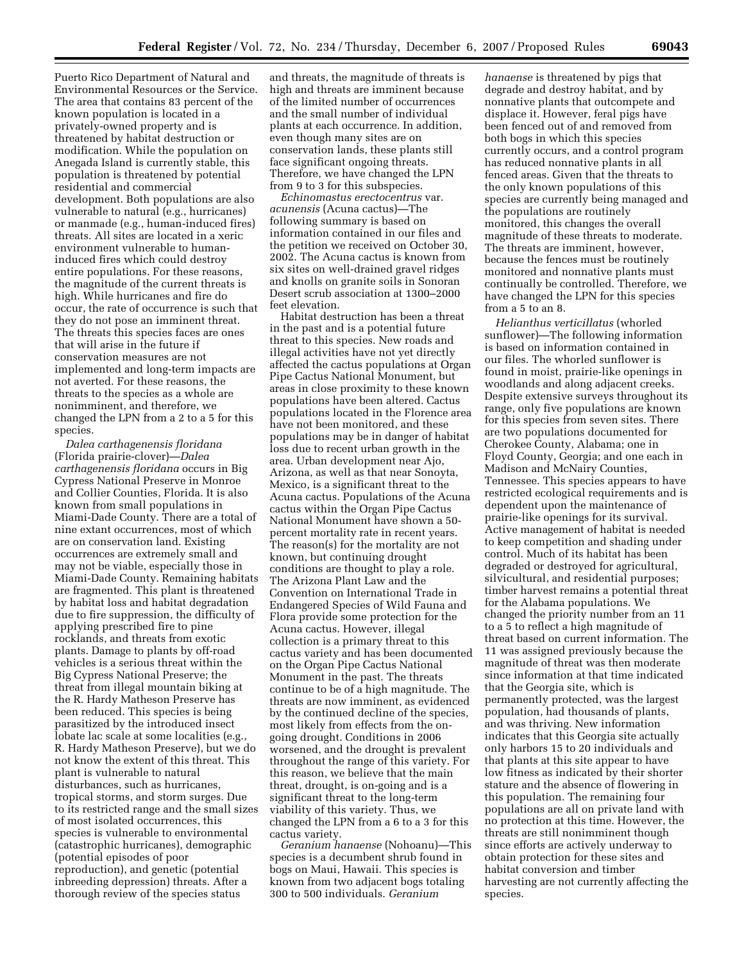Puerto Rico Department of Natural and Environmental Resources or the Service. The area that contains 83 percent of the known population is located in a privately-owned property and is threatened by habitat destruction or modification. While the population on Anegada Island is currently stable, this population is threatened by potential residential and commercial development. Both populations are also vulnerable to natural (e.g., hurricanes) or manmade (e.g., human-induced fires) threats. All sites are located in a xeric environment vulnerable to humaninduced fires which could destroy entire populations. For these reasons, the magnitude of the current threats is high. While hurricanes and fire do occur, the rate of occurrence is such that they do not pose an imminent threat. The threats this species faces are ones that will arise in the future if conservation measures are not implemented and long-term impacts are not averted. For these reasons, the threats to the species as a whole are nonimminent, and therefore, we changed the LPN from a 2 to a 5 for this species.

*Dalea carthagenensis floridana*  (Florida prairie-clover)—*Dalea carthagenensis floridana* occurs in Big Cypress National Preserve in Monroe and Collier Counties, Florida. It is also known from small populations in Miami-Dade County. There are a total of nine extant occurrences, most of which are on conservation land. Existing occurrences are extremely small and may not be viable, especially those in Miami-Dade County. Remaining habitats are fragmented. This plant is threatened by habitat loss and habitat degradation due to fire suppression, the difficulty of applying prescribed fire to pine rocklands, and threats from exotic plants. Damage to plants by off-road vehicles is a serious threat within the Big Cypress National Preserve; the threat from illegal mountain biking at the R. Hardy Matheson Preserve has been reduced. This species is being parasitized by the introduced insect lobate lac scale at some localities (e.g., R. Hardy Matheson Preserve), but we do not know the extent of this threat. This plant is vulnerable to natural disturbances, such as hurricanes, tropical storms, and storm surges. Due to its restricted range and the small sizes of most isolated occurrences, this species is vulnerable to environmental (catastrophic hurricanes), demographic (potential episodes of poor reproduction), and genetic (potential inbreeding depression) threats. After a thorough review of the species status

and threats, the magnitude of threats is high and threats are imminent because of the limited number of occurrences and the small number of individual plants at each occurrence. In addition, even though many sites are on conservation lands, these plants still face significant ongoing threats. Therefore, we have changed the LPN from 9 to 3 for this subspecies.

*Echinomastus erectocentrus* var. *acunensis* (Acuna cactus)—The following summary is based on information contained in our files and the petition we received on October 30, 2002. The Acuna cactus is known from six sites on well-drained gravel ridges and knolls on granite soils in Sonoran Desert scrub association at 1300–2000 feet elevation.

Habitat destruction has been a threat in the past and is a potential future threat to this species. New roads and illegal activities have not yet directly affected the cactus populations at Organ Pipe Cactus National Monument, but areas in close proximity to these known populations have been altered. Cactus populations located in the Florence area have not been monitored, and these populations may be in danger of habitat loss due to recent urban growth in the area. Urban development near Ajo, Arizona, as well as that near Sonoyta, Mexico, is a significant threat to the Acuna cactus. Populations of the Acuna cactus within the Organ Pipe Cactus National Monument have shown a 50 percent mortality rate in recent years. The reason(s) for the mortality are not known, but continuing drought conditions are thought to play a role. The Arizona Plant Law and the Convention on International Trade in Endangered Species of Wild Fauna and Flora provide some protection for the Acuna cactus. However, illegal collection is a primary threat to this cactus variety and has been documented on the Organ Pipe Cactus National Monument in the past. The threats continue to be of a high magnitude. The threats are now imminent, as evidenced by the continued decline of the species, most likely from effects from the ongoing drought. Conditions in 2006 worsened, and the drought is prevalent throughout the range of this variety. For this reason, we believe that the main threat, drought, is on-going and is a significant threat to the long-term viability of this variety. Thus, we changed the LPN from a 6 to a 3 for this cactus variety.

*Geranium hanaense* (Nohoanu)—This species is a decumbent shrub found in bogs on Maui, Hawaii. This species is known from two adjacent bogs totaling 300 to 500 individuals. *Geranium* 

*hanaense* is threatened by pigs that degrade and destroy habitat, and by nonnative plants that outcompete and displace it. However, feral pigs have been fenced out of and removed from both bogs in which this species currently occurs, and a control program has reduced nonnative plants in all fenced areas. Given that the threats to the only known populations of this species are currently being managed and the populations are routinely monitored, this changes the overall magnitude of these threats to moderate. The threats are imminent, however, because the fences must be routinely monitored and nonnative plants must continually be controlled. Therefore, we have changed the LPN for this species from a 5 to an 8.

*Helianthus verticillatus* (whorled sunflower)—The following information is based on information contained in our files. The whorled sunflower is found in moist, prairie-like openings in woodlands and along adjacent creeks. Despite extensive surveys throughout its range, only five populations are known for this species from seven sites. There are two populations documented for Cherokee County, Alabama; one in Floyd County, Georgia; and one each in Madison and McNairy Counties, Tennessee. This species appears to have restricted ecological requirements and is dependent upon the maintenance of prairie-like openings for its survival. Active management of habitat is needed to keep competition and shading under control. Much of its habitat has been degraded or destroyed for agricultural, silvicultural, and residential purposes; timber harvest remains a potential threat for the Alabama populations. We changed the priority number from an 11 to a 5 to reflect a high magnitude of threat based on current information. The 11 was assigned previously because the magnitude of threat was then moderate since information at that time indicated that the Georgia site, which is permanently protected, was the largest population, had thousands of plants, and was thriving. New information indicates that this Georgia site actually only harbors 15 to 20 individuals and that plants at this site appear to have low fitness as indicated by their shorter stature and the absence of flowering in this population. The remaining four populations are all on private land with no protection at this time. However, the threats are still nonimminent though since efforts are actively underway to obtain protection for these sites and habitat conversion and timber harvesting are not currently affecting the species.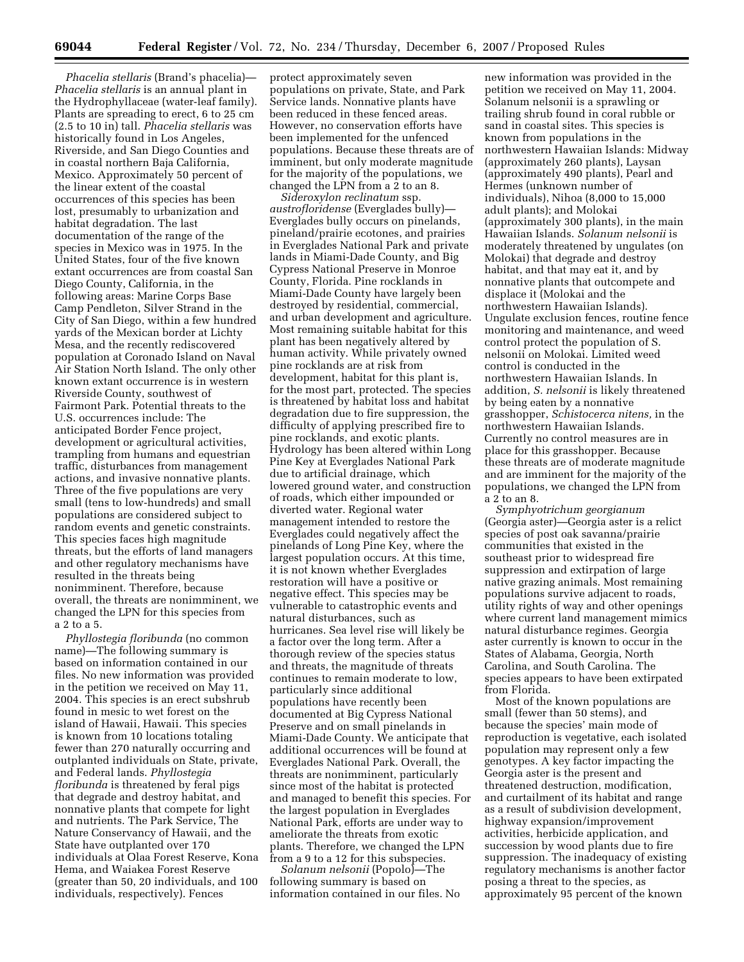*Phacelia stellaris* (Brand's phacelia)— *Phacelia stellaris* is an annual plant in the Hydrophyllaceae (water-leaf family). Plants are spreading to erect, 6 to 25 cm (2.5 to 10 in) tall. *Phacelia stellaris* was historically found in Los Angeles, Riverside, and San Diego Counties and in coastal northern Baja California, Mexico. Approximately 50 percent of the linear extent of the coastal occurrences of this species has been lost, presumably to urbanization and habitat degradation. The last documentation of the range of the species in Mexico was in 1975. In the United States, four of the five known extant occurrences are from coastal San Diego County, California, in the following areas: Marine Corps Base Camp Pendleton, Silver Strand in the City of San Diego, within a few hundred yards of the Mexican border at Lichty Mesa, and the recently rediscovered population at Coronado Island on Naval Air Station North Island. The only other known extant occurrence is in western Riverside County, southwest of Fairmont Park. Potential threats to the U.S. occurrences include: The anticipated Border Fence project, development or agricultural activities, trampling from humans and equestrian traffic, disturbances from management actions, and invasive nonnative plants. Three of the five populations are very small (tens to low-hundreds) and small populations are considered subject to random events and genetic constraints. This species faces high magnitude threats, but the efforts of land managers and other regulatory mechanisms have resulted in the threats being nonimminent. Therefore, because overall, the threats are nonimminent, we changed the LPN for this species from a 2 to a 5.

*Phyllostegia floribunda* (no common name)—The following summary is based on information contained in our files. No new information was provided in the petition we received on May 11, 2004. This species is an erect subshrub found in mesic to wet forest on the island of Hawaii, Hawaii. This species is known from 10 locations totaling fewer than 270 naturally occurring and outplanted individuals on State, private, and Federal lands. *Phyllostegia floribunda* is threatened by feral pigs that degrade and destroy habitat, and nonnative plants that compete for light and nutrients. The Park Service, The Nature Conservancy of Hawaii, and the State have outplanted over 170 individuals at Olaa Forest Reserve, Kona Hema, and Waiakea Forest Reserve (greater than 50, 20 individuals, and 100 individuals, respectively). Fences

protect approximately seven populations on private, State, and Park Service lands. Nonnative plants have been reduced in these fenced areas. However, no conservation efforts have been implemented for the unfenced populations. Because these threats are of imminent, but only moderate magnitude for the majority of the populations, we changed the LPN from a 2 to an 8.

*Sideroxylon reclinatum* ssp. *austrofloridense* (Everglades bully)— Everglades bully occurs on pinelands, pineland/prairie ecotones, and prairies in Everglades National Park and private lands in Miami-Dade County, and Big Cypress National Preserve in Monroe County, Florida. Pine rocklands in Miami-Dade County have largely been destroyed by residential, commercial, and urban development and agriculture. Most remaining suitable habitat for this plant has been negatively altered by human activity. While privately owned pine rocklands are at risk from development, habitat for this plant is, for the most part, protected. The species is threatened by habitat loss and habitat degradation due to fire suppression, the difficulty of applying prescribed fire to pine rocklands, and exotic plants. Hydrology has been altered within Long Pine Key at Everglades National Park due to artificial drainage, which lowered ground water, and construction of roads, which either impounded or diverted water. Regional water management intended to restore the Everglades could negatively affect the pinelands of Long Pine Key, where the largest population occurs. At this time, it is not known whether Everglades restoration will have a positive or negative effect. This species may be vulnerable to catastrophic events and natural disturbances, such as hurricanes. Sea level rise will likely be a factor over the long term. After a thorough review of the species status and threats, the magnitude of threats continues to remain moderate to low, particularly since additional populations have recently been documented at Big Cypress National Preserve and on small pinelands in Miami-Dade County. We anticipate that additional occurrences will be found at Everglades National Park. Overall, the threats are nonimminent, particularly since most of the habitat is protected and managed to benefit this species. For the largest population in Everglades National Park, efforts are under way to ameliorate the threats from exotic plants. Therefore, we changed the LPN from a 9 to a 12 for this subspecies.

*Solanum nelsonii* (Popolo)—The following summary is based on information contained in our files. No

new information was provided in the petition we received on May 11, 2004. Solanum nelsonii is a sprawling or trailing shrub found in coral rubble or sand in coastal sites. This species is known from populations in the northwestern Hawaiian Islands: Midway (approximately 260 plants), Laysan (approximately 490 plants), Pearl and Hermes (unknown number of individuals), Nihoa (8,000 to 15,000 adult plants); and Molokai (approximately 300 plants), in the main Hawaiian Islands. *Solanum nelsonii* is moderately threatened by ungulates (on Molokai) that degrade and destroy habitat, and that may eat it, and by nonnative plants that outcompete and displace it (Molokai and the northwestern Hawaiian Islands). Ungulate exclusion fences, routine fence monitoring and maintenance, and weed control protect the population of S. nelsonii on Molokai. Limited weed control is conducted in the northwestern Hawaiian Islands. In addition, *S. nelsonii* is likely threatened by being eaten by a nonnative grasshopper, *Schistocerca nitens,* in the northwestern Hawaiian Islands. Currently no control measures are in place for this grasshopper. Because these threats are of moderate magnitude and are imminent for the majority of the populations, we changed the LPN from a 2 to an 8.

*Symphyotrichum georgianum*  (Georgia aster)—Georgia aster is a relict species of post oak savanna/prairie communities that existed in the southeast prior to widespread fire suppression and extirpation of large native grazing animals. Most remaining populations survive adjacent to roads, utility rights of way and other openings where current land management mimics natural disturbance regimes. Georgia aster currently is known to occur in the States of Alabama, Georgia, North Carolina, and South Carolina. The species appears to have been extirpated from Florida.

Most of the known populations are small (fewer than 50 stems), and because the species' main mode of reproduction is vegetative, each isolated population may represent only a few genotypes. A key factor impacting the Georgia aster is the present and threatened destruction, modification, and curtailment of its habitat and range as a result of subdivision development, highway expansion/improvement activities, herbicide application, and succession by wood plants due to fire suppression. The inadequacy of existing regulatory mechanisms is another factor posing a threat to the species, as approximately 95 percent of the known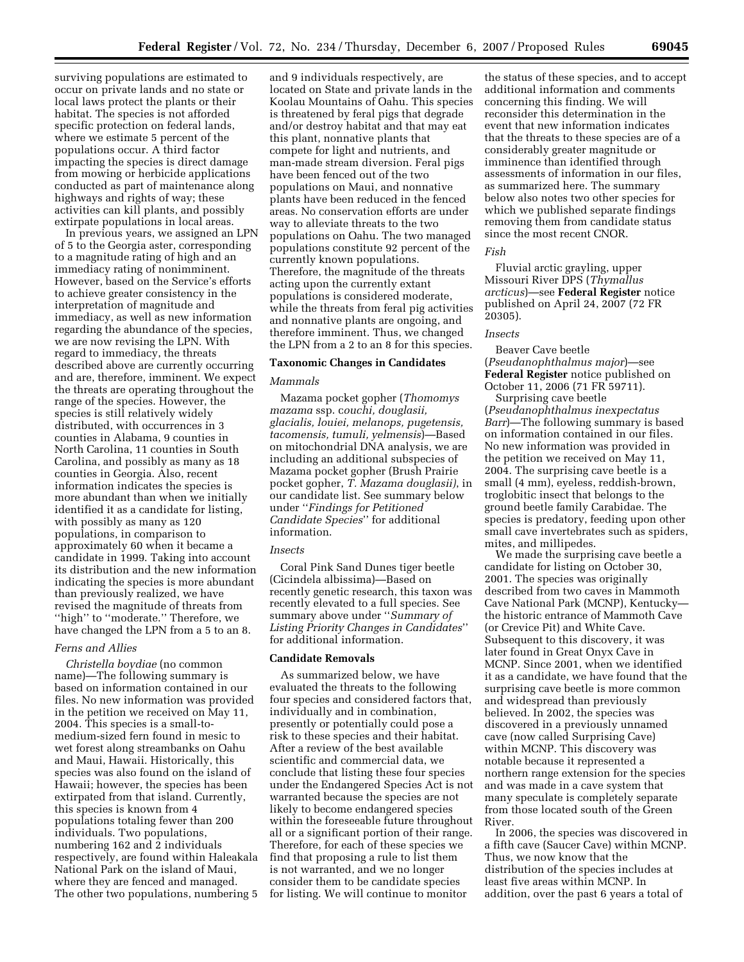surviving populations are estimated to occur on private lands and no state or local laws protect the plants or their habitat. The species is not afforded specific protection on federal lands, where we estimate 5 percent of the populations occur. A third factor impacting the species is direct damage from mowing or herbicide applications conducted as part of maintenance along highways and rights of way; these activities can kill plants, and possibly extirpate populations in local areas.

In previous years, we assigned an LPN of 5 to the Georgia aster, corresponding to a magnitude rating of high and an immediacy rating of nonimminent. However, based on the Service's efforts to achieve greater consistency in the interpretation of magnitude and immediacy, as well as new information regarding the abundance of the species, we are now revising the LPN. With regard to immediacy, the threats described above are currently occurring and are, therefore, imminent. We expect the threats are operating throughout the range of the species. However, the species is still relatively widely distributed, with occurrences in 3 counties in Alabama, 9 counties in North Carolina, 11 counties in South Carolina, and possibly as many as 18 counties in Georgia. Also, recent information indicates the species is more abundant than when we initially identified it as a candidate for listing, with possibly as many as 120 populations, in comparison to approximately 60 when it became a candidate in 1999. Taking into account its distribution and the new information indicating the species is more abundant than previously realized, we have revised the magnitude of threats from ''high'' to ''moderate.'' Therefore, we have changed the LPN from a 5 to an 8.

## *Ferns and Allies*

*Christella boydiae* (no common name)—The following summary is based on information contained in our files. No new information was provided in the petition we received on May 11, 2004. This species is a small-tomedium-sized fern found in mesic to wet forest along streambanks on Oahu and Maui, Hawaii. Historically, this species was also found on the island of Hawaii; however, the species has been extirpated from that island. Currently, this species is known from 4 populations totaling fewer than 200 individuals. Two populations, numbering 162 and 2 individuals respectively, are found within Haleakala National Park on the island of Maui, where they are fenced and managed. The other two populations, numbering 5

and 9 individuals respectively, are located on State and private lands in the Koolau Mountains of Oahu. This species is threatened by feral pigs that degrade and/or destroy habitat and that may eat this plant, nonnative plants that compete for light and nutrients, and man-made stream diversion. Feral pigs have been fenced out of the two populations on Maui, and nonnative plants have been reduced in the fenced areas. No conservation efforts are under way to alleviate threats to the two populations on Oahu. The two managed populations constitute 92 percent of the currently known populations. Therefore, the magnitude of the threats acting upon the currently extant populations is considered moderate, while the threats from feral pig activities and nonnative plants are ongoing, and therefore imminent. Thus, we changed the LPN from a 2 to an 8 for this species.

#### **Taxonomic Changes in Candidates**

## *Mammals*

Mazama pocket gopher (*Thomomys mazama* ssp. c*ouchi, douglasii, glacialis, louiei, melanops, pugetensis, tacomensis, tumuli, yelmensis*)—Based on mitochondrial DNA analysis, we are including an additional subspecies of Mazama pocket gopher (Brush Prairie pocket gopher, *T. Mazama douglasii)*, in our candidate list. See summary below under ''*Findings for Petitioned Candidate Species*'' for additional information.

#### *Insects*

Coral Pink Sand Dunes tiger beetle (Cicindela albissima)—Based on recently genetic research, this taxon was recently elevated to a full species. See summary above under ''*Summary of Listing Priority Changes in Candidates*'' for additional information.

#### **Candidate Removals**

As summarized below, we have evaluated the threats to the following four species and considered factors that, individually and in combination, presently or potentially could pose a risk to these species and their habitat. After a review of the best available scientific and commercial data, we conclude that listing these four species under the Endangered Species Act is not warranted because the species are not likely to become endangered species within the foreseeable future throughout all or a significant portion of their range. Therefore, for each of these species we find that proposing a rule to list them is not warranted, and we no longer consider them to be candidate species for listing. We will continue to monitor

the status of these species, and to accept additional information and comments concerning this finding. We will reconsider this determination in the event that new information indicates that the threats to these species are of a considerably greater magnitude or imminence than identified through assessments of information in our files, as summarized here. The summary below also notes two other species for which we published separate findings removing them from candidate status since the most recent CNOR.

#### *Fish*

Fluvial arctic grayling, upper Missouri River DPS (*Thymallus arcticus*)—see **Federal Register** notice published on April 24, 2007 (72 FR 20305).

#### *Insects*

Beaver Cave beetle (*Pseudanophthalmus major*)—see **Federal Register** notice published on October 11, 2006 (71 FR 59711).

Surprising cave beetle (*Pseudanophthalmus inexpectatus Barr*)—The following summary is based on information contained in our files. No new information was provided in the petition we received on May 11, 2004. The surprising cave beetle is a small (4 mm), eyeless, reddish-brown, troglobitic insect that belongs to the ground beetle family Carabidae. The species is predatory, feeding upon other small cave invertebrates such as spiders, mites, and millipedes.

We made the surprising cave beetle a candidate for listing on October 30, 2001. The species was originally described from two caves in Mammoth Cave National Park (MCNP), Kentucky the historic entrance of Mammoth Cave (or Crevice Pit) and White Cave. Subsequent to this discovery, it was later found in Great Onyx Cave in MCNP. Since 2001, when we identified it as a candidate, we have found that the surprising cave beetle is more common and widespread than previously believed. In 2002, the species was discovered in a previously unnamed cave (now called Surprising Cave) within MCNP. This discovery was notable because it represented a northern range extension for the species and was made in a cave system that many speculate is completely separate from those located south of the Green River.

In 2006, the species was discovered in a fifth cave (Saucer Cave) within MCNP. Thus, we now know that the distribution of the species includes at least five areas within MCNP. In addition, over the past 6 years a total of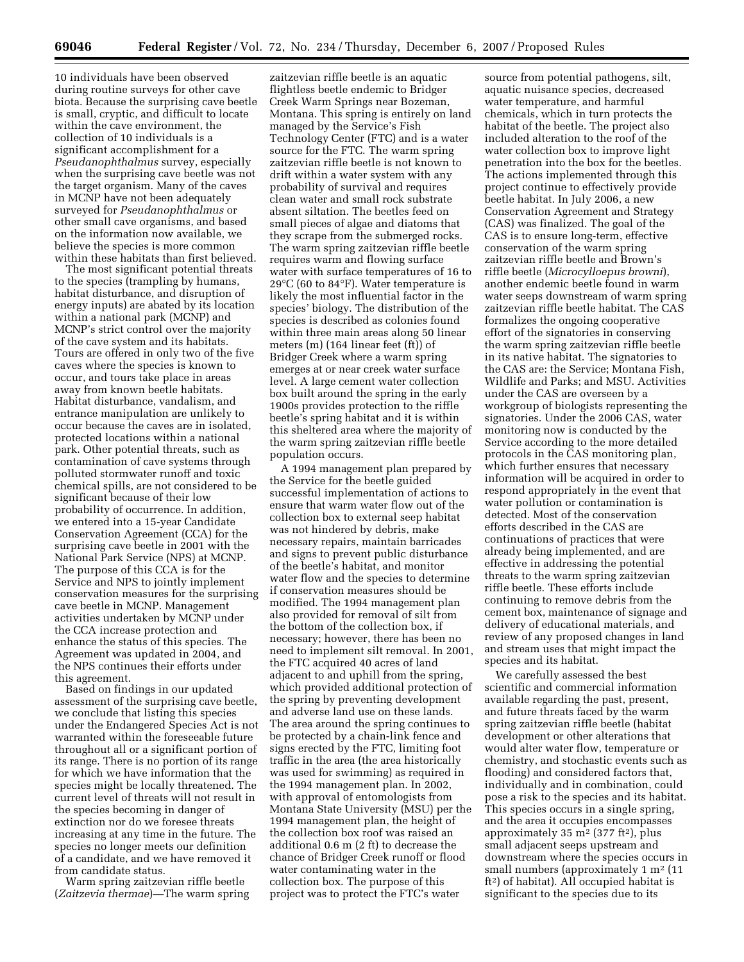10 individuals have been observed during routine surveys for other cave biota. Because the surprising cave beetle is small, cryptic, and difficult to locate within the cave environment, the collection of 10 individuals is a significant accomplishment for a *Pseudanophthalmus* survey, especially when the surprising cave beetle was not the target organism. Many of the caves in MCNP have not been adequately surveyed for *Pseudanophthalmus* or other small cave organisms, and based on the information now available, we believe the species is more common within these habitats than first believed.

The most significant potential threats to the species (trampling by humans, habitat disturbance, and disruption of energy inputs) are abated by its location within a national park (MCNP) and MCNP's strict control over the majority of the cave system and its habitats. Tours are offered in only two of the five caves where the species is known to occur, and tours take place in areas away from known beetle habitats. Habitat disturbance, vandalism, and entrance manipulation are unlikely to occur because the caves are in isolated, protected locations within a national park. Other potential threats, such as contamination of cave systems through polluted stormwater runoff and toxic chemical spills, are not considered to be significant because of their low probability of occurrence. In addition, we entered into a 15-year Candidate Conservation Agreement (CCA) for the surprising cave beetle in 2001 with the National Park Service (NPS) at MCNP. The purpose of this CCA is for the Service and NPS to jointly implement conservation measures for the surprising cave beetle in MCNP. Management activities undertaken by MCNP under the CCA increase protection and enhance the status of this species. The Agreement was updated in 2004, and the NPS continues their efforts under this agreement.

Based on findings in our updated assessment of the surprising cave beetle, we conclude that listing this species under the Endangered Species Act is not warranted within the foreseeable future throughout all or a significant portion of its range. There is no portion of its range for which we have information that the species might be locally threatened. The current level of threats will not result in the species becoming in danger of extinction nor do we foresee threats increasing at any time in the future. The species no longer meets our definition of a candidate, and we have removed it from candidate status.

Warm spring zaitzevian riffle beetle (*Zaitzevia thermae*)—The warm spring

zaitzevian riffle beetle is an aquatic flightless beetle endemic to Bridger Creek Warm Springs near Bozeman, Montana. This spring is entirely on land managed by the Service's Fish Technology Center (FTC) and is a water source for the FTC. The warm spring zaitzevian riffle beetle is not known to drift within a water system with any probability of survival and requires clean water and small rock substrate absent siltation. The beetles feed on small pieces of algae and diatoms that they scrape from the submerged rocks. The warm spring zaitzevian riffle beetle requires warm and flowing surface water with surface temperatures of 16 to 29°C (60 to 84°F). Water temperature is likely the most influential factor in the species' biology. The distribution of the species is described as colonies found within three main areas along 50 linear meters (m) (164 linear feet (ft)) of Bridger Creek where a warm spring emerges at or near creek water surface level. A large cement water collection box built around the spring in the early 1900s provides protection to the riffle beetle's spring habitat and it is within this sheltered area where the majority of the warm spring zaitzevian riffle beetle population occurs.

A 1994 management plan prepared by the Service for the beetle guided successful implementation of actions to ensure that warm water flow out of the collection box to external seep habitat was not hindered by debris, make necessary repairs, maintain barricades and signs to prevent public disturbance of the beetle's habitat, and monitor water flow and the species to determine if conservation measures should be modified. The 1994 management plan also provided for removal of silt from the bottom of the collection box, if necessary; however, there has been no need to implement silt removal. In 2001, the FTC acquired 40 acres of land adjacent to and uphill from the spring, which provided additional protection of the spring by preventing development and adverse land use on these lands. The area around the spring continues to be protected by a chain-link fence and signs erected by the FTC, limiting foot traffic in the area (the area historically was used for swimming) as required in the 1994 management plan. In 2002, with approval of entomologists from Montana State University (MSU) per the 1994 management plan, the height of the collection box roof was raised an additional 0.6 m (2 ft) to decrease the chance of Bridger Creek runoff or flood water contaminating water in the collection box. The purpose of this project was to protect the FTC's water

source from potential pathogens, silt, aquatic nuisance species, decreased water temperature, and harmful chemicals, which in turn protects the habitat of the beetle. The project also included alteration to the roof of the water collection box to improve light penetration into the box for the beetles. The actions implemented through this project continue to effectively provide beetle habitat. In July 2006, a new Conservation Agreement and Strategy (CAS) was finalized. The goal of the CAS is to ensure long-term, effective conservation of the warm spring zaitzevian riffle beetle and Brown's riffle beetle (*Microcylloepus browni*), another endemic beetle found in warm water seeps downstream of warm spring zaitzevian riffle beetle habitat. The CAS formalizes the ongoing cooperative effort of the signatories in conserving the warm spring zaitzevian riffle beetle in its native habitat. The signatories to the CAS are: the Service; Montana Fish, Wildlife and Parks; and MSU. Activities under the CAS are overseen by a workgroup of biologists representing the signatories. Under the 2006 CAS, water monitoring now is conducted by the Service according to the more detailed protocols in the CAS monitoring plan, which further ensures that necessary information will be acquired in order to respond appropriately in the event that water pollution or contamination is detected. Most of the conservation efforts described in the CAS are continuations of practices that were already being implemented, and are effective in addressing the potential threats to the warm spring zaitzevian riffle beetle. These efforts include continuing to remove debris from the cement box, maintenance of signage and delivery of educational materials, and review of any proposed changes in land and stream uses that might impact the species and its habitat.

We carefully assessed the best scientific and commercial information available regarding the past, present, and future threats faced by the warm spring zaitzevian riffle beetle (habitat development or other alterations that would alter water flow, temperature or chemistry, and stochastic events such as flooding) and considered factors that, individually and in combination, could pose a risk to the species and its habitat. This species occurs in a single spring, and the area it occupies encompasses approximately  $35 \text{ m}^2$  ( $377 \text{ ft}^2$ ), plus small adjacent seeps upstream and downstream where the species occurs in small numbers (approximately  $1 \text{ m}^2$  (11) ft2) of habitat). All occupied habitat is significant to the species due to its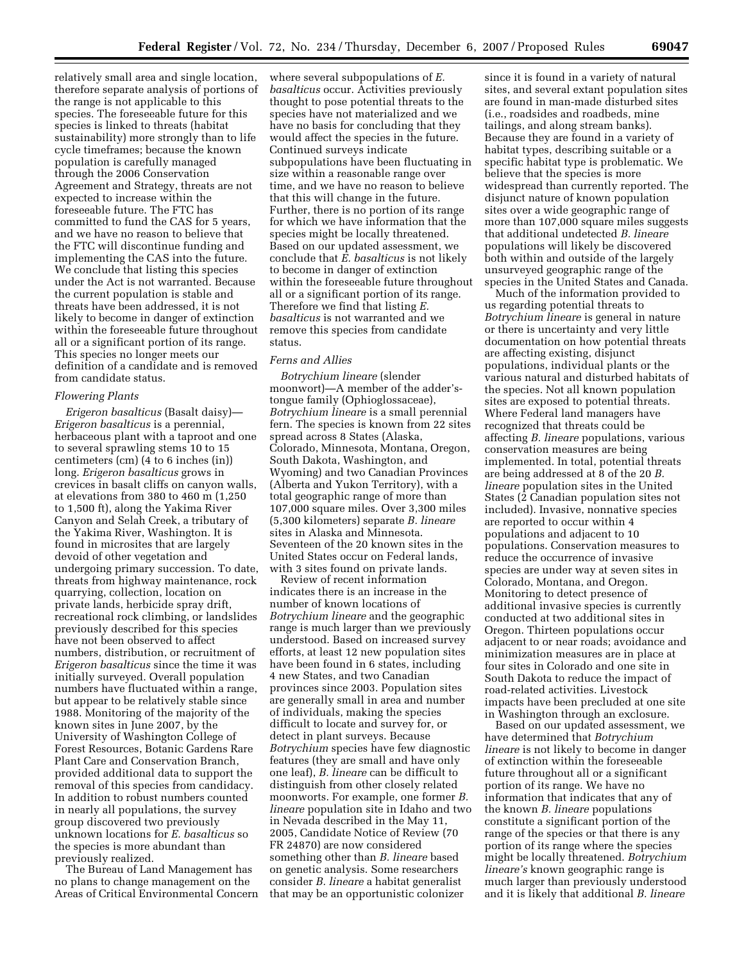relatively small area and single location, therefore separate analysis of portions of the range is not applicable to this species. The foreseeable future for this species is linked to threats (habitat sustainability) more strongly than to life cycle timeframes; because the known population is carefully managed through the 2006 Conservation Agreement and Strategy, threats are not expected to increase within the foreseeable future. The FTC has committed to fund the CAS for 5 years, and we have no reason to believe that the FTC will discontinue funding and implementing the CAS into the future. We conclude that listing this species under the Act is not warranted. Because the current population is stable and threats have been addressed, it is not likely to become in danger of extinction within the foreseeable future throughout all or a significant portion of its range. This species no longer meets our definition of a candidate and is removed from candidate status.

#### *Flowering Plants*

*Erigeron basalticus* (Basalt daisy)— *Erigeron basalticus* is a perennial, herbaceous plant with a taproot and one to several sprawling stems 10 to 15 centimeters (cm) (4 to 6 inches (in)) long. *Erigeron basalticus* grows in crevices in basalt cliffs on canyon walls, at elevations from 380 to 460 m (1,250 to 1,500 ft), along the Yakima River Canyon and Selah Creek, a tributary of the Yakima River, Washington. It is found in microsites that are largely devoid of other vegetation and undergoing primary succession. To date, threats from highway maintenance, rock quarrying, collection, location on private lands, herbicide spray drift, recreational rock climbing, or landslides previously described for this species have not been observed to affect numbers, distribution, or recruitment of *Erigeron basalticus* since the time it was initially surveyed. Overall population numbers have fluctuated within a range, but appear to be relatively stable since 1988. Monitoring of the majority of the known sites in June 2007, by the University of Washington College of Forest Resources, Botanic Gardens Rare Plant Care and Conservation Branch, provided additional data to support the removal of this species from candidacy. In addition to robust numbers counted in nearly all populations, the survey group discovered two previously unknown locations for *E. basalticus* so the species is more abundant than previously realized.

The Bureau of Land Management has no plans to change management on the Areas of Critical Environmental Concern

where several subpopulations of *E. basalticus* occur. Activities previously thought to pose potential threats to the species have not materialized and we have no basis for concluding that they would affect the species in the future. Continued surveys indicate subpopulations have been fluctuating in size within a reasonable range over time, and we have no reason to believe that this will change in the future. Further, there is no portion of its range for which we have information that the species might be locally threatened. Based on our updated assessment, we conclude that *E. basalticus* is not likely to become in danger of extinction within the foreseeable future throughout all or a significant portion of its range. Therefore we find that listing *E. basalticus* is not warranted and we remove this species from candidate status.

## *Ferns and Allies*

*Botrychium lineare* (slender moonwort)—A member of the adder'stongue family (Ophioglossaceae), *Botrychium lineare* is a small perennial fern. The species is known from 22 sites spread across 8 States (Alaska, Colorado, Minnesota, Montana, Oregon, South Dakota, Washington, and Wyoming) and two Canadian Provinces (Alberta and Yukon Territory), with a total geographic range of more than 107,000 square miles. Over 3,300 miles (5,300 kilometers) separate *B. lineare*  sites in Alaska and Minnesota. Seventeen of the 20 known sites in the United States occur on Federal lands, with 3 sites found on private lands.

Review of recent information indicates there is an increase in the number of known locations of *Botrychium lineare* and the geographic range is much larger than we previously understood. Based on increased survey efforts, at least 12 new population sites have been found in 6 states, including 4 new States, and two Canadian provinces since 2003. Population sites are generally small in area and number of individuals, making the species difficult to locate and survey for, or detect in plant surveys. Because *Botrychium* species have few diagnostic features (they are small and have only one leaf), *B. lineare* can be difficult to distinguish from other closely related moonworts. For example, one former *B. lineare* population site in Idaho and two in Nevada described in the May 11, 2005, Candidate Notice of Review (70 FR 24870) are now considered something other than *B. lineare* based on genetic analysis. Some researchers consider *B. lineare* a habitat generalist that may be an opportunistic colonizer

since it is found in a variety of natural sites, and several extant population sites are found in man-made disturbed sites (i.e., roadsides and roadbeds, mine tailings, and along stream banks). Because they are found in a variety of habitat types, describing suitable or a specific habitat type is problematic. We believe that the species is more widespread than currently reported. The disjunct nature of known population sites over a wide geographic range of more than 107,000 square miles suggests that additional undetected *B. lineare*  populations will likely be discovered both within and outside of the largely unsurveyed geographic range of the species in the United States and Canada.

Much of the information provided to us regarding potential threats to *Botrychium lineare* is general in nature or there is uncertainty and very little documentation on how potential threats are affecting existing, disjunct populations, individual plants or the various natural and disturbed habitats of the species. Not all known population sites are exposed to potential threats. Where Federal land managers have recognized that threats could be affecting *B. lineare* populations, various conservation measures are being implemented. In total, potential threats are being addressed at 8 of the 20 *B. lineare* population sites in the United States (2 Canadian population sites not included). Invasive, nonnative species are reported to occur within 4 populations and adjacent to 10 populations. Conservation measures to reduce the occurrence of invasive species are under way at seven sites in Colorado, Montana, and Oregon. Monitoring to detect presence of additional invasive species is currently conducted at two additional sites in Oregon. Thirteen populations occur adjacent to or near roads; avoidance and minimization measures are in place at four sites in Colorado and one site in South Dakota to reduce the impact of road-related activities. Livestock impacts have been precluded at one site in Washington through an exclosure.

Based on our updated assessment, we have determined that *Botrychium lineare* is not likely to become in danger of extinction within the foreseeable future throughout all or a significant portion of its range. We have no information that indicates that any of the known *B. lineare* populations constitute a significant portion of the range of the species or that there is any portion of its range where the species might be locally threatened. *Botrychium lineare's* known geographic range is much larger than previously understood and it is likely that additional *B. lineare*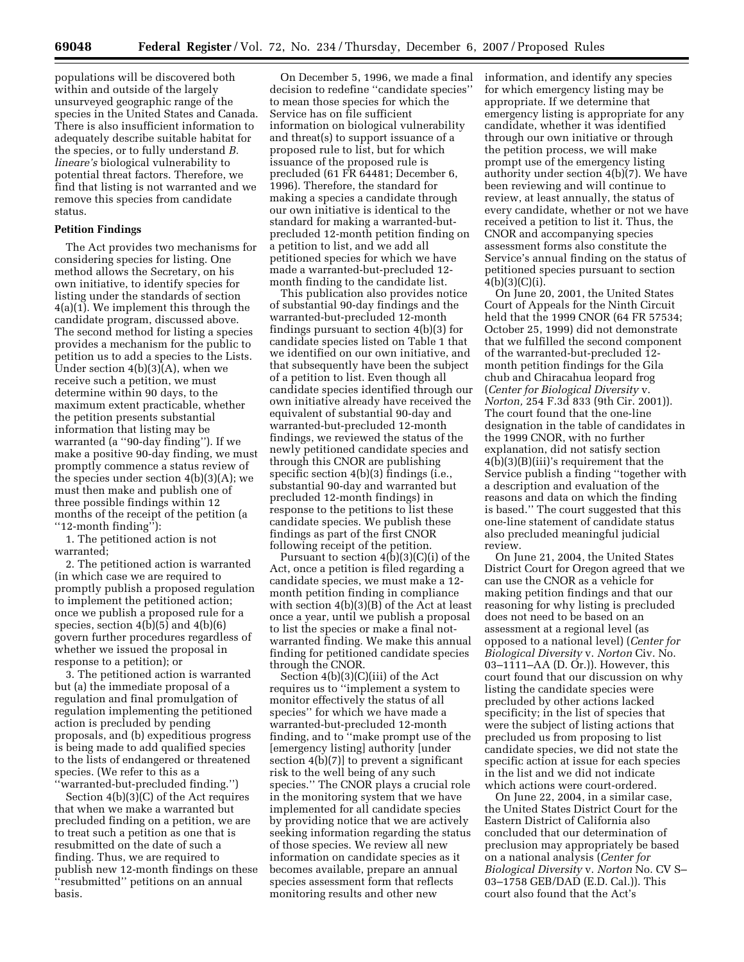populations will be discovered both within and outside of the largely unsurveyed geographic range of the species in the United States and Canada. There is also insufficient information to adequately describe suitable habitat for the species, or to fully understand *B. lineare's* biological vulnerability to potential threat factors. Therefore, we find that listing is not warranted and we remove this species from candidate status.

#### **Petition Findings**

The Act provides two mechanisms for considering species for listing. One method allows the Secretary, on his own initiative, to identify species for listing under the standards of section 4(a)(1). We implement this through the candidate program, discussed above. The second method for listing a species provides a mechanism for the public to petition us to add a species to the Lists. Under section 4(b)(3)(A), when we receive such a petition, we must determine within 90 days, to the maximum extent practicable, whether the petition presents substantial information that listing may be warranted (a ''90-day finding''). If we make a positive 90-day finding, we must promptly commence a status review of the species under section  $4(b)(3)(A)$ ; we must then make and publish one of three possible findings within 12 months of the receipt of the petition (a ''12-month finding''):

1. The petitioned action is not warranted;

2. The petitioned action is warranted (in which case we are required to promptly publish a proposed regulation to implement the petitioned action; once we publish a proposed rule for a species, section 4(b)(5) and 4(b)(6) govern further procedures regardless of whether we issued the proposal in response to a petition); or

3. The petitioned action is warranted but (a) the immediate proposal of a regulation and final promulgation of regulation implementing the petitioned action is precluded by pending proposals, and (b) expeditious progress is being made to add qualified species to the lists of endangered or threatened species. (We refer to this as a

''warranted-but-precluded finding.'') Section 4(b)(3)(C) of the Act requires that when we make a warranted but precluded finding on a petition, we are to treat such a petition as one that is resubmitted on the date of such a finding. Thus, we are required to publish new 12-month findings on these ''resubmitted'' petitions on an annual basis.

On December 5, 1996, we made a final decision to redefine ''candidate species'' to mean those species for which the Service has on file sufficient information on biological vulnerability and threat(s) to support issuance of a proposed rule to list, but for which issuance of the proposed rule is precluded (61 FR 64481; December 6, 1996). Therefore, the standard for making a species a candidate through our own initiative is identical to the standard for making a warranted-butprecluded 12-month petition finding on a petition to list, and we add all petitioned species for which we have made a warranted-but-precluded 12 month finding to the candidate list.

This publication also provides notice of substantial 90-day findings and the warranted-but-precluded 12-month findings pursuant to section 4(b)(3) for candidate species listed on Table 1 that we identified on our own initiative, and that subsequently have been the subject of a petition to list. Even though all candidate species identified through our own initiative already have received the equivalent of substantial 90-day and warranted-but-precluded 12-month findings, we reviewed the status of the newly petitioned candidate species and through this CNOR are publishing specific section 4(b)(3) findings (i.e., substantial 90-day and warranted but precluded 12-month findings) in response to the petitions to list these candidate species. We publish these findings as part of the first CNOR following receipt of the petition.

Pursuant to section 4(b)(3)(C)(i) of the Act, once a petition is filed regarding a candidate species, we must make a 12 month petition finding in compliance with section 4(b)(3)(B) of the Act at least once a year, until we publish a proposal to list the species or make a final notwarranted finding. We make this annual finding for petitioned candidate species through the CNOR.

Section 4(b)(3)(C)(iii) of the Act requires us to ''implement a system to monitor effectively the status of all species'' for which we have made a warranted-but-precluded 12-month finding, and to ''make prompt use of the [emergency listing] authority [under section 4(b)(7)] to prevent a significant risk to the well being of any such species.'' The CNOR plays a crucial role in the monitoring system that we have implemented for all candidate species by providing notice that we are actively seeking information regarding the status of those species. We review all new information on candidate species as it becomes available, prepare an annual species assessment form that reflects monitoring results and other new

information, and identify any species for which emergency listing may be appropriate. If we determine that emergency listing is appropriate for any candidate, whether it was identified through our own initiative or through the petition process, we will make prompt use of the emergency listing authority under section 4(b)(7). We have been reviewing and will continue to review, at least annually, the status of every candidate, whether or not we have received a petition to list it. Thus, the CNOR and accompanying species assessment forms also constitute the Service's annual finding on the status of petitioned species pursuant to section 4(b)(3)(C)(i).

On June 20, 2001, the United States Court of Appeals for the Ninth Circuit held that the 1999 CNOR (64 FR 57534; October 25, 1999) did not demonstrate that we fulfilled the second component of the warranted-but-precluded 12 month petition findings for the Gila chub and Chiracahua leopard frog (*Center for Biological Diversity* v. *Norton,* 254 F.3d 833 (9th Cir. 2001)). The court found that the one-line designation in the table of candidates in the 1999 CNOR, with no further explanation, did not satisfy section 4(b)(3)(B)(iii)'s requirement that the Service publish a finding ''together with a description and evaluation of the reasons and data on which the finding is based.'' The court suggested that this one-line statement of candidate status also precluded meaningful judicial review.

On June 21, 2004, the United States District Court for Oregon agreed that we can use the CNOR as a vehicle for making petition findings and that our reasoning for why listing is precluded does not need to be based on an assessment at a regional level (as opposed to a national level) (*Center for Biological Diversity* v. *Norton* Civ. No. 03–1111–AA (D. Or.)). However, this court found that our discussion on why listing the candidate species were precluded by other actions lacked specificity; in the list of species that were the subject of listing actions that precluded us from proposing to list candidate species, we did not state the specific action at issue for each species in the list and we did not indicate which actions were court-ordered.

On June 22, 2004, in a similar case, the United States District Court for the Eastern District of California also concluded that our determination of preclusion may appropriately be based on a national analysis (*Center for Biological Diversity* v. *Norton* No. CV S– 03–1758 GEB/DAD (E.D. Cal.)). This court also found that the Act's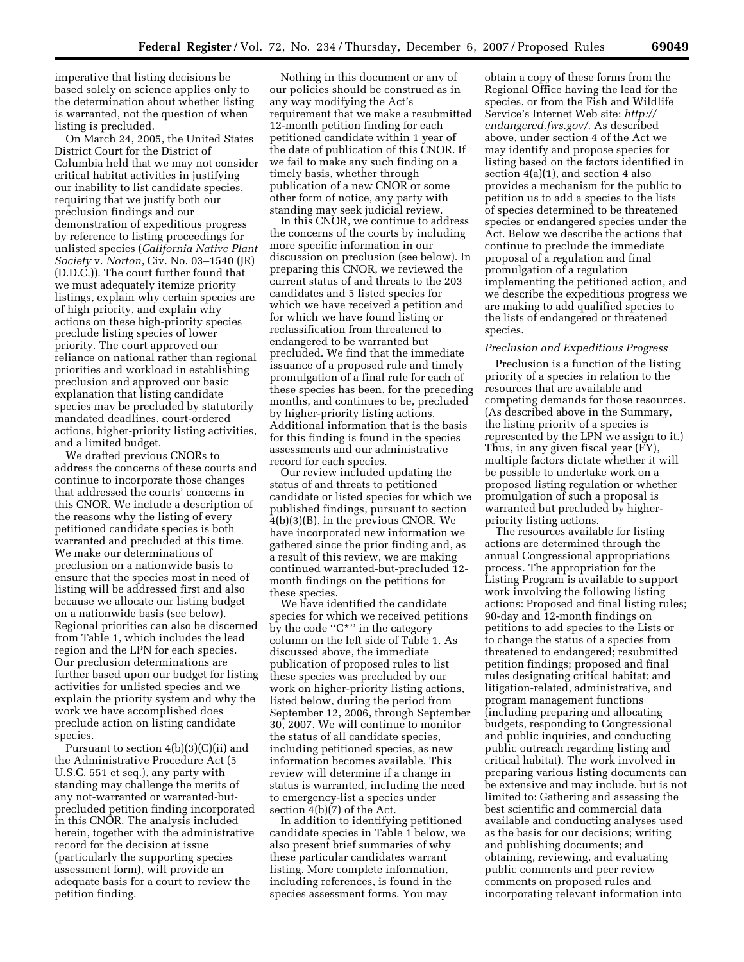imperative that listing decisions be based solely on science applies only to the determination about whether listing is warranted, not the question of when listing is precluded.

On March 24, 2005, the United States District Court for the District of Columbia held that we may not consider critical habitat activities in justifying our inability to list candidate species, requiring that we justify both our preclusion findings and our demonstration of expeditious progress by reference to listing proceedings for unlisted species (*California Native Plant Society* v. *Norton*, Civ. No. 03–1540 (JR) (D.D.C.)). The court further found that we must adequately itemize priority listings, explain why certain species are of high priority, and explain why actions on these high-priority species preclude listing species of lower priority. The court approved our reliance on national rather than regional priorities and workload in establishing preclusion and approved our basic explanation that listing candidate species may be precluded by statutorily mandated deadlines, court-ordered actions, higher-priority listing activities, and a limited budget.

We drafted previous CNORs to address the concerns of these courts and continue to incorporate those changes that addressed the courts' concerns in this CNOR. We include a description of the reasons why the listing of every petitioned candidate species is both warranted and precluded at this time. We make our determinations of preclusion on a nationwide basis to ensure that the species most in need of listing will be addressed first and also because we allocate our listing budget on a nationwide basis (see below). Regional priorities can also be discerned from Table 1, which includes the lead region and the LPN for each species. Our preclusion determinations are further based upon our budget for listing activities for unlisted species and we explain the priority system and why the work we have accomplished does preclude action on listing candidate species.

Pursuant to section 4(b)(3)(C)(ii) and the Administrative Procedure Act (5 U.S.C. 551 et seq.), any party with standing may challenge the merits of any not-warranted or warranted-butprecluded petition finding incorporated in this CNOR. The analysis included herein, together with the administrative record for the decision at issue (particularly the supporting species assessment form), will provide an adequate basis for a court to review the petition finding.

Nothing in this document or any of our policies should be construed as in any way modifying the Act's requirement that we make a resubmitted 12-month petition finding for each petitioned candidate within 1 year of the date of publication of this CNOR. If we fail to make any such finding on a timely basis, whether through publication of a new CNOR or some other form of notice, any party with standing may seek judicial review.

In this CNOR, we continue to address the concerns of the courts by including more specific information in our discussion on preclusion (see below). In preparing this CNOR, we reviewed the current status of and threats to the 203 candidates and 5 listed species for which we have received a petition and for which we have found listing or reclassification from threatened to endangered to be warranted but precluded. We find that the immediate issuance of a proposed rule and timely promulgation of a final rule for each of these species has been, for the preceding months, and continues to be, precluded by higher-priority listing actions. Additional information that is the basis for this finding is found in the species assessments and our administrative record for each species.

Our review included updating the status of and threats to petitioned candidate or listed species for which we published findings, pursuant to section 4(b)(3)(B), in the previous CNOR. We have incorporated new information we gathered since the prior finding and, as a result of this review, we are making continued warranted-but-precluded 12 month findings on the petitions for these species.

We have identified the candidate species for which we received petitions by the code "C<sup>\*</sup>" in the category column on the left side of Table 1. As discussed above, the immediate publication of proposed rules to list these species was precluded by our work on higher-priority listing actions, listed below, during the period from September 12, 2006, through September 30, 2007. We will continue to monitor the status of all candidate species, including petitioned species, as new information becomes available. This review will determine if a change in status is warranted, including the need to emergency-list a species under section 4(b)(7) of the Act.

In addition to identifying petitioned candidate species in Table 1 below, we also present brief summaries of why these particular candidates warrant listing. More complete information, including references, is found in the species assessment forms. You may

obtain a copy of these forms from the Regional Office having the lead for the species, or from the Fish and Wildlife Service's Internet Web site: *http:// endangered.fws.gov/*. As described above, under section 4 of the Act we may identify and propose species for listing based on the factors identified in section  $4(a)(1)$ , and section 4 also provides a mechanism for the public to petition us to add a species to the lists of species determined to be threatened species or endangered species under the Act. Below we describe the actions that continue to preclude the immediate proposal of a regulation and final promulgation of a regulation implementing the petitioned action, and we describe the expeditious progress we are making to add qualified species to the lists of endangered or threatened species.

#### *Preclusion and Expeditious Progress*

Preclusion is a function of the listing priority of a species in relation to the resources that are available and competing demands for those resources. (As described above in the Summary, the listing priority of a species is represented by the LPN we assign to it.) Thus, in any given fiscal year (FY), multiple factors dictate whether it will be possible to undertake work on a proposed listing regulation or whether promulgation of such a proposal is warranted but precluded by higherpriority listing actions.

The resources available for listing actions are determined through the annual Congressional appropriations process. The appropriation for the Listing Program is available to support work involving the following listing actions: Proposed and final listing rules; 90-day and 12-month findings on petitions to add species to the Lists or to change the status of a species from threatened to endangered; resubmitted petition findings; proposed and final rules designating critical habitat; and litigation-related, administrative, and program management functions (including preparing and allocating budgets, responding to Congressional and public inquiries, and conducting public outreach regarding listing and critical habitat). The work involved in preparing various listing documents can be extensive and may include, but is not limited to: Gathering and assessing the best scientific and commercial data available and conducting analyses used as the basis for our decisions; writing and publishing documents; and obtaining, reviewing, and evaluating public comments and peer review comments on proposed rules and incorporating relevant information into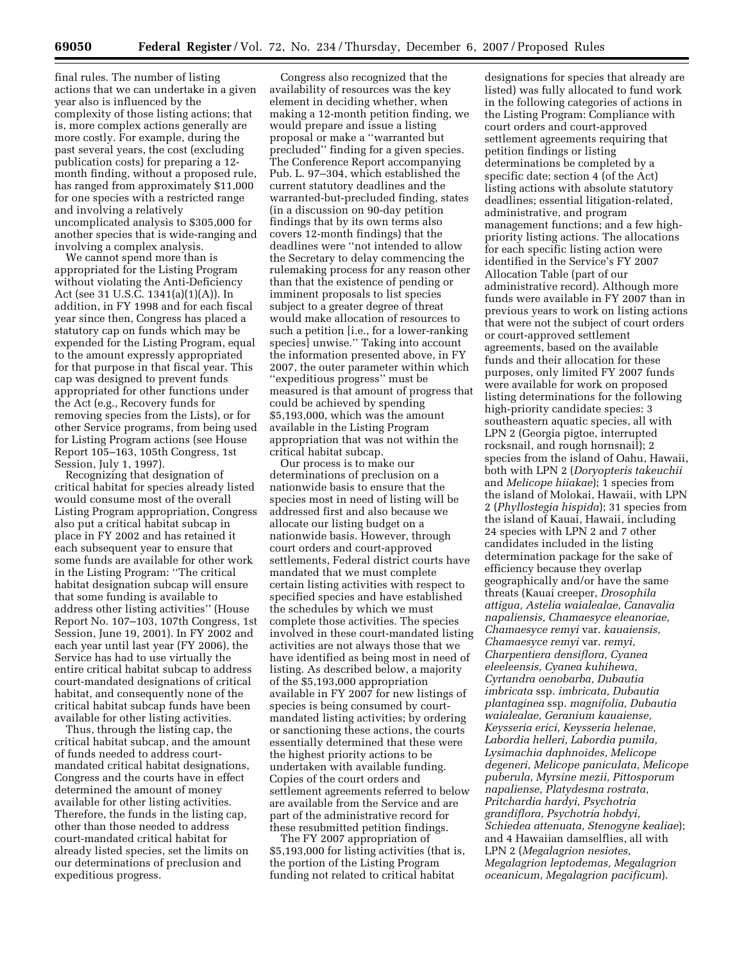final rules. The number of listing actions that we can undertake in a given year also is influenced by the complexity of those listing actions; that is, more complex actions generally are more costly. For example, during the past several years, the cost (excluding publication costs) for preparing a 12 month finding, without a proposed rule, has ranged from approximately \$11,000 for one species with a restricted range and involving a relatively uncomplicated analysis to \$305,000 for another species that is wide-ranging and involving a complex analysis.

We cannot spend more than is appropriated for the Listing Program without violating the Anti-Deficiency Act (see 31 U.S.C. 1341(a)(1)(A)). In addition, in FY 1998 and for each fiscal year since then, Congress has placed a statutory cap on funds which may be expended for the Listing Program, equal to the amount expressly appropriated for that purpose in that fiscal year. This cap was designed to prevent funds appropriated for other functions under the Act (e.g., Recovery funds for removing species from the Lists), or for other Service programs, from being used for Listing Program actions (see House Report 105–163, 105th Congress, 1st Session, July 1, 1997).

Recognizing that designation of critical habitat for species already listed would consume most of the overall Listing Program appropriation, Congress also put a critical habitat subcap in place in FY 2002 and has retained it each subsequent year to ensure that some funds are available for other work in the Listing Program: ''The critical habitat designation subcap will ensure that some funding is available to address other listing activities'' (House Report No. 107–103, 107th Congress, 1st Session, June 19, 2001). In FY 2002 and each year until last year (FY 2006), the Service has had to use virtually the entire critical habitat subcap to address court-mandated designations of critical habitat, and consequently none of the critical habitat subcap funds have been available for other listing activities.

Thus, through the listing cap, the critical habitat subcap, and the amount of funds needed to address courtmandated critical habitat designations, Congress and the courts have in effect determined the amount of money available for other listing activities. Therefore, the funds in the listing cap, other than those needed to address court-mandated critical habitat for already listed species, set the limits on our determinations of preclusion and expeditious progress.

Congress also recognized that the availability of resources was the key element in deciding whether, when making a 12-month petition finding, we would prepare and issue a listing proposal or make a ''warranted but precluded'' finding for a given species. The Conference Report accompanying Pub. L. 97–304, which established the current statutory deadlines and the warranted-but-precluded finding, states (in a discussion on 90-day petition findings that by its own terms also covers 12-month findings) that the deadlines were ''not intended to allow the Secretary to delay commencing the rulemaking process for any reason other than that the existence of pending or imminent proposals to list species subject to a greater degree of threat would make allocation of resources to such a petition [i.e., for a lower-ranking species] unwise.'' Taking into account the information presented above, in FY 2007, the outer parameter within which ''expeditious progress'' must be measured is that amount of progress that could be achieved by spending \$5,193,000, which was the amount available in the Listing Program appropriation that was not within the critical habitat subcap.

Our process is to make our determinations of preclusion on a nationwide basis to ensure that the species most in need of listing will be addressed first and also because we allocate our listing budget on a nationwide basis. However, through court orders and court-approved settlements, Federal district courts have mandated that we must complete certain listing activities with respect to specified species and have established the schedules by which we must complete those activities. The species involved in these court-mandated listing activities are not always those that we have identified as being most in need of listing. As described below, a majority of the \$5,193,000 appropriation available in FY 2007 for new listings of species is being consumed by courtmandated listing activities; by ordering or sanctioning these actions, the courts essentially determined that these were the highest priority actions to be undertaken with available funding. Copies of the court orders and settlement agreements referred to below are available from the Service and are part of the administrative record for these resubmitted petition findings.

The FY 2007 appropriation of \$5,193,000 for listing activities (that is, the portion of the Listing Program funding not related to critical habitat

designations for species that already are listed) was fully allocated to fund work in the following categories of actions in the Listing Program: Compliance with court orders and court-approved settlement agreements requiring that petition findings or listing determinations be completed by a specific date; section 4 (of the Act) listing actions with absolute statutory deadlines; essential litigation-related, administrative, and program management functions; and a few highpriority listing actions. The allocations for each specific listing action were identified in the Service's FY 2007 Allocation Table (part of our administrative record). Although more funds were available in FY 2007 than in previous years to work on listing actions that were not the subject of court orders or court-approved settlement agreements, based on the available funds and their allocation for these purposes, only limited FY 2007 funds were available for work on proposed listing determinations for the following high-priority candidate species: 3 southeastern aquatic species, all with LPN 2 (Georgia pigtoe, interrupted rocksnail, and rough hornsnail); 2 species from the island of Oahu, Hawaii, both with LPN 2 (*Doryopteris takeuchii*  and *Melicope hiiakae*); 1 species from the island of Molokai, Hawaii, with LPN 2 (*Phyllostegia hispida*); 31 species from the island of Kauai, Hawaii, including 24 species with LPN 2 and 7 other candidates included in the listing determination package for the sake of efficiency because they overlap geographically and/or have the same threats (Kauai creeper, *Drosophila attigua, Astelia waialealae, Canavalia napaliensis, Chamaesyce eleanoriae, Chamaesyce remyi* var. *kauaiensis, Chamaesyce remyi* var. *remyi, Charpentiera densiflora, Cyanea eleeleensis, Cyanea kuhihewa, Cyrtandra oenobarba, Dubautia imbricata* ssp. *imbricata, Dubautia plantaginea* ssp. *magnifolia, Dubautia waialealae, Geranium kauaiense, Keysseria erici, Keysseria helenae, Labordia helleri, Labordia pumila, Lysimachia daphnoides, Melicope degeneri, Melicope paniculata, Melicope puberula, Myrsine mezii, Pittosporum napaliense, Platydesma rostrata, Pritchardia hardyi, Psychotria grandiflora, Psychotria hobdyi, Schiedea attenuata, Stenogyne kealiae*); and 4 Hawaiian damselflies, all with LPN 2 (*Megalagrion nesiotes, Megalagrion leptodemas, Megalagrion oceanicum, Megalagrion pacificum*).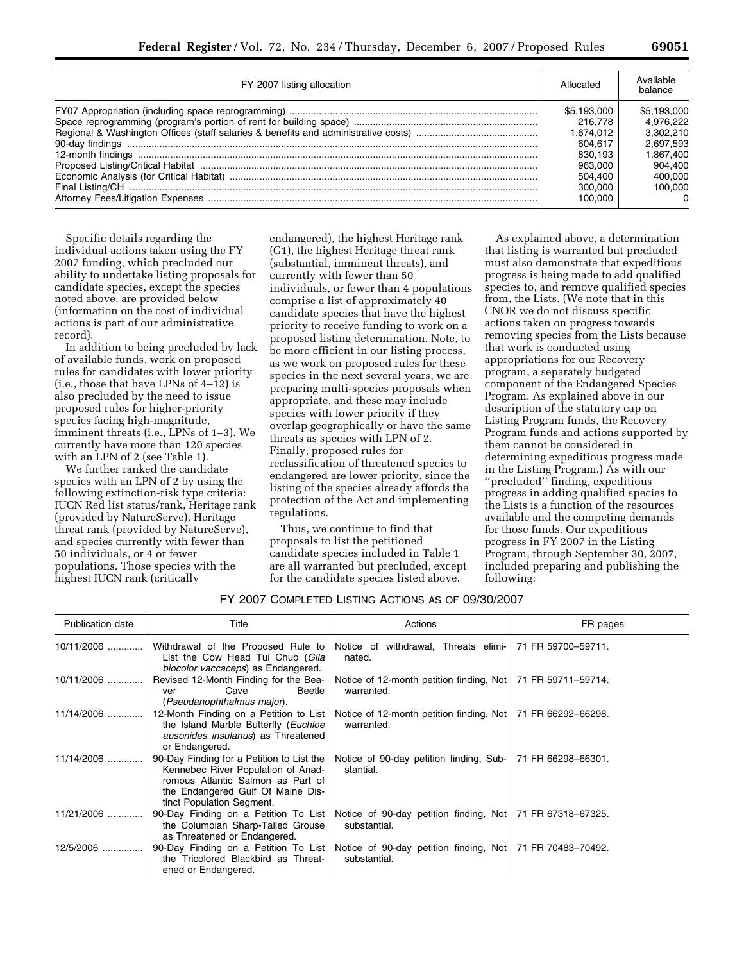| FY 2007 listing allocation | Allocated   | Available<br>balance |
|----------------------------|-------------|----------------------|
|                            | \$5.193.000 | \$5.193.000          |
|                            | 216,778     | 4.976.222            |
|                            | 1.674.012   | 3.302.210            |
|                            | 604.617     | 2.697.593            |
|                            | 830.193     | 1.867.400            |
|                            | 963,000     | 904.400              |
|                            | 504.400     | 400.000              |
|                            | 300,000     | 100.000              |
|                            | 100.000     | $\Omega$             |

Specific details regarding the individual actions taken using the FY 2007 funding, which precluded our ability to undertake listing proposals for candidate species, except the species noted above, are provided below (information on the cost of individual actions is part of our administrative record).

In addition to being precluded by lack of available funds, work on proposed rules for candidates with lower priority (i.e., those that have LPNs of 4–12) is also precluded by the need to issue proposed rules for higher-priority species facing high-magnitude, imminent threats (i.e., LPNs of 1–3). We currently have more than 120 species with an LPN of 2 (see Table 1).

We further ranked the candidate species with an LPN of 2 by using the following extinction-risk type criteria: IUCN Red list status/rank, Heritage rank (provided by NatureServe), Heritage threat rank (provided by NatureServe), and species currently with fewer than 50 individuals, or 4 or fewer populations. Those species with the highest IUCN rank (critically

endangered), the highest Heritage rank (G1), the highest Heritage threat rank (substantial, imminent threats), and currently with fewer than 50 individuals, or fewer than 4 populations comprise a list of approximately 40 candidate species that have the highest priority to receive funding to work on a proposed listing determination. Note, to be more efficient in our listing process, as we work on proposed rules for these species in the next several years, we are preparing multi-species proposals when appropriate, and these may include species with lower priority if they overlap geographically or have the same threats as species with LPN of 2. Finally, proposed rules for reclassification of threatened species to endangered are lower priority, since the listing of the species already affords the protection of the Act and implementing regulations.

Thus, we continue to find that proposals to list the petitioned candidate species included in Table 1 are all warranted but precluded, except for the candidate species listed above.

As explained above, a determination that listing is warranted but precluded must also demonstrate that expeditious progress is being made to add qualified species to, and remove qualified species from, the Lists. (We note that in this CNOR we do not discuss specific actions taken on progress towards removing species from the Lists because that work is conducted using appropriations for our Recovery program, a separately budgeted component of the Endangered Species Program. As explained above in our description of the statutory cap on Listing Program funds, the Recovery Program funds and actions supported by them cannot be considered in determining expeditious progress made in the Listing Program.) As with our

''precluded'' finding, expeditious progress in adding qualified species to the Lists is a function of the resources available and the competing demands for those funds. Our expeditious progress in FY 2007 in the Listing Program, through September 30, 2007, included preparing and publishing the following:

FY 2007 COMPLETED LISTING ACTIONS AS OF 09/30/2007

| Publication date | Title                                                                                                                                                                                  | Actions                                                                     | FR pages           |
|------------------|----------------------------------------------------------------------------------------------------------------------------------------------------------------------------------------|-----------------------------------------------------------------------------|--------------------|
| $10/11/2006$     | Withdrawal of the Proposed Rule to<br>List the Cow Head Tui Chub (Gila<br>biocolor vaccaceps) as Endangered.                                                                           | Notice of withdrawal, Threats elimi-<br>nated.                              | 71 FR 59700-59711. |
| $10/11/2006$     | Revised 12-Month Finding for the Bea-<br>Cave<br>Beetle<br>ver<br>(Pseudanophthalmus major).                                                                                           | Notice of 12-month petition finding, Not<br>warranted.                      | 71 FR 59711-59714. |
| 11/14/2006       | 12-Month Finding on a Petition to List<br>the Island Marble Butterfly (Euchloe<br>ausonides insulanus) as Threatened<br>or Endangered.                                                 | Notice of 12-month petition finding, Not<br>warranted.                      | 71 FR 66292-66298. |
| 11/14/2006       | 90-Day Finding for a Petition to List the<br>Kennebec River Population of Anad-<br>romous Atlantic Salmon as Part of<br>the Endangered Gulf Of Maine Dis-<br>tinct Population Segment. | Notice of 90-day petition finding, Sub-<br>stantial.                        | 71 FR 66298-66301. |
| 11/21/2006       | 90-Day Finding on a Petition To List<br>the Columbian Sharp-Tailed Grouse<br>as Threatened or Endangered.                                                                              | Notice of 90-day petition finding, Not   71 FR 67318-67325.<br>substantial. |                    |
| 12/5/2006        | 90-Day Finding on a Petition To List<br>the Tricolored Blackbird as Threat-<br>ened or Endangered.                                                                                     | Notice of 90-day petition finding, Not   71 FR 70483-70492.<br>substantial. |                    |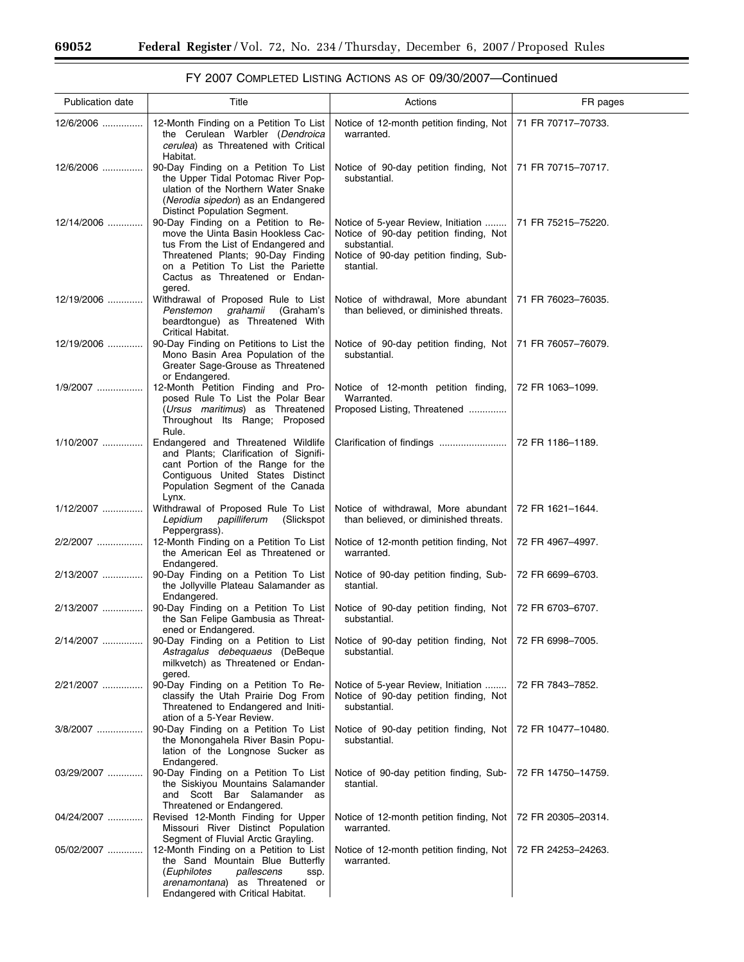$\equiv$ 

| <b>Publication date</b> | Title                                                                                                                                                                                                                                   | Actions                                                                                                                                               | FR pages           |
|-------------------------|-----------------------------------------------------------------------------------------------------------------------------------------------------------------------------------------------------------------------------------------|-------------------------------------------------------------------------------------------------------------------------------------------------------|--------------------|
| 12/6/2006               | 12-Month Finding on a Petition To List<br>the Cerulean Warbler (Dendroica<br>cerulea) as Threatened with Critical<br>Habitat.                                                                                                           | Notice of 12-month petition finding, Not<br>warranted.                                                                                                | 71 FR 70717-70733. |
| 12/6/2006               | 90-Day Finding on a Petition To List<br>the Upper Tidal Potomac River Pop-<br>ulation of the Northern Water Snake<br>(Nerodia sipedon) as an Endangered<br>Distinct Population Segment.                                                 | Notice of 90-day petition finding, Not<br>substantial.                                                                                                | 71 FR 70715-70717. |
| 12/14/2006              | 90-Day Finding on a Petition to Re-<br>move the Uinta Basin Hookless Cac-<br>tus From the List of Endangered and<br>Threatened Plants; 90-Day Finding<br>on a Petition To List the Pariette<br>Cactus as Threatened or Endan-<br>gered. | Notice of 5-year Review, Initiation<br>Notice of 90-day petition finding, Not<br>substantial.<br>Notice of 90-day petition finding, Sub-<br>stantial. | 71 FR 75215-75220. |
| 12/19/2006              | Withdrawal of Proposed Rule to List<br>grahamii<br>(Graham's<br>Penstemon<br>beardtongue) as Threatened With<br>Critical Habitat.                                                                                                       | Notice of withdrawal, More abundant<br>than believed, or diminished threats.                                                                          | 71 FR 76023-76035. |
| $12/19/2006$            | 90-Day Finding on Petitions to List the<br>Mono Basin Area Population of the<br>Greater Sage-Grouse as Threatened<br>or Endangered.                                                                                                     | Notice of 90-day petition finding, Not<br>substantial.                                                                                                | 71 FR 76057-76079. |
| 1/9/2007                | 12-Month Petition Finding and Pro-<br>posed Rule To List the Polar Bear<br>( <i>Ursus maritimus</i> ) as Threatened<br>Throughout Its Range; Proposed<br>Rule.                                                                          | Notice of 12-month petition finding,<br>Warranted.<br>Proposed Listing, Threatened                                                                    | 72 FR 1063-1099.   |
| $1/10/2007$             | Endangered and Threatened Wildlife<br>and Plants; Clarification of Signifi-<br>cant Portion of the Range for the<br>Contiguous United States Distinct<br>Population Segment of the Canada<br>Lynx.                                      |                                                                                                                                                       | 72 FR 1186-1189.   |
| $1/12/2007$             | Withdrawal of Proposed Rule To List<br>Lepidium<br>papilliferum<br>(Slickspot<br>Peppergrass).                                                                                                                                          | Notice of withdrawal, More abundant<br>than believed, or diminished threats.                                                                          | 72 FR 1621-1644.   |
| 2/2/2007                | 12-Month Finding on a Petition To List<br>the American Eel as Threatened or<br>Endangered.                                                                                                                                              | Notice of 12-month petition finding, Not<br>warranted.                                                                                                | 72 FR 4967-4997.   |
| 2/13/2007               | 90-Day Finding on a Petition To List<br>the Jollyville Plateau Salamander as<br>Endangered.                                                                                                                                             | Notice of 90-day petition finding, Sub-<br>stantial.                                                                                                  | 72 FR 6699-6703.   |
| 2/13/2007               | 90-Day Finding on a Petition To List<br>the San Felipe Gambusia as Threat-<br>ened or Endangered.                                                                                                                                       | Notice of 90-day petition finding, Not<br>substantial.                                                                                                | 72 FR 6703-6707.   |
| 2/14/2007               | 90-Day Finding on a Petition to List<br>Astragalus debequaeus (DeBeque<br>milkvetch) as Threatened or Endan-<br>gered.                                                                                                                  | Notice of 90-day petition finding, Not<br>substantial.                                                                                                | 72 FR 6998-7005.   |
| 2/21/2007               | 90-Day Finding on a Petition To Re-<br>classify the Utah Prairie Dog From<br>Threatened to Endangered and Initi-<br>ation of a 5-Year Review.                                                                                           | Notice of 5-year Review, Initiation<br>Notice of 90-day petition finding, Not<br>substantial.                                                         | 72 FR 7843–7852.   |
| 3/8/2007                | 90-Day Finding on a Petition To List<br>the Monongahela River Basin Popu-<br>lation of the Longnose Sucker as<br>Endangered.                                                                                                            | Notice of 90-day petition finding, Not<br>substantial.                                                                                                | 72 FR 10477-10480. |
| 03/29/2007              | 90-Day Finding on a Petition To List<br>the Siskiyou Mountains Salamander<br>and Scott Bar Salamander as<br>Threatened or Endangered.                                                                                                   | Notice of 90-day petition finding, Sub-<br>stantial.                                                                                                  | 72 FR 14750-14759. |
| 04/24/2007              | Revised 12-Month Finding for Upper<br>Missouri River Distinct Population<br>Segment of Fluvial Arctic Grayling.                                                                                                                         | Notice of 12-month petition finding, Not<br>warranted.                                                                                                | 72 FR 20305-20314. |
| 05/02/2007              | 12-Month Finding on a Petition to List<br>the Sand Mountain Blue Butterfly<br>(Euphilotes<br>pallescens<br>ssp.<br>arenamontana) as Threatened or<br>Endangered with Critical Habitat.                                                  | Notice of 12-month petition finding, Not<br>warranted.                                                                                                | 72 FR 24253-24263. |

# FY 2007 COMPLETED LISTING ACTIONS AS OF 09/30/2007—Continued

 $\overline{\phantom{0}}$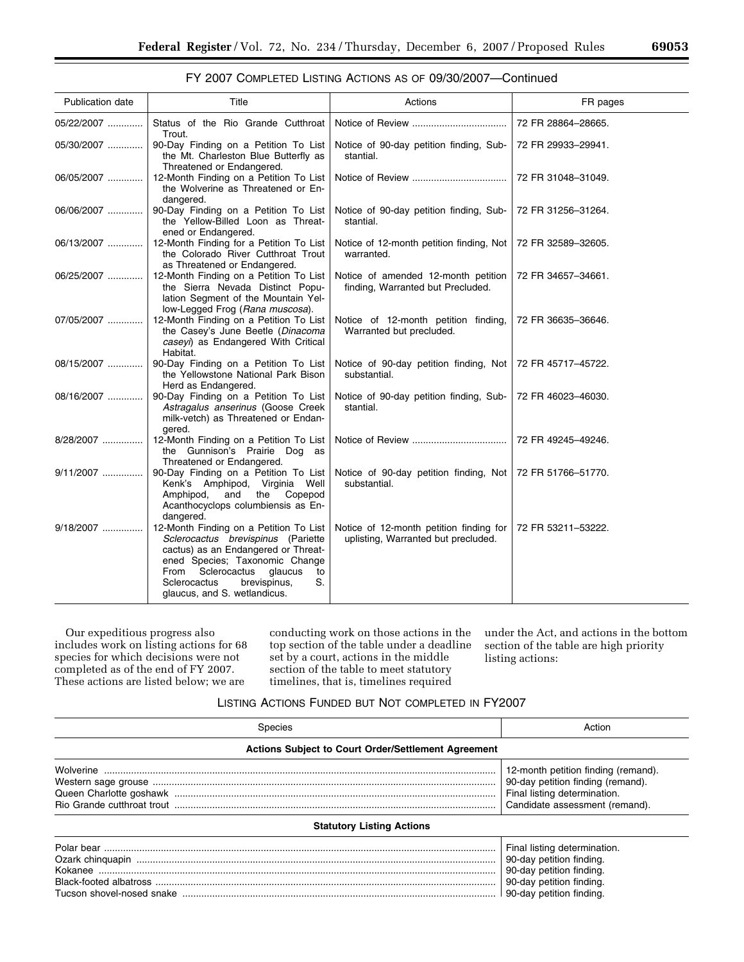## FY 2007 COMPLETED LISTING ACTIONS AS OF 09/30/2007—Continued

| <b>Publication date</b> | Title                                                                                                                                                                                                                                                                | Actions                                                                        | FR pages           |
|-------------------------|----------------------------------------------------------------------------------------------------------------------------------------------------------------------------------------------------------------------------------------------------------------------|--------------------------------------------------------------------------------|--------------------|
| 05/22/2007              | Status of the Rio Grande Cutthroat<br>Trout.                                                                                                                                                                                                                         |                                                                                | 72 FR 28864-28665. |
| 05/30/2007              | 90-Day Finding on a Petition To List<br>the Mt. Charleston Blue Butterfly as<br>Threatened or Endangered.                                                                                                                                                            | Notice of 90-day petition finding, Sub-<br>stantial.                           | 72 FR 29933-29941. |
| 06/05/2007              | 12-Month Finding on a Petition To List<br>the Wolverine as Threatened or En-<br>dangered.                                                                                                                                                                            |                                                                                | 72 FR 31048-31049. |
| 06/06/2007              | 90-Day Finding on a Petition To List<br>the Yellow-Billed Loon as Threat-<br>ened or Endangered.                                                                                                                                                                     | Notice of 90-day petition finding, Sub-<br>stantial.                           | 72 FR 31256-31264. |
| 06/13/2007              | 12-Month Finding for a Petition To List<br>the Colorado River Cutthroat Trout<br>as Threatened or Endangered.                                                                                                                                                        | Notice of 12-month petition finding, Not<br>warranted.                         | 72 FR 32589-32605. |
| 06/25/2007              | 12-Month Finding on a Petition To List<br>the Sierra Nevada Distinct Popu-<br>lation Segment of the Mountain Yel-<br>low-Legged Frog (Rana muscosa).                                                                                                                 | Notice of amended 12-month petition<br>finding, Warranted but Precluded.       | 72 FR 34657-34661. |
| 07/05/2007              | 12-Month Finding on a Petition To List<br>the Casey's June Beetle (Dinacoma<br>caseyi) as Endangered With Critical<br>Habitat.                                                                                                                                       | Notice of 12-month petition finding,<br>Warranted but precluded.               | 72 FR 36635-36646. |
| 08/15/2007              | 90-Day Finding on a Petition To List<br>the Yellowstone National Park Bison<br>Herd as Endangered.                                                                                                                                                                   | Notice of 90-day petition finding, Not<br>substantial.                         | 72 FR 45717-45722. |
| 08/16/2007              | 90-Day Finding on a Petition To List<br>Astragalus anserinus (Goose Creek<br>milk-vetch) as Threatened or Endan-<br>gered.                                                                                                                                           | Notice of 90-day petition finding, Sub-<br>stantial.                           | 72 FR 46023-46030. |
| 8/28/2007               | 12-Month Finding on a Petition To List<br>the Gunnison's Prairie Dog as<br>Threatened or Endangered.                                                                                                                                                                 |                                                                                | 72 FR 49245-49246. |
| 9/11/2007               | 90-Day Finding on a Petition To List<br>Kenk's Amphipod, Virginia Well<br>and<br>the Copepod<br>Amphipod,<br>Acanthocyclops columbiensis as En-<br>dangered.                                                                                                         | Notice of 90-day petition finding, Not<br>substantial.                         | 72 FR 51766-51770. |
| 9/18/2007               | 12-Month Finding on a Petition To List<br>Sclerocactus brevispinus (Pariette<br>cactus) as an Endangered or Threat-<br>ened Species; Taxonomic Change<br>glaucus<br>Sclerocactus<br>From<br>to<br>brevispinus,<br>S.<br>Sclerocactus<br>glaucus, and S. wetlandicus. | Notice of 12-month petition finding for<br>uplisting, Warranted but precluded. | 72 FR 53211-53222. |

Our expeditious progress also includes work on listing actions for 68 species for which decisions were not completed as of the end of FY 2007. These actions are listed below; we are

conducting work on those actions in the top section of the table under a deadline set by a court, actions in the middle section of the table to meet statutory timelines, that is, timelines required

under the Act, and actions in the bottom section of the table are high priority listing actions:

# LISTING ACTIONS FUNDED BUT NOT COMPLETED IN FY2007

| Species                                                    | Action                                                                                                                                     |
|------------------------------------------------------------|--------------------------------------------------------------------------------------------------------------------------------------------|
| <b>Actions Subject to Court Order/Settlement Agreement</b> |                                                                                                                                            |
|                                                            | 12-month petition finding (remand).<br>90-day petition finding (remand).<br>Final listing determination.<br>Candidate assessment (remand). |
| <b>Statutory Listing Actions</b>                           |                                                                                                                                            |
|                                                            | Final listing determination.<br>90-day petition finding.<br>90-day petition finding.<br>90-day petition finding.                           |

Tucson shovel-nosed snake .................................................................................................................... 90-day petition finding.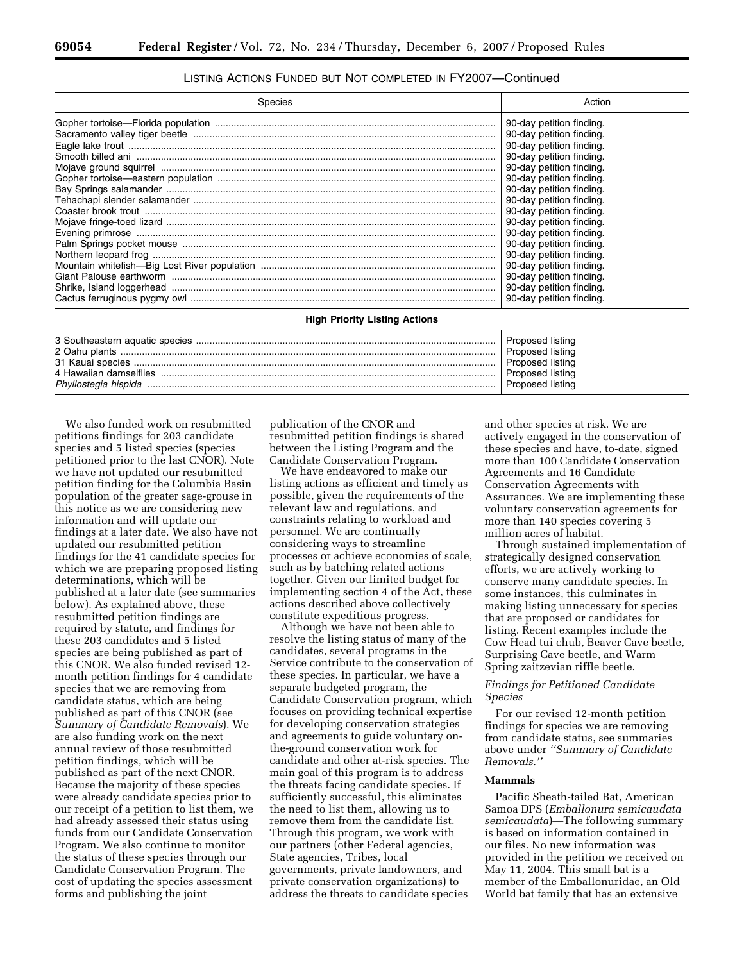## LISTING ACTIONS FUNDED BUT NOT COMPLETED IN FY2007—Continued

| <b>Species</b>                       | Action                   |
|--------------------------------------|--------------------------|
|                                      | 90-day petition finding. |
|                                      | 90-day petition finding. |
|                                      | 90-day petition finding. |
|                                      | 90-day petition finding. |
|                                      | 90-day petition finding. |
|                                      | 90-day petition finding. |
|                                      | 90-day petition finding. |
|                                      | 90-day petition finding. |
|                                      | 90-day petition finding. |
|                                      | 90-day petition finding. |
|                                      | 90-day petition finding. |
|                                      | 90-day petition finding. |
|                                      | 90-day petition finding. |
|                                      | 90-day petition finding. |
|                                      | 90-day petition finding. |
|                                      | 90-day petition finding. |
|                                      | 90-day petition finding. |
| <b>High Priority Listing Actions</b> |                          |

| 4 Hawaiian damselflies | Proposed listing<br>Proposed listing<br>Proposed listing<br>Proposed listing<br>Proposed listing |
|------------------------|--------------------------------------------------------------------------------------------------|

We also funded work on resubmitted petitions findings for 203 candidate species and 5 listed species (species petitioned prior to the last CNOR). Note we have not updated our resubmitted petition finding for the Columbia Basin population of the greater sage-grouse in this notice as we are considering new information and will update our findings at a later date. We also have not updated our resubmitted petition findings for the 41 candidate species for which we are preparing proposed listing determinations, which will be published at a later date (see summaries below). As explained above, these resubmitted petition findings are required by statute, and findings for these 203 candidates and 5 listed species are being published as part of this CNOR. We also funded revised 12 month petition findings for 4 candidate species that we are removing from candidate status, which are being published as part of this CNOR (see *Summary of Candidate Removals*). We are also funding work on the next annual review of those resubmitted petition findings, which will be published as part of the next CNOR. Because the majority of these species were already candidate species prior to our receipt of a petition to list them, we had already assessed their status using funds from our Candidate Conservation Program. We also continue to monitor the status of these species through our Candidate Conservation Program. The cost of updating the species assessment forms and publishing the joint

publication of the CNOR and resubmitted petition findings is shared between the Listing Program and the Candidate Conservation Program.

We have endeavored to make our listing actions as efficient and timely as possible, given the requirements of the relevant law and regulations, and constraints relating to workload and personnel. We are continually considering ways to streamline processes or achieve economies of scale, such as by batching related actions together. Given our limited budget for implementing section 4 of the Act, these actions described above collectively constitute expeditious progress.

Although we have not been able to resolve the listing status of many of the candidates, several programs in the Service contribute to the conservation of these species. In particular, we have a separate budgeted program, the Candidate Conservation program, which focuses on providing technical expertise for developing conservation strategies and agreements to guide voluntary onthe-ground conservation work for candidate and other at-risk species. The main goal of this program is to address the threats facing candidate species. If sufficiently successful, this eliminates the need to list them, allowing us to remove them from the candidate list. Through this program, we work with our partners (other Federal agencies, State agencies, Tribes, local governments, private landowners, and private conservation organizations) to address the threats to candidate species

and other species at risk. We are actively engaged in the conservation of these species and have, to-date, signed more than 100 Candidate Conservation Agreements and 16 Candidate Conservation Agreements with Assurances. We are implementing these voluntary conservation agreements for more than 140 species covering 5 million acres of habitat.

Through sustained implementation of strategically designed conservation efforts, we are actively working to conserve many candidate species. In some instances, this culminates in making listing unnecessary for species that are proposed or candidates for listing. Recent examples include the Cow Head tui chub, Beaver Cave beetle, Surprising Cave beetle, and Warm Spring zaitzevian riffle beetle.

### *Findings for Petitioned Candidate Species*

For our revised 12-month petition findings for species we are removing from candidate status, see summaries above under *''Summary of Candidate Removals.''*

## **Mammals**

Pacific Sheath-tailed Bat, American Samoa DPS (*Emballonura semicaudata semicaudata*)—The following summary is based on information contained in our files. No new information was provided in the petition we received on May 11, 2004. This small bat is a member of the Emballonuridae, an Old World bat family that has an extensive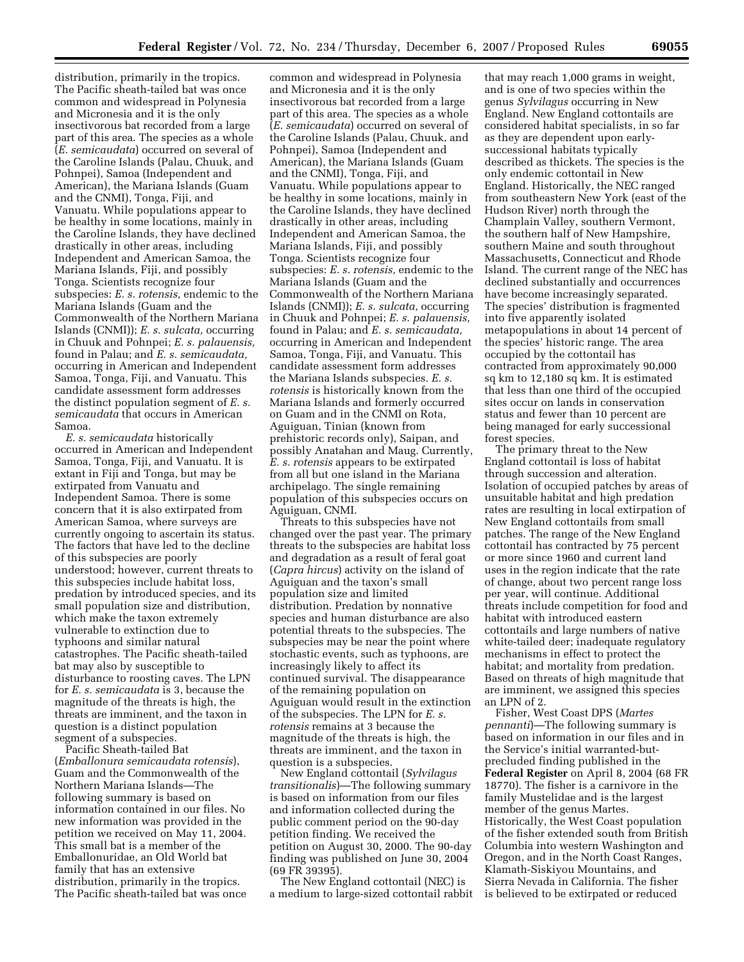distribution, primarily in the tropics. The Pacific sheath-tailed bat was once common and widespread in Polynesia and Micronesia and it is the only insectivorous bat recorded from a large part of this area. The species as a whole (*E. semicaudata*) occurred on several of the Caroline Islands (Palau, Chuuk, and Pohnpei), Samoa (Independent and American), the Mariana Islands (Guam and the CNMI), Tonga, Fiji, and Vanuatu. While populations appear to be healthy in some locations, mainly in the Caroline Islands, they have declined drastically in other areas, including Independent and American Samoa, the Mariana Islands, Fiji, and possibly Tonga. Scientists recognize four subspecies: *E. s. rotensis,* endemic to the Mariana Islands (Guam and the Commonwealth of the Northern Mariana Islands (CNMI)); *E. s. sulcata,* occurring in Chuuk and Pohnpei; *E. s. palauensis,*  found in Palau; and *E. s. semicaudata,*  occurring in American and Independent Samoa, Tonga, Fiji, and Vanuatu. This candidate assessment form addresses the distinct population segment of *E. s. semicaudata* that occurs in American Samoa.

*E. s. semicaudata* historically occurred in American and Independent Samoa, Tonga, Fiji, and Vanuatu. It is extant in Fiji and Tonga, but may be extirpated from Vanuatu and Independent Samoa. There is some concern that it is also extirpated from American Samoa, where surveys are currently ongoing to ascertain its status. The factors that have led to the decline of this subspecies are poorly understood; however, current threats to this subspecies include habitat loss, predation by introduced species, and its small population size and distribution, which make the taxon extremely vulnerable to extinction due to typhoons and similar natural catastrophes. The Pacific sheath-tailed bat may also by susceptible to disturbance to roosting caves. The LPN for *E. s. semicaudata* is 3, because the magnitude of the threats is high, the threats are imminent, and the taxon in question is a distinct population segment of a subspecies.

Pacific Sheath-tailed Bat (*Emballonura semicaudata rotensis*), Guam and the Commonwealth of the Northern Mariana Islands—The following summary is based on information contained in our files. No new information was provided in the petition we received on May 11, 2004. This small bat is a member of the Emballonuridae, an Old World bat family that has an extensive distribution, primarily in the tropics. The Pacific sheath-tailed bat was once

common and widespread in Polynesia and Micronesia and it is the only insectivorous bat recorded from a large part of this area. The species as a whole (*E. semicaudata*) occurred on several of the Caroline Islands (Palau, Chuuk, and Pohnpei), Samoa (Independent and American), the Mariana Islands (Guam and the CNMI), Tonga, Fiji, and Vanuatu. While populations appear to be healthy in some locations, mainly in the Caroline Islands, they have declined drastically in other areas, including Independent and American Samoa, the Mariana Islands, Fiji, and possibly Tonga. Scientists recognize four subspecies: *E. s. rotensis,* endemic to the Mariana Islands (Guam and the Commonwealth of the Northern Mariana Islands (CNMI)); *E. s. sulcata,* occurring in Chuuk and Pohnpei; *E. s. palauensis,*  found in Palau; and *E. s. semicaudata,*  occurring in American and Independent Samoa, Tonga, Fiji, and Vanuatu. This candidate assessment form addresses the Mariana Islands subspecies. *E. s. rotensis* is historically known from the Mariana Islands and formerly occurred on Guam and in the CNMI on Rota, Aguiguan, Tinian (known from prehistoric records only), Saipan, and possibly Anatahan and Maug. Currently, *E. s. rotensis* appears to be extirpated from all but one island in the Mariana archipelago. The single remaining population of this subspecies occurs on Aguiguan, CNMI.

Threats to this subspecies have not changed over the past year. The primary threats to the subspecies are habitat loss and degradation as a result of feral goat (*Capra hircus*) activity on the island of Aguiguan and the taxon's small population size and limited distribution. Predation by nonnative species and human disturbance are also potential threats to the subspecies. The subspecies may be near the point where stochastic events, such as typhoons, are increasingly likely to affect its continued survival. The disappearance of the remaining population on Aguiguan would result in the extinction of the subspecies. The LPN for *E. s. rotensis* remains at 3 because the magnitude of the threats is high, the threats are imminent, and the taxon in question is a subspecies.

New England cottontail (*Sylvilagus transitionalis*)—The following summary is based on information from our files and information collected during the public comment period on the 90-day petition finding. We received the petition on August 30, 2000. The 90-day finding was published on June 30, 2004 (69 FR 39395).

The New England cottontail (NEC) is a medium to large-sized cottontail rabbit

that may reach 1,000 grams in weight, and is one of two species within the genus *Sylvilagus* occurring in New England. New England cottontails are considered habitat specialists, in so far as they are dependent upon earlysuccessional habitats typically described as thickets. The species is the only endemic cottontail in New England. Historically, the NEC ranged from southeastern New York (east of the Hudson River) north through the Champlain Valley, southern Vermont, the southern half of New Hampshire, southern Maine and south throughout Massachusetts, Connecticut and Rhode Island. The current range of the NEC has declined substantially and occurrences have become increasingly separated. The species' distribution is fragmented into five apparently isolated metapopulations in about 14 percent of the species' historic range. The area occupied by the cottontail has contracted from approximately 90,000 sq km to 12,180 sq km. It is estimated that less than one third of the occupied sites occur on lands in conservation status and fewer than 10 percent are being managed for early successional forest species.

The primary threat to the New England cottontail is loss of habitat through succession and alteration. Isolation of occupied patches by areas of unsuitable habitat and high predation rates are resulting in local extirpation of New England cottontails from small patches. The range of the New England cottontail has contracted by 75 percent or more since 1960 and current land uses in the region indicate that the rate of change, about two percent range loss per year, will continue. Additional threats include competition for food and habitat with introduced eastern cottontails and large numbers of native white-tailed deer; inadequate regulatory mechanisms in effect to protect the habitat; and mortality from predation. Based on threats of high magnitude that are imminent, we assigned this species an LPN of 2.

Fisher, West Coast DPS (*Martes pennanti*)—The following summary is based on information in our files and in the Service's initial warranted-butprecluded finding published in the **Federal Register** on April 8, 2004 (68 FR 18770). The fisher is a carnivore in the family Mustelidae and is the largest member of the genus Martes. Historically, the West Coast population of the fisher extended south from British Columbia into western Washington and Oregon, and in the North Coast Ranges, Klamath-Siskiyou Mountains, and Sierra Nevada in California. The fisher is believed to be extirpated or reduced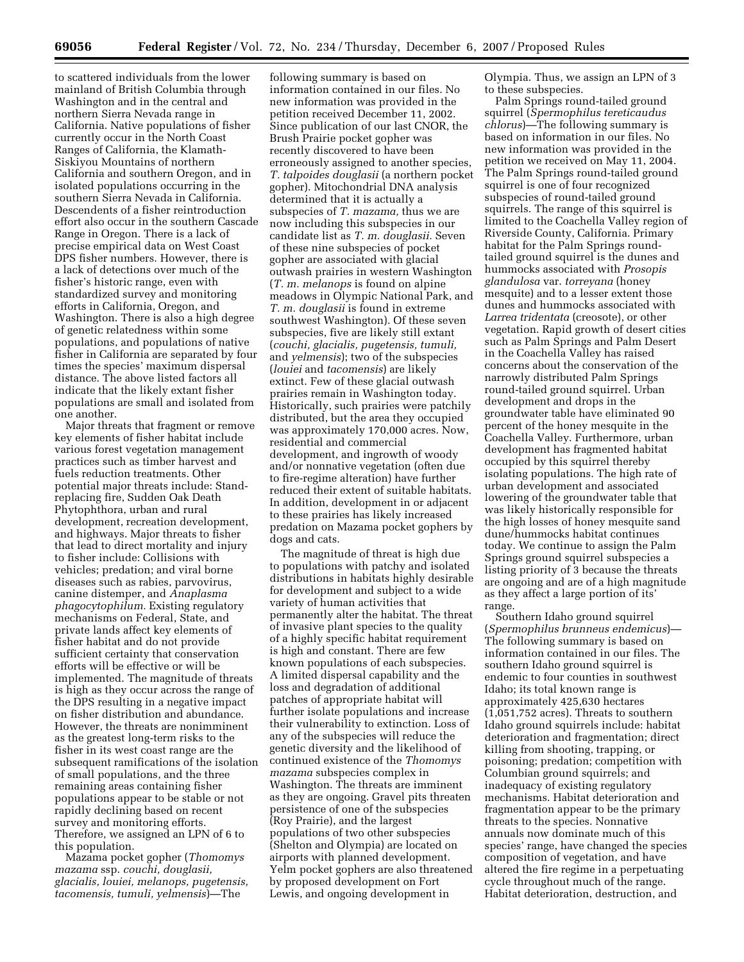to scattered individuals from the lower mainland of British Columbia through Washington and in the central and northern Sierra Nevada range in California. Native populations of fisher currently occur in the North Coast Ranges of California, the Klamath-Siskiyou Mountains of northern California and southern Oregon, and in isolated populations occurring in the southern Sierra Nevada in California. Descendents of a fisher reintroduction effort also occur in the southern Cascade Range in Oregon. There is a lack of precise empirical data on West Coast DPS fisher numbers. However, there is a lack of detections over much of the fisher's historic range, even with standardized survey and monitoring efforts in California, Oregon, and Washington. There is also a high degree of genetic relatedness within some populations, and populations of native fisher in California are separated by four times the species' maximum dispersal distance. The above listed factors all indicate that the likely extant fisher populations are small and isolated from one another.

Major threats that fragment or remove key elements of fisher habitat include various forest vegetation management practices such as timber harvest and fuels reduction treatments. Other potential major threats include: Standreplacing fire, Sudden Oak Death Phytophthora, urban and rural development, recreation development, and highways. Major threats to fisher that lead to direct mortality and injury to fisher include: Collisions with vehicles; predation; and viral borne diseases such as rabies, parvovirus, canine distemper, and *Anaplasma phagocytophilum.* Existing regulatory mechanisms on Federal, State, and private lands affect key elements of fisher habitat and do not provide sufficient certainty that conservation efforts will be effective or will be implemented. The magnitude of threats is high as they occur across the range of the DPS resulting in a negative impact on fisher distribution and abundance. However, the threats are nonimminent as the greatest long-term risks to the fisher in its west coast range are the subsequent ramifications of the isolation of small populations, and the three remaining areas containing fisher populations appear to be stable or not rapidly declining based on recent survey and monitoring efforts. Therefore, we assigned an LPN of 6 to this population.

Mazama pocket gopher (*Thomomys mazama* ssp. *couchi, douglasii, glacialis, louiei, melanops, pugetensis, tacomensis, tumuli, yelmensis*)—The

following summary is based on information contained in our files. No new information was provided in the petition received December 11, 2002. Since publication of our last CNOR, the Brush Prairie pocket gopher was recently discovered to have been erroneously assigned to another species, *T. talpoides douglasii* (a northern pocket gopher). Mitochondrial DNA analysis determined that it is actually a subspecies of *T. mazama,* thus we are now including this subspecies in our candidate list as *T. m. douglasii.* Seven of these nine subspecies of pocket gopher are associated with glacial outwash prairies in western Washington (*T. m. melanops* is found on alpine meadows in Olympic National Park, and *T. m. douglasii* is found in extreme southwest Washington). Of these seven subspecies, five are likely still extant (*couchi, glacialis, pugetensis, tumuli,*  and *yelmensis*); two of the subspecies (*louiei* and *tacomensis*) are likely extinct. Few of these glacial outwash prairies remain in Washington today. Historically, such prairies were patchily distributed, but the area they occupied was approximately 170,000 acres. Now, residential and commercial development, and ingrowth of woody and/or nonnative vegetation (often due to fire-regime alteration) have further reduced their extent of suitable habitats. In addition, development in or adjacent to these prairies has likely increased predation on Mazama pocket gophers by dogs and cats.

The magnitude of threat is high due to populations with patchy and isolated distributions in habitats highly desirable for development and subject to a wide variety of human activities that permanently alter the habitat. The threat of invasive plant species to the quality of a highly specific habitat requirement is high and constant. There are few known populations of each subspecies. A limited dispersal capability and the loss and degradation of additional patches of appropriate habitat will further isolate populations and increase their vulnerability to extinction. Loss of any of the subspecies will reduce the genetic diversity and the likelihood of continued existence of the *Thomomys mazama* subspecies complex in Washington. The threats are imminent as they are ongoing. Gravel pits threaten persistence of one of the subspecies (Roy Prairie), and the largest populations of two other subspecies (Shelton and Olympia) are located on airports with planned development. Yelm pocket gophers are also threatened by proposed development on Fort Lewis, and ongoing development in

Olympia. Thus, we assign an LPN of 3 to these subspecies.

Palm Springs round-tailed ground squirrel (*Spermophilus tereticaudus chlorus*)—The following summary is based on information in our files. No new information was provided in the petition we received on May 11, 2004. The Palm Springs round-tailed ground squirrel is one of four recognized subspecies of round-tailed ground squirrels. The range of this squirrel is limited to the Coachella Valley region of Riverside County, California. Primary habitat for the Palm Springs roundtailed ground squirrel is the dunes and hummocks associated with *Prosopis glandulosa* var. *torreyana* (honey mesquite) and to a lesser extent those dunes and hummocks associated with *Larrea tridentata* (creosote), or other vegetation. Rapid growth of desert cities such as Palm Springs and Palm Desert in the Coachella Valley has raised concerns about the conservation of the narrowly distributed Palm Springs round-tailed ground squirrel. Urban development and drops in the groundwater table have eliminated 90 percent of the honey mesquite in the Coachella Valley. Furthermore, urban development has fragmented habitat occupied by this squirrel thereby isolating populations. The high rate of urban development and associated lowering of the groundwater table that was likely historically responsible for the high losses of honey mesquite sand dune/hummocks habitat continues today. We continue to assign the Palm Springs ground squirrel subspecies a listing priority of 3 because the threats are ongoing and are of a high magnitude as they affect a large portion of its' range.

Southern Idaho ground squirrel (*Spermophilus brunneus endemicus*)— The following summary is based on information contained in our files. The southern Idaho ground squirrel is endemic to four counties in southwest Idaho; its total known range is approximately 425,630 hectares (1,051,752 acres). Threats to southern Idaho ground squirrels include: habitat deterioration and fragmentation; direct killing from shooting, trapping, or poisoning; predation; competition with Columbian ground squirrels; and inadequacy of existing regulatory mechanisms. Habitat deterioration and fragmentation appear to be the primary threats to the species. Nonnative annuals now dominate much of this species' range, have changed the species composition of vegetation, and have altered the fire regime in a perpetuating cycle throughout much of the range. Habitat deterioration, destruction, and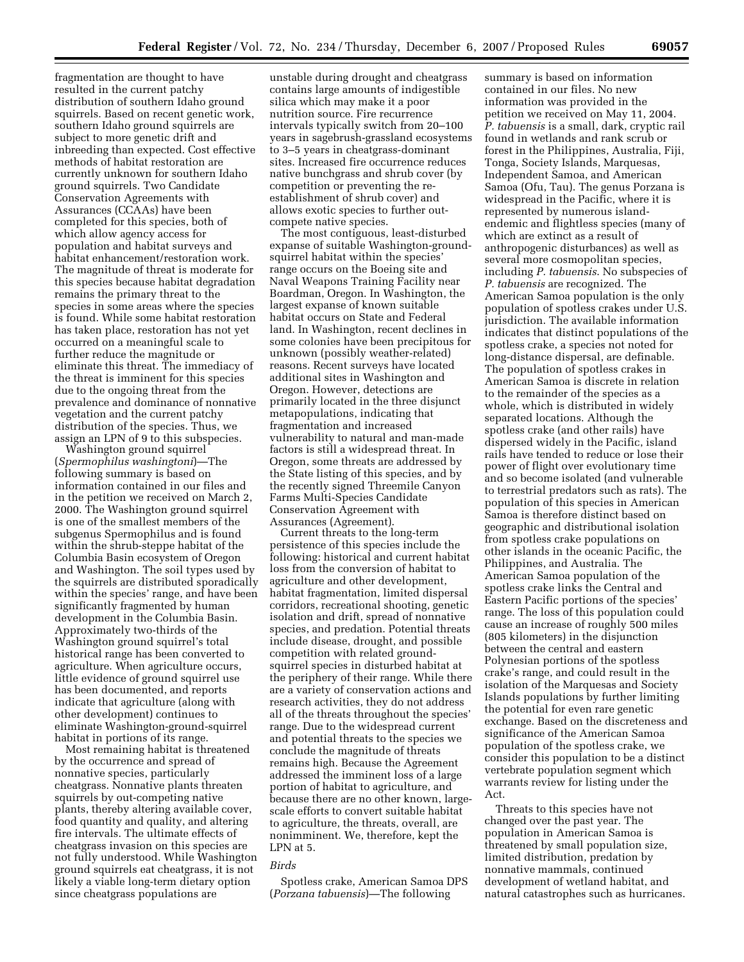fragmentation are thought to have resulted in the current patchy distribution of southern Idaho ground squirrels. Based on recent genetic work, southern Idaho ground squirrels are subject to more genetic drift and inbreeding than expected. Cost effective methods of habitat restoration are currently unknown for southern Idaho ground squirrels. Two Candidate Conservation Agreements with Assurances (CCAAs) have been completed for this species, both of which allow agency access for population and habitat surveys and habitat enhancement/restoration work. The magnitude of threat is moderate for this species because habitat degradation remains the primary threat to the species in some areas where the species is found. While some habitat restoration has taken place, restoration has not yet occurred on a meaningful scale to further reduce the magnitude or eliminate this threat. The immediacy of the threat is imminent for this species due to the ongoing threat from the prevalence and dominance of nonnative vegetation and the current patchy distribution of the species. Thus, we assign an LPN of 9 to this subspecies.

Washington ground squirrel (*Spermophilus washingtoni*)—The following summary is based on information contained in our files and in the petition we received on March 2, 2000. The Washington ground squirrel is one of the smallest members of the subgenus Spermophilus and is found within the shrub-steppe habitat of the Columbia Basin ecosystem of Oregon and Washington. The soil types used by the squirrels are distributed sporadically within the species' range, and have been significantly fragmented by human development in the Columbia Basin. Approximately two-thirds of the Washington ground squirrel's total historical range has been converted to agriculture. When agriculture occurs, little evidence of ground squirrel use has been documented, and reports indicate that agriculture (along with other development) continues to eliminate Washington-ground-squirrel habitat in portions of its range.

Most remaining habitat is threatened by the occurrence and spread of nonnative species, particularly cheatgrass. Nonnative plants threaten squirrels by out-competing native plants, thereby altering available cover, food quantity and quality, and altering fire intervals. The ultimate effects of cheatgrass invasion on this species are not fully understood. While Washington ground squirrels eat cheatgrass, it is not likely a viable long-term dietary option since cheatgrass populations are

unstable during drought and cheatgrass contains large amounts of indigestible silica which may make it a poor nutrition source. Fire recurrence intervals typically switch from 20–100 years in sagebrush-grassland ecosystems to 3–5 years in cheatgrass-dominant sites. Increased fire occurrence reduces native bunchgrass and shrub cover (by competition or preventing the reestablishment of shrub cover) and allows exotic species to further outcompete native species.

The most contiguous, least-disturbed expanse of suitable Washington-groundsquirrel habitat within the species' range occurs on the Boeing site and Naval Weapons Training Facility near Boardman, Oregon. In Washington, the largest expanse of known suitable habitat occurs on State and Federal land. In Washington, recent declines in some colonies have been precipitous for unknown (possibly weather-related) reasons. Recent surveys have located additional sites in Washington and Oregon. However, detections are primarily located in the three disjunct metapopulations, indicating that fragmentation and increased vulnerability to natural and man-made factors is still a widespread threat. In Oregon, some threats are addressed by the State listing of this species, and by the recently signed Threemile Canyon Farms Multi-Species Candidate Conservation Agreement with Assurances (Agreement).

Current threats to the long-term persistence of this species include the following: historical and current habitat loss from the conversion of habitat to agriculture and other development, habitat fragmentation, limited dispersal corridors, recreational shooting, genetic isolation and drift, spread of nonnative species, and predation. Potential threats include disease, drought, and possible competition with related groundsquirrel species in disturbed habitat at the periphery of their range. While there are a variety of conservation actions and research activities, they do not address all of the threats throughout the species' range. Due to the widespread current and potential threats to the species we conclude the magnitude of threats remains high. Because the Agreement addressed the imminent loss of a large portion of habitat to agriculture, and because there are no other known, largescale efforts to convert suitable habitat to agriculture, the threats, overall, are nonimminent. We, therefore, kept the LPN at 5.

## *Birds*

Spotless crake, American Samoa DPS (*Porzana tabuensis*)—The following

summary is based on information contained in our files. No new information was provided in the petition we received on May 11, 2004. *P. tabuensis* is a small, dark, cryptic rail found in wetlands and rank scrub or forest in the Philippines, Australia, Fiji, Tonga, Society Islands, Marquesas, Independent Samoa, and American Samoa (Ofu, Tau). The genus Porzana is widespread in the Pacific, where it is represented by numerous islandendemic and flightless species (many of which are extinct as a result of anthropogenic disturbances) as well as several more cosmopolitan species, including *P. tabuensis*. No subspecies of *P. tabuensis* are recognized. The American Samoa population is the only population of spotless crakes under U.S. jurisdiction. The available information indicates that distinct populations of the spotless crake, a species not noted for long-distance dispersal, are definable. The population of spotless crakes in American Samoa is discrete in relation to the remainder of the species as a whole, which is distributed in widely separated locations. Although the spotless crake (and other rails) have dispersed widely in the Pacific, island rails have tended to reduce or lose their power of flight over evolutionary time and so become isolated (and vulnerable to terrestrial predators such as rats). The population of this species in American Samoa is therefore distinct based on geographic and distributional isolation from spotless crake populations on other islands in the oceanic Pacific, the Philippines, and Australia. The American Samoa population of the spotless crake links the Central and Eastern Pacific portions of the species' range. The loss of this population could cause an increase of roughly 500 miles (805 kilometers) in the disjunction between the central and eastern Polynesian portions of the spotless crake's range, and could result in the isolation of the Marquesas and Society Islands populations by further limiting the potential for even rare genetic exchange. Based on the discreteness and significance of the American Samoa population of the spotless crake, we consider this population to be a distinct vertebrate population segment which warrants review for listing under the Act.

Threats to this species have not changed over the past year. The population in American Samoa is threatened by small population size, limited distribution, predation by nonnative mammals, continued development of wetland habitat, and natural catastrophes such as hurricanes.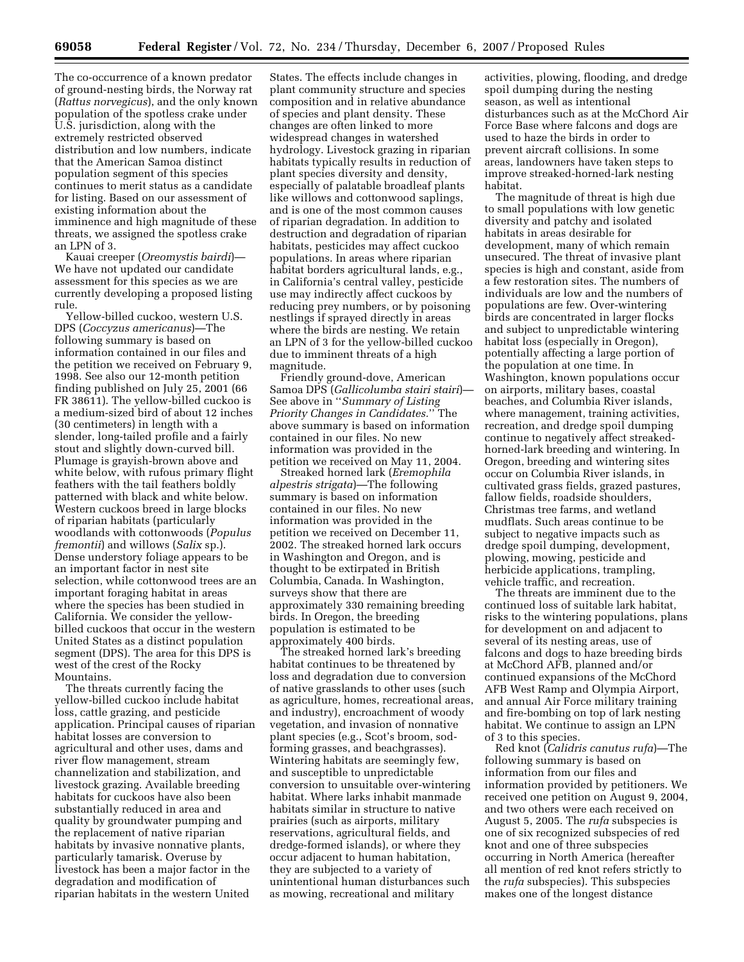The co-occurrence of a known predator of ground-nesting birds, the Norway rat (*Rattus norvegicus*), and the only known population of the spotless crake under U.S. jurisdiction, along with the extremely restricted observed distribution and low numbers, indicate that the American Samoa distinct population segment of this species continues to merit status as a candidate for listing. Based on our assessment of existing information about the imminence and high magnitude of these threats, we assigned the spotless crake an LPN of 3.

Kauai creeper (*Oreomystis bairdi*)— We have not updated our candidate assessment for this species as we are currently developing a proposed listing rule.

Yellow-billed cuckoo, western U.S. DPS (*Coccyzus americanus*)—The following summary is based on information contained in our files and the petition we received on February 9, 1998. See also our 12-month petition finding published on July 25, 2001 (66 FR 38611). The yellow-billed cuckoo is a medium-sized bird of about 12 inches (30 centimeters) in length with a slender, long-tailed profile and a fairly stout and slightly down-curved bill. Plumage is grayish-brown above and white below, with rufous primary flight feathers with the tail feathers boldly patterned with black and white below. Western cuckoos breed in large blocks of riparian habitats (particularly woodlands with cottonwoods (*Populus fremontii*) and willows (*Salix* sp.). Dense understory foliage appears to be an important factor in nest site selection, while cottonwood trees are an important foraging habitat in areas where the species has been studied in California. We consider the yellowbilled cuckoos that occur in the western United States as a distinct population segment (DPS). The area for this DPS is west of the crest of the Rocky Mountains.

The threats currently facing the yellow-billed cuckoo include habitat loss, cattle grazing, and pesticide application. Principal causes of riparian habitat losses are conversion to agricultural and other uses, dams and river flow management, stream channelization and stabilization, and livestock grazing. Available breeding habitats for cuckoos have also been substantially reduced in area and quality by groundwater pumping and the replacement of native riparian habitats by invasive nonnative plants, particularly tamarisk. Overuse by livestock has been a major factor in the degradation and modification of riparian habitats in the western United

States. The effects include changes in plant community structure and species composition and in relative abundance of species and plant density. These changes are often linked to more widespread changes in watershed hydrology. Livestock grazing in riparian habitats typically results in reduction of plant species diversity and density, especially of palatable broadleaf plants like willows and cottonwood saplings, and is one of the most common causes of riparian degradation. In addition to destruction and degradation of riparian habitats, pesticides may affect cuckoo populations. In areas where riparian habitat borders agricultural lands, e.g., in California's central valley, pesticide use may indirectly affect cuckoos by reducing prey numbers, or by poisoning nestlings if sprayed directly in areas where the birds are nesting. We retain an LPN of 3 for the yellow-billed cuckoo due to imminent threats of a high magnitude.

Friendly ground-dove, American Samoa DPS (*Gallicolumba stairi stairi*)— See above in ''*Summary of Listing Priority Changes in Candidates.*'' The above summary is based on information contained in our files. No new information was provided in the petition we received on May 11, 2004.

Streaked horned lark (*Eremophila alpestris strigata*)—The following summary is based on information contained in our files. No new information was provided in the petition we received on December 11, 2002. The streaked horned lark occurs in Washington and Oregon, and is thought to be extirpated in British Columbia, Canada. In Washington, surveys show that there are approximately 330 remaining breeding birds. In Oregon, the breeding population is estimated to be approximately 400 birds.

The streaked horned lark's breeding habitat continues to be threatened by loss and degradation due to conversion of native grasslands to other uses (such as agriculture, homes, recreational areas, and industry), encroachment of woody vegetation, and invasion of nonnative plant species (e.g., Scot's broom, sodforming grasses, and beachgrasses). Wintering habitats are seemingly few, and susceptible to unpredictable conversion to unsuitable over-wintering habitat. Where larks inhabit manmade habitats similar in structure to native prairies (such as airports, military reservations, agricultural fields, and dredge-formed islands), or where they occur adjacent to human habitation, they are subjected to a variety of unintentional human disturbances such as mowing, recreational and military

activities, plowing, flooding, and dredge spoil dumping during the nesting season, as well as intentional disturbances such as at the McChord Air Force Base where falcons and dogs are used to haze the birds in order to prevent aircraft collisions. In some areas, landowners have taken steps to improve streaked-horned-lark nesting habitat.

The magnitude of threat is high due to small populations with low genetic diversity and patchy and isolated habitats in areas desirable for development, many of which remain unsecured. The threat of invasive plant species is high and constant, aside from a few restoration sites. The numbers of individuals are low and the numbers of populations are few. Over-wintering birds are concentrated in larger flocks and subject to unpredictable wintering habitat loss (especially in Oregon), potentially affecting a large portion of the population at one time. In Washington, known populations occur on airports, military bases, coastal beaches, and Columbia River islands, where management, training activities, recreation, and dredge spoil dumping continue to negatively affect streakedhorned-lark breeding and wintering. In Oregon, breeding and wintering sites occur on Columbia River islands, in cultivated grass fields, grazed pastures, fallow fields, roadside shoulders, Christmas tree farms, and wetland mudflats. Such areas continue to be subject to negative impacts such as dredge spoil dumping, development, plowing, mowing, pesticide and herbicide applications, trampling, vehicle traffic, and recreation.

The threats are imminent due to the continued loss of suitable lark habitat, risks to the wintering populations, plans for development on and adjacent to several of its nesting areas, use of falcons and dogs to haze breeding birds at McChord AFB, planned and/or continued expansions of the McChord AFB West Ramp and Olympia Airport, and annual Air Force military training and fire-bombing on top of lark nesting habitat. We continue to assign an LPN of 3 to this species.

Red knot (*Calidris canutus rufa*)—The following summary is based on information from our files and information provided by petitioners. We received one petition on August 9, 2004, and two others were each received on August 5, 2005. The *rufa* subspecies is one of six recognized subspecies of red knot and one of three subspecies occurring in North America (hereafter all mention of red knot refers strictly to the *rufa* subspecies). This subspecies makes one of the longest distance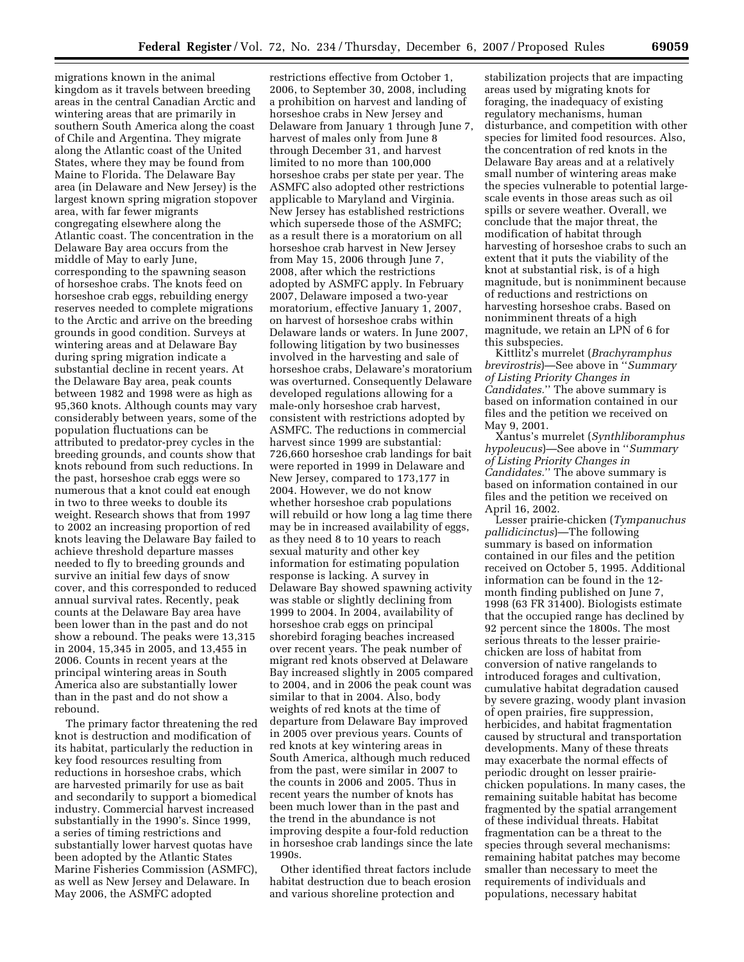migrations known in the animal kingdom as it travels between breeding areas in the central Canadian Arctic and wintering areas that are primarily in southern South America along the coast of Chile and Argentina. They migrate along the Atlantic coast of the United States, where they may be found from Maine to Florida. The Delaware Bay area (in Delaware and New Jersey) is the largest known spring migration stopover area, with far fewer migrants congregating elsewhere along the Atlantic coast. The concentration in the Delaware Bay area occurs from the middle of May to early June, corresponding to the spawning season of horseshoe crabs. The knots feed on horseshoe crab eggs, rebuilding energy reserves needed to complete migrations to the Arctic and arrive on the breeding grounds in good condition. Surveys at wintering areas and at Delaware Bay during spring migration indicate a substantial decline in recent years. At the Delaware Bay area, peak counts between 1982 and 1998 were as high as 95,360 knots. Although counts may vary considerably between years, some of the population fluctuations can be attributed to predator-prey cycles in the breeding grounds, and counts show that knots rebound from such reductions. In the past, horseshoe crab eggs were so numerous that a knot could eat enough in two to three weeks to double its weight. Research shows that from 1997 to 2002 an increasing proportion of red knots leaving the Delaware Bay failed to achieve threshold departure masses needed to fly to breeding grounds and survive an initial few days of snow cover, and this corresponded to reduced annual survival rates. Recently, peak counts at the Delaware Bay area have been lower than in the past and do not show a rebound. The peaks were 13,315 in 2004, 15,345 in 2005, and 13,455 in 2006. Counts in recent years at the principal wintering areas in South America also are substantially lower than in the past and do not show a rebound.

The primary factor threatening the red knot is destruction and modification of its habitat, particularly the reduction in key food resources resulting from reductions in horseshoe crabs, which are harvested primarily for use as bait and secondarily to support a biomedical industry. Commercial harvest increased substantially in the 1990's. Since 1999, a series of timing restrictions and substantially lower harvest quotas have been adopted by the Atlantic States Marine Fisheries Commission (ASMFC), as well as New Jersey and Delaware. In May 2006, the ASMFC adopted

restrictions effective from October 1, 2006, to September 30, 2008, including a prohibition on harvest and landing of horseshoe crabs in New Jersey and Delaware from January 1 through June 7, harvest of males only from June 8 through December 31, and harvest limited to no more than 100,000 horseshoe crabs per state per year. The ASMFC also adopted other restrictions applicable to Maryland and Virginia. New Jersey has established restrictions which supersede those of the ASMFC; as a result there is a moratorium on all horseshoe crab harvest in New Jersey from May 15, 2006 through June 7, 2008, after which the restrictions adopted by ASMFC apply. In February 2007, Delaware imposed a two-year moratorium, effective January 1, 2007, on harvest of horseshoe crabs within Delaware lands or waters. In June 2007, following litigation by two businesses involved in the harvesting and sale of horseshoe crabs, Delaware's moratorium was overturned. Consequently Delaware developed regulations allowing for a male-only horseshoe crab harvest, consistent with restrictions adopted by ASMFC. The reductions in commercial harvest since 1999 are substantial: 726,660 horseshoe crab landings for bait were reported in 1999 in Delaware and New Jersey, compared to 173,177 in 2004. However, we do not know whether horseshoe crab populations will rebuild or how long a lag time there may be in increased availability of eggs, as they need 8 to 10 years to reach sexual maturity and other key information for estimating population response is lacking. A survey in Delaware Bay showed spawning activity was stable or slightly declining from 1999 to 2004. In 2004, availability of horseshoe crab eggs on principal shorebird foraging beaches increased over recent years. The peak number of migrant red knots observed at Delaware Bay increased slightly in 2005 compared to 2004, and in 2006 the peak count was similar to that in 2004. Also, body weights of red knots at the time of departure from Delaware Bay improved in 2005 over previous years. Counts of red knots at key wintering areas in South America, although much reduced from the past, were similar in 2007 to the counts in 2006 and 2005. Thus in recent years the number of knots has been much lower than in the past and the trend in the abundance is not improving despite a four-fold reduction in horseshoe crab landings since the late 1990s.

Other identified threat factors include habitat destruction due to beach erosion and various shoreline protection and

stabilization projects that are impacting areas used by migrating knots for foraging, the inadequacy of existing regulatory mechanisms, human disturbance, and competition with other species for limited food resources. Also, the concentration of red knots in the Delaware Bay areas and at a relatively small number of wintering areas make the species vulnerable to potential largescale events in those areas such as oil spills or severe weather. Overall, we conclude that the major threat, the modification of habitat through harvesting of horseshoe crabs to such an extent that it puts the viability of the knot at substantial risk, is of a high magnitude, but is nonimminent because of reductions and restrictions on harvesting horseshoe crabs. Based on nonimminent threats of a high magnitude, we retain an LPN of 6 for this subspecies.

Kittlitz's murrelet (*Brachyramphus brevirostris*)—See above in ''*Summary of Listing Priority Changes in Candidates.*'' The above summary is based on information contained in our files and the petition we received on May 9, 2001.

Xantus's murrelet (*Synthliboramphus hypoleucus*)—See above in ''*Summary of Listing Priority Changes in Candidates.*'' The above summary is based on information contained in our files and the petition we received on April 16, 2002.

Lesser prairie-chicken (*Tympanuchus pallidicinctus*)—The following summary is based on information contained in our files and the petition received on October 5, 1995. Additional information can be found in the 12 month finding published on June 7, 1998 (63 FR 31400). Biologists estimate that the occupied range has declined by 92 percent since the 1800s. The most serious threats to the lesser prairiechicken are loss of habitat from conversion of native rangelands to introduced forages and cultivation, cumulative habitat degradation caused by severe grazing, woody plant invasion of open prairies, fire suppression, herbicides, and habitat fragmentation caused by structural and transportation developments. Many of these threats may exacerbate the normal effects of periodic drought on lesser prairiechicken populations. In many cases, the remaining suitable habitat has become fragmented by the spatial arrangement of these individual threats. Habitat fragmentation can be a threat to the species through several mechanisms: remaining habitat patches may become smaller than necessary to meet the requirements of individuals and populations, necessary habitat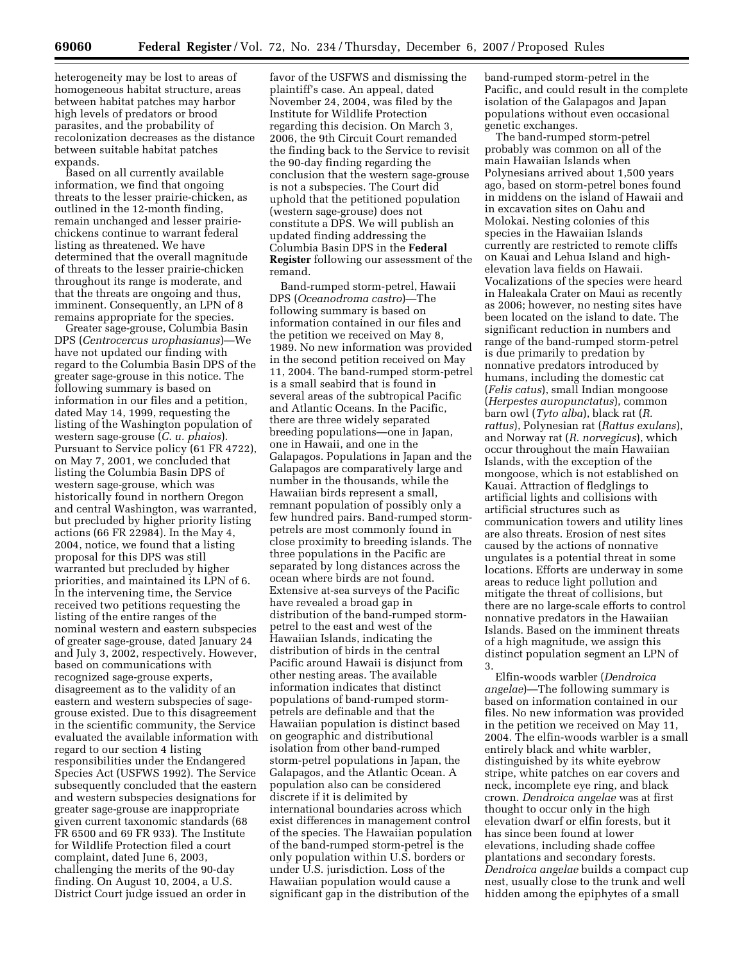heterogeneity may be lost to areas of homogeneous habitat structure, areas between habitat patches may harbor high levels of predators or brood parasites, and the probability of recolonization decreases as the distance between suitable habitat patches expands.

Based on all currently available information, we find that ongoing threats to the lesser prairie-chicken, as outlined in the 12-month finding, remain unchanged and lesser prairiechickens continue to warrant federal listing as threatened. We have determined that the overall magnitude of threats to the lesser prairie-chicken throughout its range is moderate, and that the threats are ongoing and thus, imminent. Consequently, an LPN of 8 remains appropriate for the species.

Greater sage-grouse, Columbia Basin DPS (*Centrocercus urophasianus*)—We have not updated our finding with regard to the Columbia Basin DPS of the greater sage-grouse in this notice. The following summary is based on information in our files and a petition, dated May 14, 1999, requesting the listing of the Washington population of western sage-grouse (*C. u. phaios*). Pursuant to Service policy (61 FR 4722), on May 7, 2001, we concluded that listing the Columbia Basin DPS of western sage-grouse, which was historically found in northern Oregon and central Washington, was warranted, but precluded by higher priority listing actions (66 FR 22984). In the May 4, 2004, notice, we found that a listing proposal for this DPS was still warranted but precluded by higher priorities, and maintained its LPN of 6. In the intervening time, the Service received two petitions requesting the listing of the entire ranges of the nominal western and eastern subspecies of greater sage-grouse, dated January 24 and July 3, 2002, respectively. However, based on communications with recognized sage-grouse experts, disagreement as to the validity of an eastern and western subspecies of sagegrouse existed. Due to this disagreement in the scientific community, the Service evaluated the available information with regard to our section 4 listing responsibilities under the Endangered Species Act (USFWS 1992). The Service subsequently concluded that the eastern and western subspecies designations for greater sage-grouse are inappropriate given current taxonomic standards (68 FR 6500 and 69 FR 933). The Institute for Wildlife Protection filed a court complaint, dated June 6, 2003, challenging the merits of the 90-day finding. On August 10, 2004, a U.S. District Court judge issued an order in

favor of the USFWS and dismissing the plaintiff's case. An appeal, dated November 24, 2004, was filed by the Institute for Wildlife Protection regarding this decision. On March 3, 2006, the 9th Circuit Court remanded the finding back to the Service to revisit the 90-day finding regarding the conclusion that the western sage-grouse is not a subspecies. The Court did uphold that the petitioned population (western sage-grouse) does not constitute a DPS. We will publish an updated finding addressing the Columbia Basin DPS in the **Federal Register** following our assessment of the remand.

Band-rumped storm-petrel, Hawaii DPS (*Oceanodroma castro*)—The following summary is based on information contained in our files and the petition we received on May 8, 1989. No new information was provided in the second petition received on May 11, 2004. The band-rumped storm-petrel is a small seabird that is found in several areas of the subtropical Pacific and Atlantic Oceans. In the Pacific, there are three widely separated breeding populations—one in Japan, one in Hawaii, and one in the Galapagos. Populations in Japan and the Galapagos are comparatively large and number in the thousands, while the Hawaiian birds represent a small, remnant population of possibly only a few hundred pairs. Band-rumped stormpetrels are most commonly found in close proximity to breeding islands. The three populations in the Pacific are separated by long distances across the ocean where birds are not found. Extensive at-sea surveys of the Pacific have revealed a broad gap in distribution of the band-rumped stormpetrel to the east and west of the Hawaiian Islands, indicating the distribution of birds in the central Pacific around Hawaii is disjunct from other nesting areas. The available information indicates that distinct populations of band-rumped stormpetrels are definable and that the Hawaiian population is distinct based on geographic and distributional isolation from other band-rumped storm-petrel populations in Japan, the Galapagos, and the Atlantic Ocean. A population also can be considered discrete if it is delimited by international boundaries across which exist differences in management control of the species. The Hawaiian population of the band-rumped storm-petrel is the only population within U.S. borders or under U.S. jurisdiction. Loss of the Hawaiian population would cause a significant gap in the distribution of the

band-rumped storm-petrel in the Pacific, and could result in the complete isolation of the Galapagos and Japan populations without even occasional genetic exchanges.

The band-rumped storm-petrel probably was common on all of the main Hawaiian Islands when Polynesians arrived about 1,500 years ago, based on storm-petrel bones found in middens on the island of Hawaii and in excavation sites on Oahu and Molokai. Nesting colonies of this species in the Hawaiian Islands currently are restricted to remote cliffs on Kauai and Lehua Island and highelevation lava fields on Hawaii. Vocalizations of the species were heard in Haleakala Crater on Maui as recently as 2006; however, no nesting sites have been located on the island to date. The significant reduction in numbers and range of the band-rumped storm-petrel is due primarily to predation by nonnative predators introduced by humans, including the domestic cat (*Felis catus*), small Indian mongoose (*Herpestes auropunctatus*), common barn owl (*Tyto alba*), black rat (*R. rattus*), Polynesian rat (*Rattus exulans*), and Norway rat (*R. norvegicus*), which occur throughout the main Hawaiian Islands, with the exception of the mongoose, which is not established on Kauai. Attraction of fledglings to artificial lights and collisions with artificial structures such as communication towers and utility lines are also threats. Erosion of nest sites caused by the actions of nonnative ungulates is a potential threat in some locations. Efforts are underway in some areas to reduce light pollution and mitigate the threat of collisions, but there are no large-scale efforts to control nonnative predators in the Hawaiian Islands. Based on the imminent threats of a high magnitude, we assign this distinct population segment an LPN of 3.

Elfin-woods warbler (*Dendroica angelae*)—The following summary is based on information contained in our files. No new information was provided in the petition we received on May 11, 2004. The elfin-woods warbler is a small entirely black and white warbler, distinguished by its white eyebrow stripe, white patches on ear covers and neck, incomplete eye ring, and black crown. *Dendroica angelae* was at first thought to occur only in the high elevation dwarf or elfin forests, but it has since been found at lower elevations, including shade coffee plantations and secondary forests. *Dendroica angelae* builds a compact cup nest, usually close to the trunk and well hidden among the epiphytes of a small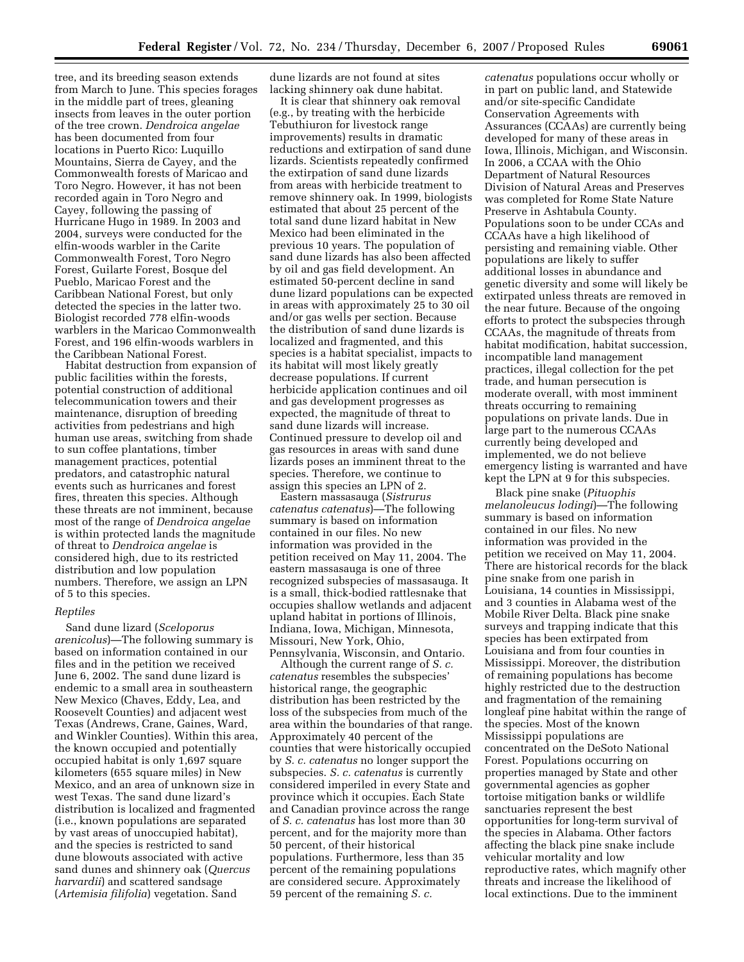tree, and its breeding season extends from March to June. This species forages in the middle part of trees, gleaning insects from leaves in the outer portion of the tree crown. *Dendroica angelae*  has been documented from four locations in Puerto Rico: Luquillo Mountains, Sierra de Cayey, and the Commonwealth forests of Maricao and Toro Negro. However, it has not been recorded again in Toro Negro and Cayey, following the passing of Hurricane Hugo in 1989. In 2003 and 2004, surveys were conducted for the elfin-woods warbler in the Carite Commonwealth Forest, Toro Negro Forest, Guilarte Forest, Bosque del Pueblo, Maricao Forest and the Caribbean National Forest, but only detected the species in the latter two. Biologist recorded 778 elfin-woods warblers in the Maricao Commonwealth Forest, and 196 elfin-woods warblers in the Caribbean National Forest.

Habitat destruction from expansion of public facilities within the forests, potential construction of additional telecommunication towers and their maintenance, disruption of breeding activities from pedestrians and high human use areas, switching from shade to sun coffee plantations, timber management practices, potential predators, and catastrophic natural events such as hurricanes and forest fires, threaten this species. Although these threats are not imminent, because most of the range of *Dendroica angelae*  is within protected lands the magnitude of threat to *Dendroica angelae* is considered high, due to its restricted distribution and low population numbers. Therefore, we assign an LPN of 5 to this species.

## *Reptiles*

Sand dune lizard (*Sceloporus arenicolus*)—The following summary is based on information contained in our files and in the petition we received June 6, 2002. The sand dune lizard is endemic to a small area in southeastern New Mexico (Chaves, Eddy, Lea, and Roosevelt Counties) and adjacent west Texas (Andrews, Crane, Gaines, Ward, and Winkler Counties). Within this area, the known occupied and potentially occupied habitat is only 1,697 square kilometers (655 square miles) in New Mexico, and an area of unknown size in west Texas. The sand dune lizard's distribution is localized and fragmented (i.e., known populations are separated by vast areas of unoccupied habitat), and the species is restricted to sand dune blowouts associated with active sand dunes and shinnery oak (*Quercus harvardii*) and scattered sandsage (*Artemisia filifolia*) vegetation. Sand

dune lizards are not found at sites lacking shinnery oak dune habitat.

It is clear that shinnery oak removal (e.g., by treating with the herbicide Tebuthiuron for livestock range improvements) results in dramatic reductions and extirpation of sand dune lizards. Scientists repeatedly confirmed the extirpation of sand dune lizards from areas with herbicide treatment to remove shinnery oak. In 1999, biologists estimated that about 25 percent of the total sand dune lizard habitat in New Mexico had been eliminated in the previous 10 years. The population of sand dune lizards has also been affected by oil and gas field development. An estimated 50-percent decline in sand dune lizard populations can be expected in areas with approximately 25 to 30 oil and/or gas wells per section. Because the distribution of sand dune lizards is localized and fragmented, and this species is a habitat specialist, impacts to its habitat will most likely greatly decrease populations. If current herbicide application continues and oil and gas development progresses as expected, the magnitude of threat to sand dune lizards will increase. Continued pressure to develop oil and gas resources in areas with sand dune lizards poses an imminent threat to the species. Therefore, we continue to assign this species an LPN of 2.

Eastern massasauga (*Sistrurus catenatus catenatus*)—The following summary is based on information contained in our files. No new information was provided in the petition received on May 11, 2004. The eastern massasauga is one of three recognized subspecies of massasauga. It is a small, thick-bodied rattlesnake that occupies shallow wetlands and adjacent upland habitat in portions of Illinois, Indiana, Iowa, Michigan, Minnesota, Missouri, New York, Ohio, Pennsylvania, Wisconsin, and Ontario.

Although the current range of *S. c. catenatus* resembles the subspecies' historical range, the geographic distribution has been restricted by the loss of the subspecies from much of the area within the boundaries of that range. Approximately 40 percent of the counties that were historically occupied by *S. c. catenatus* no longer support the subspecies. *S. c. catenatus* is currently considered imperiled in every State and province which it occupies. Each State and Canadian province across the range of *S. c. catenatus* has lost more than 30 percent, and for the majority more than 50 percent, of their historical populations. Furthermore, less than 35 percent of the remaining populations are considered secure. Approximately 59 percent of the remaining *S. c.* 

*catenatus* populations occur wholly or in part on public land, and Statewide and/or site-specific Candidate Conservation Agreements with Assurances (CCAAs) are currently being developed for many of these areas in Iowa, Illinois, Michigan, and Wisconsin. In 2006, a CCAA with the Ohio Department of Natural Resources Division of Natural Areas and Preserves was completed for Rome State Nature Preserve in Ashtabula County. Populations soon to be under CCAs and CCAAs have a high likelihood of persisting and remaining viable. Other populations are likely to suffer additional losses in abundance and genetic diversity and some will likely be extirpated unless threats are removed in the near future. Because of the ongoing efforts to protect the subspecies through CCAAs, the magnitude of threats from habitat modification, habitat succession, incompatible land management practices, illegal collection for the pet trade, and human persecution is moderate overall, with most imminent threats occurring to remaining populations on private lands. Due in large part to the numerous CCAAs currently being developed and implemented, we do not believe emergency listing is warranted and have kept the LPN at 9 for this subspecies.

Black pine snake (*Pituophis melanoleucus lodingi*)—The following summary is based on information contained in our files. No new information was provided in the petition we received on May 11, 2004. There are historical records for the black pine snake from one parish in Louisiana, 14 counties in Mississippi, and 3 counties in Alabama west of the Mobile River Delta. Black pine snake surveys and trapping indicate that this species has been extirpated from Louisiana and from four counties in Mississippi. Moreover, the distribution of remaining populations has become highly restricted due to the destruction and fragmentation of the remaining longleaf pine habitat within the range of the species. Most of the known Mississippi populations are concentrated on the DeSoto National Forest. Populations occurring on properties managed by State and other governmental agencies as gopher tortoise mitigation banks or wildlife sanctuaries represent the best opportunities for long-term survival of the species in Alabama. Other factors affecting the black pine snake include vehicular mortality and low reproductive rates, which magnify other threats and increase the likelihood of local extinctions. Due to the imminent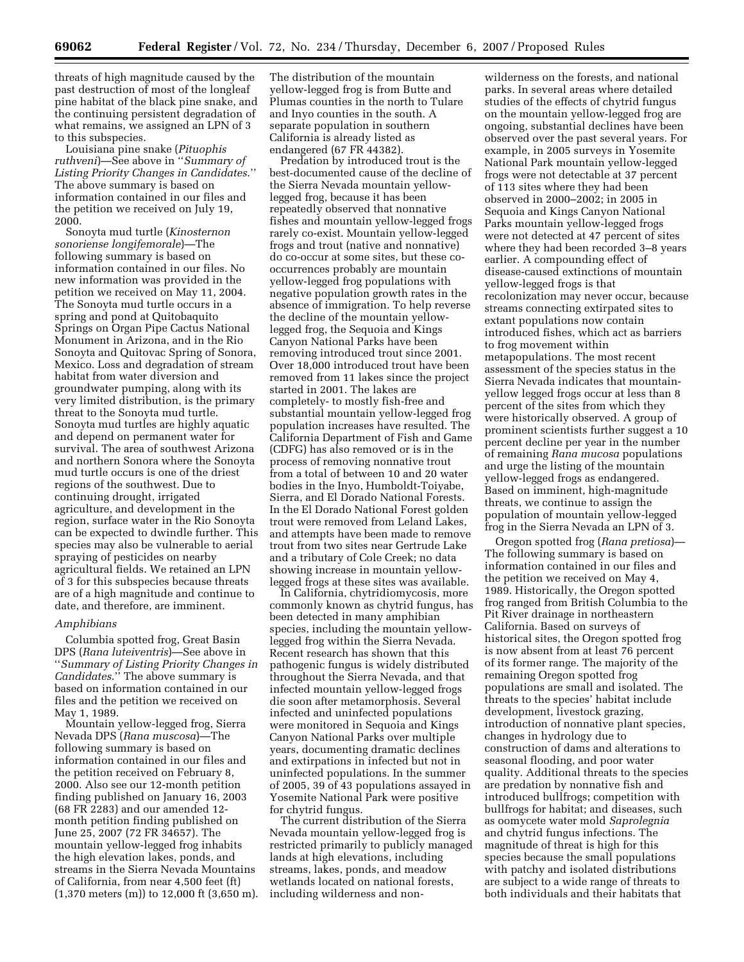threats of high magnitude caused by the past destruction of most of the longleaf pine habitat of the black pine snake, and the continuing persistent degradation of what remains, we assigned an LPN of 3 to this subspecies.

Louisiana pine snake (*Pituophis ruthveni*)—See above in ''*Summary of Listing Priority Changes in Candidates*.'' The above summary is based on information contained in our files and the petition we received on July 19, 2000.

Sonoyta mud turtle (*Kinosternon sonoriense longifemorale*)—The following summary is based on information contained in our files. No new information was provided in the petition we received on May 11, 2004. The Sonoyta mud turtle occurs in a spring and pond at Quitobaquito Springs on Organ Pipe Cactus National Monument in Arizona, and in the Rio Sonoyta and Quitovac Spring of Sonora, Mexico. Loss and degradation of stream habitat from water diversion and groundwater pumping, along with its very limited distribution, is the primary threat to the Sonoyta mud turtle. Sonoyta mud turtles are highly aquatic and depend on permanent water for survival. The area of southwest Arizona and northern Sonora where the Sonoyta mud turtle occurs is one of the driest regions of the southwest. Due to continuing drought, irrigated agriculture, and development in the region, surface water in the Rio Sonoyta can be expected to dwindle further. This species may also be vulnerable to aerial spraying of pesticides on nearby agricultural fields. We retained an LPN of 3 for this subspecies because threats are of a high magnitude and continue to date, and therefore, are imminent.

## *Amphibians*

Columbia spotted frog, Great Basin DPS (*Rana luteiventris*)—See above in ''*Summary of Listing Priority Changes in Candidates*.'' The above summary is based on information contained in our files and the petition we received on May 1, 1989.

Mountain yellow-legged frog, Sierra Nevada DPS (*Rana muscosa*)—The following summary is based on information contained in our files and the petition received on February 8, 2000. Also see our 12-month petition finding published on January 16, 2003 (68 FR 2283) and our amended 12 month petition finding published on June 25, 2007 (72 FR 34657). The mountain yellow-legged frog inhabits the high elevation lakes, ponds, and streams in the Sierra Nevada Mountains of California, from near 4,500 feet (ft) (1,370 meters (m)) to 12,000 ft (3,650 m). The distribution of the mountain yellow-legged frog is from Butte and Plumas counties in the north to Tulare and Inyo counties in the south. A separate population in southern California is already listed as endangered (67 FR 44382).

Predation by introduced trout is the best-documented cause of the decline of the Sierra Nevada mountain yellowlegged frog, because it has been repeatedly observed that nonnative fishes and mountain yellow-legged frogs rarely co-exist. Mountain yellow-legged frogs and trout (native and nonnative) do co-occur at some sites, but these cooccurrences probably are mountain yellow-legged frog populations with negative population growth rates in the absence of immigration. To help reverse the decline of the mountain yellowlegged frog, the Sequoia and Kings Canyon National Parks have been removing introduced trout since 2001. Over 18,000 introduced trout have been removed from 11 lakes since the project started in 2001. The lakes are completely- to mostly fish-free and substantial mountain yellow-legged frog population increases have resulted. The California Department of Fish and Game (CDFG) has also removed or is in the process of removing nonnative trout from a total of between 10 and 20 water bodies in the Inyo, Humboldt-Toiyabe, Sierra, and El Dorado National Forests. In the El Dorado National Forest golden trout were removed from Leland Lakes, and attempts have been made to remove trout from two sites near Gertrude Lake and a tributary of Cole Creek; no data showing increase in mountain yellowlegged frogs at these sites was available.

In California, chytridiomycosis, more commonly known as chytrid fungus, has been detected in many amphibian species, including the mountain yellowlegged frog within the Sierra Nevada. Recent research has shown that this pathogenic fungus is widely distributed throughout the Sierra Nevada, and that infected mountain yellow-legged frogs die soon after metamorphosis. Several infected and uninfected populations were monitored in Sequoia and Kings Canyon National Parks over multiple years, documenting dramatic declines and extirpations in infected but not in uninfected populations. In the summer of 2005, 39 of 43 populations assayed in Yosemite National Park were positive for chytrid fungus.

The current distribution of the Sierra Nevada mountain yellow-legged frog is restricted primarily to publicly managed lands at high elevations, including streams, lakes, ponds, and meadow wetlands located on national forests, including wilderness and non-

wilderness on the forests, and national parks. In several areas where detailed studies of the effects of chytrid fungus on the mountain yellow-legged frog are ongoing, substantial declines have been observed over the past several years. For example, in 2005 surveys in Yosemite National Park mountain yellow-legged frogs were not detectable at 37 percent of 113 sites where they had been observed in 2000–2002; in 2005 in Sequoia and Kings Canyon National Parks mountain yellow-legged frogs were not detected at 47 percent of sites where they had been recorded 3–8 years earlier. A compounding effect of disease-caused extinctions of mountain yellow-legged frogs is that recolonization may never occur, because streams connecting extirpated sites to extant populations now contain introduced fishes, which act as barriers to frog movement within metapopulations. The most recent assessment of the species status in the Sierra Nevada indicates that mountainyellow legged frogs occur at less than 8 percent of the sites from which they were historically observed. A group of prominent scientists further suggest a 10 percent decline per year in the number of remaining *Rana mucosa* populations and urge the listing of the mountain yellow-legged frogs as endangered. Based on imminent, high-magnitude threats, we continue to assign the population of mountain yellow-legged frog in the Sierra Nevada an LPN of 3.

Oregon spotted frog (*Rana pretiosa*)— The following summary is based on information contained in our files and the petition we received on May 4, 1989. Historically, the Oregon spotted frog ranged from British Columbia to the Pit River drainage in northeastern California. Based on surveys of historical sites, the Oregon spotted frog is now absent from at least 76 percent of its former range. The majority of the remaining Oregon spotted frog populations are small and isolated. The threats to the species' habitat include development, livestock grazing, introduction of nonnative plant species, changes in hydrology due to construction of dams and alterations to seasonal flooding, and poor water quality. Additional threats to the species are predation by nonnative fish and introduced bullfrogs; competition with bullfrogs for habitat; and diseases, such as oomycete water mold *Saprolegnia*  and chytrid fungus infections. The magnitude of threat is high for this species because the small populations with patchy and isolated distributions are subject to a wide range of threats to both individuals and their habitats that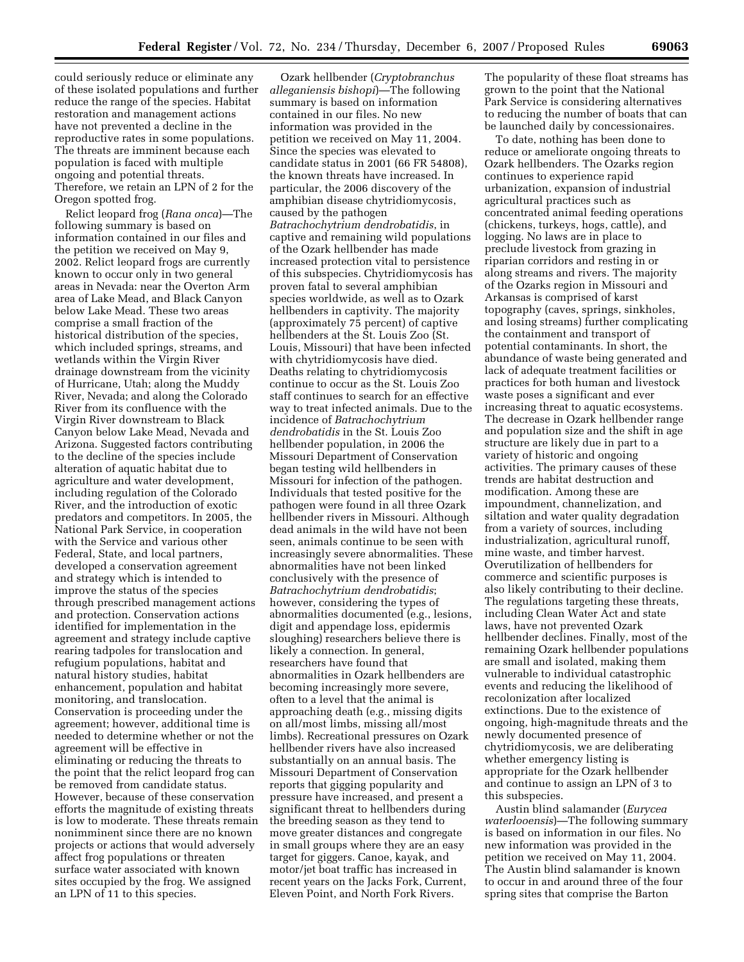could seriously reduce or eliminate any of these isolated populations and further reduce the range of the species. Habitat restoration and management actions have not prevented a decline in the reproductive rates in some populations. The threats are imminent because each population is faced with multiple ongoing and potential threats. Therefore, we retain an LPN of 2 for the Oregon spotted frog.

Relict leopard frog (*Rana onca*)—The following summary is based on information contained in our files and the petition we received on May 9, 2002. Relict leopard frogs are currently known to occur only in two general areas in Nevada: near the Overton Arm area of Lake Mead, and Black Canyon below Lake Mead. These two areas comprise a small fraction of the historical distribution of the species, which included springs, streams, and wetlands within the Virgin River drainage downstream from the vicinity of Hurricane, Utah; along the Muddy River, Nevada; and along the Colorado River from its confluence with the Virgin River downstream to Black Canyon below Lake Mead, Nevada and Arizona. Suggested factors contributing to the decline of the species include alteration of aquatic habitat due to agriculture and water development, including regulation of the Colorado River, and the introduction of exotic predators and competitors. In 2005, the National Park Service, in cooperation with the Service and various other Federal, State, and local partners, developed a conservation agreement and strategy which is intended to improve the status of the species through prescribed management actions and protection. Conservation actions identified for implementation in the agreement and strategy include captive rearing tadpoles for translocation and refugium populations, habitat and natural history studies, habitat enhancement, population and habitat monitoring, and translocation. Conservation is proceeding under the agreement; however, additional time is needed to determine whether or not the agreement will be effective in eliminating or reducing the threats to the point that the relict leopard frog can be removed from candidate status. However, because of these conservation efforts the magnitude of existing threats is low to moderate. These threats remain nonimminent since there are no known projects or actions that would adversely affect frog populations or threaten surface water associated with known sites occupied by the frog. We assigned an LPN of 11 to this species.

Ozark hellbender (*Cryptobranchus alleganiensis bishopi*)—The following summary is based on information contained in our files. No new information was provided in the petition we received on May 11, 2004. Since the species was elevated to candidate status in 2001 (66 FR 54808), the known threats have increased. In particular, the 2006 discovery of the amphibian disease chytridiomycosis, caused by the pathogen *Batrachochytrium dendrobatidis*, in captive and remaining wild populations of the Ozark hellbender has made increased protection vital to persistence of this subspecies. Chytridiomycosis has proven fatal to several amphibian species worldwide, as well as to Ozark hellbenders in captivity. The majority (approximately 75 percent) of captive hellbenders at the St. Louis Zoo (St. Louis, Missouri) that have been infected with chytridiomycosis have died. Deaths relating to chytridiomycosis continue to occur as the St. Louis Zoo staff continues to search for an effective way to treat infected animals. Due to the incidence of *Batrachochytrium dendrobatidis* in the St. Louis Zoo hellbender population, in 2006 the Missouri Department of Conservation began testing wild hellbenders in Missouri for infection of the pathogen. Individuals that tested positive for the pathogen were found in all three Ozark hellbender rivers in Missouri. Although dead animals in the wild have not been seen, animals continue to be seen with increasingly severe abnormalities. These abnormalities have not been linked conclusively with the presence of *Batrachochytrium dendrobatidis*; however, considering the types of abnormalities documented (e.g., lesions, digit and appendage loss, epidermis sloughing) researchers believe there is likely a connection. In general, researchers have found that abnormalities in Ozark hellbenders are becoming increasingly more severe, often to a level that the animal is approaching death (e.g., missing digits on all/most limbs, missing all/most limbs). Recreational pressures on Ozark hellbender rivers have also increased substantially on an annual basis. The Missouri Department of Conservation reports that gigging popularity and pressure have increased, and present a significant threat to hellbenders during the breeding season as they tend to move greater distances and congregate in small groups where they are an easy target for giggers. Canoe, kayak, and motor/jet boat traffic has increased in recent years on the Jacks Fork, Current, Eleven Point, and North Fork Rivers.

The popularity of these float streams has grown to the point that the National Park Service is considering alternatives to reducing the number of boats that can be launched daily by concessionaires.

To date, nothing has been done to reduce or ameliorate ongoing threats to Ozark hellbenders. The Ozarks region continues to experience rapid urbanization, expansion of industrial agricultural practices such as concentrated animal feeding operations (chickens, turkeys, hogs, cattle), and logging. No laws are in place to preclude livestock from grazing in riparian corridors and resting in or along streams and rivers. The majority of the Ozarks region in Missouri and Arkansas is comprised of karst topography (caves, springs, sinkholes, and losing streams) further complicating the containment and transport of potential contaminants. In short, the abundance of waste being generated and lack of adequate treatment facilities or practices for both human and livestock waste poses a significant and ever increasing threat to aquatic ecosystems. The decrease in Ozark hellbender range and population size and the shift in age structure are likely due in part to a variety of historic and ongoing activities. The primary causes of these trends are habitat destruction and modification. Among these are impoundment, channelization, and siltation and water quality degradation from a variety of sources, including industrialization, agricultural runoff, mine waste, and timber harvest. Overutilization of hellbenders for commerce and scientific purposes is also likely contributing to their decline. The regulations targeting these threats, including Clean Water Act and state laws, have not prevented Ozark hellbender declines. Finally, most of the remaining Ozark hellbender populations are small and isolated, making them vulnerable to individual catastrophic events and reducing the likelihood of recolonization after localized extinctions. Due to the existence of ongoing, high-magnitude threats and the newly documented presence of chytridiomycosis, we are deliberating whether emergency listing is appropriate for the Ozark hellbender and continue to assign an LPN of 3 to this subspecies.

Austin blind salamander (*Eurycea waterlooensis*)—The following summary is based on information in our files. No new information was provided in the petition we received on May 11, 2004. The Austin blind salamander is known to occur in and around three of the four spring sites that comprise the Barton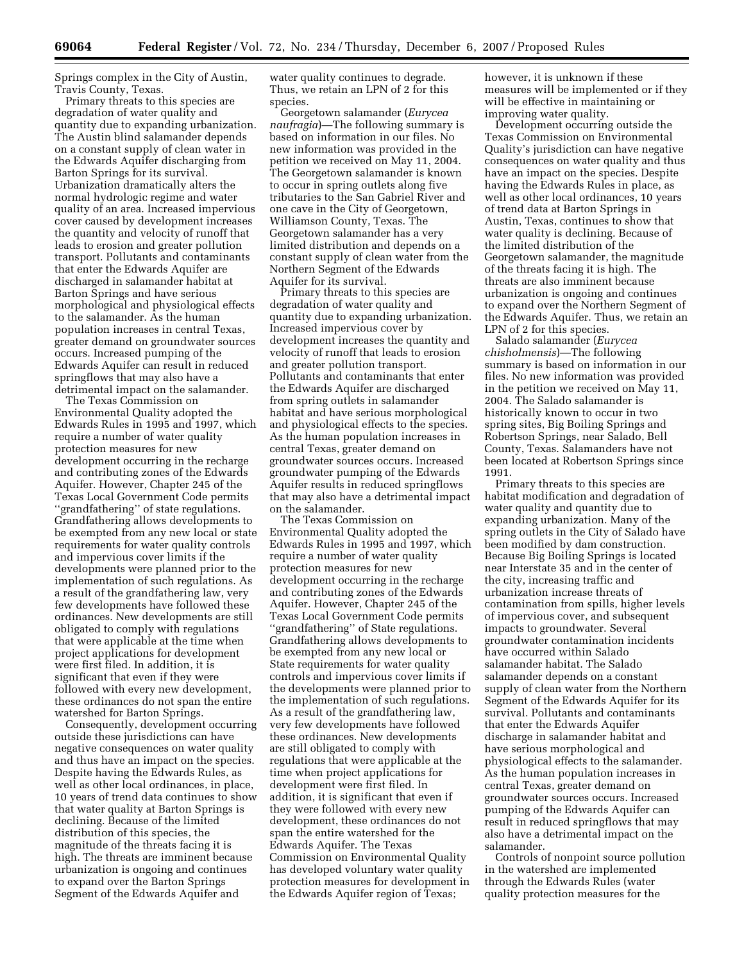Springs complex in the City of Austin, Travis County, Texas.

Primary threats to this species are degradation of water quality and quantity due to expanding urbanization. The Austin blind salamander depends on a constant supply of clean water in the Edwards Aquifer discharging from Barton Springs for its survival. Urbanization dramatically alters the normal hydrologic regime and water quality of an area. Increased impervious cover caused by development increases the quantity and velocity of runoff that leads to erosion and greater pollution transport. Pollutants and contaminants that enter the Edwards Aquifer are discharged in salamander habitat at Barton Springs and have serious morphological and physiological effects to the salamander. As the human population increases in central Texas, greater demand on groundwater sources occurs. Increased pumping of the Edwards Aquifer can result in reduced springflows that may also have a detrimental impact on the salamander.

The Texas Commission on Environmental Quality adopted the Edwards Rules in 1995 and 1997, which require a number of water quality protection measures for new development occurring in the recharge and contributing zones of the Edwards Aquifer. However, Chapter 245 of the Texas Local Government Code permits ''grandfathering'' of state regulations. Grandfathering allows developments to be exempted from any new local or state requirements for water quality controls and impervious cover limits if the developments were planned prior to the implementation of such regulations. As a result of the grandfathering law, very few developments have followed these ordinances. New developments are still obligated to comply with regulations that were applicable at the time when project applications for development were first filed. In addition, it is significant that even if they were followed with every new development, these ordinances do not span the entire watershed for Barton Springs.

Consequently, development occurring outside these jurisdictions can have negative consequences on water quality and thus have an impact on the species. Despite having the Edwards Rules, as well as other local ordinances, in place, 10 years of trend data continues to show that water quality at Barton Springs is declining. Because of the limited distribution of this species, the magnitude of the threats facing it is high. The threats are imminent because urbanization is ongoing and continues to expand over the Barton Springs Segment of the Edwards Aquifer and

water quality continues to degrade. Thus, we retain an LPN of 2 for this species.

Georgetown salamander (*Eurycea naufragia*)—The following summary is based on information in our files. No new information was provided in the petition we received on May 11, 2004. The Georgetown salamander is known to occur in spring outlets along five tributaries to the San Gabriel River and one cave in the City of Georgetown, Williamson County, Texas. The Georgetown salamander has a very limited distribution and depends on a constant supply of clean water from the Northern Segment of the Edwards Aquifer for its survival.

Primary threats to this species are degradation of water quality and quantity due to expanding urbanization. Increased impervious cover by development increases the quantity and velocity of runoff that leads to erosion and greater pollution transport. Pollutants and contaminants that enter the Edwards Aquifer are discharged from spring outlets in salamander habitat and have serious morphological and physiological effects to the species. As the human population increases in central Texas, greater demand on groundwater sources occurs. Increased groundwater pumping of the Edwards Aquifer results in reduced springflows that may also have a detrimental impact on the salamander.

The Texas Commission on Environmental Quality adopted the Edwards Rules in 1995 and 1997, which require a number of water quality protection measures for new development occurring in the recharge and contributing zones of the Edwards Aquifer. However, Chapter 245 of the Texas Local Government Code permits ''grandfathering'' of State regulations. Grandfathering allows developments to be exempted from any new local or State requirements for water quality controls and impervious cover limits if the developments were planned prior to the implementation of such regulations. As a result of the grandfathering law, very few developments have followed these ordinances. New developments are still obligated to comply with regulations that were applicable at the time when project applications for development were first filed. In addition, it is significant that even if they were followed with every new development, these ordinances do not span the entire watershed for the Edwards Aquifer. The Texas Commission on Environmental Quality has developed voluntary water quality protection measures for development in the Edwards Aquifer region of Texas;

however, it is unknown if these measures will be implemented or if they will be effective in maintaining or improving water quality.

Development occurring outside the Texas Commission on Environmental Quality's jurisdiction can have negative consequences on water quality and thus have an impact on the species. Despite having the Edwards Rules in place, as well as other local ordinances, 10 years of trend data at Barton Springs in Austin, Texas, continues to show that water quality is declining. Because of the limited distribution of the Georgetown salamander, the magnitude of the threats facing it is high. The threats are also imminent because urbanization is ongoing and continues to expand over the Northern Segment of the Edwards Aquifer. Thus, we retain an LPN of 2 for this species.

Salado salamander (*Eurycea chisholmensis*)—The following summary is based on information in our files. No new information was provided in the petition we received on May 11, 2004. The Salado salamander is historically known to occur in two spring sites, Big Boiling Springs and Robertson Springs, near Salado, Bell County, Texas. Salamanders have not been located at Robertson Springs since 1991.

Primary threats to this species are habitat modification and degradation of water quality and quantity due to expanding urbanization. Many of the spring outlets in the City of Salado have been modified by dam construction. Because Big Boiling Springs is located near Interstate 35 and in the center of the city, increasing traffic and urbanization increase threats of contamination from spills, higher levels of impervious cover, and subsequent impacts to groundwater. Several groundwater contamination incidents have occurred within Salado salamander habitat. The Salado salamander depends on a constant supply of clean water from the Northern Segment of the Edwards Aquifer for its survival. Pollutants and contaminants that enter the Edwards Aquifer discharge in salamander habitat and have serious morphological and physiological effects to the salamander. As the human population increases in central Texas, greater demand on groundwater sources occurs. Increased pumping of the Edwards Aquifer can result in reduced springflows that may also have a detrimental impact on the salamander.

Controls of nonpoint source pollution in the watershed are implemented through the Edwards Rules (water quality protection measures for the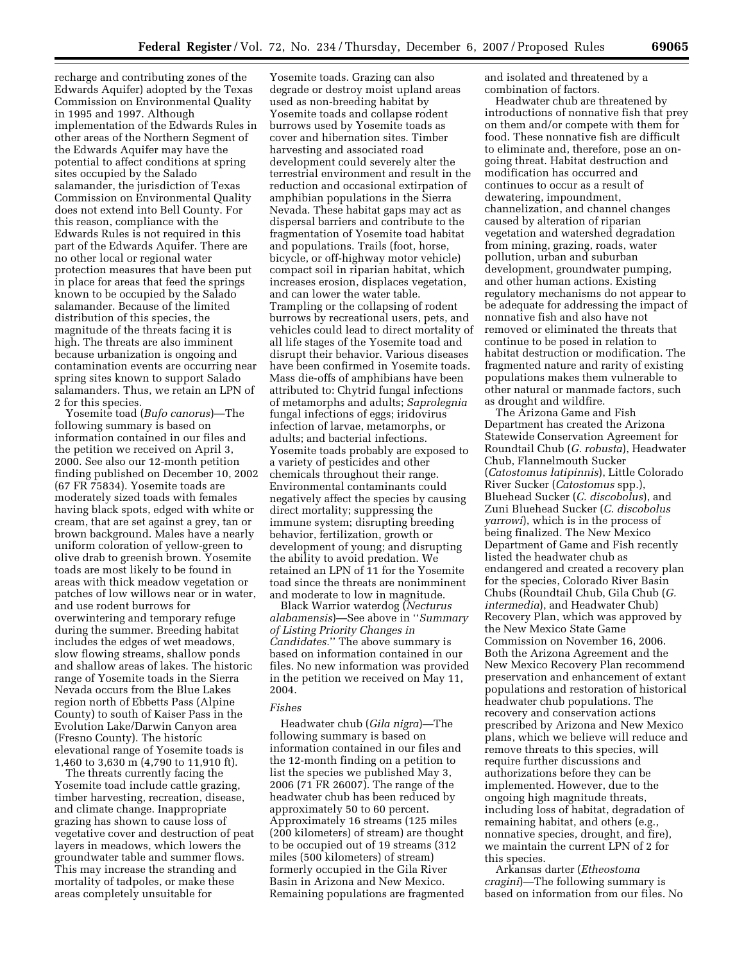recharge and contributing zones of the Edwards Aquifer) adopted by the Texas Commission on Environmental Quality in 1995 and 1997. Although implementation of the Edwards Rules in other areas of the Northern Segment of the Edwards Aquifer may have the potential to affect conditions at spring sites occupied by the Salado salamander, the jurisdiction of Texas Commission on Environmental Quality does not extend into Bell County. For this reason, compliance with the Edwards Rules is not required in this part of the Edwards Aquifer. There are no other local or regional water protection measures that have been put in place for areas that feed the springs known to be occupied by the Salado salamander. Because of the limited distribution of this species, the magnitude of the threats facing it is high. The threats are also imminent because urbanization is ongoing and contamination events are occurring near spring sites known to support Salado salamanders. Thus, we retain an LPN of 2 for this species.

Yosemite toad (*Bufo canorus*)—The following summary is based on information contained in our files and the petition we received on April 3, 2000. See also our 12-month petition finding published on December 10, 2002 (67 FR 75834). Yosemite toads are moderately sized toads with females having black spots, edged with white or cream, that are set against a grey, tan or brown background. Males have a nearly uniform coloration of yellow-green to olive drab to greenish brown. Yosemite toads are most likely to be found in areas with thick meadow vegetation or patches of low willows near or in water, and use rodent burrows for overwintering and temporary refuge during the summer. Breeding habitat includes the edges of wet meadows, slow flowing streams, shallow ponds and shallow areas of lakes. The historic range of Yosemite toads in the Sierra Nevada occurs from the Blue Lakes region north of Ebbetts Pass (Alpine County) to south of Kaiser Pass in the Evolution Lake/Darwin Canyon area (Fresno County). The historic elevational range of Yosemite toads is 1,460 to 3,630 m (4,790 to 11,910 ft).

The threats currently facing the Yosemite toad include cattle grazing, timber harvesting, recreation, disease, and climate change. Inappropriate grazing has shown to cause loss of vegetative cover and destruction of peat layers in meadows, which lowers the groundwater table and summer flows. This may increase the stranding and mortality of tadpoles, or make these areas completely unsuitable for

Yosemite toads. Grazing can also degrade or destroy moist upland areas used as non-breeding habitat by Yosemite toads and collapse rodent burrows used by Yosemite toads as cover and hibernation sites. Timber harvesting and associated road development could severely alter the terrestrial environment and result in the reduction and occasional extirpation of amphibian populations in the Sierra Nevada. These habitat gaps may act as dispersal barriers and contribute to the fragmentation of Yosemite toad habitat and populations. Trails (foot, horse, bicycle, or off-highway motor vehicle) compact soil in riparian habitat, which increases erosion, displaces vegetation, and can lower the water table. Trampling or the collapsing of rodent burrows by recreational users, pets, and vehicles could lead to direct mortality of all life stages of the Yosemite toad and disrupt their behavior. Various diseases have been confirmed in Yosemite toads. Mass die-offs of amphibians have been attributed to: Chytrid fungal infections of metamorphs and adults; *Saprolegnia*  fungal infections of eggs; iridovirus infection of larvae, metamorphs, or adults; and bacterial infections. Yosemite toads probably are exposed to a variety of pesticides and other chemicals throughout their range. Environmental contaminants could negatively affect the species by causing direct mortality; suppressing the immune system; disrupting breeding behavior, fertilization, growth or development of young; and disrupting the ability to avoid predation. We retained an LPN of 11 for the Yosemite toad since the threats are nonimminent and moderate to low in magnitude.

Black Warrior waterdog (*Necturus alabamensis*)—See above in ''*Summary of Listing Priority Changes in Candidates.*'' The above summary is based on information contained in our files. No new information was provided in the petition we received on May 11, 2004.

## *Fishes*

Headwater chub (*Gila nigra*)—The following summary is based on information contained in our files and the 12-month finding on a petition to list the species we published May 3, 2006 (71 FR 26007). The range of the headwater chub has been reduced by approximately 50 to 60 percent. Approximately 16 streams (125 miles (200 kilometers) of stream) are thought to be occupied out of 19 streams (312 miles (500 kilometers) of stream) formerly occupied in the Gila River Basin in Arizona and New Mexico. Remaining populations are fragmented and isolated and threatened by a combination of factors.

Headwater chub are threatened by introductions of nonnative fish that prey on them and/or compete with them for food. These nonnative fish are difficult to eliminate and, therefore, pose an ongoing threat. Habitat destruction and modification has occurred and continues to occur as a result of dewatering, impoundment, channelization, and channel changes caused by alteration of riparian vegetation and watershed degradation from mining, grazing, roads, water pollution, urban and suburban development, groundwater pumping, and other human actions. Existing regulatory mechanisms do not appear to be adequate for addressing the impact of nonnative fish and also have not removed or eliminated the threats that continue to be posed in relation to habitat destruction or modification. The fragmented nature and rarity of existing populations makes them vulnerable to other natural or manmade factors, such as drought and wildfire.

The Arizona Game and Fish Department has created the Arizona Statewide Conservation Agreement for Roundtail Chub (*G. robusta*), Headwater Chub, Flannelmouth Sucker (*Catostomus latipinnis*), Little Colorado River Sucker (*Catostomus* spp.), Bluehead Sucker (*C. discobolus*), and Zuni Bluehead Sucker (*C. discobolus yarrowi*), which is in the process of being finalized. The New Mexico Department of Game and Fish recently listed the headwater chub as endangered and created a recovery plan for the species, Colorado River Basin Chubs (Roundtail Chub, Gila Chub (*G. intermedia*), and Headwater Chub) Recovery Plan, which was approved by the New Mexico State Game Commission on November 16, 2006. Both the Arizona Agreement and the New Mexico Recovery Plan recommend preservation and enhancement of extant populations and restoration of historical headwater chub populations. The recovery and conservation actions prescribed by Arizona and New Mexico plans, which we believe will reduce and remove threats to this species, will require further discussions and authorizations before they can be implemented. However, due to the ongoing high magnitude threats, including loss of habitat, degradation of remaining habitat, and others (e.g., nonnative species, drought, and fire), we maintain the current LPN of 2 for this species.

Arkansas darter (*Etheostoma cragini*)—The following summary is based on information from our files. No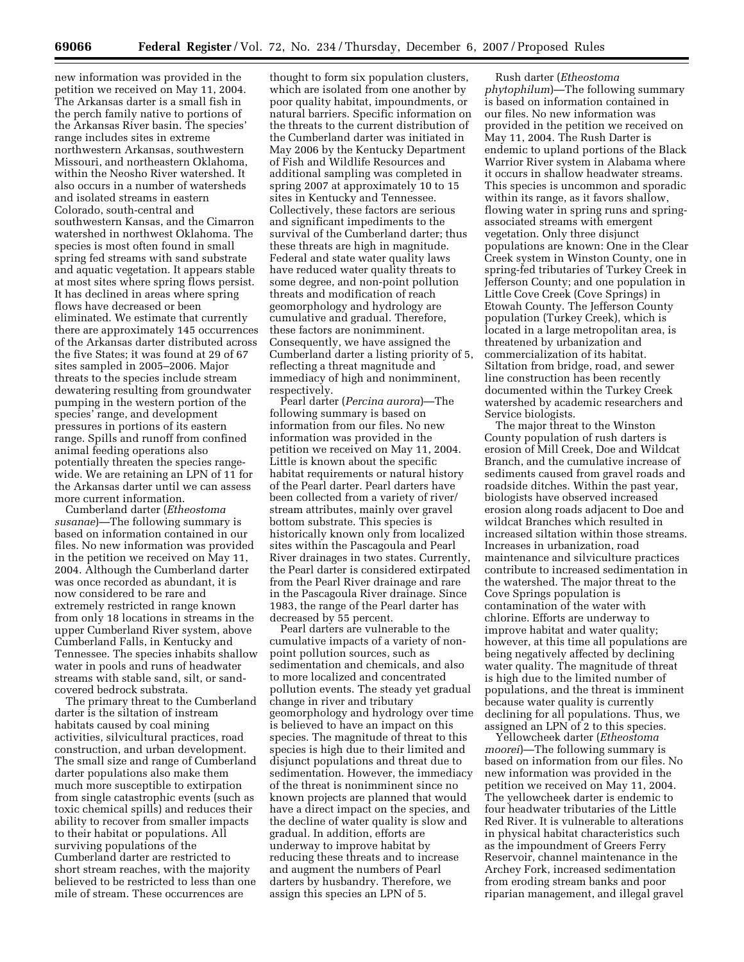new information was provided in the petition we received on May 11, 2004. The Arkansas darter is a small fish in the perch family native to portions of the Arkansas River basin. The species' range includes sites in extreme northwestern Arkansas, southwestern Missouri, and northeastern Oklahoma, within the Neosho River watershed. It also occurs in a number of watersheds and isolated streams in eastern Colorado, south-central and southwestern Kansas, and the Cimarron watershed in northwest Oklahoma. The species is most often found in small spring fed streams with sand substrate and aquatic vegetation. It appears stable at most sites where spring flows persist. It has declined in areas where spring flows have decreased or been eliminated. We estimate that currently there are approximately 145 occurrences of the Arkansas darter distributed across the five States; it was found at 29 of 67 sites sampled in 2005–2006. Major threats to the species include stream dewatering resulting from groundwater pumping in the western portion of the species' range, and development pressures in portions of its eastern range. Spills and runoff from confined animal feeding operations also potentially threaten the species rangewide. We are retaining an LPN of 11 for the Arkansas darter until we can assess more current information.

Cumberland darter (*Etheostoma susanae*)—The following summary is based on information contained in our files. No new information was provided in the petition we received on May 11, 2004. Although the Cumberland darter was once recorded as abundant, it is now considered to be rare and extremely restricted in range known from only 18 locations in streams in the upper Cumberland River system, above Cumberland Falls, in Kentucky and Tennessee. The species inhabits shallow water in pools and runs of headwater streams with stable sand, silt, or sandcovered bedrock substrata.

The primary threat to the Cumberland darter is the siltation of instream habitats caused by coal mining activities, silvicultural practices, road construction, and urban development. The small size and range of Cumberland darter populations also make them much more susceptible to extirpation from single catastrophic events (such as toxic chemical spills) and reduces their ability to recover from smaller impacts to their habitat or populations. All surviving populations of the Cumberland darter are restricted to short stream reaches, with the majority believed to be restricted to less than one mile of stream. These occurrences are

thought to form six population clusters, which are isolated from one another by poor quality habitat, impoundments, or natural barriers. Specific information on the threats to the current distribution of the Cumberland darter was initiated in May 2006 by the Kentucky Department of Fish and Wildlife Resources and additional sampling was completed in spring 2007 at approximately 10 to 15 sites in Kentucky and Tennessee. Collectively, these factors are serious and significant impediments to the survival of the Cumberland darter; thus these threats are high in magnitude. Federal and state water quality laws have reduced water quality threats to some degree, and non-point pollution threats and modification of reach geomorphology and hydrology are cumulative and gradual. Therefore, these factors are nonimminent. Consequently, we have assigned the Cumberland darter a listing priority of 5, reflecting a threat magnitude and immediacy of high and nonimminent, respectively.

Pearl darter (*Percina aurora*)—The following summary is based on information from our files. No new information was provided in the petition we received on May 11, 2004. Little is known about the specific habitat requirements or natural history of the Pearl darter. Pearl darters have been collected from a variety of river/ stream attributes, mainly over gravel bottom substrate. This species is historically known only from localized sites within the Pascagoula and Pearl River drainages in two states. Currently, the Pearl darter is considered extirpated from the Pearl River drainage and rare in the Pascagoula River drainage. Since 1983, the range of the Pearl darter has decreased by 55 percent.

Pearl darters are vulnerable to the cumulative impacts of a variety of nonpoint pollution sources, such as sedimentation and chemicals, and also to more localized and concentrated pollution events. The steady yet gradual change in river and tributary geomorphology and hydrology over time is believed to have an impact on this species. The magnitude of threat to this species is high due to their limited and disjunct populations and threat due to sedimentation. However, the immediacy of the threat is nonimminent since no known projects are planned that would have a direct impact on the species, and the decline of water quality is slow and gradual. In addition, efforts are underway to improve habitat by reducing these threats and to increase and augment the numbers of Pearl darters by husbandry. Therefore, we assign this species an LPN of 5.

Rush darter (*Etheostoma phytophilum*)—The following summary is based on information contained in our files. No new information was provided in the petition we received on May 11, 2004. The Rush Darter is endemic to upland portions of the Black Warrior River system in Alabama where it occurs in shallow headwater streams. This species is uncommon and sporadic within its range, as it favors shallow, flowing water in spring runs and springassociated streams with emergent vegetation. Only three disjunct populations are known: One in the Clear Creek system in Winston County, one in spring-fed tributaries of Turkey Creek in Jefferson County; and one population in Little Cove Creek (Cove Springs) in Etowah County. The Jefferson County population (Turkey Creek), which is located in a large metropolitan area, is threatened by urbanization and commercialization of its habitat. Siltation from bridge, road, and sewer line construction has been recently documented within the Turkey Creek watershed by academic researchers and Service biologists.

The major threat to the Winston County population of rush darters is erosion of Mill Creek, Doe and Wildcat Branch, and the cumulative increase of sediments caused from gravel roads and roadside ditches. Within the past year, biologists have observed increased erosion along roads adjacent to Doe and wildcat Branches which resulted in increased siltation within those streams. Increases in urbanization, road maintenance and silviculture practices contribute to increased sedimentation in the watershed. The major threat to the Cove Springs population is contamination of the water with chlorine. Efforts are underway to improve habitat and water quality; however, at this time all populations are being negatively affected by declining water quality. The magnitude of threat is high due to the limited number of populations, and the threat is imminent because water quality is currently declining for all populations. Thus, we assigned an LPN of 2 to this species.

Yellowcheek darter (*Etheostoma moorei*)—The following summary is based on information from our files. No new information was provided in the petition we received on May 11, 2004. The yellowcheek darter is endemic to four headwater tributaries of the Little Red River. It is vulnerable to alterations in physical habitat characteristics such as the impoundment of Greers Ferry Reservoir, channel maintenance in the Archey Fork, increased sedimentation from eroding stream banks and poor riparian management, and illegal gravel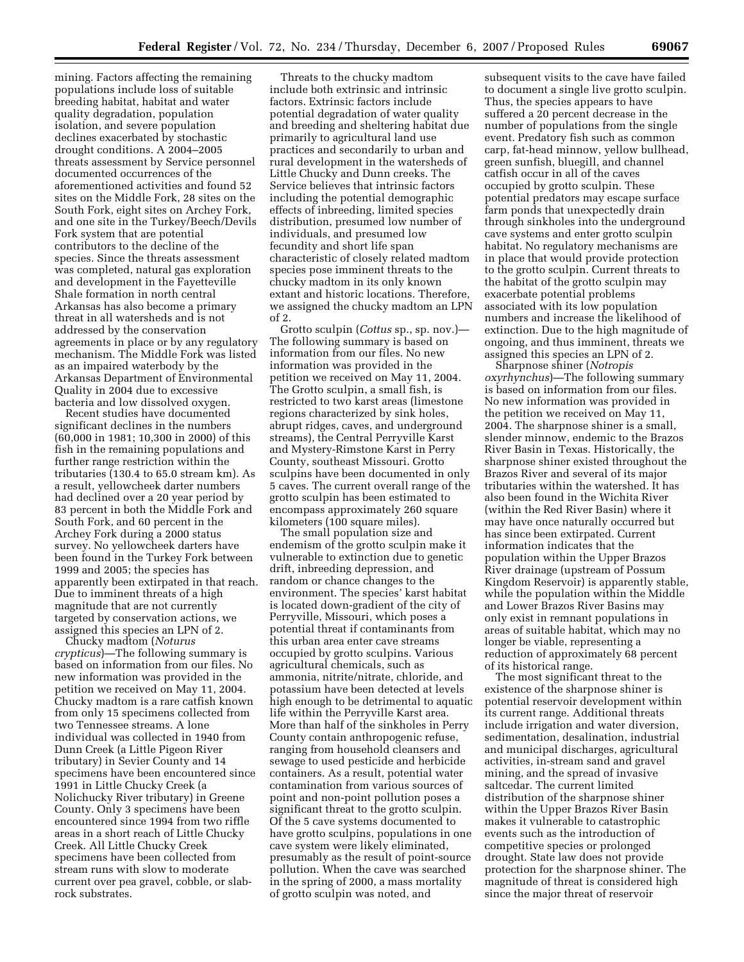mining. Factors affecting the remaining populations include loss of suitable breeding habitat, habitat and water quality degradation, population isolation, and severe population declines exacerbated by stochastic drought conditions. A 2004–2005 threats assessment by Service personnel documented occurrences of the aforementioned activities and found 52 sites on the Middle Fork, 28 sites on the South Fork, eight sites on Archey Fork, and one site in the Turkey/Beech/Devils Fork system that are potential contributors to the decline of the species. Since the threats assessment was completed, natural gas exploration and development in the Fayetteville Shale formation in north central Arkansas has also become a primary threat in all watersheds and is not addressed by the conservation agreements in place or by any regulatory mechanism. The Middle Fork was listed as an impaired waterbody by the Arkansas Department of Environmental Quality in 2004 due to excessive bacteria and low dissolved oxygen.

Recent studies have documented significant declines in the numbers (60,000 in 1981; 10,300 in 2000) of this fish in the remaining populations and further range restriction within the tributaries (130.4 to 65.0 stream km). As a result, yellowcheek darter numbers had declined over a 20 year period by 83 percent in both the Middle Fork and South Fork, and 60 percent in the Archey Fork during a 2000 status survey. No yellowcheek darters have been found in the Turkey Fork between 1999 and 2005; the species has apparently been extirpated in that reach. Due to imminent threats of a high magnitude that are not currently targeted by conservation actions, we assigned this species an LPN of 2.

Chucky madtom (*Noturus crypticus*)—The following summary is based on information from our files. No new information was provided in the petition we received on May 11, 2004. Chucky madtom is a rare catfish known from only 15 specimens collected from two Tennessee streams. A lone individual was collected in 1940 from Dunn Creek (a Little Pigeon River tributary) in Sevier County and 14 specimens have been encountered since 1991 in Little Chucky Creek (a Nolichucky River tributary) in Greene County. Only 3 specimens have been encountered since 1994 from two riffle areas in a short reach of Little Chucky Creek. All Little Chucky Creek specimens have been collected from stream runs with slow to moderate current over pea gravel, cobble, or slabrock substrates.

Threats to the chucky madtom include both extrinsic and intrinsic factors. Extrinsic factors include potential degradation of water quality and breeding and sheltering habitat due primarily to agricultural land use practices and secondarily to urban and rural development in the watersheds of Little Chucky and Dunn creeks. The Service believes that intrinsic factors including the potential demographic effects of inbreeding, limited species distribution, presumed low number of individuals, and presumed low fecundity and short life span characteristic of closely related madtom species pose imminent threats to the chucky madtom in its only known extant and historic locations. Therefore, we assigned the chucky madtom an LPN of 2.

Grotto sculpin (*Cottus* sp., sp. nov.)— The following summary is based on information from our files. No new information was provided in the petition we received on May 11, 2004. The Grotto sculpin, a small fish, is restricted to two karst areas (limestone regions characterized by sink holes, abrupt ridges, caves, and underground streams), the Central Perryville Karst and Mystery-Rimstone Karst in Perry County, southeast Missouri. Grotto sculpins have been documented in only 5 caves. The current overall range of the grotto sculpin has been estimated to encompass approximately 260 square kilometers (100 square miles).

The small population size and endemism of the grotto sculpin make it vulnerable to extinction due to genetic drift, inbreeding depression, and random or chance changes to the environment. The species' karst habitat is located down-gradient of the city of Perryville, Missouri, which poses a potential threat if contaminants from this urban area enter cave streams occupied by grotto sculpins. Various agricultural chemicals, such as ammonia, nitrite/nitrate, chloride, and potassium have been detected at levels high enough to be detrimental to aquatic life within the Perryville Karst area. More than half of the sinkholes in Perry County contain anthropogenic refuse, ranging from household cleansers and sewage to used pesticide and herbicide containers. As a result, potential water contamination from various sources of point and non-point pollution poses a significant threat to the grotto sculpin. Of the 5 cave systems documented to have grotto sculpins, populations in one cave system were likely eliminated, presumably as the result of point-source pollution. When the cave was searched in the spring of 2000, a mass mortality of grotto sculpin was noted, and

subsequent visits to the cave have failed to document a single live grotto sculpin. Thus, the species appears to have suffered a 20 percent decrease in the number of populations from the single event. Predatory fish such as common carp, fat-head minnow, yellow bullhead, green sunfish, bluegill, and channel catfish occur in all of the caves occupied by grotto sculpin. These potential predators may escape surface farm ponds that unexpectedly drain through sinkholes into the underground cave systems and enter grotto sculpin habitat. No regulatory mechanisms are in place that would provide protection to the grotto sculpin. Current threats to the habitat of the grotto sculpin may exacerbate potential problems associated with its low population numbers and increase the likelihood of extinction. Due to the high magnitude of ongoing, and thus imminent, threats we assigned this species an LPN of 2.

Sharpnose shiner (*Notropis oxyrhynchus*)—The following summary is based on information from our files. No new information was provided in the petition we received on May 11, 2004. The sharpnose shiner is a small, slender minnow, endemic to the Brazos River Basin in Texas. Historically, the sharpnose shiner existed throughout the Brazos River and several of its major tributaries within the watershed. It has also been found in the Wichita River (within the Red River Basin) where it may have once naturally occurred but has since been extirpated. Current information indicates that the population within the Upper Brazos River drainage (upstream of Possum Kingdom Reservoir) is apparently stable, while the population within the Middle and Lower Brazos River Basins may only exist in remnant populations in areas of suitable habitat, which may no longer be viable, representing a reduction of approximately 68 percent of its historical range.

The most significant threat to the existence of the sharpnose shiner is potential reservoir development within its current range. Additional threats include irrigation and water diversion, sedimentation, desalination, industrial and municipal discharges, agricultural activities, in-stream sand and gravel mining, and the spread of invasive saltcedar. The current limited distribution of the sharpnose shiner within the Upper Brazos River Basin makes it vulnerable to catastrophic events such as the introduction of competitive species or prolonged drought. State law does not provide protection for the sharpnose shiner. The magnitude of threat is considered high since the major threat of reservoir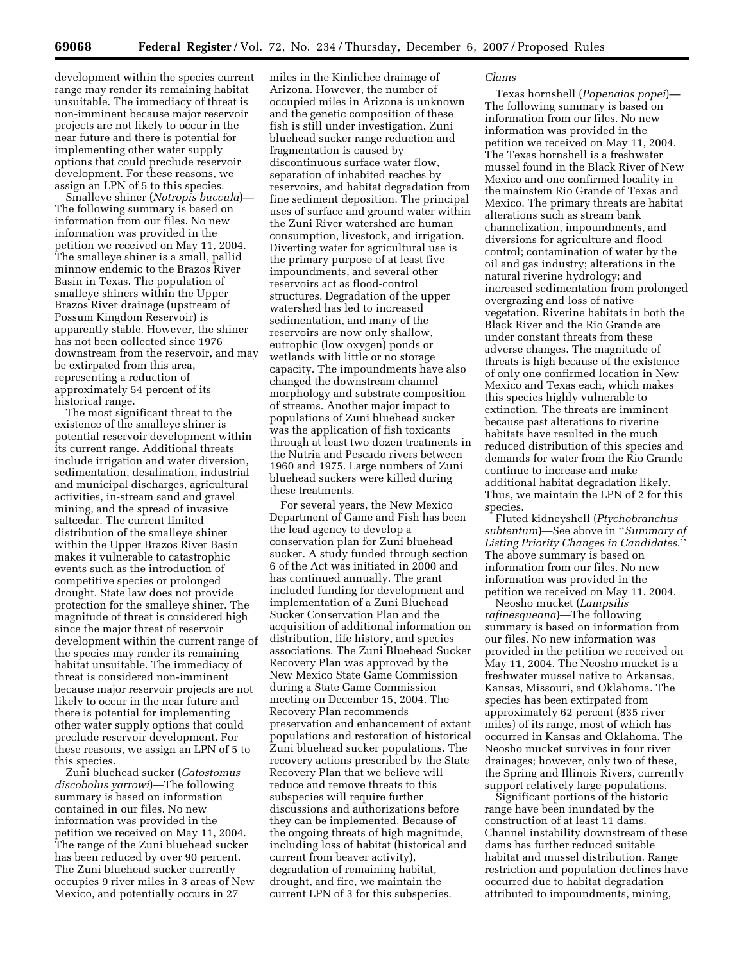development within the species current range may render its remaining habitat unsuitable. The immediacy of threat is non-imminent because major reservoir projects are not likely to occur in the near future and there is potential for implementing other water supply options that could preclude reservoir development. For these reasons, we assign an LPN of 5 to this species.

Smalleye shiner (*Notropis buccula*)— The following summary is based on information from our files. No new information was provided in the petition we received on May 11, 2004. The smalleye shiner is a small, pallid minnow endemic to the Brazos River Basin in Texas. The population of smalleye shiners within the Upper Brazos River drainage (upstream of Possum Kingdom Reservoir) is apparently stable. However, the shiner has not been collected since 1976 downstream from the reservoir, and may be extirpated from this area, representing a reduction of approximately 54 percent of its historical range.

The most significant threat to the existence of the smalleye shiner is potential reservoir development within its current range. Additional threats include irrigation and water diversion, sedimentation, desalination, industrial and municipal discharges, agricultural activities, in-stream sand and gravel mining, and the spread of invasive saltcedar. The current limited distribution of the smalleye shiner within the Upper Brazos River Basin makes it vulnerable to catastrophic events such as the introduction of competitive species or prolonged drought. State law does not provide protection for the smalleye shiner. The magnitude of threat is considered high since the major threat of reservoir development within the current range of the species may render its remaining habitat unsuitable. The immediacy of threat is considered non-imminent because major reservoir projects are not likely to occur in the near future and there is potential for implementing other water supply options that could preclude reservoir development. For these reasons, we assign an LPN of 5 to this species.

Zuni bluehead sucker (*Catostomus discobolus yarrowi*)—The following summary is based on information contained in our files. No new information was provided in the petition we received on May 11, 2004. The range of the Zuni bluehead sucker has been reduced by over 90 percent. The Zuni bluehead sucker currently occupies 9 river miles in 3 areas of New Mexico, and potentially occurs in 27

miles in the Kinlichee drainage of Arizona. However, the number of occupied miles in Arizona is unknown and the genetic composition of these fish is still under investigation. Zuni bluehead sucker range reduction and fragmentation is caused by discontinuous surface water flow, separation of inhabited reaches by reservoirs, and habitat degradation from fine sediment deposition. The principal uses of surface and ground water within the Zuni River watershed are human consumption, livestock, and irrigation. Diverting water for agricultural use is the primary purpose of at least five impoundments, and several other reservoirs act as flood-control structures. Degradation of the upper watershed has led to increased sedimentation, and many of the reservoirs are now only shallow, eutrophic (low oxygen) ponds or wetlands with little or no storage capacity. The impoundments have also changed the downstream channel morphology and substrate composition of streams. Another major impact to populations of Zuni bluehead sucker was the application of fish toxicants through at least two dozen treatments in the Nutria and Pescado rivers between 1960 and 1975. Large numbers of Zuni bluehead suckers were killed during these treatments.

For several years, the New Mexico Department of Game and Fish has been the lead agency to develop a conservation plan for Zuni bluehead sucker. A study funded through section 6 of the Act was initiated in 2000 and has continued annually. The grant included funding for development and implementation of a Zuni Bluehead Sucker Conservation Plan and the acquisition of additional information on distribution, life history, and species associations. The Zuni Bluehead Sucker Recovery Plan was approved by the New Mexico State Game Commission during a State Game Commission meeting on December 15, 2004. The Recovery Plan recommends preservation and enhancement of extant populations and restoration of historical Zuni bluehead sucker populations. The recovery actions prescribed by the State Recovery Plan that we believe will reduce and remove threats to this subspecies will require further discussions and authorizations before they can be implemented. Because of the ongoing threats of high magnitude, including loss of habitat (historical and current from beaver activity), degradation of remaining habitat, drought, and fire, we maintain the current LPN of 3 for this subspecies.

## *Clams*

Texas hornshell (*Popenaias popei*)— The following summary is based on information from our files. No new information was provided in the petition we received on May 11, 2004. The Texas hornshell is a freshwater mussel found in the Black River of New Mexico and one confirmed locality in the mainstem Rio Grande of Texas and Mexico. The primary threats are habitat alterations such as stream bank channelization, impoundments, and diversions for agriculture and flood control; contamination of water by the oil and gas industry; alterations in the natural riverine hydrology; and increased sedimentation from prolonged overgrazing and loss of native vegetation. Riverine habitats in both the Black River and the Rio Grande are under constant threats from these adverse changes. The magnitude of threats is high because of the existence of only one confirmed location in New Mexico and Texas each, which makes this species highly vulnerable to extinction. The threats are imminent because past alterations to riverine habitats have resulted in the much reduced distribution of this species and demands for water from the Rio Grande continue to increase and make additional habitat degradation likely. Thus, we maintain the LPN of 2 for this species.

Fluted kidneyshell (*Ptychobranchus subtentum*)—See above in ''*Summary of Listing Priority Changes in Candidates*.'' The above summary is based on information from our files. No new information was provided in the petition we received on May 11, 2004.

Neosho mucket (*Lampsilis rafinesqueana*)—The following summary is based on information from our files. No new information was provided in the petition we received on May 11, 2004. The Neosho mucket is a freshwater mussel native to Arkansas, Kansas, Missouri, and Oklahoma. The species has been extirpated from approximately 62 percent (835 river miles) of its range, most of which has occurred in Kansas and Oklahoma. The Neosho mucket survives in four river drainages; however, only two of these, the Spring and Illinois Rivers, currently support relatively large populations.

Significant portions of the historic range have been inundated by the construction of at least 11 dams. Channel instability downstream of these dams has further reduced suitable habitat and mussel distribution. Range restriction and population declines have occurred due to habitat degradation attributed to impoundments, mining,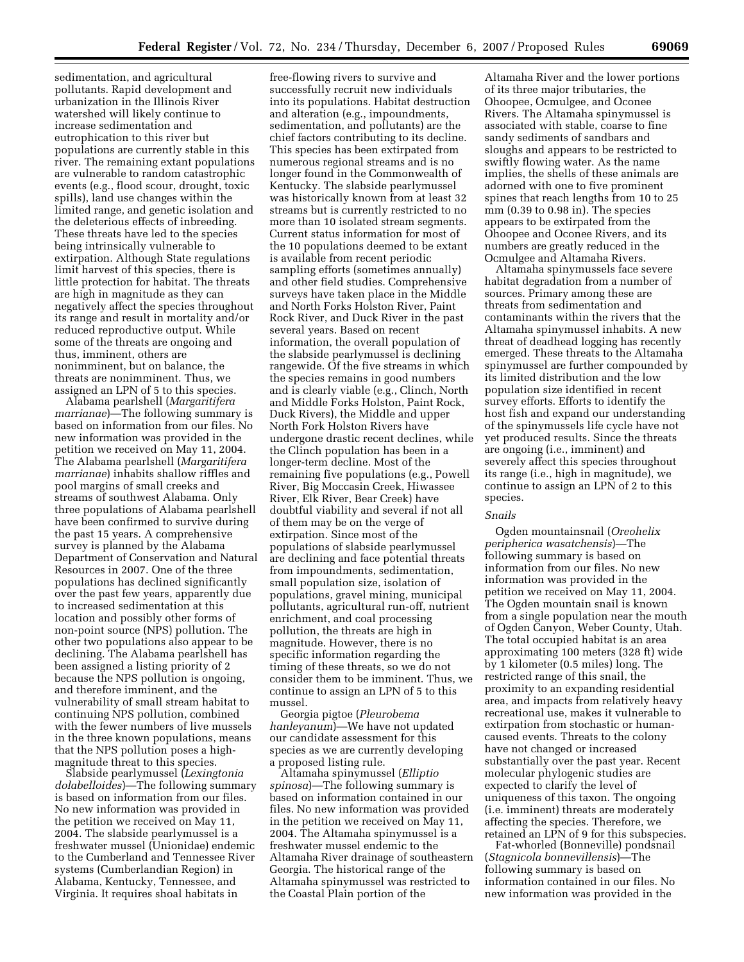sedimentation, and agricultural pollutants. Rapid development and urbanization in the Illinois River watershed will likely continue to increase sedimentation and eutrophication to this river but populations are currently stable in this river. The remaining extant populations are vulnerable to random catastrophic events (e.g., flood scour, drought, toxic spills), land use changes within the limited range, and genetic isolation and the deleterious effects of inbreeding. These threats have led to the species being intrinsically vulnerable to extirpation. Although State regulations limit harvest of this species, there is little protection for habitat. The threats are high in magnitude as they can negatively affect the species throughout its range and result in mortality and/or reduced reproductive output. While some of the threats are ongoing and thus, imminent, others are nonimminent, but on balance, the threats are nonimminent. Thus, we assigned an LPN of 5 to this species.

Alabama pearlshell (*Margaritifera marrianae*)—The following summary is based on information from our files. No new information was provided in the petition we received on May 11, 2004. The Alabama pearlshell (*Margaritifera marrianae*) inhabits shallow riffles and pool margins of small creeks and streams of southwest Alabama. Only three populations of Alabama pearlshell have been confirmed to survive during the past 15 years. A comprehensive survey is planned by the Alabama Department of Conservation and Natural Resources in 2007. One of the three populations has declined significantly over the past few years, apparently due to increased sedimentation at this location and possibly other forms of non-point source (NPS) pollution. The other two populations also appear to be declining. The Alabama pearlshell has been assigned a listing priority of 2 because the NPS pollution is ongoing, and therefore imminent, and the vulnerability of small stream habitat to continuing NPS pollution, combined with the fewer numbers of live mussels in the three known populations, means that the NPS pollution poses a highmagnitude threat to this species.

Slabside pearlymussel (*Lexingtonia dolabelloides*)—The following summary is based on information from our files. No new information was provided in the petition we received on May 11, 2004. The slabside pearlymussel is a freshwater mussel (Unionidae) endemic to the Cumberland and Tennessee River systems (Cumberlandian Region) in Alabama, Kentucky, Tennessee, and Virginia. It requires shoal habitats in

free-flowing rivers to survive and successfully recruit new individuals into its populations. Habitat destruction and alteration (e.g., impoundments, sedimentation, and pollutants) are the chief factors contributing to its decline. This species has been extirpated from numerous regional streams and is no longer found in the Commonwealth of Kentucky. The slabside pearlymussel was historically known from at least 32 streams but is currently restricted to no more than 10 isolated stream segments. Current status information for most of the 10 populations deemed to be extant is available from recent periodic sampling efforts (sometimes annually) and other field studies. Comprehensive surveys have taken place in the Middle and North Forks Holston River, Paint Rock River, and Duck River in the past several years. Based on recent information, the overall population of the slabside pearlymussel is declining rangewide. Of the five streams in which the species remains in good numbers and is clearly viable (e.g., Clinch, North and Middle Forks Holston, Paint Rock, Duck Rivers), the Middle and upper North Fork Holston Rivers have undergone drastic recent declines, while the Clinch population has been in a longer-term decline. Most of the remaining five populations (e.g., Powell River, Big Moccasin Creek, Hiwassee River, Elk River, Bear Creek) have doubtful viability and several if not all of them may be on the verge of extirpation. Since most of the populations of slabside pearlymussel are declining and face potential threats from impoundments, sedimentation, small population size, isolation of populations, gravel mining, municipal pollutants, agricultural run-off, nutrient enrichment, and coal processing pollution, the threats are high in magnitude. However, there is no specific information regarding the timing of these threats, so we do not consider them to be imminent. Thus, we continue to assign an LPN of 5 to this mussel.

Georgia pigtoe (*Pleurobema hanleyanum*)—We have not updated our candidate assessment for this species as we are currently developing a proposed listing rule.

Altamaha spinymussel (*Elliptio spinosa*)—The following summary is based on information contained in our files. No new information was provided in the petition we received on May 11, 2004. The Altamaha spinymussel is a freshwater mussel endemic to the Altamaha River drainage of southeastern Georgia. The historical range of the Altamaha spinymussel was restricted to the Coastal Plain portion of the

Altamaha River and the lower portions of its three major tributaries, the Ohoopee, Ocmulgee, and Oconee Rivers. The Altamaha spinymussel is associated with stable, coarse to fine sandy sediments of sandbars and sloughs and appears to be restricted to swiftly flowing water. As the name implies, the shells of these animals are adorned with one to five prominent spines that reach lengths from 10 to 25 mm (0.39 to 0.98 in). The species appears to be extirpated from the Ohoopee and Oconee Rivers, and its numbers are greatly reduced in the Ocmulgee and Altamaha Rivers.

Altamaha spinymussels face severe habitat degradation from a number of sources. Primary among these are threats from sedimentation and contaminants within the rivers that the Altamaha spinymussel inhabits. A new threat of deadhead logging has recently emerged. These threats to the Altamaha spinymussel are further compounded by its limited distribution and the low population size identified in recent survey efforts. Efforts to identify the host fish and expand our understanding of the spinymussels life cycle have not yet produced results. Since the threats are ongoing (i.e., imminent) and severely affect this species throughout its range (i.e., high in magnitude), we continue to assign an LPN of 2 to this species.

## *Snails*

Ogden mountainsnail (*Oreohelix peripherica wasatchensis*)—The following summary is based on information from our files. No new information was provided in the petition we received on May 11, 2004. The Ogden mountain snail is known from a single population near the mouth of Ogden Canyon, Weber County, Utah. The total occupied habitat is an area approximating 100 meters (328 ft) wide by 1 kilometer (0.5 miles) long. The restricted range of this snail, the proximity to an expanding residential area, and impacts from relatively heavy recreational use, makes it vulnerable to extirpation from stochastic or humancaused events. Threats to the colony have not changed or increased substantially over the past year. Recent molecular phylogenic studies are expected to clarify the level of uniqueness of this taxon. The ongoing (i.e. imminent) threats are moderately affecting the species. Therefore, we retained an LPN of 9 for this subspecies.

Fat-whorled (Bonneville) pondsnail (*Stagnicola bonnevillensis*)—The following summary is based on information contained in our files. No new information was provided in the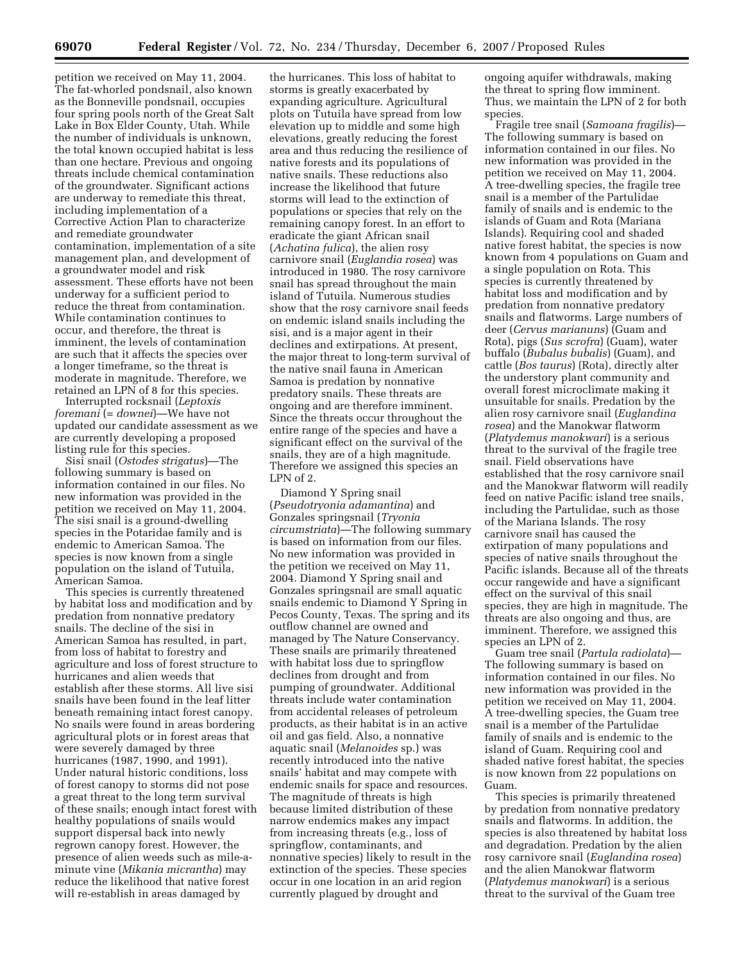petition we received on May 11, 2004. The fat-whorled pondsnail, also known as the Bonneville pondsnail, occupies four spring pools north of the Great Salt Lake in Box Elder County, Utah. While the number of individuals is unknown, the total known occupied habitat is less than one hectare. Previous and ongoing threats include chemical contamination of the groundwater. Significant actions are underway to remediate this threat, including implementation of a Corrective Action Plan to characterize and remediate groundwater contamination, implementation of a site management plan, and development of a groundwater model and risk assessment. These efforts have not been underway for a sufficient period to reduce the threat from contamination. While contamination continues to occur, and therefore, the threat is imminent, the levels of contamination are such that it affects the species over a longer timeframe, so the threat is moderate in magnitude. Therefore, we retained an LPN of 8 for this species.

Interrupted rocksnail (*Leptoxis foremani* (= *downei*)—We have not updated our candidate assessment as we are currently developing a proposed listing rule for this species.

Sisi snail (*Ostodes strigatus*)—The following summary is based on information contained in our files. No new information was provided in the petition we received on May 11, 2004. The sisi snail is a ground-dwelling species in the Potaridae family and is endemic to American Samoa. The species is now known from a single population on the island of Tutuila, American Samoa.

This species is currently threatened by habitat loss and modification and by predation from nonnative predatory snails. The decline of the sisi in American Samoa has resulted, in part, from loss of habitat to forestry and agriculture and loss of forest structure to hurricanes and alien weeds that establish after these storms. All live sisi snails have been found in the leaf litter beneath remaining intact forest canopy. No snails were found in areas bordering agricultural plots or in forest areas that were severely damaged by three hurricanes (1987, 1990, and 1991). Under natural historic conditions, loss of forest canopy to storms did not pose a great threat to the long term survival of these snails; enough intact forest with healthy populations of snails would support dispersal back into newly regrown canopy forest. However, the presence of alien weeds such as mile-aminute vine (*Mikania micrantha*) may reduce the likelihood that native forest will re-establish in areas damaged by

the hurricanes. This loss of habitat to storms is greatly exacerbated by expanding agriculture. Agricultural plots on Tutuila have spread from low elevation up to middle and some high elevations, greatly reducing the forest area and thus reducing the resilience of native forests and its populations of native snails. These reductions also increase the likelihood that future storms will lead to the extinction of populations or species that rely on the remaining canopy forest. In an effort to eradicate the giant African snail (*Achatina fulica*), the alien rosy carnivore snail (*Euglandia rosea*) was introduced in 1980. The rosy carnivore snail has spread throughout the main island of Tutuila. Numerous studies show that the rosy carnivore snail feeds on endemic island snails including the sisi, and is a major agent in their declines and extirpations. At present, the major threat to long-term survival of the native snail fauna in American Samoa is predation by nonnative predatory snails. These threats are ongoing and are therefore imminent. Since the threats occur throughout the entire range of the species and have a significant effect on the survival of the snails, they are of a high magnitude. Therefore we assigned this species an LPN of  $2$ .

Diamond Y Spring snail (*Pseudotryonia adamantina*) and Gonzales springsnail (*Tryonia circumstriata*)—The following summary is based on information from our files. No new information was provided in the petition we received on May 11, 2004. Diamond Y Spring snail and Gonzales springsnail are small aquatic snails endemic to Diamond Y Spring in Pecos County, Texas. The spring and its outflow channel are owned and managed by The Nature Conservancy. These snails are primarily threatened with habitat loss due to springflow declines from drought and from pumping of groundwater. Additional threats include water contamination from accidental releases of petroleum products, as their habitat is in an active oil and gas field. Also, a nonnative aquatic snail (*Melanoides* sp.) was recently introduced into the native snails' habitat and may compete with endemic snails for space and resources. The magnitude of threats is high because limited distribution of these narrow endemics makes any impact from increasing threats (e.g., loss of springflow, contaminants, and nonnative species) likely to result in the extinction of the species. These species occur in one location in an arid region currently plagued by drought and

ongoing aquifer withdrawals, making the threat to spring flow imminent. Thus, we maintain the LPN of 2 for both species.

Fragile tree snail (*Samoana fragilis*)— The following summary is based on information contained in our files. No new information was provided in the petition we received on May 11, 2004. A tree-dwelling species, the fragile tree snail is a member of the Partulidae family of snails and is endemic to the islands of Guam and Rota (Mariana Islands). Requiring cool and shaded native forest habitat, the species is now known from 4 populations on Guam and a single population on Rota. This species is currently threatened by habitat loss and modification and by predation from nonnative predatory snails and flatworms. Large numbers of deer (*Cervus marianuns*) (Guam and Rota), pigs (*Sus scrofra*) (Guam), water buffalo (*Bubalus bubalis*) (Guam), and cattle (*Bos taurus*) (Rota), directly alter the understory plant community and overall forest microclimate making it unsuitable for snails. Predation by the alien rosy carnivore snail (*Euglandina rosea*) and the Manokwar flatworm (*Platydemus manokwari*) is a serious threat to the survival of the fragile tree snail. Field observations have established that the rosy carnivore snail and the Manokwar flatworm will readily feed on native Pacific island tree snails, including the Partulidae, such as those of the Mariana Islands. The rosy carnivore snail has caused the extirpation of many populations and species of native snails throughout the Pacific islands. Because all of the threats occur rangewide and have a significant effect on the survival of this snail species, they are high in magnitude. The threats are also ongoing and thus, are imminent. Therefore, we assigned this species an LPN of 2.

Guam tree snail (*Partula radiolata*)— The following summary is based on information contained in our files. No new information was provided in the petition we received on May 11, 2004. A tree-dwelling species, the Guam tree snail is a member of the Partulidae family of snails and is endemic to the island of Guam. Requiring cool and shaded native forest habitat, the species is now known from 22 populations on Guam.

This species is primarily threatened by predation from nonnative predatory snails and flatworms. In addition, the species is also threatened by habitat loss and degradation. Predation by the alien rosy carnivore snail (*Euglandina rosea*) and the alien Manokwar flatworm (*Platydemus manokwari*) is a serious threat to the survival of the Guam tree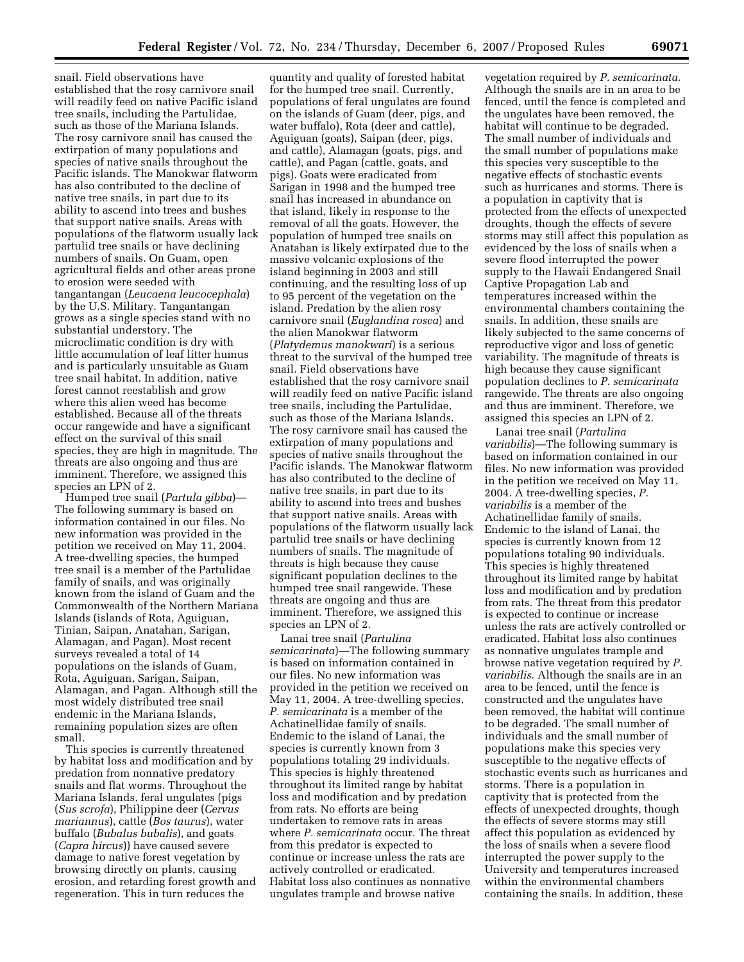snail. Field observations have established that the rosy carnivore snail will readily feed on native Pacific island tree snails, including the Partulidae, such as those of the Mariana Islands. The rosy carnivore snail has caused the extirpation of many populations and species of native snails throughout the Pacific islands. The Manokwar flatworm has also contributed to the decline of native tree snails, in part due to its ability to ascend into trees and bushes that support native snails. Areas with populations of the flatworm usually lack partulid tree snails or have declining numbers of snails. On Guam, open agricultural fields and other areas prone to erosion were seeded with tangantangan (*Leucaena leucocephala*) by the U.S. Military. Tangantangan grows as a single species stand with no substantial understory. The microclimatic condition is dry with little accumulation of leaf litter humus and is particularly unsuitable as Guam tree snail habitat. In addition, native forest cannot reestablish and grow where this alien weed has become established. Because all of the threats occur rangewide and have a significant effect on the survival of this snail species, they are high in magnitude. The threats are also ongoing and thus are imminent. Therefore, we assigned this species an LPN of 2.

Humped tree snail (*Partula gibba*)— The following summary is based on information contained in our files. No new information was provided in the petition we received on May 11, 2004. A tree-dwelling species, the humped tree snail is a member of the Partulidae family of snails, and was originally known from the island of Guam and the Commonwealth of the Northern Mariana Islands (islands of Rota, Aguiguan, Tinian, Saipan, Anatahan, Sarigan, Alamagan, and Pagan). Most recent surveys revealed a total of 14 populations on the islands of Guam, Rota, Aguiguan, Sarigan, Saipan, Alamagan, and Pagan. Although still the most widely distributed tree snail endemic in the Mariana Islands, remaining population sizes are often small.

This species is currently threatened by habitat loss and modification and by predation from nonnative predatory snails and flat worms. Throughout the Mariana Islands, feral ungulates (pigs (*Sus scrofa*), Philippine deer (*Cervus mariannus*), cattle (*Bos taurus*), water buffalo (*Bubalus bubalis*), and goats (*Capra hircus*)) have caused severe damage to native forest vegetation by browsing directly on plants, causing erosion, and retarding forest growth and regeneration. This in turn reduces the

quantity and quality of forested habitat for the humped tree snail. Currently, populations of feral ungulates are found on the islands of Guam (deer, pigs, and water buffalo), Rota (deer and cattle), Aguiguan (goats), Saipan (deer, pigs, and cattle), Alamagan (goats, pigs, and cattle), and Pagan (cattle, goats, and pigs). Goats were eradicated from Sarigan in 1998 and the humped tree snail has increased in abundance on that island, likely in response to the removal of all the goats. However, the population of humped tree snails on Anatahan is likely extirpated due to the massive volcanic explosions of the island beginning in 2003 and still continuing, and the resulting loss of up to 95 percent of the vegetation on the island. Predation by the alien rosy carnivore snail (*Euglandina rosea*) and the alien Manokwar flatworm (*Platydemus manokwari*) is a serious threat to the survival of the humped tree snail. Field observations have established that the rosy carnivore snail will readily feed on native Pacific island tree snails, including the Partulidae, such as those of the Mariana Islands. The rosy carnivore snail has caused the extirpation of many populations and species of native snails throughout the Pacific islands. The Manokwar flatworm has also contributed to the decline of native tree snails, in part due to its ability to ascend into trees and bushes that support native snails. Areas with populations of the flatworm usually lack partulid tree snails or have declining numbers of snails. The magnitude of threats is high because they cause significant population declines to the humped tree snail rangewide. These threats are ongoing and thus are imminent. Therefore, we assigned this species an LPN of 2.

Lanai tree snail (*Partulina semicarinata*)—The following summary is based on information contained in our files. No new information was provided in the petition we received on May 11, 2004. A tree-dwelling species, *P. semicarinata* is a member of the Achatinellidae family of snails. Endemic to the island of Lanai, the species is currently known from 3 populations totaling 29 individuals. This species is highly threatened throughout its limited range by habitat loss and modification and by predation from rats. No efforts are being undertaken to remove rats in areas where *P. semicarinata* occur. The threat from this predator is expected to continue or increase unless the rats are actively controlled or eradicated. Habitat loss also continues as nonnative ungulates trample and browse native

vegetation required by *P. semicarinata*. Although the snails are in an area to be fenced, until the fence is completed and the ungulates have been removed, the habitat will continue to be degraded. The small number of individuals and the small number of populations make this species very susceptible to the negative effects of stochastic events such as hurricanes and storms. There is a population in captivity that is protected from the effects of unexpected droughts, though the effects of severe storms may still affect this population as evidenced by the loss of snails when a severe flood interrupted the power supply to the Hawaii Endangered Snail Captive Propagation Lab and temperatures increased within the environmental chambers containing the snails. In addition, these snails are likely subjected to the same concerns of reproductive vigor and loss of genetic variability. The magnitude of threats is high because they cause significant population declines to *P. semicarinata*  rangewide. The threats are also ongoing and thus are imminent. Therefore, we assigned this species an LPN of 2.

Lanai tree snail (*Partulina variabilis*)—The following summary is based on information contained in our files. No new information was provided in the petition we received on May 11, 2004. A tree-dwelling species, *P. variabilis* is a member of the Achatinellidae family of snails. Endemic to the island of Lanai, the species is currently known from 12 populations totaling 90 individuals. This species is highly threatened throughout its limited range by habitat loss and modification and by predation from rats. The threat from this predator is expected to continue or increase unless the rats are actively controlled or eradicated. Habitat loss also continues as nonnative ungulates trample and browse native vegetation required by *P. variabilis*. Although the snails are in an area to be fenced, until the fence is constructed and the ungulates have been removed, the habitat will continue to be degraded. The small number of individuals and the small number of populations make this species very susceptible to the negative effects of stochastic events such as hurricanes and storms. There is a population in captivity that is protected from the effects of unexpected droughts, though the effects of severe storms may still affect this population as evidenced by the loss of snails when a severe flood interrupted the power supply to the University and temperatures increased within the environmental chambers containing the snails. In addition, these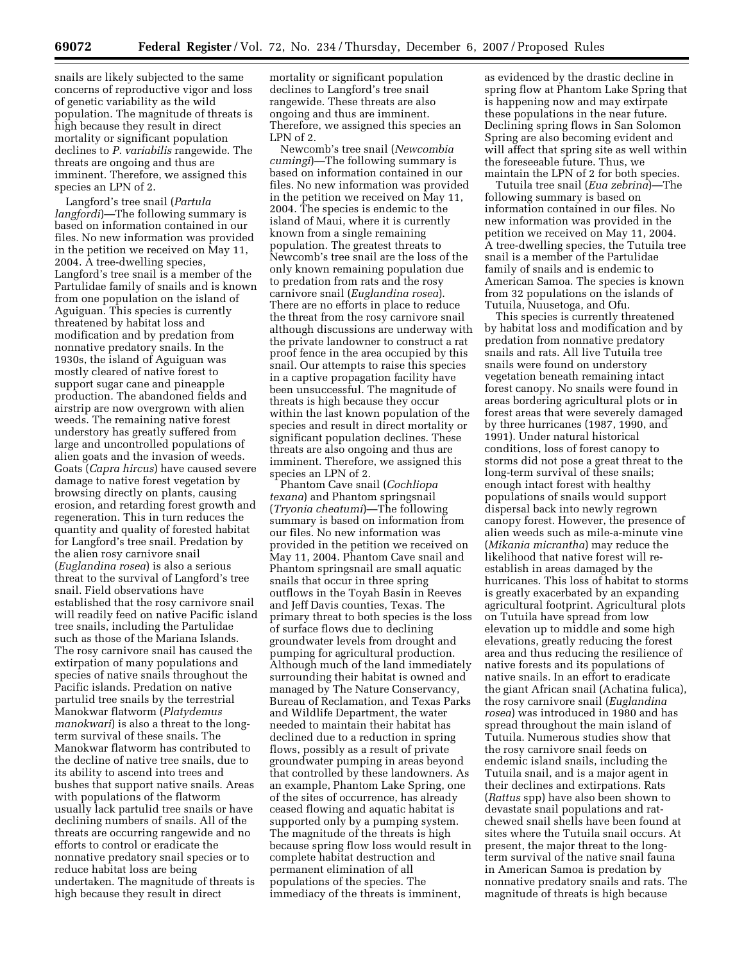snails are likely subjected to the same concerns of reproductive vigor and loss of genetic variability as the wild population. The magnitude of threats is high because they result in direct mortality or significant population declines to *P. variabilis* rangewide. The threats are ongoing and thus are imminent. Therefore, we assigned this species an LPN of 2.

Langford's tree snail (*Partula langfordi*)—The following summary is based on information contained in our files. No new information was provided in the petition we received on May 11, 2004. A tree-dwelling species, Langford's tree snail is a member of the Partulidae family of snails and is known from one population on the island of Aguiguan. This species is currently threatened by habitat loss and modification and by predation from nonnative predatory snails. In the 1930s, the island of Aguiguan was mostly cleared of native forest to support sugar cane and pineapple production. The abandoned fields and airstrip are now overgrown with alien weeds. The remaining native forest understory has greatly suffered from large and uncontrolled populations of alien goats and the invasion of weeds. Goats (*Capra hircus*) have caused severe damage to native forest vegetation by browsing directly on plants, causing erosion, and retarding forest growth and regeneration. This in turn reduces the quantity and quality of forested habitat for Langford's tree snail. Predation by the alien rosy carnivore snail (*Euglandina rosea*) is also a serious threat to the survival of Langford's tree snail. Field observations have established that the rosy carnivore snail will readily feed on native Pacific island tree snails, including the Partulidae such as those of the Mariana Islands. The rosy carnivore snail has caused the extirpation of many populations and species of native snails throughout the Pacific islands. Predation on native partulid tree snails by the terrestrial Manokwar flatworm (*Platydemus manokwari*) is also a threat to the longterm survival of these snails. The Manokwar flatworm has contributed to the decline of native tree snails, due to its ability to ascend into trees and bushes that support native snails. Areas with populations of the flatworm usually lack partulid tree snails or have declining numbers of snails. All of the threats are occurring rangewide and no efforts to control or eradicate the nonnative predatory snail species or to reduce habitat loss are being undertaken. The magnitude of threats is high because they result in direct

mortality or significant population declines to Langford's tree snail rangewide. These threats are also ongoing and thus are imminent. Therefore, we assigned this species an LPN of  $2$ .

Newcomb's tree snail (*Newcombia cumingi*)—The following summary is based on information contained in our files. No new information was provided in the petition we received on May 11, 2004. The species is endemic to the island of Maui, where it is currently known from a single remaining population. The greatest threats to Newcomb's tree snail are the loss of the only known remaining population due to predation from rats and the rosy carnivore snail (*Euglandina rosea*). There are no efforts in place to reduce the threat from the rosy carnivore snail although discussions are underway with the private landowner to construct a rat proof fence in the area occupied by this snail. Our attempts to raise this species in a captive propagation facility have been unsuccessful. The magnitude of threats is high because they occur within the last known population of the species and result in direct mortality or significant population declines. These threats are also ongoing and thus are imminent. Therefore, we assigned this species an LPN of 2.

Phantom Cave snail (*Cochliopa texana*) and Phantom springsnail (*Tryonia cheatumi*)—The following summary is based on information from our files. No new information was provided in the petition we received on May 11, 2004. Phantom Cave snail and Phantom springsnail are small aquatic snails that occur in three spring outflows in the Toyah Basin in Reeves and Jeff Davis counties, Texas. The primary threat to both species is the loss of surface flows due to declining groundwater levels from drought and pumping for agricultural production. Although much of the land immediately surrounding their habitat is owned and managed by The Nature Conservancy, Bureau of Reclamation, and Texas Parks and Wildlife Department, the water needed to maintain their habitat has declined due to a reduction in spring flows, possibly as a result of private groundwater pumping in areas beyond that controlled by these landowners. As an example, Phantom Lake Spring, one of the sites of occurrence, has already ceased flowing and aquatic habitat is supported only by a pumping system. The magnitude of the threats is high because spring flow loss would result in complete habitat destruction and permanent elimination of all populations of the species. The immediacy of the threats is imminent,

as evidenced by the drastic decline in spring flow at Phantom Lake Spring that is happening now and may extirpate these populations in the near future. Declining spring flows in San Solomon Spring are also becoming evident and will affect that spring site as well within the foreseeable future. Thus, we maintain the LPN of 2 for both species.

Tutuila tree snail (*Eua zebrina*)—The following summary is based on information contained in our files. No new information was provided in the petition we received on May 11, 2004. A tree-dwelling species, the Tutuila tree snail is a member of the Partulidae family of snails and is endemic to American Samoa. The species is known from 32 populations on the islands of Tutuila, Nuusetoga, and Ofu.

This species is currently threatened by habitat loss and modification and by predation from nonnative predatory snails and rats. All live Tutuila tree snails were found on understory vegetation beneath remaining intact forest canopy. No snails were found in areas bordering agricultural plots or in forest areas that were severely damaged by three hurricanes (1987, 1990, and 1991). Under natural historical conditions, loss of forest canopy to storms did not pose a great threat to the long-term survival of these snails; enough intact forest with healthy populations of snails would support dispersal back into newly regrown canopy forest. However, the presence of alien weeds such as mile-a-minute vine (*Mikania micrantha*) may reduce the likelihood that native forest will reestablish in areas damaged by the hurricanes. This loss of habitat to storms is greatly exacerbated by an expanding agricultural footprint. Agricultural plots on Tutuila have spread from low elevation up to middle and some high elevations, greatly reducing the forest area and thus reducing the resilience of native forests and its populations of native snails. In an effort to eradicate the giant African snail (Achatina fulica), the rosy carnivore snail (*Euglandina rosea*) was introduced in 1980 and has spread throughout the main island of Tutuila. Numerous studies show that the rosy carnivore snail feeds on endemic island snails, including the Tutuila snail, and is a major agent in their declines and extirpations. Rats (*Rattus* spp) have also been shown to devastate snail populations and ratchewed snail shells have been found at sites where the Tutuila snail occurs. At present, the major threat to the longterm survival of the native snail fauna in American Samoa is predation by nonnative predatory snails and rats. The magnitude of threats is high because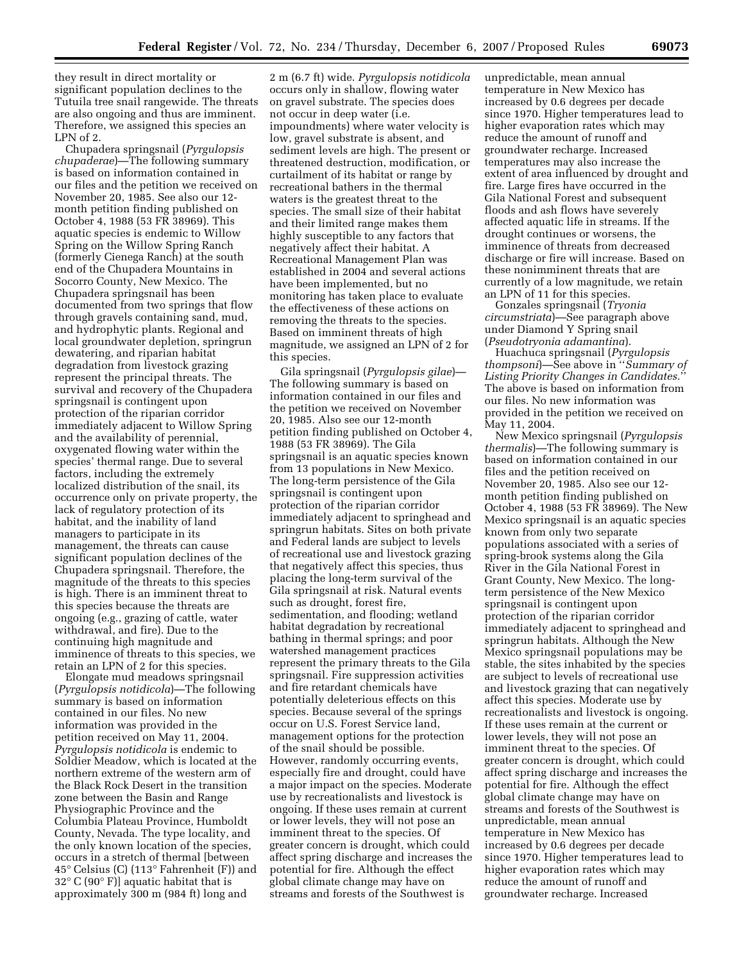they result in direct mortality or significant population declines to the Tutuila tree snail rangewide. The threats are also ongoing and thus are imminent. Therefore, we assigned this species an LPN of 2.

Chupadera springsnail (*Pyrgulopsis chupaderae*)—The following summary is based on information contained in our files and the petition we received on November 20, 1985. See also our 12 month petition finding published on October 4, 1988 (53 FR 38969). This aquatic species is endemic to Willow Spring on the Willow Spring Ranch (formerly Cienega Ranch) at the south end of the Chupadera Mountains in Socorro County, New Mexico. The Chupadera springsnail has been documented from two springs that flow through gravels containing sand, mud, and hydrophytic plants. Regional and local groundwater depletion, springrun dewatering, and riparian habitat degradation from livestock grazing represent the principal threats. The survival and recovery of the Chupadera springsnail is contingent upon protection of the riparian corridor immediately adjacent to Willow Spring and the availability of perennial, oxygenated flowing water within the species' thermal range. Due to several factors, including the extremely localized distribution of the snail, its occurrence only on private property, the lack of regulatory protection of its habitat, and the inability of land managers to participate in its management, the threats can cause significant population declines of the Chupadera springsnail. Therefore, the magnitude of the threats to this species is high. There is an imminent threat to this species because the threats are ongoing (e.g., grazing of cattle, water withdrawal, and fire). Due to the continuing high magnitude and imminence of threats to this species, we retain an LPN of 2 for this species.

Elongate mud meadows springsnail (*Pyrgulopsis notidicola*)—The following summary is based on information contained in our files. No new information was provided in the petition received on May 11, 2004. *Pyrgulopsis notidicola* is endemic to Soldier Meadow, which is located at the northern extreme of the western arm of the Black Rock Desert in the transition zone between the Basin and Range Physiographic Province and the Columbia Plateau Province, Humboldt County, Nevada. The type locality, and the only known location of the species, occurs in a stretch of thermal [between 45° Celsius (C) (113° Fahrenheit (F)) and 32° C (90° F)] aquatic habitat that is approximately 300 m (984 ft) long and

2 m (6.7 ft) wide. *Pyrgulopsis notidicola*  occurs only in shallow, flowing water on gravel substrate. The species does not occur in deep water (i.e. impoundments) where water velocity is low, gravel substrate is absent, and sediment levels are high. The present or threatened destruction, modification, or curtailment of its habitat or range by recreational bathers in the thermal waters is the greatest threat to the species. The small size of their habitat and their limited range makes them highly susceptible to any factors that negatively affect their habitat. A Recreational Management Plan was established in 2004 and several actions have been implemented, but no monitoring has taken place to evaluate the effectiveness of these actions on removing the threats to the species. Based on imminent threats of high magnitude, we assigned an LPN of 2 for this species.

Gila springsnail (*Pyrgulopsis gilae*)— The following summary is based on information contained in our files and the petition we received on November 20, 1985. Also see our 12-month petition finding published on October 4, 1988 (53 FR 38969). The Gila springsnail is an aquatic species known from 13 populations in New Mexico. The long-term persistence of the Gila springsnail is contingent upon protection of the riparian corridor immediately adjacent to springhead and springrun habitats. Sites on both private and Federal lands are subject to levels of recreational use and livestock grazing that negatively affect this species, thus placing the long-term survival of the Gila springsnail at risk. Natural events such as drought, forest fire, sedimentation, and flooding; wetland habitat degradation by recreational bathing in thermal springs; and poor watershed management practices represent the primary threats to the Gila springsnail. Fire suppression activities and fire retardant chemicals have potentially deleterious effects on this species. Because several of the springs occur on U.S. Forest Service land, management options for the protection of the snail should be possible. However, randomly occurring events, especially fire and drought, could have a major impact on the species. Moderate use by recreationalists and livestock is ongoing. If these uses remain at current or lower levels, they will not pose an imminent threat to the species. Of greater concern is drought, which could affect spring discharge and increases the potential for fire. Although the effect global climate change may have on streams and forests of the Southwest is

unpredictable, mean annual temperature in New Mexico has increased by 0.6 degrees per decade since 1970. Higher temperatures lead to higher evaporation rates which may reduce the amount of runoff and groundwater recharge. Increased temperatures may also increase the extent of area influenced by drought and fire. Large fires have occurred in the Gila National Forest and subsequent floods and ash flows have severely affected aquatic life in streams. If the drought continues or worsens, the imminence of threats from decreased discharge or fire will increase. Based on these nonimminent threats that are currently of a low magnitude, we retain an LPN of 11 for this species.

Gonzales springsnail (*Tryonia circumstriata*)—See paragraph above under Diamond Y Spring snail (*Pseudotryonia adamantina*).

Huachuca springsnail (*Pyrgulopsis thompsoni*)—See above in ''*Summary of Listing Priority Changes in Candidates.*'' The above is based on information from our files. No new information was provided in the petition we received on May 11, 2004.

New Mexico springsnail (*Pyrgulopsis thermalis*)—The following summary is based on information contained in our files and the petition received on November 20, 1985. Also see our 12 month petition finding published on October 4, 1988 (53 FR 38969). The New Mexico springsnail is an aquatic species known from only two separate populations associated with a series of spring-brook systems along the Gila River in the Gila National Forest in Grant County, New Mexico. The longterm persistence of the New Mexico springsnail is contingent upon protection of the riparian corridor immediately adjacent to springhead and springrun habitats. Although the New Mexico springsnail populations may be stable, the sites inhabited by the species are subject to levels of recreational use and livestock grazing that can negatively affect this species. Moderate use by recreationalists and livestock is ongoing. If these uses remain at the current or lower levels, they will not pose an imminent threat to the species. Of greater concern is drought, which could affect spring discharge and increases the potential for fire. Although the effect global climate change may have on streams and forests of the Southwest is unpredictable, mean annual temperature in New Mexico has increased by 0.6 degrees per decade since 1970. Higher temperatures lead to higher evaporation rates which may reduce the amount of runoff and groundwater recharge. Increased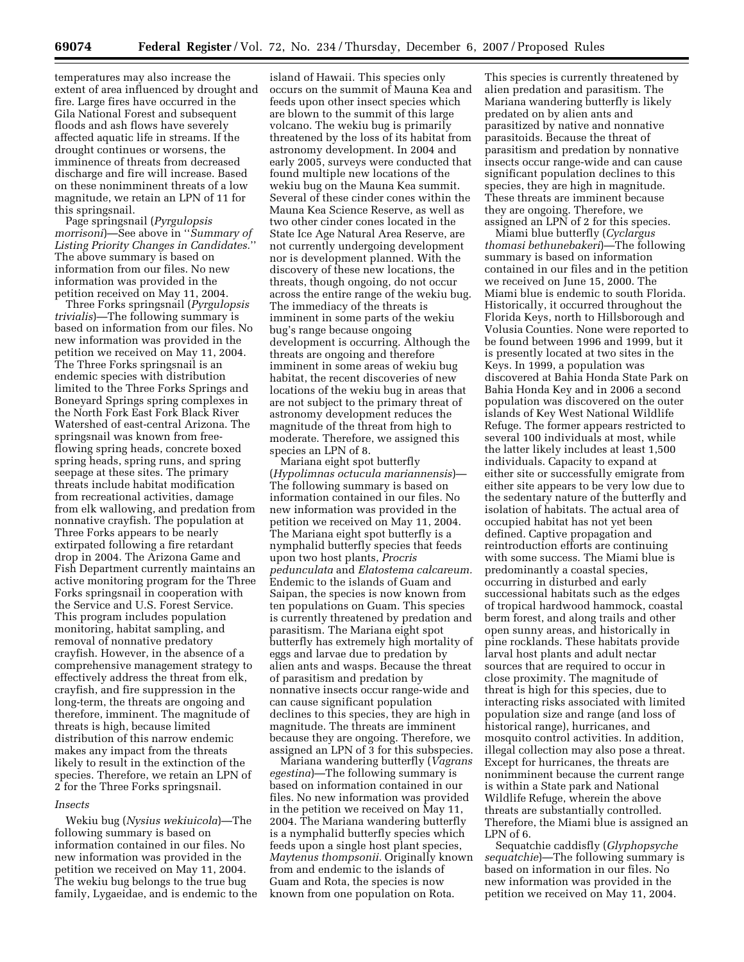temperatures may also increase the extent of area influenced by drought and fire. Large fires have occurred in the Gila National Forest and subsequent floods and ash flows have severely affected aquatic life in streams. If the drought continues or worsens, the imminence of threats from decreased discharge and fire will increase. Based on these nonimminent threats of a low magnitude, we retain an LPN of 11 for this springsnail.

Page springsnail (*Pyrgulopsis morrisoni*)—See above in ''*Summary of Listing Priority Changes in Candidates.*'' The above summary is based on information from our files. No new information was provided in the petition received on May 11, 2004.

Three Forks springsnail (*Pyrgulopsis trivialis*)—The following summary is based on information from our files. No new information was provided in the petition we received on May 11, 2004. The Three Forks springsnail is an endemic species with distribution limited to the Three Forks Springs and Boneyard Springs spring complexes in the North Fork East Fork Black River Watershed of east-central Arizona. The springsnail was known from freeflowing spring heads, concrete boxed spring heads, spring runs, and spring seepage at these sites. The primary threats include habitat modification from recreational activities, damage from elk wallowing, and predation from nonnative crayfish. The population at Three Forks appears to be nearly extirpated following a fire retardant drop in 2004. The Arizona Game and Fish Department currently maintains an active monitoring program for the Three Forks springsnail in cooperation with the Service and U.S. Forest Service. This program includes population monitoring, habitat sampling, and removal of nonnative predatory crayfish. However, in the absence of a comprehensive management strategy to effectively address the threat from elk, crayfish, and fire suppression in the long-term, the threats are ongoing and therefore, imminent. The magnitude of threats is high, because limited distribution of this narrow endemic makes any impact from the threats likely to result in the extinction of the species. Therefore, we retain an LPN of 2 for the Three Forks springsnail.

#### *Insects*

Wekiu bug (*Nysius wekiuicola*)—The following summary is based on information contained in our files. No new information was provided in the petition we received on May 11, 2004. The wekiu bug belongs to the true bug family, Lygaeidae, and is endemic to the

island of Hawaii. This species only occurs on the summit of Mauna Kea and feeds upon other insect species which are blown to the summit of this large volcano. The wekiu bug is primarily threatened by the loss of its habitat from astronomy development. In 2004 and early 2005, surveys were conducted that found multiple new locations of the wekiu bug on the Mauna Kea summit. Several of these cinder cones within the Mauna Kea Science Reserve, as well as two other cinder cones located in the State Ice Age Natural Area Reserve, are not currently undergoing development nor is development planned. With the discovery of these new locations, the threats, though ongoing, do not occur across the entire range of the wekiu bug. The immediacy of the threats is imminent in some parts of the wekiu bug's range because ongoing development is occurring. Although the threats are ongoing and therefore imminent in some areas of wekiu bug habitat, the recent discoveries of new locations of the wekiu bug in areas that are not subject to the primary threat of astronomy development reduces the magnitude of the threat from high to moderate. Therefore, we assigned this species an LPN of 8.

Mariana eight spot butterfly (*Hypolimnas octucula mariannensis*)— The following summary is based on information contained in our files. No new information was provided in the petition we received on May 11, 2004. The Mariana eight spot butterfly is a nymphalid butterfly species that feeds upon two host plants, *Procris pedunculata* and *Elatostema calcareum.*  Endemic to the islands of Guam and Saipan, the species is now known from ten populations on Guam. This species is currently threatened by predation and parasitism. The Mariana eight spot butterfly has extremely high mortality of eggs and larvae due to predation by alien ants and wasps. Because the threat of parasitism and predation by nonnative insects occur range-wide and can cause significant population declines to this species, they are high in magnitude. The threats are imminent because they are ongoing. Therefore, we assigned an LPN of 3 for this subspecies.

Mariana wandering butterfly (*Vagrans egestina*)—The following summary is based on information contained in our files. No new information was provided in the petition we received on May 11, 2004. The Mariana wandering butterfly is a nymphalid butterfly species which feeds upon a single host plant species, *Maytenus thompsonii.* Originally known from and endemic to the islands of Guam and Rota, the species is now known from one population on Rota.

This species is currently threatened by alien predation and parasitism. The Mariana wandering butterfly is likely predated on by alien ants and parasitized by native and nonnative parasitoids. Because the threat of parasitism and predation by nonnative insects occur range-wide and can cause significant population declines to this species, they are high in magnitude. These threats are imminent because they are ongoing. Therefore, we assigned an LPN of 2 for this species.

Miami blue butterfly (*Cyclargus thomasi bethunebakeri*)—The following summary is based on information contained in our files and in the petition we received on June 15, 2000. The Miami blue is endemic to south Florida. Historically, it occurred throughout the Florida Keys, north to Hillsborough and Volusia Counties. None were reported to be found between 1996 and 1999, but it is presently located at two sites in the Keys. In 1999, a population was discovered at Bahia Honda State Park on Bahia Honda Key and in 2006 a second population was discovered on the outer islands of Key West National Wildlife Refuge. The former appears restricted to several 100 individuals at most, while the latter likely includes at least 1,500 individuals. Capacity to expand at either site or successfully emigrate from either site appears to be very low due to the sedentary nature of the butterfly and isolation of habitats. The actual area of occupied habitat has not yet been defined. Captive propagation and reintroduction efforts are continuing with some success. The Miami blue is predominantly a coastal species, occurring in disturbed and early successional habitats such as the edges of tropical hardwood hammock, coastal berm forest, and along trails and other open sunny areas, and historically in pine rocklands. These habitats provide larval host plants and adult nectar sources that are required to occur in close proximity. The magnitude of threat is high for this species, due to interacting risks associated with limited population size and range (and loss of historical range), hurricanes, and mosquito control activities. In addition, illegal collection may also pose a threat. Except for hurricanes, the threats are nonimminent because the current range is within a State park and National Wildlife Refuge, wherein the above threats are substantially controlled. Therefore, the Miami blue is assigned an LPN of 6.

Sequatchie caddisfly (*Glyphopsyche sequatchie*)—The following summary is based on information in our files. No new information was provided in the petition we received on May 11, 2004.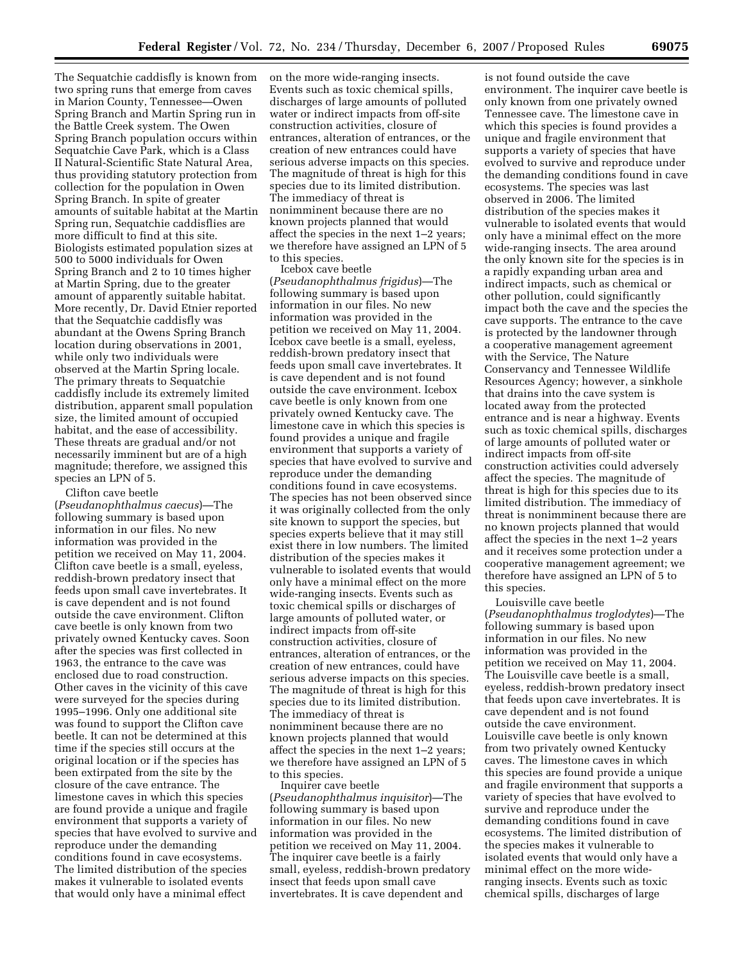The Sequatchie caddisfly is known from two spring runs that emerge from caves in Marion County, Tennessee—Owen Spring Branch and Martin Spring run in the Battle Creek system. The Owen Spring Branch population occurs within Sequatchie Cave Park, which is a Class II Natural-Scientific State Natural Area, thus providing statutory protection from collection for the population in Owen Spring Branch. In spite of greater amounts of suitable habitat at the Martin Spring run, Sequatchie caddisflies are more difficult to find at this site. Biologists estimated population sizes at 500 to 5000 individuals for Owen Spring Branch and 2 to 10 times higher at Martin Spring, due to the greater amount of apparently suitable habitat. More recently, Dr. David Etnier reported that the Sequatchie caddisfly was abundant at the Owens Spring Branch location during observations in 2001, while only two individuals were observed at the Martin Spring locale. The primary threats to Sequatchie caddisfly include its extremely limited distribution, apparent small population size, the limited amount of occupied habitat, and the ease of accessibility. These threats are gradual and/or not necessarily imminent but are of a high magnitude; therefore, we assigned this species an LPN of 5.

Clifton cave beetle (*Pseudanophthalmus caecus*)—The following summary is based upon information in our files. No new information was provided in the petition we received on May 11, 2004. Clifton cave beetle is a small, eyeless, reddish-brown predatory insect that feeds upon small cave invertebrates. It is cave dependent and is not found outside the cave environment. Clifton cave beetle is only known from two privately owned Kentucky caves. Soon after the species was first collected in 1963, the entrance to the cave was enclosed due to road construction. Other caves in the vicinity of this cave were surveyed for the species during 1995–1996. Only one additional site was found to support the Clifton cave beetle. It can not be determined at this time if the species still occurs at the original location or if the species has been extirpated from the site by the closure of the cave entrance. The limestone caves in which this species are found provide a unique and fragile environment that supports a variety of species that have evolved to survive and reproduce under the demanding conditions found in cave ecosystems. The limited distribution of the species makes it vulnerable to isolated events that would only have a minimal effect

on the more wide-ranging insects. Events such as toxic chemical spills, discharges of large amounts of polluted water or indirect impacts from off-site construction activities, closure of entrances, alteration of entrances, or the creation of new entrances could have serious adverse impacts on this species. The magnitude of threat is high for this species due to its limited distribution. The immediacy of threat is nonimminent because there are no known projects planned that would affect the species in the next 1–2 years; we therefore have assigned an LPN of 5 to this species.

Icebox cave beetle (*Pseudanophthalmus frigidus*)—The following summary is based upon information in our files. No new information was provided in the petition we received on May 11, 2004. Icebox cave beetle is a small, eyeless, reddish-brown predatory insect that feeds upon small cave invertebrates. It is cave dependent and is not found outside the cave environment. Icebox cave beetle is only known from one privately owned Kentucky cave. The limestone cave in which this species is found provides a unique and fragile environment that supports a variety of species that have evolved to survive and reproduce under the demanding conditions found in cave ecosystems. The species has not been observed since it was originally collected from the only site known to support the species, but species experts believe that it may still exist there in low numbers. The limited distribution of the species makes it vulnerable to isolated events that would only have a minimal effect on the more wide-ranging insects. Events such as toxic chemical spills or discharges of large amounts of polluted water, or indirect impacts from off-site construction activities, closure of entrances, alteration of entrances, or the creation of new entrances, could have serious adverse impacts on this species. The magnitude of threat is high for this species due to its limited distribution. The immediacy of threat is nonimminent because there are no known projects planned that would affect the species in the next 1–2 years; we therefore have assigned an LPN of 5 to this species.

Inquirer cave beetle (*Pseudanophthalmus inquisitor*)—The following summary is based upon information in our files. No new information was provided in the petition we received on May 11, 2004. The inquirer cave beetle is a fairly small, eyeless, reddish-brown predatory insect that feeds upon small cave invertebrates. It is cave dependent and

is not found outside the cave environment. The inquirer cave beetle is only known from one privately owned Tennessee cave. The limestone cave in which this species is found provides a unique and fragile environment that supports a variety of species that have evolved to survive and reproduce under the demanding conditions found in cave ecosystems. The species was last observed in 2006. The limited distribution of the species makes it vulnerable to isolated events that would only have a minimal effect on the more wide-ranging insects. The area around the only known site for the species is in a rapidly expanding urban area and indirect impacts, such as chemical or other pollution, could significantly impact both the cave and the species the cave supports. The entrance to the cave is protected by the landowner through a cooperative management agreement with the Service, The Nature Conservancy and Tennessee Wildlife Resources Agency; however, a sinkhole that drains into the cave system is located away from the protected entrance and is near a highway. Events such as toxic chemical spills, discharges of large amounts of polluted water or indirect impacts from off-site construction activities could adversely affect the species. The magnitude of threat is high for this species due to its limited distribution. The immediacy of threat is nonimminent because there are no known projects planned that would affect the species in the next 1–2 years and it receives some protection under a cooperative management agreement; we therefore have assigned an LPN of 5 to this species.

Louisville cave beetle (*Pseudanophthalmus troglodytes*)—The following summary is based upon information in our files. No new information was provided in the petition we received on May 11, 2004. The Louisville cave beetle is a small, eyeless, reddish-brown predatory insect that feeds upon cave invertebrates. It is cave dependent and is not found outside the cave environment. Louisville cave beetle is only known from two privately owned Kentucky caves. The limestone caves in which this species are found provide a unique and fragile environment that supports a variety of species that have evolved to survive and reproduce under the demanding conditions found in cave ecosystems. The limited distribution of the species makes it vulnerable to isolated events that would only have a minimal effect on the more wideranging insects. Events such as toxic chemical spills, discharges of large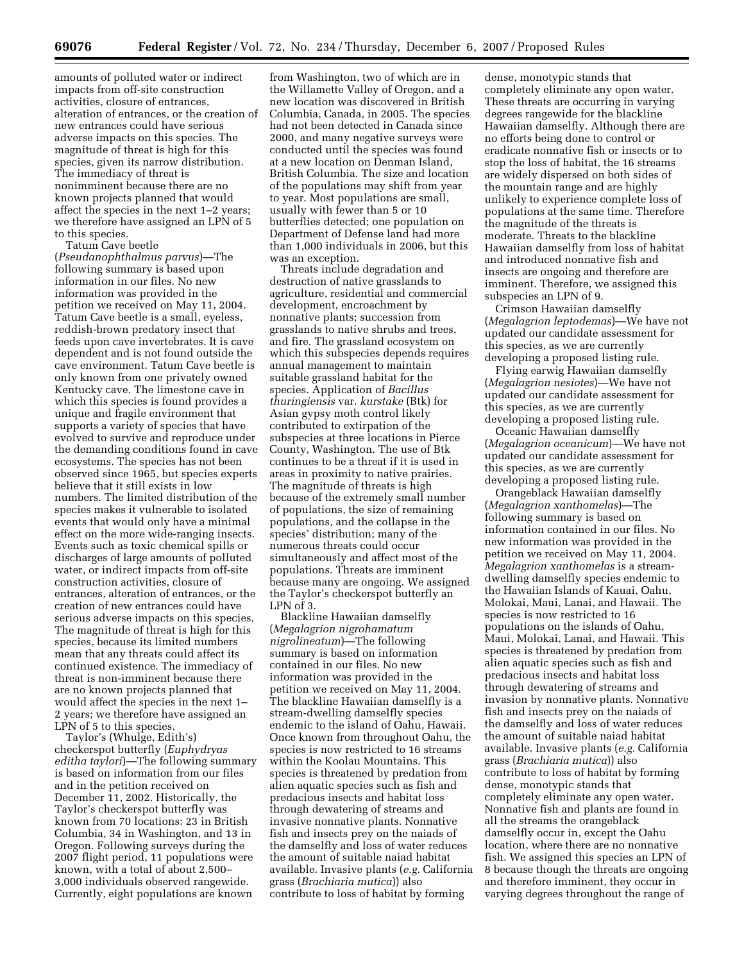amounts of polluted water or indirect impacts from off-site construction activities, closure of entrances, alteration of entrances, or the creation of new entrances could have serious adverse impacts on this species. The magnitude of threat is high for this species, given its narrow distribution. The immediacy of threat is nonimminent because there are no known projects planned that would affect the species in the next 1–2 years; we therefore have assigned an LPN of 5 to this species.

Tatum Cave beetle (*Pseudanophthalmus parvus*)—The following summary is based upon information in our files. No new information was provided in the petition we received on May 11, 2004. Tatum Cave beetle is a small, eyeless, reddish-brown predatory insect that feeds upon cave invertebrates. It is cave dependent and is not found outside the cave environment. Tatum Cave beetle is only known from one privately owned Kentucky cave. The limestone cave in which this species is found provides a unique and fragile environment that supports a variety of species that have evolved to survive and reproduce under the demanding conditions found in cave ecosystems. The species has not been observed since 1965, but species experts believe that it still exists in low numbers. The limited distribution of the species makes it vulnerable to isolated events that would only have a minimal effect on the more wide-ranging insects. Events such as toxic chemical spills or discharges of large amounts of polluted water, or indirect impacts from off-site construction activities, closure of entrances, alteration of entrances, or the creation of new entrances could have serious adverse impacts on this species. The magnitude of threat is high for this species, because its limited numbers mean that any threats could affect its continued existence. The immediacy of threat is non-imminent because there are no known projects planned that would affect the species in the next 1– 2 years; we therefore have assigned an LPN of 5 to this species.

Taylor's (Whulge, Edith's) checkerspot butterfly (*Euphydryas editha taylori*)—The following summary is based on information from our files and in the petition received on December 11, 2002. Historically, the Taylor's checkerspot butterfly was known from 70 locations: 23 in British Columbia, 34 in Washington, and 13 in Oregon. Following surveys during the 2007 flight period, 11 populations were known, with a total of about 2,500– 3,000 individuals observed rangewide. Currently, eight populations are known

from Washington, two of which are in the Willamette Valley of Oregon, and a new location was discovered in British Columbia, Canada, in 2005. The species had not been detected in Canada since 2000, and many negative surveys were conducted until the species was found at a new location on Denman Island, British Columbia. The size and location of the populations may shift from year to year. Most populations are small, usually with fewer than 5 or 10 butterflies detected; one population on Department of Defense land had more than 1,000 individuals in 2006, but this was an exception.

Threats include degradation and destruction of native grasslands to agriculture, residential and commercial development, encroachment by nonnative plants; succession from grasslands to native shrubs and trees, and fire. The grassland ecosystem on which this subspecies depends requires annual management to maintain suitable grassland habitat for the species. Application of *Bacillus thuringiensis* var. *kurstake* (Btk) for Asian gypsy moth control likely contributed to extirpation of the subspecies at three locations in Pierce County, Washington. The use of Btk continues to be a threat if it is used in areas in proximity to native prairies. The magnitude of threats is high because of the extremely small number of populations, the size of remaining populations, and the collapse in the species' distribution; many of the numerous threats could occur simultaneously and affect most of the populations. Threats are imminent because many are ongoing. We assigned the Taylor's checkerspot butterfly an LPN of 3.

Blackline Hawaiian damselfly (*Megalagrion nigrohamatum nigrolineatum*)—The following summary is based on information contained in our files. No new information was provided in the petition we received on May 11, 2004. The blackline Hawaiian damselfly is a stream-dwelling damselfly species endemic to the island of Oahu, Hawaii. Once known from throughout Oahu, the species is now restricted to 16 streams within the Koolau Mountains. This species is threatened by predation from alien aquatic species such as fish and predacious insects and habitat loss through dewatering of streams and invasive nonnative plants. Nonnative fish and insects prey on the naiads of the damselfly and loss of water reduces the amount of suitable naiad habitat available. Invasive plants (*e.g.* California grass (*Brachiaria mutica*)) also contribute to loss of habitat by forming

dense, monotypic stands that completely eliminate any open water. These threats are occurring in varying degrees rangewide for the blackline Hawaiian damselfly. Although there are no efforts being done to control or eradicate nonnative fish or insects or to stop the loss of habitat, the 16 streams are widely dispersed on both sides of the mountain range and are highly unlikely to experience complete loss of populations at the same time. Therefore the magnitude of the threats is moderate. Threats to the blackline Hawaiian damselfly from loss of habitat and introduced nonnative fish and insects are ongoing and therefore are imminent. Therefore, we assigned this subspecies an LPN of 9.

Crimson Hawaiian damselfly (*Megalagrion leptodemas*)—We have not updated our candidate assessment for this species, as we are currently developing a proposed listing rule.

Flying earwig Hawaiian damselfly (*Megalagrion nesiotes*)—We have not updated our candidate assessment for this species, as we are currently developing a proposed listing rule.

Oceanic Hawaiian damselfly (*Megalagrion oceanicum*)—We have not updated our candidate assessment for this species, as we are currently developing a proposed listing rule.

Orangeblack Hawaiian damselfly (*Megalagrion xanthomelas*)—The following summary is based on information contained in our files. No new information was provided in the petition we received on May 11, 2004. *Megalagrion xanthomelas* is a streamdwelling damselfly species endemic to the Hawaiian Islands of Kauai, Oahu, Molokai, Maui, Lanai, and Hawaii. The species is now restricted to 16 populations on the islands of Oahu, Maui, Molokai, Lanai, and Hawaii. This species is threatened by predation from alien aquatic species such as fish and predacious insects and habitat loss through dewatering of streams and invasion by nonnative plants. Nonnative fish and insects prey on the naiads of the damselfly and loss of water reduces the amount of suitable naiad habitat available. Invasive plants (*e.g.* California grass (*Brachiaria mutica*)) also contribute to loss of habitat by forming dense, monotypic stands that completely eliminate any open water. Nonnative fish and plants are found in all the streams the orangeblack damselfly occur in, except the Oahu location, where there are no nonnative fish. We assigned this species an LPN of 8 because though the threats are ongoing and therefore imminent, they occur in varying degrees throughout the range of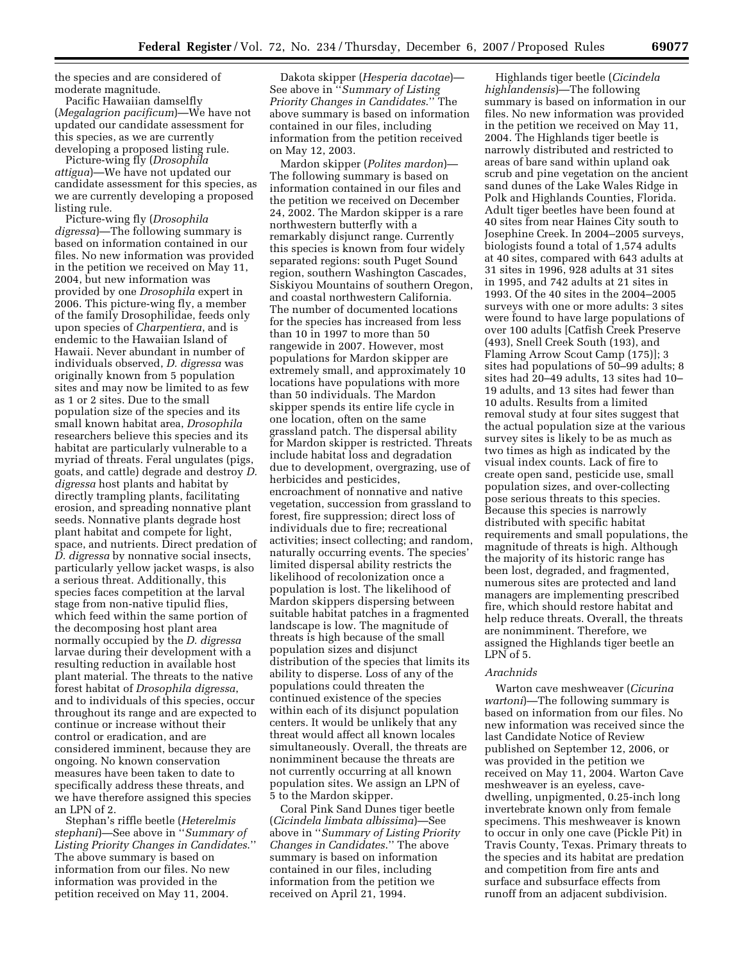the species and are considered of moderate magnitude.

Pacific Hawaiian damselfly (*Megalagrion pacificum*)—We have not updated our candidate assessment for this species, as we are currently developing a proposed listing rule.

Picture-wing fly (*Drosophila attigua*)—We have not updated our candidate assessment for this species, as we are currently developing a proposed listing rule.

Picture-wing fly (*Drosophila digressa*)—The following summary is based on information contained in our files. No new information was provided in the petition we received on May 11, 2004, but new information was provided by one *Drosophila* expert in 2006. This picture-wing fly, a member of the family Drosophilidae, feeds only upon species of *Charpentiera*, and is endemic to the Hawaiian Island of Hawaii. Never abundant in number of individuals observed, *D. digressa* was originally known from 5 population sites and may now be limited to as few as 1 or 2 sites. Due to the small population size of the species and its small known habitat area, *Drosophila*  researchers believe this species and its habitat are particularly vulnerable to a myriad of threats. Feral ungulates (pigs, goats, and cattle) degrade and destroy *D. digressa* host plants and habitat by directly trampling plants, facilitating erosion, and spreading nonnative plant seeds. Nonnative plants degrade host plant habitat and compete for light, space, and nutrients. Direct predation of *D. digressa* by nonnative social insects, particularly yellow jacket wasps, is also a serious threat. Additionally, this species faces competition at the larval stage from non-native tipulid flies, which feed within the same portion of the decomposing host plant area normally occupied by the *D. digressa*  larvae during their development with a resulting reduction in available host plant material. The threats to the native forest habitat of *Drosophila digressa*, and to individuals of this species, occur throughout its range and are expected to continue or increase without their control or eradication, and are considered imminent, because they are ongoing. No known conservation measures have been taken to date to specifically address these threats, and we have therefore assigned this species an LPN of 2.

Stephan's riffle beetle (*Heterelmis stephani*)—See above in ''*Summary of Listing Priority Changes in Candidates*.'' The above summary is based on information from our files. No new information was provided in the petition received on May 11, 2004.

Dakota skipper (*Hesperia dacotae*)— See above in ''*Summary of Listing Priority Changes in Candidates*.'' The above summary is based on information contained in our files, including information from the petition received on May 12, 2003.

Mardon skipper (*Polites mardon*)— The following summary is based on information contained in our files and the petition we received on December 24, 2002. The Mardon skipper is a rare northwestern butterfly with a remarkably disjunct range. Currently this species is known from four widely separated regions: south Puget Sound region, southern Washington Cascades, Siskiyou Mountains of southern Oregon, and coastal northwestern California. The number of documented locations for the species has increased from less than 10 in 1997 to more than 50 rangewide in 2007. However, most populations for Mardon skipper are extremely small, and approximately 10 locations have populations with more than 50 individuals. The Mardon skipper spends its entire life cycle in one location, often on the same grassland patch. The dispersal ability for Mardon skipper is restricted. Threats include habitat loss and degradation due to development, overgrazing, use of herbicides and pesticides, encroachment of nonnative and native vegetation, succession from grassland to forest, fire suppression; direct loss of individuals due to fire; recreational activities; insect collecting; and random, naturally occurring events. The species' limited dispersal ability restricts the likelihood of recolonization once a population is lost. The likelihood of Mardon skippers dispersing between suitable habitat patches in a fragmented landscape is low. The magnitude of threats is high because of the small population sizes and disjunct distribution of the species that limits its ability to disperse. Loss of any of the populations could threaten the continued existence of the species within each of its disjunct population centers. It would be unlikely that any threat would affect all known locales simultaneously. Overall, the threats are nonimminent because the threats are not currently occurring at all known population sites. We assign an LPN of 5 to the Mardon skipper.

Coral Pink Sand Dunes tiger beetle (*Cicindela limbata albissima*)—See above in ''*Summary of Listing Priority Changes in Candidates*.'' The above summary is based on information contained in our files, including information from the petition we received on April 21, 1994.

Highlands tiger beetle (*Cicindela highlandensis*)—The following summary is based on information in our files. No new information was provided in the petition we received on May 11, 2004. The Highlands tiger beetle is narrowly distributed and restricted to areas of bare sand within upland oak scrub and pine vegetation on the ancient sand dunes of the Lake Wales Ridge in Polk and Highlands Counties, Florida. Adult tiger beetles have been found at 40 sites from near Haines City south to Josephine Creek. In 2004–2005 surveys, biologists found a total of 1,574 adults at 40 sites, compared with 643 adults at 31 sites in 1996, 928 adults at 31 sites in 1995, and 742 adults at 21 sites in 1993. Of the 40 sites in the 2004–2005 surveys with one or more adults: 3 sites were found to have large populations of over 100 adults [Catfish Creek Preserve (493), Snell Creek South (193), and Flaming Arrow Scout Camp (175)]; 3 sites had populations of 50–99 adults; 8 sites had 20–49 adults, 13 sites had 10– 19 adults, and 13 sites had fewer than 10 adults. Results from a limited removal study at four sites suggest that the actual population size at the various survey sites is likely to be as much as two times as high as indicated by the visual index counts. Lack of fire to create open sand, pesticide use, small population sizes, and over-collecting pose serious threats to this species. Because this species is narrowly distributed with specific habitat requirements and small populations, the magnitude of threats is high. Although the majority of its historic range has been lost, degraded, and fragmented, numerous sites are protected and land managers are implementing prescribed fire, which should restore habitat and help reduce threats. Overall, the threats are nonimminent. Therefore, we assigned the Highlands tiger beetle an LPN of 5.

### *Arachnids*

Warton cave meshweaver (*Cicurina wartoni*)—The following summary is based on information from our files. No new information was received since the last Candidate Notice of Review published on September 12, 2006, or was provided in the petition we received on May 11, 2004. Warton Cave meshweaver is an eyeless, cavedwelling, unpigmented, 0.25-inch long invertebrate known only from female specimens. This meshweaver is known to occur in only one cave (Pickle Pit) in Travis County, Texas. Primary threats to the species and its habitat are predation and competition from fire ants and surface and subsurface effects from runoff from an adjacent subdivision.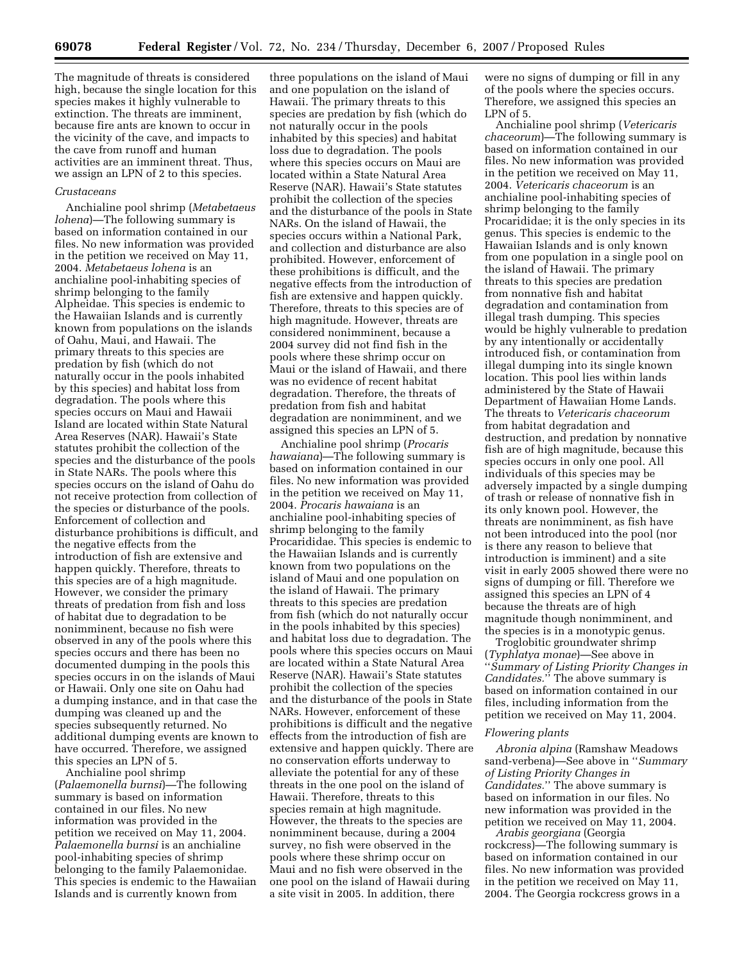The magnitude of threats is considered high, because the single location for this species makes it highly vulnerable to extinction. The threats are imminent, because fire ants are known to occur in the vicinity of the cave, and impacts to the cave from runoff and human activities are an imminent threat. Thus, we assign an LPN of 2 to this species.

#### *Crustaceans*

Anchialine pool shrimp (*Metabetaeus lohena*)—The following summary is based on information contained in our files. No new information was provided in the petition we received on May 11, 2004. *Metabetaeus lohena* is an anchialine pool-inhabiting species of shrimp belonging to the family Alpheidae. This species is endemic to the Hawaiian Islands and is currently known from populations on the islands of Oahu, Maui, and Hawaii. The primary threats to this species are predation by fish (which do not naturally occur in the pools inhabited by this species) and habitat loss from degradation. The pools where this species occurs on Maui and Hawaii Island are located within State Natural Area Reserves (NAR). Hawaii's State statutes prohibit the collection of the species and the disturbance of the pools in State NARs. The pools where this species occurs on the island of Oahu do not receive protection from collection of the species or disturbance of the pools. Enforcement of collection and disturbance prohibitions is difficult, and the negative effects from the introduction of fish are extensive and happen quickly. Therefore, threats to this species are of a high magnitude. However, we consider the primary threats of predation from fish and loss of habitat due to degradation to be nonimminent, because no fish were observed in any of the pools where this species occurs and there has been no documented dumping in the pools this species occurs in on the islands of Maui or Hawaii. Only one site on Oahu had a dumping instance, and in that case the dumping was cleaned up and the species subsequently returned. No additional dumping events are known to have occurred. Therefore, we assigned this species an LPN of 5.

Anchialine pool shrimp (*Palaemonella burnsi*)—The following summary is based on information contained in our files. No new information was provided in the petition we received on May 11, 2004. *Palaemonella burnsi* is an anchialine pool-inhabiting species of shrimp belonging to the family Palaemonidae. This species is endemic to the Hawaiian Islands and is currently known from

three populations on the island of Maui and one population on the island of Hawaii. The primary threats to this species are predation by fish (which do not naturally occur in the pools inhabited by this species) and habitat loss due to degradation. The pools where this species occurs on Maui are located within a State Natural Area Reserve (NAR). Hawaii's State statutes prohibit the collection of the species and the disturbance of the pools in State NARs. On the island of Hawaii, the species occurs within a National Park, and collection and disturbance are also prohibited. However, enforcement of these prohibitions is difficult, and the negative effects from the introduction of fish are extensive and happen quickly. Therefore, threats to this species are of high magnitude. However, threats are considered nonimminent, because a 2004 survey did not find fish in the pools where these shrimp occur on Maui or the island of Hawaii, and there was no evidence of recent habitat degradation. Therefore, the threats of predation from fish and habitat degradation are nonimminent, and we assigned this species an LPN of 5.

Anchialine pool shrimp (*Procaris hawaiana*)—The following summary is based on information contained in our files. No new information was provided in the petition we received on May 11, 2004. *Procaris hawaiana* is an anchialine pool-inhabiting species of shrimp belonging to the family Procarididae. This species is endemic to the Hawaiian Islands and is currently known from two populations on the island of Maui and one population on the island of Hawaii. The primary threats to this species are predation from fish (which do not naturally occur in the pools inhabited by this species) and habitat loss due to degradation. The pools where this species occurs on Maui are located within a State Natural Area Reserve (NAR). Hawaii's State statutes prohibit the collection of the species and the disturbance of the pools in State NARs. However, enforcement of these prohibitions is difficult and the negative effects from the introduction of fish are extensive and happen quickly. There are no conservation efforts underway to alleviate the potential for any of these threats in the one pool on the island of Hawaii. Therefore, threats to this species remain at high magnitude. However, the threats to the species are nonimminent because, during a 2004 survey, no fish were observed in the pools where these shrimp occur on Maui and no fish were observed in the one pool on the island of Hawaii during a site visit in 2005. In addition, there

were no signs of dumping or fill in any of the pools where the species occurs. Therefore, we assigned this species an LPN of 5.

Anchialine pool shrimp (*Vetericaris chaceorum*)—The following summary is based on information contained in our files. No new information was provided in the petition we received on May 11, 2004. *Vetericaris chaceorum* is an anchialine pool-inhabiting species of shrimp belonging to the family Procarididae; it is the only species in its genus. This species is endemic to the Hawaiian Islands and is only known from one population in a single pool on the island of Hawaii. The primary threats to this species are predation from nonnative fish and habitat degradation and contamination from illegal trash dumping. This species would be highly vulnerable to predation by any intentionally or accidentally introduced fish, or contamination from illegal dumping into its single known location. This pool lies within lands administered by the State of Hawaii Department of Hawaiian Home Lands. The threats to *Vetericaris chaceorum*  from habitat degradation and destruction, and predation by nonnative fish are of high magnitude, because this species occurs in only one pool. All individuals of this species may be adversely impacted by a single dumping of trash or release of nonnative fish in its only known pool. However, the threats are nonimminent, as fish have not been introduced into the pool (nor is there any reason to believe that introduction is imminent) and a site visit in early 2005 showed there were no signs of dumping or fill. Therefore we assigned this species an LPN of 4 because the threats are of high magnitude though nonimminent, and the species is in a monotypic genus.

Troglobitic groundwater shrimp (*Typhlatya monae*)—See above in ''*Summary of Listing Priority Changes in Candidates.*'' The above summary is based on information contained in our files, including information from the petition we received on May 11, 2004.

#### *Flowering plants*

*Abronia alpina* (Ramshaw Meadows sand-verbena)—See above in ''*Summary of Listing Priority Changes in Candidates.*'' The above summary is based on information in our files. No new information was provided in the petition we received on May 11, 2004.

*Arabis georgiana* (Georgia rockcress)—The following summary is based on information contained in our files. No new information was provided in the petition we received on May 11, 2004. The Georgia rockcress grows in a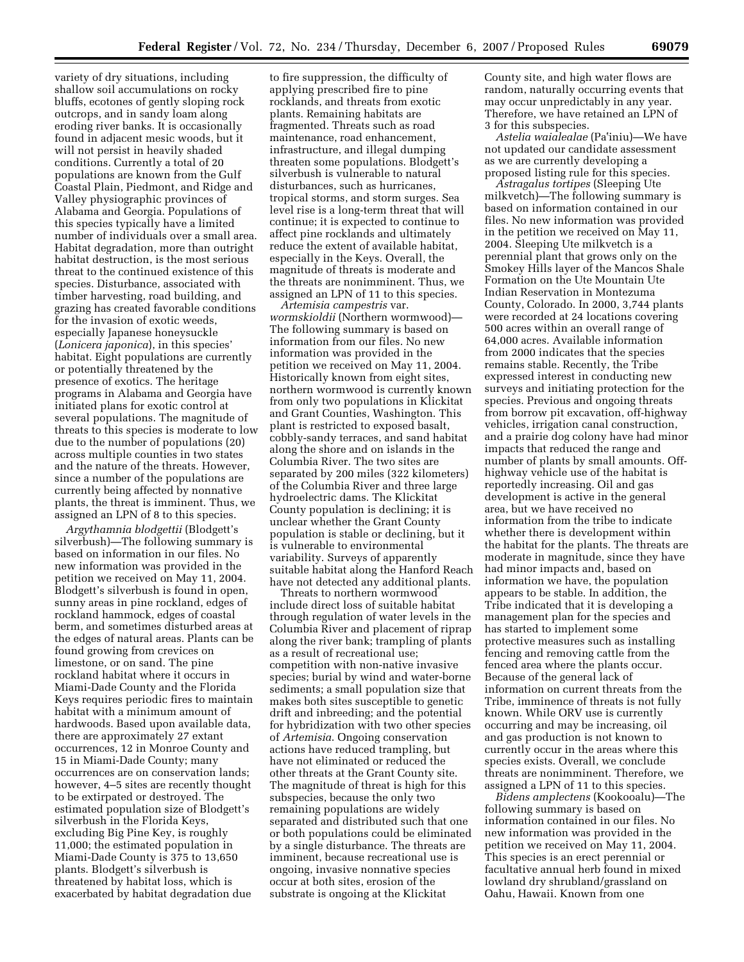variety of dry situations, including shallow soil accumulations on rocky bluffs, ecotones of gently sloping rock outcrops, and in sandy loam along eroding river banks. It is occasionally found in adjacent mesic woods, but it will not persist in heavily shaded conditions. Currently a total of 20 populations are known from the Gulf Coastal Plain, Piedmont, and Ridge and Valley physiographic provinces of Alabama and Georgia. Populations of this species typically have a limited number of individuals over a small area. Habitat degradation, more than outright habitat destruction, is the most serious threat to the continued existence of this species. Disturbance, associated with timber harvesting, road building, and grazing has created favorable conditions for the invasion of exotic weeds, especially Japanese honeysuckle (*Lonicera japonica*), in this species' habitat. Eight populations are currently or potentially threatened by the presence of exotics. The heritage programs in Alabama and Georgia have initiated plans for exotic control at several populations. The magnitude of threats to this species is moderate to low due to the number of populations (20) across multiple counties in two states and the nature of the threats. However, since a number of the populations are currently being affected by nonnative plants, the threat is imminent. Thus, we assigned an LPN of 8 to this species.

*Argythamnia blodgettii* (Blodgett's silverbush)—The following summary is based on information in our files. No new information was provided in the petition we received on May 11, 2004. Blodgett's silverbush is found in open, sunny areas in pine rockland, edges of rockland hammock, edges of coastal berm, and sometimes disturbed areas at the edges of natural areas. Plants can be found growing from crevices on limestone, or on sand. The pine rockland habitat where it occurs in Miami-Dade County and the Florida Keys requires periodic fires to maintain habitat with a minimum amount of hardwoods. Based upon available data, there are approximately 27 extant occurrences, 12 in Monroe County and 15 in Miami-Dade County; many occurrences are on conservation lands; however, 4–5 sites are recently thought to be extirpated or destroyed. The estimated population size of Blodgett's silverbush in the Florida Keys, excluding Big Pine Key, is roughly 11,000; the estimated population in Miami-Dade County is 375 to 13,650 plants. Blodgett's silverbush is threatened by habitat loss, which is exacerbated by habitat degradation due

to fire suppression, the difficulty of applying prescribed fire to pine rocklands, and threats from exotic plants. Remaining habitats are fragmented. Threats such as road maintenance, road enhancement, infrastructure, and illegal dumping threaten some populations. Blodgett's silverbush is vulnerable to natural disturbances, such as hurricanes, tropical storms, and storm surges. Sea level rise is a long-term threat that will continue; it is expected to continue to affect pine rocklands and ultimately reduce the extent of available habitat, especially in the Keys. Overall, the magnitude of threats is moderate and the threats are nonimminent. Thus, we assigned an LPN of 11 to this species.

*Artemisia campestris* var. *wormskioldii* (Northern wormwood)— The following summary is based on information from our files. No new information was provided in the petition we received on May 11, 2004. Historically known from eight sites, northern wormwood is currently known from only two populations in Klickitat and Grant Counties, Washington. This plant is restricted to exposed basalt, cobbly-sandy terraces, and sand habitat along the shore and on islands in the Columbia River. The two sites are separated by 200 miles (322 kilometers) of the Columbia River and three large hydroelectric dams. The Klickitat County population is declining; it is unclear whether the Grant County population is stable or declining, but it is vulnerable to environmental variability. Surveys of apparently suitable habitat along the Hanford Reach have not detected any additional plants.

Threats to northern wormwood include direct loss of suitable habitat through regulation of water levels in the Columbia River and placement of riprap along the river bank; trampling of plants as a result of recreational use; competition with non-native invasive species; burial by wind and water-borne sediments; a small population size that makes both sites susceptible to genetic drift and inbreeding; and the potential for hybridization with two other species of *Artemisia*. Ongoing conservation actions have reduced trampling, but have not eliminated or reduced the other threats at the Grant County site. The magnitude of threat is high for this subspecies, because the only two remaining populations are widely separated and distributed such that one or both populations could be eliminated by a single disturbance. The threats are imminent, because recreational use is ongoing, invasive nonnative species occur at both sites, erosion of the substrate is ongoing at the Klickitat

County site, and high water flows are random, naturally occurring events that may occur unpredictably in any year. Therefore, we have retained an LPN of 3 for this subspecies.

*Astelia waialealae* (Pa1iniu)—We have not updated our candidate assessment as we are currently developing a proposed listing rule for this species.

*Astragalus tortipes* (Sleeping Ute milkvetch)—The following summary is based on information contained in our files. No new information was provided in the petition we received on May 11, 2004. Sleeping Ute milkvetch is a perennial plant that grows only on the Smokey Hills layer of the Mancos Shale Formation on the Ute Mountain Ute Indian Reservation in Montezuma County, Colorado. In 2000, 3,744 plants were recorded at 24 locations covering 500 acres within an overall range of 64,000 acres. Available information from 2000 indicates that the species remains stable. Recently, the Tribe expressed interest in conducting new surveys and initiating protection for the species. Previous and ongoing threats from borrow pit excavation, off-highway vehicles, irrigation canal construction, and a prairie dog colony have had minor impacts that reduced the range and number of plants by small amounts. Offhighway vehicle use of the habitat is reportedly increasing. Oil and gas development is active in the general area, but we have received no information from the tribe to indicate whether there is development within the habitat for the plants. The threats are moderate in magnitude, since they have had minor impacts and, based on information we have, the population appears to be stable. In addition, the Tribe indicated that it is developing a management plan for the species and has started to implement some protective measures such as installing fencing and removing cattle from the fenced area where the plants occur. Because of the general lack of information on current threats from the Tribe, imminence of threats is not fully known. While ORV use is currently occurring and may be increasing, oil and gas production is not known to currently occur in the areas where this species exists. Overall, we conclude threats are nonimminent. Therefore, we assigned a LPN of 11 to this species.

*Bidens amplectens* (Kookooalu)—The following summary is based on information contained in our files. No new information was provided in the petition we received on May 11, 2004. This species is an erect perennial or facultative annual herb found in mixed lowland dry shrubland/grassland on Oahu, Hawaii. Known from one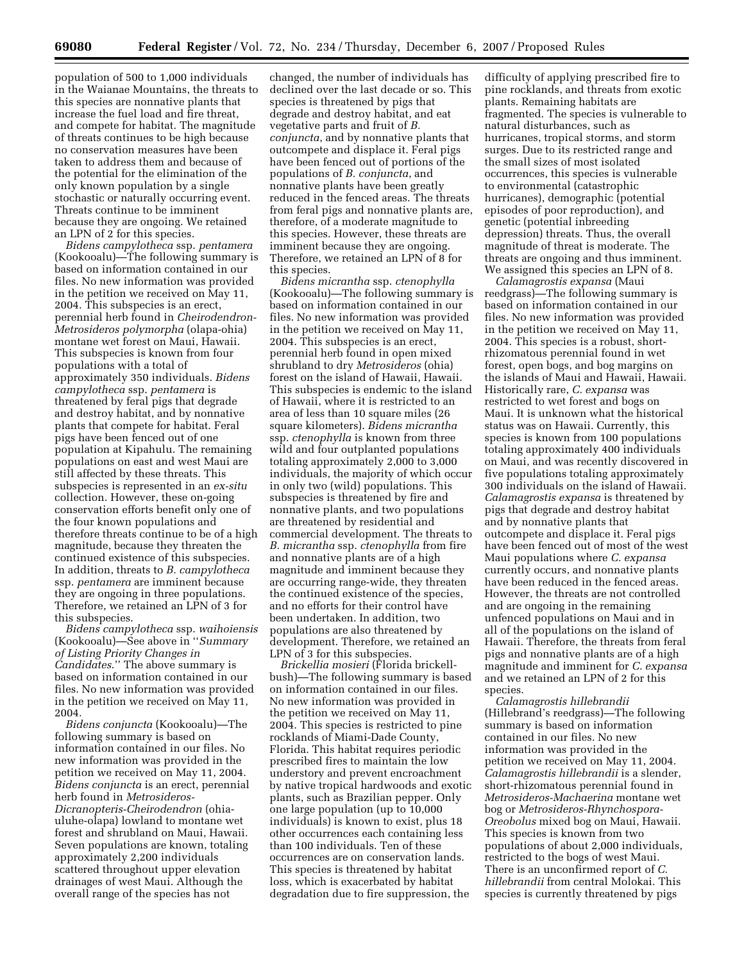population of 500 to 1,000 individuals in the Waianae Mountains, the threats to this species are nonnative plants that increase the fuel load and fire threat, and compete for habitat. The magnitude of threats continues to be high because no conservation measures have been taken to address them and because of the potential for the elimination of the only known population by a single stochastic or naturally occurring event. Threats continue to be imminent because they are ongoing. We retained an LPN of 2 for this species.

*Bidens campylotheca* ssp. *pentamera*  (Kookooalu)—The following summary is based on information contained in our files. No new information was provided in the petition we received on May 11, 2004. This subspecies is an erect, perennial herb found in *Cheirodendron-Metrosideros polymorpha* (olapa-ohia) montane wet forest on Maui, Hawaii. This subspecies is known from four populations with a total of approximately 350 individuals. *Bidens campylotheca* ssp. *pentamera* is threatened by feral pigs that degrade and destroy habitat, and by nonnative plants that compete for habitat. Feral pigs have been fenced out of one population at Kipahulu. The remaining populations on east and west Maui are still affected by these threats. This subspecies is represented in an *ex-situ*  collection. However, these on-going conservation efforts benefit only one of the four known populations and therefore threats continue to be of a high magnitude, because they threaten the continued existence of this subspecies. In addition, threats to *B. campylotheca*  ssp. *pentamera* are imminent because they are ongoing in three populations. Therefore, we retained an LPN of 3 for this subspecies.

*Bidens campylotheca* ssp. *waihoiensis*  (Kookooalu)—See above in ''*Summary of Listing Priority Changes in Candidates*.'' The above summary is based on information contained in our files. No new information was provided in the petition we received on May 11, 2004.

*Bidens conjuncta* (Kookooalu)—The following summary is based on information contained in our files. No new information was provided in the petition we received on May 11, 2004. *Bidens conjuncta* is an erect, perennial herb found in *Metrosideros-Dicranopteris-Cheirodendron* (ohiauluhe-olapa) lowland to montane wet forest and shrubland on Maui, Hawaii. Seven populations are known, totaling approximately 2,200 individuals scattered throughout upper elevation drainages of west Maui. Although the overall range of the species has not

changed, the number of individuals has declined over the last decade or so. This species is threatened by pigs that degrade and destroy habitat, and eat vegetative parts and fruit of *B. conjuncta*, and by nonnative plants that outcompete and displace it. Feral pigs have been fenced out of portions of the populations of *B. conjuncta*, and nonnative plants have been greatly reduced in the fenced areas. The threats from feral pigs and nonnative plants are, therefore, of a moderate magnitude to this species. However, these threats are imminent because they are ongoing. Therefore, we retained an LPN of 8 for this species.

*Bidens micrantha* ssp. *ctenophylla*  (Kookooalu)—The following summary is based on information contained in our files. No new information was provided in the petition we received on May 11, 2004. This subspecies is an erect, perennial herb found in open mixed shrubland to dry *Metrosideros* (ohia) forest on the island of Hawaii, Hawaii. This subspecies is endemic to the island of Hawaii, where it is restricted to an area of less than 10 square miles (26 square kilometers). *Bidens micrantha*  ssp. *ctenophylla* is known from three wild and four outplanted populations totaling approximately 2,000 to 3,000 individuals, the majority of which occur in only two (wild) populations. This subspecies is threatened by fire and nonnative plants, and two populations are threatened by residential and commercial development. The threats to *B. micrantha* ssp. *ctenophylla* from fire and nonnative plants are of a high magnitude and imminent because they are occurring range-wide, they threaten the continued existence of the species, and no efforts for their control have been undertaken. In addition, two populations are also threatened by development. Therefore, we retained an LPN of 3 for this subspecies.

*Brickellia mosieri* (Florida brickellbush)—The following summary is based on information contained in our files. No new information was provided in the petition we received on May 11, 2004. This species is restricted to pine rocklands of Miami-Dade County, Florida. This habitat requires periodic prescribed fires to maintain the low understory and prevent encroachment by native tropical hardwoods and exotic plants, such as Brazilian pepper. Only one large population (up to 10,000 individuals) is known to exist, plus 18 other occurrences each containing less than 100 individuals. Ten of these occurrences are on conservation lands. This species is threatened by habitat loss, which is exacerbated by habitat degradation due to fire suppression, the

difficulty of applying prescribed fire to pine rocklands, and threats from exotic plants. Remaining habitats are fragmented. The species is vulnerable to natural disturbances, such as hurricanes, tropical storms, and storm surges. Due to its restricted range and the small sizes of most isolated occurrences, this species is vulnerable to environmental (catastrophic hurricanes), demographic (potential episodes of poor reproduction), and genetic (potential inbreeding depression) threats. Thus, the overall magnitude of threat is moderate. The threats are ongoing and thus imminent. We assigned this species an LPN of 8.

*Calamagrostis expansa* (Maui reedgrass)—The following summary is based on information contained in our files. No new information was provided in the petition we received on May 11, 2004. This species is a robust, shortrhizomatous perennial found in wet forest, open bogs, and bog margins on the islands of Maui and Hawaii, Hawaii. Historically rare, *C. expansa* was restricted to wet forest and bogs on Maui. It is unknown what the historical status was on Hawaii. Currently, this species is known from 100 populations totaling approximately 400 individuals on Maui, and was recently discovered in five populations totaling approximately 300 individuals on the island of Hawaii. *Calamagrostis expansa* is threatened by pigs that degrade and destroy habitat and by nonnative plants that outcompete and displace it. Feral pigs have been fenced out of most of the west Maui populations where *C. expansa*  currently occurs, and nonnative plants have been reduced in the fenced areas. However, the threats are not controlled and are ongoing in the remaining unfenced populations on Maui and in all of the populations on the island of Hawaii. Therefore, the threats from feral pigs and nonnative plants are of a high magnitude and imminent for *C. expansa*  and we retained an LPN of 2 for this species.

*Calamagrostis hillebrandii*  (Hillebrand's reedgrass)—The following summary is based on information contained in our files. No new information was provided in the petition we received on May 11, 2004. *Calamagrostis hillebrandii* is a slender, short-rhizomatous perennial found in *Metrosideros-Machaerina* montane wet bog or *Metrosideros-Rhynchospora-Oreobolus* mixed bog on Maui, Hawaii. This species is known from two populations of about 2,000 individuals, restricted to the bogs of west Maui. There is an unconfirmed report of *C. hillebrandii* from central Molokai. This species is currently threatened by pigs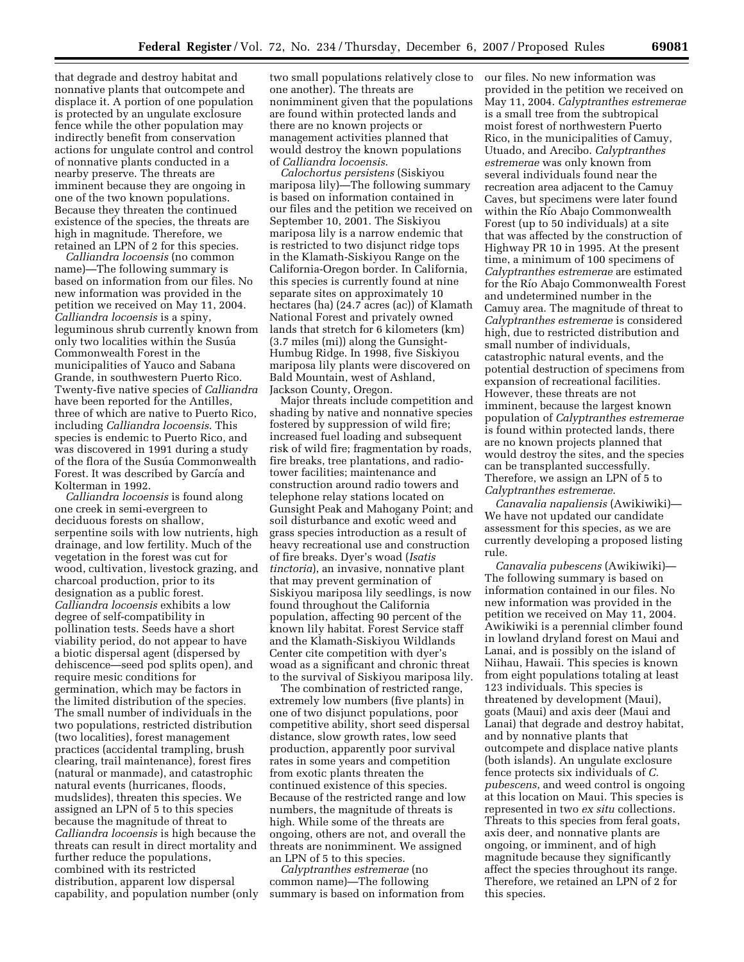that degrade and destroy habitat and nonnative plants that outcompete and displace it. A portion of one population is protected by an ungulate exclosure fence while the other population may indirectly benefit from conservation actions for ungulate control and control of nonnative plants conducted in a nearby preserve. The threats are imminent because they are ongoing in one of the two known populations. Because they threaten the continued existence of the species, the threats are high in magnitude. Therefore, we retained an LPN of 2 for this species.

*Calliandra locoensis* (no common name)—The following summary is based on information from our files. No new information was provided in the petition we received on May 11, 2004. *Calliandra locoensis* is a spiny, leguminous shrub currently known from only two localities within the Susúa Commonwealth Forest in the municipalities of Yauco and Sabana Grande, in southwestern Puerto Rico. Twenty-five native species of *Calliandra*  have been reported for the Antilles, three of which are native to Puerto Rico, including *Calliandra locoensis*. This species is endemic to Puerto Rico, and was discovered in 1991 during a study of the flora of the Susúa Commonwealth Forest. It was described by García and Kolterman in 1992.

*Calliandra locoensis* is found along one creek in semi-evergreen to deciduous forests on shallow, serpentine soils with low nutrients, high drainage, and low fertility. Much of the vegetation in the forest was cut for wood, cultivation, livestock grazing, and charcoal production, prior to its designation as a public forest. *Calliandra locoensis* exhibits a low degree of self-compatibility in pollination tests. Seeds have a short viability period, do not appear to have a biotic dispersal agent (dispersed by dehiscence—seed pod splits open), and require mesic conditions for germination, which may be factors in the limited distribution of the species. The small number of individuals in the two populations, restricted distribution (two localities), forest management practices (accidental trampling, brush clearing, trail maintenance), forest fires (natural or manmade), and catastrophic natural events (hurricanes, floods, mudslides), threaten this species. We assigned an LPN of 5 to this species because the magnitude of threat to *Calliandra locoensis* is high because the threats can result in direct mortality and further reduce the populations, combined with its restricted distribution, apparent low dispersal capability, and population number (only

two small populations relatively close to one another). The threats are nonimminent given that the populations are found within protected lands and there are no known projects or management activities planned that would destroy the known populations of *Calliandra locoensis*.

*Calochortus persistens* (Siskiyou mariposa lily)—The following summary is based on information contained in our files and the petition we received on September 10, 2001. The Siskiyou mariposa lily is a narrow endemic that is restricted to two disjunct ridge tops in the Klamath-Siskiyou Range on the California-Oregon border. In California, this species is currently found at nine separate sites on approximately 10 hectares (ha) (24.7 acres (ac)) of Klamath National Forest and privately owned lands that stretch for 6 kilometers (km) (3.7 miles (mi)) along the Gunsight-Humbug Ridge. In 1998, five Siskiyou mariposa lily plants were discovered on Bald Mountain, west of Ashland, Jackson County, Oregon.

Major threats include competition and shading by native and nonnative species fostered by suppression of wild fire; increased fuel loading and subsequent risk of wild fire; fragmentation by roads, fire breaks, tree plantations, and radiotower facilities; maintenance and construction around radio towers and telephone relay stations located on Gunsight Peak and Mahogany Point; and soil disturbance and exotic weed and grass species introduction as a result of heavy recreational use and construction of fire breaks. Dyer's woad (*Isatis tinctoria*), an invasive, nonnative plant that may prevent germination of Siskiyou mariposa lily seedlings, is now found throughout the California population, affecting 90 percent of the known lily habitat. Forest Service staff and the Klamath-Siskiyou Wildlands Center cite competition with dyer's woad as a significant and chronic threat to the survival of Siskiyou mariposa lily.

The combination of restricted range, extremely low numbers (five plants) in one of two disjunct populations, poor competitive ability, short seed dispersal distance, slow growth rates, low seed production, apparently poor survival rates in some years and competition from exotic plants threaten the continued existence of this species. Because of the restricted range and low numbers, the magnitude of threats is high. While some of the threats are ongoing, others are not, and overall the threats are nonimminent. We assigned an LPN of 5 to this species.

*Calyptranthes estremerae* (no common name)—The following summary is based on information from our files. No new information was provided in the petition we received on May 11, 2004. *Calyptranthes estremerae*  is a small tree from the subtropical moist forest of northwestern Puerto Rico, in the municipalities of Camuy, Utuado, and Arecibo. *Calyptranthes estremerae* was only known from several individuals found near the recreation area adjacent to the Camuy Caves, but specimens were later found within the Río Abajo Commonwealth Forest (up to 50 individuals) at a site that was affected by the construction of Highway PR 10 in 1995. At the present time, a minimum of 100 specimens of *Calyptranthes estremerae* are estimated for the Rı´o Abajo Commonwealth Forest and undetermined number in the Camuy area. The magnitude of threat to *Calyptranthes estremerae* is considered high, due to restricted distribution and small number of individuals, catastrophic natural events, and the potential destruction of specimens from expansion of recreational facilities. However, these threats are not imminent, because the largest known population of *Calyptranthes estremerae*  is found within protected lands, there are no known projects planned that would destroy the sites, and the species can be transplanted successfully. Therefore, we assign an LPN of 5 to *Calyptranthes estremerae*.

*Canavalia napaliensis* (Awikiwiki)— We have not updated our candidate assessment for this species, as we are currently developing a proposed listing rule.

*Canavalia pubescens* (Awikiwiki)— The following summary is based on information contained in our files. No new information was provided in the petition we received on May 11, 2004. Awikiwiki is a perennial climber found in lowland dryland forest on Maui and Lanai, and is possibly on the island of Niihau, Hawaii. This species is known from eight populations totaling at least 123 individuals. This species is threatened by development (Maui), goats (Maui) and axis deer (Maui and Lanai) that degrade and destroy habitat, and by nonnative plants that outcompete and displace native plants (both islands). An ungulate exclosure fence protects six individuals of *C. pubescens*, and weed control is ongoing at this location on Maui. This species is represented in two *ex situ* collections. Threats to this species from feral goats, axis deer, and nonnative plants are ongoing, or imminent, and of high magnitude because they significantly affect the species throughout its range. Therefore, we retained an LPN of 2 for this species.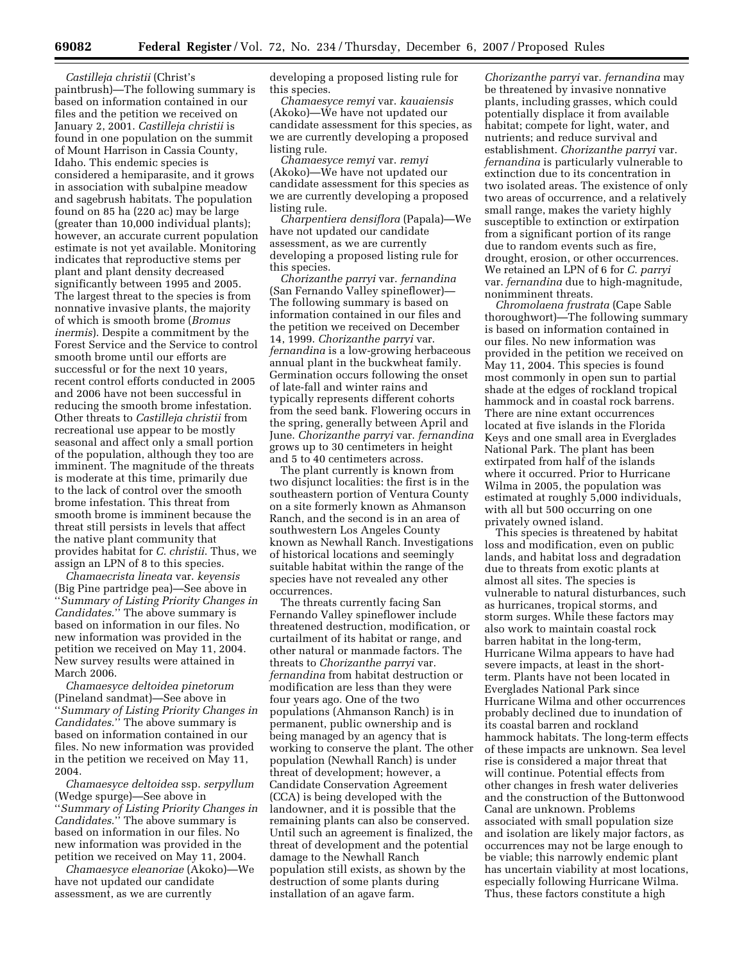*Castilleja christii* (Christ's paintbrush)—The following summary is based on information contained in our files and the petition we received on January 2, 2001. *Castilleja christii* is found in one population on the summit of Mount Harrison in Cassia County, Idaho. This endemic species is considered a hemiparasite, and it grows in association with subalpine meadow and sagebrush habitats. The population found on 85 ha (220 ac) may be large (greater than 10,000 individual plants); however, an accurate current population estimate is not yet available. Monitoring indicates that reproductive stems per plant and plant density decreased significantly between 1995 and 2005. The largest threat to the species is from nonnative invasive plants, the majority of which is smooth brome (*Bromus inermis*). Despite a commitment by the Forest Service and the Service to control smooth brome until our efforts are successful or for the next 10 years, recent control efforts conducted in 2005 and 2006 have not been successful in reducing the smooth brome infestation. Other threats to *Castilleja christii* from recreational use appear to be mostly seasonal and affect only a small portion of the population, although they too are imminent. The magnitude of the threats is moderate at this time, primarily due to the lack of control over the smooth brome infestation. This threat from smooth brome is imminent because the threat still persists in levels that affect the native plant community that provides habitat for *C. christii*. Thus, we assign an LPN of 8 to this species.

*Chamaecrista lineata* var. *keyensis*  (Big Pine partridge pea)—See above in ''*Summary of Listing Priority Changes in Candidates*.'' The above summary is based on information in our files. No new information was provided in the petition we received on May 11, 2004. New survey results were attained in March 2006.

*Chamaesyce deltoidea pinetorum*  (Pineland sandmat)—See above in ''*Summary of Listing Priority Changes in Candidates*.'' The above summary is based on information contained in our files. No new information was provided in the petition we received on May 11, 2004.

*Chamaesyce deltoidea* ssp. *serpyllum*  (Wedge spurge)—See above in ''*Summary of Listing Priority Changes in Candidates*.'' The above summary is based on information in our files. No new information was provided in the petition we received on May 11, 2004.

*Chamaesyce eleanoriae* (Akoko)—We have not updated our candidate assessment, as we are currently

developing a proposed listing rule for this species.

*Chamaesyce remyi* var. *kauaiensis*  (Akoko)—We have not updated our candidate assessment for this species, as we are currently developing a proposed listing rule.

*Chamaesyce remyi* var. *remyi*  (Akoko)—We have not updated our candidate assessment for this species as we are currently developing a proposed listing rule.

*Charpentiera densiflora* (Papala)—We have not updated our candidate assessment, as we are currently developing a proposed listing rule for this species.

*Chorizanthe parryi* var. *fernandina*  (San Fernando Valley spineflower)— The following summary is based on information contained in our files and the petition we received on December 14, 1999. *Chorizanthe parryi* var. *fernandina* is a low-growing herbaceous annual plant in the buckwheat family. Germination occurs following the onset of late-fall and winter rains and typically represents different cohorts from the seed bank. Flowering occurs in the spring, generally between April and June. *Chorizanthe parryi* var. *fernandina*  grows up to 30 centimeters in height and 5 to 40 centimeters across.

The plant currently is known from two disjunct localities: the first is in the southeastern portion of Ventura County on a site formerly known as Ahmanson Ranch, and the second is in an area of southwestern Los Angeles County known as Newhall Ranch. Investigations of historical locations and seemingly suitable habitat within the range of the species have not revealed any other occurrences.

The threats currently facing San Fernando Valley spineflower include threatened destruction, modification, or curtailment of its habitat or range, and other natural or manmade factors. The threats to *Chorizanthe parryi* var. *fernandina* from habitat destruction or modification are less than they were four years ago. One of the two populations (Ahmanson Ranch) is in permanent, public ownership and is being managed by an agency that is working to conserve the plant. The other population (Newhall Ranch) is under threat of development; however, a Candidate Conservation Agreement (CCA) is being developed with the landowner, and it is possible that the remaining plants can also be conserved. Until such an agreement is finalized, the threat of development and the potential damage to the Newhall Ranch population still exists, as shown by the destruction of some plants during installation of an agave farm.

*Chorizanthe parryi* var. *fernandina* may be threatened by invasive nonnative plants, including grasses, which could potentially displace it from available habitat; compete for light, water, and nutrients; and reduce survival and establishment. *Chorizanthe parryi* var. *fernandina* is particularly vulnerable to extinction due to its concentration in two isolated areas. The existence of only two areas of occurrence, and a relatively small range, makes the variety highly susceptible to extinction or extirpation from a significant portion of its range due to random events such as fire, drought, erosion, or other occurrences. We retained an LPN of 6 for *C. parryi*  var. *fernandina* due to high-magnitude, nonimminent threats.

*Chromolaena frustrata* (Cape Sable thoroughwort)—The following summary is based on information contained in our files. No new information was provided in the petition we received on May 11, 2004. This species is found most commonly in open sun to partial shade at the edges of rockland tropical hammock and in coastal rock barrens. There are nine extant occurrences located at five islands in the Florida Keys and one small area in Everglades National Park. The plant has been extirpated from half of the islands where it occurred. Prior to Hurricane Wilma in 2005, the population was estimated at roughly 5,000 individuals, with all but 500 occurring on one privately owned island.

This species is threatened by habitat loss and modification, even on public lands, and habitat loss and degradation due to threats from exotic plants at almost all sites. The species is vulnerable to natural disturbances, such as hurricanes, tropical storms, and storm surges. While these factors may also work to maintain coastal rock barren habitat in the long-term, Hurricane Wilma appears to have had severe impacts, at least in the shortterm. Plants have not been located in Everglades National Park since Hurricane Wilma and other occurrences probably declined due to inundation of its coastal barren and rockland hammock habitats. The long-term effects of these impacts are unknown. Sea level rise is considered a major threat that will continue. Potential effects from other changes in fresh water deliveries and the construction of the Buttonwood Canal are unknown. Problems associated with small population size and isolation are likely major factors, as occurrences may not be large enough to be viable; this narrowly endemic plant has uncertain viability at most locations, especially following Hurricane Wilma. Thus, these factors constitute a high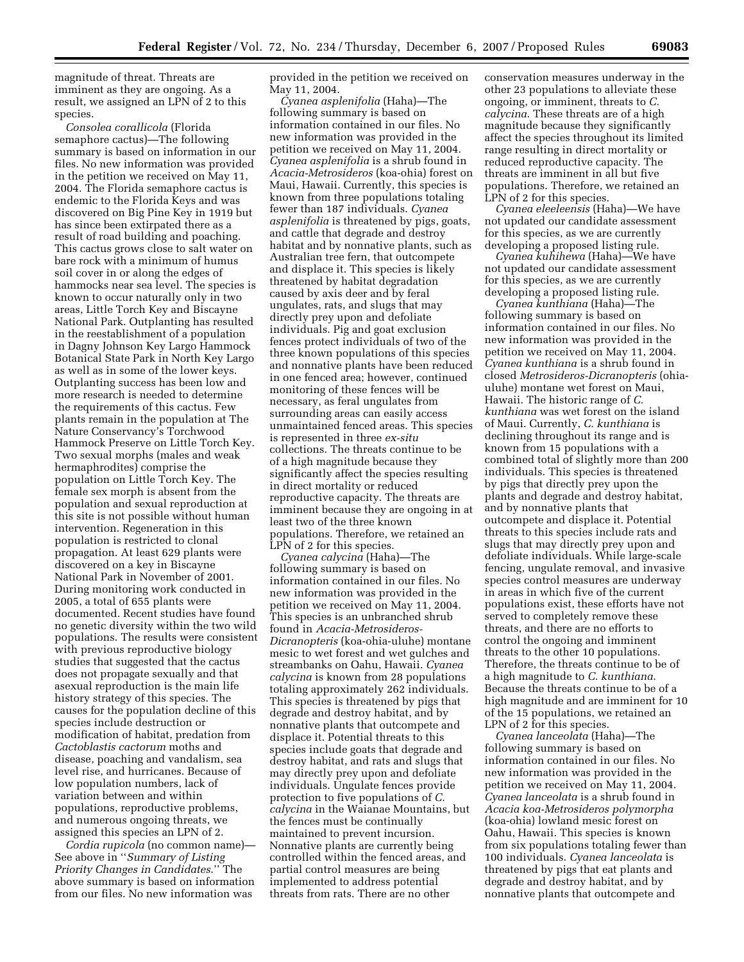magnitude of threat. Threats are imminent as they are ongoing. As a result, we assigned an LPN of 2 to this species.

*Consolea corallicola* (Florida semaphore cactus)—The following summary is based on information in our files. No new information was provided in the petition we received on May 11, 2004. The Florida semaphore cactus is endemic to the Florida Keys and was discovered on Big Pine Key in 1919 but has since been extirpated there as a result of road building and poaching. This cactus grows close to salt water on bare rock with a minimum of humus soil cover in or along the edges of hammocks near sea level. The species is known to occur naturally only in two areas, Little Torch Key and Biscayne National Park. Outplanting has resulted in the reestablishment of a population in Dagny Johnson Key Largo Hammock Botanical State Park in North Key Largo as well as in some of the lower keys. Outplanting success has been low and more research is needed to determine the requirements of this cactus. Few plants remain in the population at The Nature Conservancy's Torchwood Hammock Preserve on Little Torch Key. Two sexual morphs (males and weak hermaphrodites) comprise the population on Little Torch Key. The female sex morph is absent from the population and sexual reproduction at this site is not possible without human intervention. Regeneration in this population is restricted to clonal propagation. At least 629 plants were discovered on a key in Biscayne National Park in November of 2001. During monitoring work conducted in 2005, a total of 655 plants were documented. Recent studies have found no genetic diversity within the two wild populations. The results were consistent with previous reproductive biology studies that suggested that the cactus does not propagate sexually and that asexual reproduction is the main life history strategy of this species. The causes for the population decline of this species include destruction or modification of habitat, predation from *Cactoblastis cactorum* moths and disease, poaching and vandalism, sea level rise, and hurricanes. Because of low population numbers, lack of variation between and within populations, reproductive problems, and numerous ongoing threats, we assigned this species an LPN of 2.

*Cordia rupicola* (no common name)— See above in ''*Summary of Listing Priority Changes in Candidates*.'' The above summary is based on information from our files. No new information was

provided in the petition we received on May 11, 2004.

*Cyanea asplenifolia* (Haha)—The following summary is based on information contained in our files. No new information was provided in the petition we received on May 11, 2004. *Cyanea asplenifolia* is a shrub found in *Acacia-Metrosideros* (koa-ohia) forest on Maui, Hawaii. Currently, this species is known from three populations totaling fewer than 187 individuals. *Cyanea asplenifolia* is threatened by pigs, goats, and cattle that degrade and destroy habitat and by nonnative plants, such as Australian tree fern, that outcompete and displace it. This species is likely threatened by habitat degradation caused by axis deer and by feral ungulates, rats, and slugs that may directly prey upon and defoliate individuals. Pig and goat exclusion fences protect individuals of two of the three known populations of this species and nonnative plants have been reduced in one fenced area; however, continued monitoring of these fences will be necessary, as feral ungulates from surrounding areas can easily access unmaintained fenced areas. This species is represented in three *ex-situ*  collections. The threats continue to be of a high magnitude because they significantly affect the species resulting in direct mortality or reduced reproductive capacity. The threats are imminent because they are ongoing in at least two of the three known populations. Therefore, we retained an LPN of 2 for this species.

*Cyanea calycina* (Haha)—The following summary is based on information contained in our files. No new information was provided in the petition we received on May 11, 2004. This species is an unbranched shrub found in *Acacia-Metrosideros-Dicranopteris* (koa-ohia-uluhe) montane mesic to wet forest and wet gulches and streambanks on Oahu, Hawaii. *Cyanea calycina* is known from 28 populations totaling approximately 262 individuals. This species is threatened by pigs that degrade and destroy habitat, and by nonnative plants that outcompete and displace it. Potential threats to this species include goats that degrade and destroy habitat, and rats and slugs that may directly prey upon and defoliate individuals. Ungulate fences provide protection to five populations of *C. calycina* in the Waianae Mountains, but the fences must be continually maintained to prevent incursion. Nonnative plants are currently being controlled within the fenced areas, and partial control measures are being implemented to address potential threats from rats. There are no other

conservation measures underway in the other 23 populations to alleviate these ongoing, or imminent, threats to *C. calycina*. These threats are of a high magnitude because they significantly affect the species throughout its limited range resulting in direct mortality or reduced reproductive capacity. The threats are imminent in all but five populations. Therefore, we retained an LPN of 2 for this species.

*Cyanea eleeleensis* (Haha)—We have not updated our candidate assessment for this species, as we are currently developing a proposed listing rule.

*Cyanea kuhihewa* (Haha)—We have not updated our candidate assessment for this species, as we are currently developing a proposed listing rule.

*Cyanea kunthiana* (Haha)—The following summary is based on information contained in our files. No new information was provided in the petition we received on May 11, 2004. *Cyanea kunthiana* is a shrub found in closed *Metrosideros-Dicranopteris* (ohiauluhe) montane wet forest on Maui, Hawaii. The historic range of *C. kunthiana* was wet forest on the island of Maui. Currently, *C. kunthiana* is declining throughout its range and is known from 15 populations with a combined total of slightly more than 200 individuals. This species is threatened by pigs that directly prey upon the plants and degrade and destroy habitat, and by nonnative plants that outcompete and displace it. Potential threats to this species include rats and slugs that may directly prey upon and defoliate individuals. While large-scale fencing, ungulate removal, and invasive species control measures are underway in areas in which five of the current populations exist, these efforts have not served to completely remove these threats, and there are no efforts to control the ongoing and imminent threats to the other 10 populations. Therefore, the threats continue to be of a high magnitude to *C. kunthiana*. Because the threats continue to be of a high magnitude and are imminent for 10 of the 15 populations, we retained an LPN of 2 for this species.

*Cyanea lanceolata* (Haha)—The following summary is based on information contained in our files. No new information was provided in the petition we received on May 11, 2004. *Cyanea lanceolata* is a shrub found in *Acacia koa-Metrosideros polymorpha*  (koa-ohia) lowland mesic forest on Oahu, Hawaii. This species is known from six populations totaling fewer than 100 individuals. *Cyanea lanceolata* is threatened by pigs that eat plants and degrade and destroy habitat, and by nonnative plants that outcompete and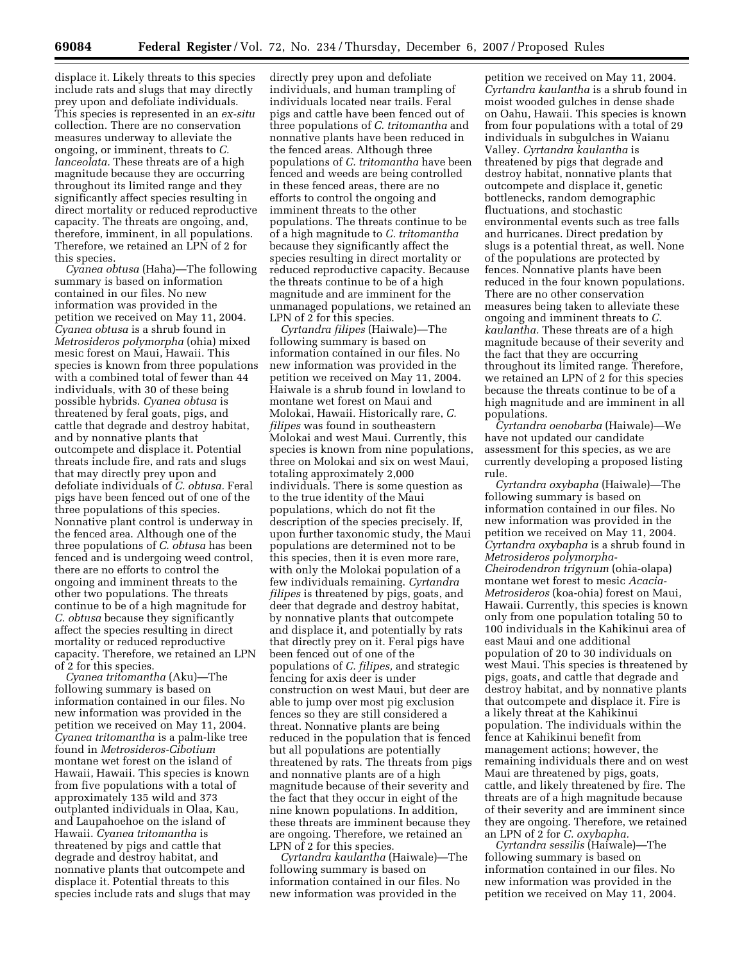displace it. Likely threats to this species include rats and slugs that may directly prey upon and defoliate individuals. This species is represented in an *ex-situ*  collection. There are no conservation measures underway to alleviate the ongoing, or imminent, threats to *C. lanceolata.* These threats are of a high magnitude because they are occurring throughout its limited range and they significantly affect species resulting in direct mortality or reduced reproductive capacity. The threats are ongoing, and, therefore, imminent, in all populations. Therefore, we retained an LPN of 2 for this species.

*Cyanea obtusa* (Haha)—The following summary is based on information contained in our files. No new information was provided in the petition we received on May 11, 2004. *Cyanea obtusa* is a shrub found in *Metrosideros polymorpha* (ohia) mixed mesic forest on Maui, Hawaii. This species is known from three populations with a combined total of fewer than 44 individuals, with 30 of these being possible hybrids. *Cyanea obtusa* is threatened by feral goats, pigs, and cattle that degrade and destroy habitat, and by nonnative plants that outcompete and displace it. Potential threats include fire, and rats and slugs that may directly prey upon and defoliate individuals of *C. obtusa.* Feral pigs have been fenced out of one of the three populations of this species. Nonnative plant control is underway in the fenced area. Although one of the three populations of *C. obtusa* has been fenced and is undergoing weed control, there are no efforts to control the ongoing and imminent threats to the other two populations. The threats continue to be of a high magnitude for *C. obtusa* because they significantly affect the species resulting in direct mortality or reduced reproductive capacity. Therefore, we retained an LPN of 2 for this species.

*Cyanea tritomantha* (Aku)—The following summary is based on information contained in our files. No new information was provided in the petition we received on May 11, 2004. *Cyanea tritomantha* is a palm-like tree found in *Metrosideros-Cibotium*  montane wet forest on the island of Hawaii, Hawaii. This species is known from five populations with a total of approximately 135 wild and 373 outplanted individuals in Olaa, Kau, and Laupahoehoe on the island of Hawaii. *Cyanea tritomantha* is threatened by pigs and cattle that degrade and destroy habitat, and nonnative plants that outcompete and displace it. Potential threats to this species include rats and slugs that may

directly prey upon and defoliate individuals, and human trampling of individuals located near trails. Feral pigs and cattle have been fenced out of three populations of *C. tritomantha* and nonnative plants have been reduced in the fenced areas. Although three populations of *C. tritomantha* have been fenced and weeds are being controlled in these fenced areas, there are no efforts to control the ongoing and imminent threats to the other populations. The threats continue to be of a high magnitude to *C. tritomantha*  because they significantly affect the species resulting in direct mortality or reduced reproductive capacity. Because the threats continue to be of a high magnitude and are imminent for the unmanaged populations, we retained an LPN of 2 for this species.

*Cyrtandra filipes* (Haiwale)—The following summary is based on information contained in our files. No new information was provided in the petition we received on May 11, 2004. Haiwale is a shrub found in lowland to montane wet forest on Maui and Molokai, Hawaii. Historically rare, *C. filipes* was found in southeastern Molokai and west Maui. Currently, this species is known from nine populations, three on Molokai and six on west Maui, totaling approximately 2,000 individuals. There is some question as to the true identity of the Maui populations, which do not fit the description of the species precisely. If, upon further taxonomic study, the Maui populations are determined not to be this species, then it is even more rare, with only the Molokai population of a few individuals remaining. *Cyrtandra filipes* is threatened by pigs, goats, and deer that degrade and destroy habitat, by nonnative plants that outcompete and displace it, and potentially by rats that directly prey on it. Feral pigs have been fenced out of one of the populations of *C. filipes,* and strategic fencing for axis deer is under construction on west Maui, but deer are able to jump over most pig exclusion fences so they are still considered a threat. Nonnative plants are being reduced in the population that is fenced but all populations are potentially threatened by rats. The threats from pigs and nonnative plants are of a high magnitude because of their severity and the fact that they occur in eight of the nine known populations. In addition, these threats are imminent because they are ongoing. Therefore, we retained an LPN of 2 for this species.

*Cyrtandra kaulantha* (Haiwale)—The following summary is based on information contained in our files. No new information was provided in the

petition we received on May 11, 2004. *Cyrtandra kaulantha* is a shrub found in moist wooded gulches in dense shade on Oahu, Hawaii. This species is known from four populations with a total of 29 individuals in subgulches in Waianu Valley. *Cyrtandra kaulantha* is threatened by pigs that degrade and destroy habitat, nonnative plants that outcompete and displace it, genetic bottlenecks, random demographic fluctuations, and stochastic environmental events such as tree falls and hurricanes. Direct predation by slugs is a potential threat, as well. None of the populations are protected by fences. Nonnative plants have been reduced in the four known populations. There are no other conservation measures being taken to alleviate these ongoing and imminent threats to *C. kaulantha.* These threats are of a high magnitude because of their severity and the fact that they are occurring throughout its limited range. Therefore, we retained an LPN of 2 for this species because the threats continue to be of a high magnitude and are imminent in all populations.

*Cyrtandra oenobarba* (Haiwale)—We have not updated our candidate assessment for this species, as we are currently developing a proposed listing rule.

*Cyrtandra oxybapha* (Haiwale)—The following summary is based on information contained in our files. No new information was provided in the petition we received on May 11, 2004. *Cyrtandra oxybapha* is a shrub found in *Metrosideros polymorpha-Cheirodendron trigynum* (ohia-olapa) montane wet forest to mesic *Acacia-Metrosideros* (koa-ohia) forest on Maui, Hawaii. Currently, this species is known only from one population totaling 50 to 100 individuals in the Kahikinui area of east Maui and one additional population of 20 to 30 individuals on west Maui. This species is threatened by pigs, goats, and cattle that degrade and destroy habitat, and by nonnative plants that outcompete and displace it. Fire is a likely threat at the Kahikinui population. The individuals within the fence at Kahikinui benefit from management actions; however, the remaining individuals there and on west Maui are threatened by pigs, goats, cattle, and likely threatened by fire. The threats are of a high magnitude because of their severity and are imminent since they are ongoing. Therefore, we retained an LPN of 2 for *C. oxybapha.* 

*Cyrtandra sessilis* (Haiwale)—The following summary is based on information contained in our files. No new information was provided in the petition we received on May 11, 2004.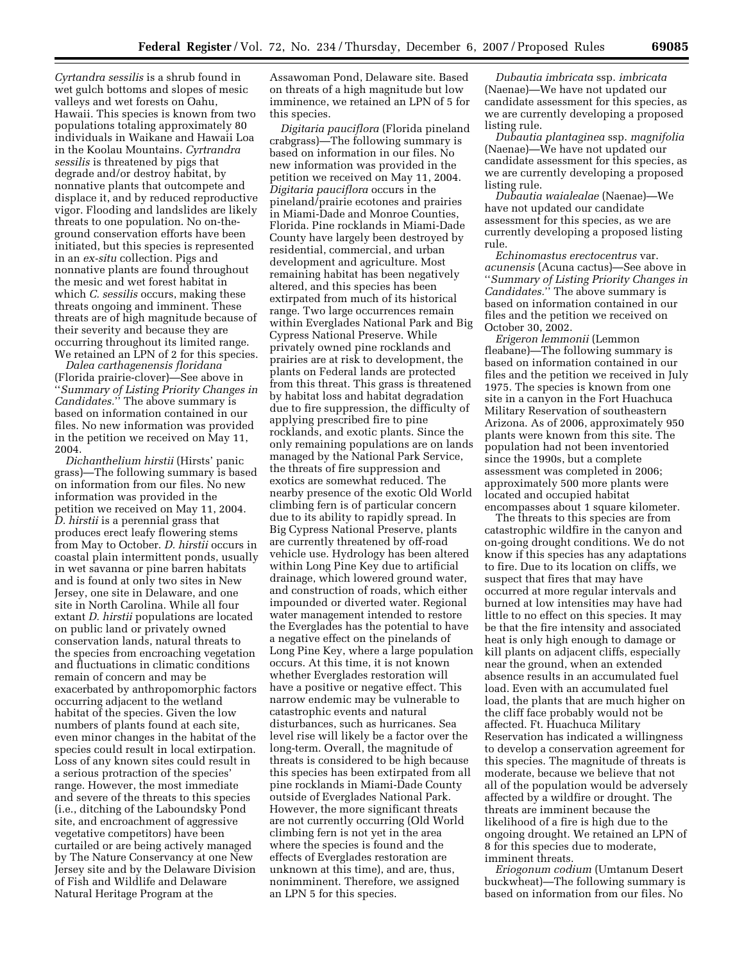*Cyrtandra sessilis* is a shrub found in wet gulch bottoms and slopes of mesic valleys and wet forests on Oahu, Hawaii. This species is known from two populations totaling approximately 80 individuals in Waikane and Hawaii Loa in the Koolau Mountains. *Cyrtrandra sessilis* is threatened by pigs that degrade and/or destroy habitat, by nonnative plants that outcompete and displace it, and by reduced reproductive vigor. Flooding and landslides are likely threats to one population. No on-theground conservation efforts have been initiated, but this species is represented in an *ex-situ* collection. Pigs and nonnative plants are found throughout the mesic and wet forest habitat in which *C. sessilis* occurs, making these threats ongoing and imminent. These threats are of high magnitude because of their severity and because they are occurring throughout its limited range. We retained an LPN of 2 for this species.

*Dalea carthagenensis floridana*  (Florida prairie-clover)—See above in ''*Summary of Listing Priority Changes in Candidates.*'' The above summary is based on information contained in our files. No new information was provided in the petition we received on May 11, 2004.

*Dichanthelium hirstii* (Hirsts' panic grass)—The following summary is based on information from our files. No new information was provided in the petition we received on May 11, 2004. *D. hirstii* is a perennial grass that produces erect leafy flowering stems from May to October. *D. hirstii* occurs in coastal plain intermittent ponds, usually in wet savanna or pine barren habitats and is found at only two sites in New Jersey, one site in Delaware, and one site in North Carolina. While all four extant *D. hirstii* populations are located on public land or privately owned conservation lands, natural threats to the species from encroaching vegetation and fluctuations in climatic conditions remain of concern and may be exacerbated by anthropomorphic factors occurring adjacent to the wetland habitat of the species. Given the low numbers of plants found at each site, even minor changes in the habitat of the species could result in local extirpation. Loss of any known sites could result in a serious protraction of the species' range. However, the most immediate and severe of the threats to this species (i.e., ditching of the Laboundsky Pond site, and encroachment of aggressive vegetative competitors) have been curtailed or are being actively managed by The Nature Conservancy at one New Jersey site and by the Delaware Division of Fish and Wildlife and Delaware Natural Heritage Program at the

Assawoman Pond, Delaware site. Based on threats of a high magnitude but low imminence, we retained an LPN of 5 for this species.

*Digitaria pauciflora* (Florida pineland crabgrass)—The following summary is based on information in our files. No new information was provided in the petition we received on May 11, 2004. *Digitaria pauciflora* occurs in the pineland/prairie ecotones and prairies in Miami-Dade and Monroe Counties, Florida. Pine rocklands in Miami-Dade County have largely been destroyed by residential, commercial, and urban development and agriculture. Most remaining habitat has been negatively altered, and this species has been extirpated from much of its historical range. Two large occurrences remain within Everglades National Park and Big Cypress National Preserve. While privately owned pine rocklands and prairies are at risk to development, the plants on Federal lands are protected from this threat. This grass is threatened by habitat loss and habitat degradation due to fire suppression, the difficulty of applying prescribed fire to pine rocklands, and exotic plants. Since the only remaining populations are on lands managed by the National Park Service, the threats of fire suppression and exotics are somewhat reduced. The nearby presence of the exotic Old World climbing fern is of particular concern due to its ability to rapidly spread. In Big Cypress National Preserve, plants are currently threatened by off-road vehicle use. Hydrology has been altered within Long Pine Key due to artificial drainage, which lowered ground water, and construction of roads, which either impounded or diverted water. Regional water management intended to restore the Everglades has the potential to have a negative effect on the pinelands of Long Pine Key, where a large population occurs. At this time, it is not known whether Everglades restoration will have a positive or negative effect. This narrow endemic may be vulnerable to catastrophic events and natural disturbances, such as hurricanes. Sea level rise will likely be a factor over the long-term. Overall, the magnitude of threats is considered to be high because this species has been extirpated from all pine rocklands in Miami-Dade County outside of Everglades National Park. However, the more significant threats are not currently occurring (Old World climbing fern is not yet in the area where the species is found and the effects of Everglades restoration are unknown at this time), and are, thus, nonimminent. Therefore, we assigned an LPN 5 for this species.

*Dubautia imbricata* ssp. *imbricata*  (Naenae)—We have not updated our candidate assessment for this species, as we are currently developing a proposed listing rule.

*Dubautia plantaginea* ssp. *magnifolia*  (Naenae)—We have not updated our candidate assessment for this species, as we are currently developing a proposed listing rule.

*Dubautia waialealae* (Naenae)—We have not updated our candidate assessment for this species, as we are currently developing a proposed listing rule.

*Echinomastus erectocentrus* var. *acunensis* (Acuna cactus)—See above in ''*Summary of Listing Priority Changes in Candidates.*'' The above summary is based on information contained in our files and the petition we received on October 30, 2002.

*Erigeron lemmonii* (Lemmon fleabane)—The following summary is based on information contained in our files and the petition we received in July 1975. The species is known from one site in a canyon in the Fort Huachuca Military Reservation of southeastern Arizona. As of 2006, approximately 950 plants were known from this site. The population had not been inventoried since the 1990s, but a complete assessment was completed in 2006; approximately 500 more plants were located and occupied habitat encompasses about 1 square kilometer.

The threats to this species are from catastrophic wildfire in the canyon and on-going drought conditions. We do not know if this species has any adaptations to fire. Due to its location on cliffs, we suspect that fires that may have occurred at more regular intervals and burned at low intensities may have had little to no effect on this species. It may be that the fire intensity and associated heat is only high enough to damage or kill plants on adjacent cliffs, especially near the ground, when an extended absence results in an accumulated fuel load. Even with an accumulated fuel load, the plants that are much higher on the cliff face probably would not be affected. Ft. Huachuca Military Reservation has indicated a willingness to develop a conservation agreement for this species. The magnitude of threats is moderate, because we believe that not all of the population would be adversely affected by a wildfire or drought. The threats are imminent because the likelihood of a fire is high due to the ongoing drought. We retained an LPN of 8 for this species due to moderate, imminent threats.

*Eriogonum codium* (Umtanum Desert buckwheat)—The following summary is based on information from our files. No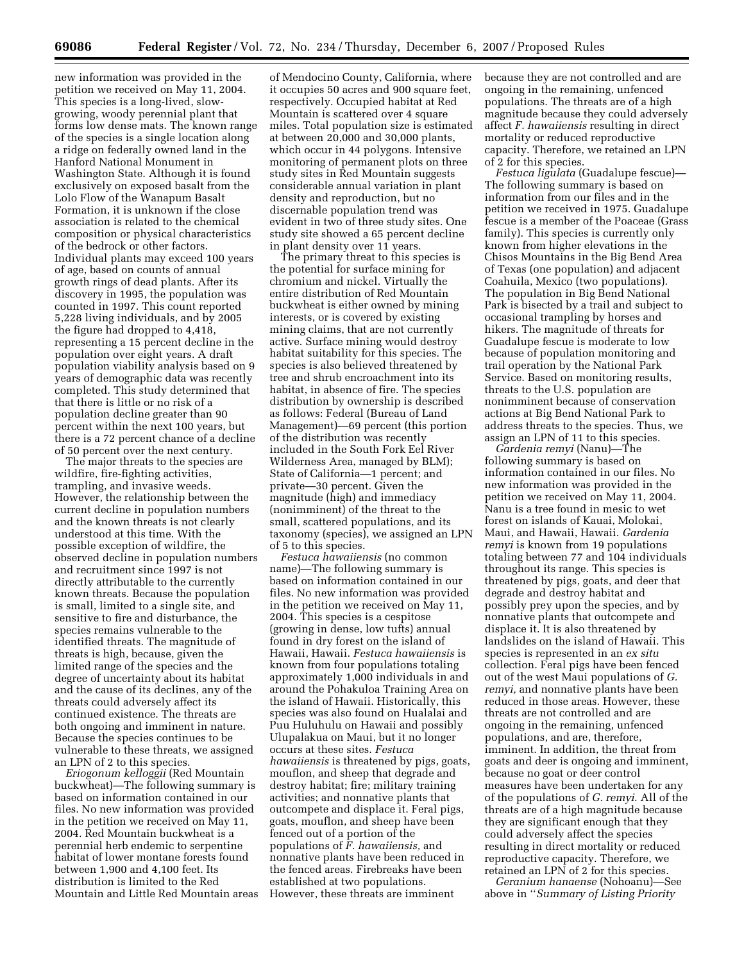new information was provided in the petition we received on May 11, 2004. This species is a long-lived, slowgrowing, woody perennial plant that forms low dense mats. The known range of the species is a single location along a ridge on federally owned land in the Hanford National Monument in Washington State. Although it is found exclusively on exposed basalt from the Lolo Flow of the Wanapum Basalt Formation, it is unknown if the close association is related to the chemical composition or physical characteristics of the bedrock or other factors. Individual plants may exceed 100 years of age, based on counts of annual growth rings of dead plants. After its discovery in 1995, the population was counted in 1997. This count reported 5,228 living individuals, and by 2005 the figure had dropped to 4,418, representing a 15 percent decline in the population over eight years. A draft population viability analysis based on 9 years of demographic data was recently completed. This study determined that that there is little or no risk of a population decline greater than 90 percent within the next 100 years, but there is a 72 percent chance of a decline of 50 percent over the next century.

The major threats to the species are wildfire, fire-fighting activities, trampling, and invasive weeds. However, the relationship between the current decline in population numbers and the known threats is not clearly understood at this time. With the possible exception of wildfire, the observed decline in population numbers and recruitment since 1997 is not directly attributable to the currently known threats. Because the population is small, limited to a single site, and sensitive to fire and disturbance, the species remains vulnerable to the identified threats. The magnitude of threats is high, because, given the limited range of the species and the degree of uncertainty about its habitat and the cause of its declines, any of the threats could adversely affect its continued existence. The threats are both ongoing and imminent in nature. Because the species continues to be vulnerable to these threats, we assigned an LPN of 2 to this species.

*Eriogonum kelloggii* (Red Mountain buckwheat)—The following summary is based on information contained in our files. No new information was provided in the petition we received on May 11, 2004. Red Mountain buckwheat is a perennial herb endemic to serpentine habitat of lower montane forests found between 1,900 and 4,100 feet. Its distribution is limited to the Red Mountain and Little Red Mountain areas

of Mendocino County, California, where it occupies 50 acres and 900 square feet, respectively. Occupied habitat at Red Mountain is scattered over 4 square miles. Total population size is estimated at between 20,000 and 30,000 plants, which occur in 44 polygons. Intensive monitoring of permanent plots on three study sites in Red Mountain suggests considerable annual variation in plant density and reproduction, but no discernable population trend was evident in two of three study sites. One study site showed a 65 percent decline in plant density over 11 years.

The primary threat to this species is the potential for surface mining for chromium and nickel. Virtually the entire distribution of Red Mountain buckwheat is either owned by mining interests, or is covered by existing mining claims, that are not currently active. Surface mining would destroy habitat suitability for this species. The species is also believed threatened by tree and shrub encroachment into its habitat, in absence of fire. The species distribution by ownership is described as follows: Federal (Bureau of Land Management)—69 percent (this portion of the distribution was recently included in the South Fork Eel River Wilderness Area, managed by BLM); State of California—1 percent; and private—30 percent. Given the magnitude (high) and immediacy (nonimminent) of the threat to the small, scattered populations, and its taxonomy (species), we assigned an LPN of 5 to this species.

*Festuca hawaiiensis* (no common name)—The following summary is based on information contained in our files. No new information was provided in the petition we received on May 11, 2004. This species is a cespitose (growing in dense, low tufts) annual found in dry forest on the island of Hawaii, Hawaii. *Festuca hawaiiensis* is known from four populations totaling approximately 1,000 individuals in and around the Pohakuloa Training Area on the island of Hawaii. Historically, this species was also found on Hualalai and Puu Huluhulu on Hawaii and possibly Ulupalakua on Maui, but it no longer occurs at these sites. *Festuca hawaiiensis* is threatened by pigs, goats, mouflon, and sheep that degrade and destroy habitat; fire; military training activities; and nonnative plants that outcompete and displace it. Feral pigs, goats, mouflon, and sheep have been fenced out of a portion of the populations of *F. hawaiiensis,* and nonnative plants have been reduced in the fenced areas. Firebreaks have been established at two populations. However, these threats are imminent

because they are not controlled and are ongoing in the remaining, unfenced populations. The threats are of a high magnitude because they could adversely affect *F. hawaiiensis* resulting in direct mortality or reduced reproductive capacity. Therefore, we retained an LPN of 2 for this species.

*Festuca ligulata* (Guadalupe fescue)— The following summary is based on information from our files and in the petition we received in 1975. Guadalupe fescue is a member of the Poaceae (Grass family). This species is currently only known from higher elevations in the Chisos Mountains in the Big Bend Area of Texas (one population) and adjacent Coahuila, Mexico (two populations). The population in Big Bend National Park is bisected by a trail and subject to occasional trampling by horses and hikers. The magnitude of threats for Guadalupe fescue is moderate to low because of population monitoring and trail operation by the National Park Service. Based on monitoring results, threats to the U.S. population are nonimminent because of conservation actions at Big Bend National Park to address threats to the species. Thus, we assign an LPN of 11 to this species.

*Gardenia remyi* (Nanu)—The following summary is based on information contained in our files. No new information was provided in the petition we received on May 11, 2004. Nanu is a tree found in mesic to wet forest on islands of Kauai, Molokai, Maui, and Hawaii, Hawaii. *Gardenia remyi* is known from 19 populations totaling between 77 and 104 individuals throughout its range. This species is threatened by pigs, goats, and deer that degrade and destroy habitat and possibly prey upon the species, and by nonnative plants that outcompete and displace it. It is also threatened by landslides on the island of Hawaii. This species is represented in an *ex situ*  collection. Feral pigs have been fenced out of the west Maui populations of *G. remyi,* and nonnative plants have been reduced in those areas. However, these threats are not controlled and are ongoing in the remaining, unfenced populations, and are, therefore, imminent. In addition, the threat from goats and deer is ongoing and imminent, because no goat or deer control measures have been undertaken for any of the populations of *G. remyi*. All of the threats are of a high magnitude because they are significant enough that they could adversely affect the species resulting in direct mortality or reduced reproductive capacity. Therefore, we retained an LPN of 2 for this species.

*Geranium hanaense* (Nohoanu)—See above in ''*Summary of Listing Priority*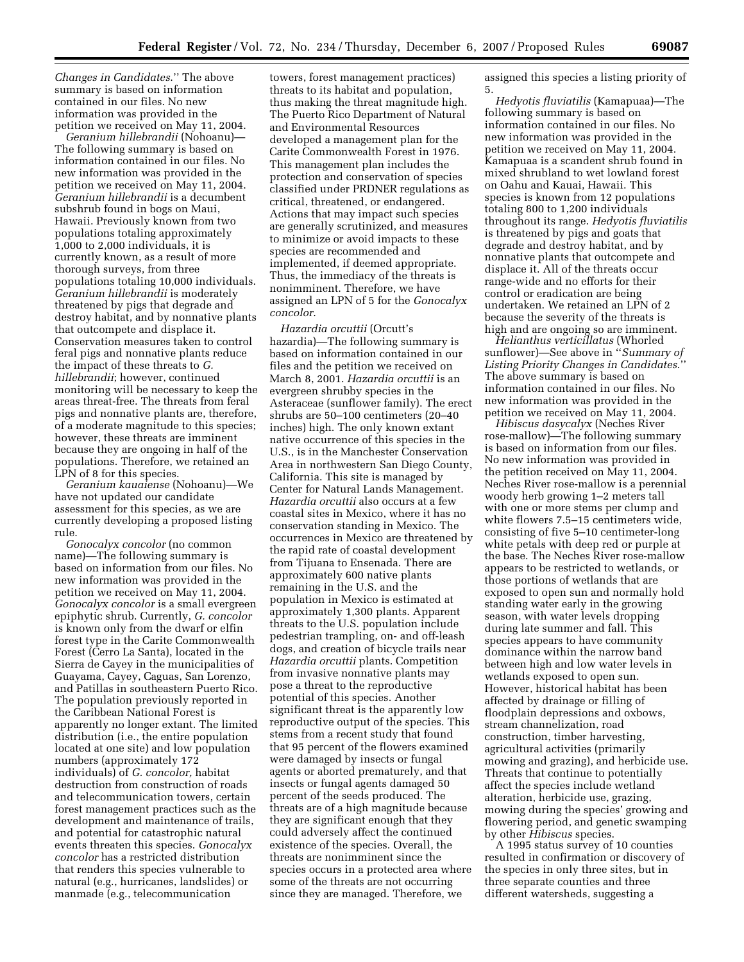*Changes in Candidates*.'' The above summary is based on information contained in our files. No new information was provided in the petition we received on May 11, 2004.

*Geranium hillebrandii* (Nohoanu)— The following summary is based on information contained in our files. No new information was provided in the petition we received on May 11, 2004. *Geranium hillebrandii* is a decumbent subshrub found in bogs on Maui, Hawaii. Previously known from two populations totaling approximately 1,000 to 2,000 individuals, it is currently known, as a result of more thorough surveys, from three populations totaling 10,000 individuals. *Geranium hillebrandii* is moderately threatened by pigs that degrade and destroy habitat, and by nonnative plants that outcompete and displace it. Conservation measures taken to control feral pigs and nonnative plants reduce the impact of these threats to *G. hillebrandii*; however, continued monitoring will be necessary to keep the areas threat-free. The threats from feral pigs and nonnative plants are, therefore, of a moderate magnitude to this species; however, these threats are imminent because they are ongoing in half of the populations. Therefore, we retained an LPN of 8 for this species.

*Geranium kauaiense* (Nohoanu)—We have not updated our candidate assessment for this species, as we are currently developing a proposed listing rule.

*Gonocalyx concolor* (no common name)—The following summary is based on information from our files. No new information was provided in the petition we received on May 11, 2004. *Gonocalyx concolor* is a small evergreen epiphytic shrub. Currently, *G. concolor*  is known only from the dwarf or elfin forest type in the Carite Commonwealth Forest (Cerro La Santa), located in the Sierra de Cayey in the municipalities of Guayama, Cayey, Caguas, San Lorenzo, and Patillas in southeastern Puerto Rico. The population previously reported in the Caribbean National Forest is apparently no longer extant. The limited distribution (i.e., the entire population located at one site) and low population numbers (approximately 172 individuals) of *G. concolor,* habitat destruction from construction of roads and telecommunication towers, certain forest management practices such as the development and maintenance of trails, and potential for catastrophic natural events threaten this species. *Gonocalyx concolor* has a restricted distribution that renders this species vulnerable to natural (e.g., hurricanes, landslides) or manmade (e.g., telecommunication

towers, forest management practices) threats to its habitat and population, thus making the threat magnitude high. The Puerto Rico Department of Natural and Environmental Resources developed a management plan for the Carite Commonwealth Forest in 1976. This management plan includes the protection and conservation of species classified under PRDNER regulations as critical, threatened, or endangered. Actions that may impact such species are generally scrutinized, and measures to minimize or avoid impacts to these species are recommended and implemented, if deemed appropriate. Thus, the immediacy of the threats is nonimminent. Therefore, we have assigned an LPN of 5 for the *Gonocalyx concolor*.

*Hazardia orcuttii* (Orcutt's hazardia)—The following summary is based on information contained in our files and the petition we received on March 8, 2001. *Hazardia orcuttii* is an evergreen shrubby species in the Asteraceae (sunflower family). The erect shrubs are 50–100 centimeters (20–40 inches) high. The only known extant native occurrence of this species in the U.S., is in the Manchester Conservation Area in northwestern San Diego County, California. This site is managed by Center for Natural Lands Management. *Hazardia orcuttii* also occurs at a few coastal sites in Mexico, where it has no conservation standing in Mexico. The occurrences in Mexico are threatened by the rapid rate of coastal development from Tijuana to Ensenada. There are approximately 600 native plants remaining in the U.S. and the population in Mexico is estimated at approximately 1,300 plants. Apparent threats to the U.S. population include pedestrian trampling, on- and off-leash dogs, and creation of bicycle trails near *Hazardia orcuttii* plants. Competition from invasive nonnative plants may pose a threat to the reproductive potential of this species. Another significant threat is the apparently low reproductive output of the species. This stems from a recent study that found that 95 percent of the flowers examined were damaged by insects or fungal agents or aborted prematurely, and that insects or fungal agents damaged 50 percent of the seeds produced. The threats are of a high magnitude because they are significant enough that they could adversely affect the continued existence of the species. Overall, the threats are nonimminent since the species occurs in a protected area where some of the threats are not occurring since they are managed. Therefore, we

assigned this species a listing priority of 5.

*Hedyotis fluviatilis* (Kamapuaa)—The following summary is based on information contained in our files. No new information was provided in the petition we received on May 11, 2004. Kamapuaa is a scandent shrub found in mixed shrubland to wet lowland forest on Oahu and Kauai, Hawaii. This species is known from 12 populations totaling 800 to 1,200 individuals throughout its range. *Hedyotis fluviatilis*  is threatened by pigs and goats that degrade and destroy habitat, and by nonnative plants that outcompete and displace it. All of the threats occur range-wide and no efforts for their control or eradication are being undertaken. We retained an LPN of 2 because the severity of the threats is high and are ongoing so are imminent.

*Helianthus verticillatus* (Whorled sunflower)—See above in ''*Summary of Listing Priority Changes in Candidates*.'' The above summary is based on information contained in our files. No new information was provided in the petition we received on May 11, 2004.

*Hibiscus dasycalyx* (Neches River rose-mallow)—The following summary is based on information from our files. No new information was provided in the petition received on May 11, 2004. Neches River rose-mallow is a perennial woody herb growing 1–2 meters tall with one or more stems per clump and white flowers 7.5–15 centimeters wide, consisting of five 5–10 centimeter-long white petals with deep red or purple at the base. The Neches River rose-mallow appears to be restricted to wetlands, or those portions of wetlands that are exposed to open sun and normally hold standing water early in the growing season, with water levels dropping during late summer and fall. This species appears to have community dominance within the narrow band between high and low water levels in wetlands exposed to open sun. However, historical habitat has been affected by drainage or filling of floodplain depressions and oxbows, stream channelization, road construction, timber harvesting, agricultural activities (primarily mowing and grazing), and herbicide use. Threats that continue to potentially affect the species include wetland alteration, herbicide use, grazing, mowing during the species' growing and flowering period, and genetic swamping by other *Hibiscus* species.

A 1995 status survey of 10 counties resulted in confirmation or discovery of the species in only three sites, but in three separate counties and three different watersheds, suggesting a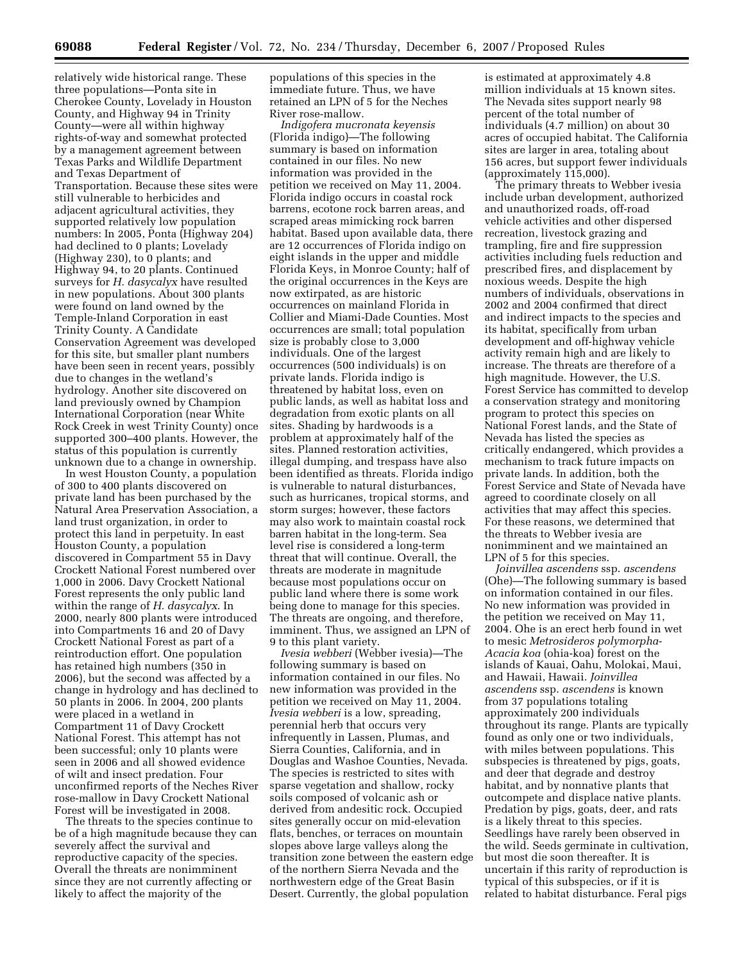relatively wide historical range. These three populations—Ponta site in Cherokee County, Lovelady in Houston County, and Highway 94 in Trinity County—were all within highway rights-of-way and somewhat protected by a management agreement between Texas Parks and Wildlife Department and Texas Department of Transportation. Because these sites were still vulnerable to herbicides and adjacent agricultural activities, they supported relatively low population numbers: In 2005, Ponta (Highway 204) had declined to 0 plants; Lovelady (Highway 230), to 0 plants; and Highway 94, to 20 plants. Continued surveys for *H. dasycalyx* have resulted in new populations. About 300 plants were found on land owned by the Temple-Inland Corporation in east Trinity County. A Candidate Conservation Agreement was developed for this site, but smaller plant numbers have been seen in recent years, possibly due to changes in the wetland's hydrology. Another site discovered on land previously owned by Champion International Corporation (near White Rock Creek in west Trinity County) once supported 300–400 plants. However, the status of this population is currently unknown due to a change in ownership.

In west Houston County, a population of 300 to 400 plants discovered on private land has been purchased by the Natural Area Preservation Association, a land trust organization, in order to protect this land in perpetuity. In east Houston County, a population discovered in Compartment 55 in Davy Crockett National Forest numbered over 1,000 in 2006. Davy Crockett National Forest represents the only public land within the range of *H. dasycalyx*. In 2000, nearly 800 plants were introduced into Compartments 16 and 20 of Davy Crockett National Forest as part of a reintroduction effort. One population has retained high numbers (350 in 2006), but the second was affected by a change in hydrology and has declined to 50 plants in 2006. In 2004, 200 plants were placed in a wetland in Compartment 11 of Davy Crockett National Forest. This attempt has not been successful; only 10 plants were seen in 2006 and all showed evidence of wilt and insect predation. Four unconfirmed reports of the Neches River rose-mallow in Davy Crockett National Forest will be investigated in 2008.

The threats to the species continue to be of a high magnitude because they can severely affect the survival and reproductive capacity of the species. Overall the threats are nonimminent since they are not currently affecting or likely to affect the majority of the

populations of this species in the immediate future. Thus, we have retained an LPN of 5 for the Neches River rose-mallow.

*Indigofera mucronata keyensis*  (Florida indigo)—The following summary is based on information contained in our files. No new information was provided in the petition we received on May 11, 2004. Florida indigo occurs in coastal rock barrens, ecotone rock barren areas, and scraped areas mimicking rock barren habitat. Based upon available data, there are 12 occurrences of Florida indigo on eight islands in the upper and middle Florida Keys, in Monroe County; half of the original occurrences in the Keys are now extirpated, as are historic occurrences on mainland Florida in Collier and Miami-Dade Counties. Most occurrences are small; total population size is probably close to 3,000 individuals. One of the largest occurrences (500 individuals) is on private lands. Florida indigo is threatened by habitat loss, even on public lands, as well as habitat loss and degradation from exotic plants on all sites. Shading by hardwoods is a problem at approximately half of the sites. Planned restoration activities, illegal dumping, and trespass have also been identified as threats. Florida indigo is vulnerable to natural disturbances, such as hurricanes, tropical storms, and storm surges; however, these factors may also work to maintain coastal rock barren habitat in the long-term. Sea level rise is considered a long-term threat that will continue. Overall, the threats are moderate in magnitude because most populations occur on public land where there is some work being done to manage for this species. The threats are ongoing, and therefore, imminent. Thus, we assigned an LPN of 9 to this plant variety.

*Ivesia webberi* (Webber ivesia)—The following summary is based on information contained in our files. No new information was provided in the petition we received on May 11, 2004. *Ivesia webberi* is a low, spreading, perennial herb that occurs very infrequently in Lassen, Plumas, and Sierra Counties, California, and in Douglas and Washoe Counties, Nevada. The species is restricted to sites with sparse vegetation and shallow, rocky soils composed of volcanic ash or derived from andesitic rock. Occupied sites generally occur on mid-elevation flats, benches, or terraces on mountain slopes above large valleys along the transition zone between the eastern edge of the northern Sierra Nevada and the northwestern edge of the Great Basin Desert. Currently, the global population

is estimated at approximately 4.8 million individuals at 15 known sites. The Nevada sites support nearly 98 percent of the total number of individuals (4.7 million) on about 30 acres of occupied habitat. The California sites are larger in area, totaling about 156 acres, but support fewer individuals (approximately 115,000).

The primary threats to Webber ivesia include urban development, authorized and unauthorized roads, off-road vehicle activities and other dispersed recreation, livestock grazing and trampling, fire and fire suppression activities including fuels reduction and prescribed fires, and displacement by noxious weeds. Despite the high numbers of individuals, observations in 2002 and 2004 confirmed that direct and indirect impacts to the species and its habitat, specifically from urban development and off-highway vehicle activity remain high and are likely to increase. The threats are therefore of a high magnitude. However, the U.S. Forest Service has committed to develop a conservation strategy and monitoring program to protect this species on National Forest lands, and the State of Nevada has listed the species as critically endangered, which provides a mechanism to track future impacts on private lands. In addition, both the Forest Service and State of Nevada have agreed to coordinate closely on all activities that may affect this species. For these reasons, we determined that the threats to Webber ivesia are nonimminent and we maintained an LPN of 5 for this species.

*Joinvillea ascendens* ssp. *ascendens*  (Ohe)—The following summary is based on information contained in our files. No new information was provided in the petition we received on May 11, 2004. Ohe is an erect herb found in wet to mesic *Metrosideros polymorpha*-*Acacia koa* (ohia-koa) forest on the islands of Kauai, Oahu, Molokai, Maui, and Hawaii, Hawaii. *Joinvillea ascendens* ssp. *ascendens* is known from 37 populations totaling approximately 200 individuals throughout its range. Plants are typically found as only one or two individuals, with miles between populations. This subspecies is threatened by pigs, goats, and deer that degrade and destroy habitat, and by nonnative plants that outcompete and displace native plants. Predation by pigs, goats, deer, and rats is a likely threat to this species. Seedlings have rarely been observed in the wild. Seeds germinate in cultivation, but most die soon thereafter. It is uncertain if this rarity of reproduction is typical of this subspecies, or if it is related to habitat disturbance. Feral pigs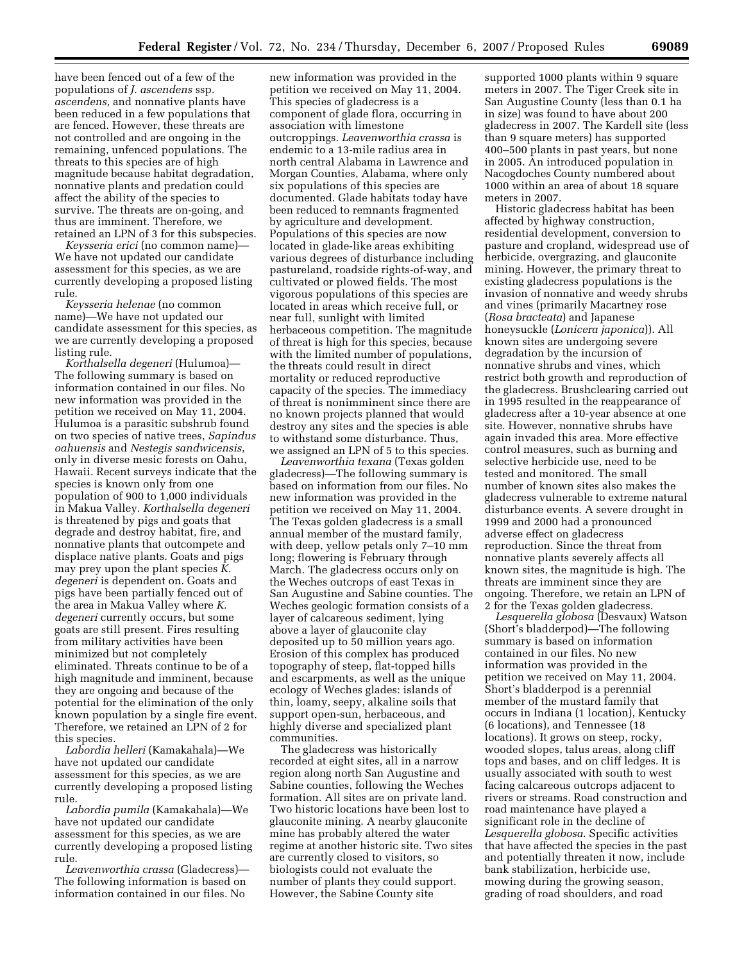have been fenced out of a few of the populations of *J. ascendens* ssp. *ascendens,* and nonnative plants have been reduced in a few populations that are fenced. However, these threats are not controlled and are ongoing in the remaining, unfenced populations. The threats to this species are of high magnitude because habitat degradation, nonnative plants and predation could affect the ability of the species to survive. The threats are on-going, and thus are imminent. Therefore, we retained an LPN of 3 for this subspecies.

*Keysseria erici* (no common name)— We have not updated our candidate assessment for this species, as we are currently developing a proposed listing rule.

*Keysseria helenae* (no common name)—We have not updated our candidate assessment for this species, as we are currently developing a proposed listing rule.

*Korthalsella degeneri* (Hulumoa)— The following summary is based on information contained in our files. No new information was provided in the petition we received on May 11, 2004. Hulumoa is a parasitic subshrub found on two species of native trees, *Sapindus oahuensis* and *Nestegis sandwicensis*, only in diverse mesic forests on Oahu, Hawaii. Recent surveys indicate that the species is known only from one population of 900 to 1,000 individuals in Makua Valley. *Korthalsella degeneri*  is threatened by pigs and goats that degrade and destroy habitat, fire, and nonnative plants that outcompete and displace native plants. Goats and pigs may prey upon the plant species *K. degeneri* is dependent on. Goats and pigs have been partially fenced out of the area in Makua Valley where *K. degeneri* currently occurs, but some goats are still present. Fires resulting from military activities have been minimized but not completely eliminated. Threats continue to be of a high magnitude and imminent, because they are ongoing and because of the potential for the elimination of the only known population by a single fire event. Therefore, we retained an LPN of 2 for this species.

*Labordia helleri* (Kamakahala)—We have not updated our candidate assessment for this species, as we are currently developing a proposed listing rule.

*Labordia pumila* (Kamakahala)—We have not updated our candidate assessment for this species, as we are currently developing a proposed listing rule.

*Leavenworthia crassa* (Gladecress)— The following information is based on information contained in our files. No

new information was provided in the petition we received on May 11, 2004. This species of gladecress is a component of glade flora, occurring in association with limestone outcroppings. *Leavenworthia crassa* is endemic to a 13-mile radius area in north central Alabama in Lawrence and Morgan Counties, Alabama, where only six populations of this species are documented. Glade habitats today have been reduced to remnants fragmented by agriculture and development. Populations of this species are now located in glade-like areas exhibiting various degrees of disturbance including pastureland, roadside rights-of-way, and cultivated or plowed fields. The most vigorous populations of this species are located in areas which receive full, or near full, sunlight with limited herbaceous competition. The magnitude of threat is high for this species, because with the limited number of populations, the threats could result in direct mortality or reduced reproductive capacity of the species. The immediacy of threat is nonimminent since there are no known projects planned that would destroy any sites and the species is able to withstand some disturbance. Thus, we assigned an LPN of 5 to this species.

*Leavenworthia texana* (Texas golden gladecress)—The following summary is based on information from our files. No new information was provided in the petition we received on May 11, 2004. The Texas golden gladecress is a small annual member of the mustard family, with deep, yellow petals only 7–10 mm long; flowering is February through March. The gladecress occurs only on the Weches outcrops of east Texas in San Augustine and Sabine counties. The Weches geologic formation consists of a layer of calcareous sediment, lying above a layer of glauconite clay deposited up to 50 million years ago. Erosion of this complex has produced topography of steep, flat-topped hills and escarpments, as well as the unique ecology of Weches glades: islands of thin, loamy, seepy, alkaline soils that support open-sun, herbaceous, and highly diverse and specialized plant communities.

The gladecress was historically recorded at eight sites, all in a narrow region along north San Augustine and Sabine counties, following the Weches formation. All sites are on private land. Two historic locations have been lost to glauconite mining. A nearby glauconite mine has probably altered the water regime at another historic site. Two sites are currently closed to visitors, so biologists could not evaluate the number of plants they could support. However, the Sabine County site

supported 1000 plants within 9 square meters in 2007. The Tiger Creek site in San Augustine County (less than 0.1 ha in size) was found to have about 200 gladecress in 2007. The Kardell site (less than 9 square meters) has supported 400–500 plants in past years, but none in 2005. An introduced population in Nacogdoches County numbered about 1000 within an area of about 18 square meters in 2007.

Historic gladecress habitat has been affected by highway construction, residential development, conversion to pasture and cropland, widespread use of herbicide, overgrazing, and glauconite mining. However, the primary threat to existing gladecress populations is the invasion of nonnative and weedy shrubs and vines (primarily Macartney rose (*Rosa bracteata*) and Japanese honeysuckle (*Lonicera japonica*)). All known sites are undergoing severe degradation by the incursion of nonnative shrubs and vines, which restrict both growth and reproduction of the gladecress. Brushclearing carried out in 1995 resulted in the reappearance of gladecress after a 10-year absence at one site. However, nonnative shrubs have again invaded this area. More effective control measures, such as burning and selective herbicide use, need to be tested and monitored. The small number of known sites also makes the gladecress vulnerable to extreme natural disturbance events. A severe drought in 1999 and 2000 had a pronounced adverse effect on gladecress reproduction. Since the threat from nonnative plants severely affects all known sites, the magnitude is high. The threats are imminent since they are ongoing. Therefore, we retain an LPN of 2 for the Texas golden gladecress.

*Lesquerella globosa* (Desvaux) Watson (Short's bladderpod)—The following summary is based on information contained in our files. No new information was provided in the petition we received on May 11, 2004. Short's bladderpod is a perennial member of the mustard family that occurs in Indiana (1 location), Kentucky (6 locations), and Tennessee (18 locations). It grows on steep, rocky, wooded slopes, talus areas, along cliff tops and bases, and on cliff ledges. It is usually associated with south to west facing calcareous outcrops adjacent to rivers or streams. Road construction and road maintenance have played a significant role in the decline of *Lesquerella globosa*. Specific activities that have affected the species in the past and potentially threaten it now, include bank stabilization, herbicide use, mowing during the growing season, grading of road shoulders, and road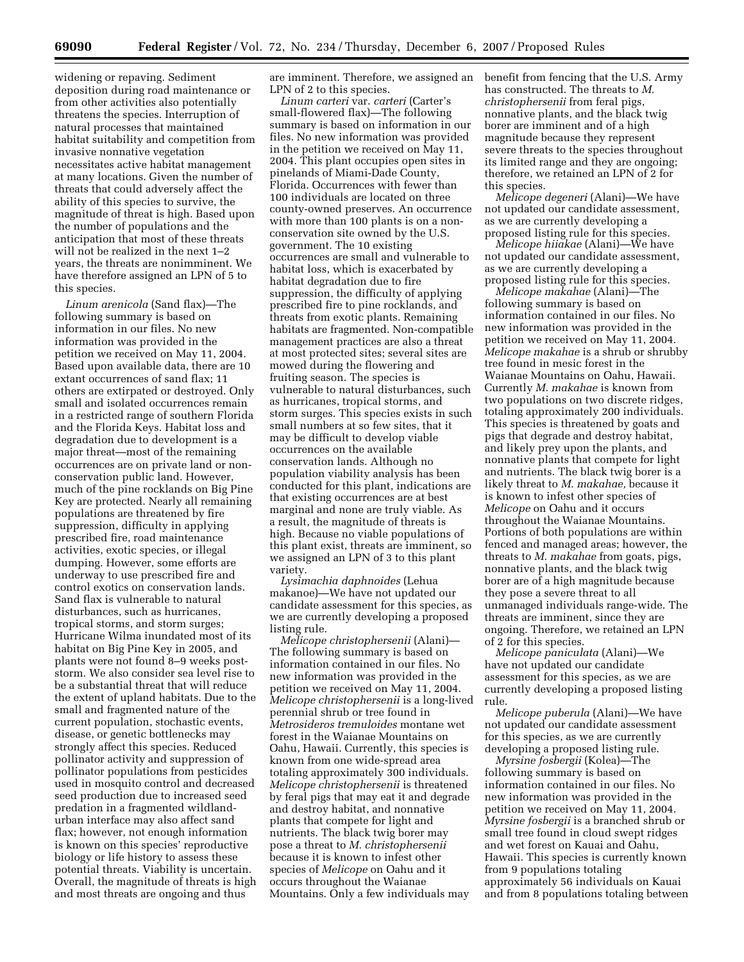widening or repaving. Sediment deposition during road maintenance or from other activities also potentially threatens the species. Interruption of natural processes that maintained habitat suitability and competition from invasive nonnative vegetation necessitates active habitat management at many locations. Given the number of threats that could adversely affect the ability of this species to survive, the magnitude of threat is high. Based upon the number of populations and the anticipation that most of these threats will not be realized in the next 1–2 years, the threats are nonimminent. We have therefore assigned an LPN of 5 to this species.

*Linum arenicola* (Sand flax)—The following summary is based on information in our files. No new information was provided in the petition we received on May 11, 2004. Based upon available data, there are 10 extant occurrences of sand flax; 11 others are extirpated or destroyed. Only small and isolated occurrences remain in a restricted range of southern Florida and the Florida Keys. Habitat loss and degradation due to development is a major threat—most of the remaining occurrences are on private land or nonconservation public land. However, much of the pine rocklands on Big Pine Key are protected. Nearly all remaining populations are threatened by fire suppression, difficulty in applying prescribed fire, road maintenance activities, exotic species, or illegal dumping. However, some efforts are underway to use prescribed fire and control exotics on conservation lands. Sand flax is vulnerable to natural disturbances, such as hurricanes, tropical storms, and storm surges; Hurricane Wilma inundated most of its habitat on Big Pine Key in 2005, and plants were not found 8–9 weeks poststorm. We also consider sea level rise to be a substantial threat that will reduce the extent of upland habitats. Due to the small and fragmented nature of the current population, stochastic events, disease, or genetic bottlenecks may strongly affect this species. Reduced pollinator activity and suppression of pollinator populations from pesticides used in mosquito control and decreased seed production due to increased seed predation in a fragmented wildlandurban interface may also affect sand flax; however, not enough information is known on this species' reproductive biology or life history to assess these potential threats. Viability is uncertain. Overall, the magnitude of threats is high and most threats are ongoing and thus

are imminent. Therefore, we assigned an LPN of 2 to this species.

*Linum carteri* var. *carteri* (Carter's small-flowered flax)—The following summary is based on information in our files. No new information was provided in the petition we received on May 11, 2004. This plant occupies open sites in pinelands of Miami-Dade County, Florida. Occurrences with fewer than 100 individuals are located on three county-owned preserves. An occurrence with more than 100 plants is on a nonconservation site owned by the U.S. government. The 10 existing occurrences are small and vulnerable to habitat loss, which is exacerbated by habitat degradation due to fire suppression, the difficulty of applying prescribed fire to pine rocklands, and threats from exotic plants. Remaining habitats are fragmented. Non-compatible management practices are also a threat at most protected sites; several sites are mowed during the flowering and fruiting season. The species is vulnerable to natural disturbances, such as hurricanes, tropical storms, and storm surges. This species exists in such small numbers at so few sites, that it may be difficult to develop viable occurrences on the available conservation lands. Although no population viability analysis has been conducted for this plant, indications are that existing occurrences are at best marginal and none are truly viable. As a result, the magnitude of threats is high. Because no viable populations of this plant exist, threats are imminent, so we assigned an LPN of 3 to this plant variety.

*Lysimachia daphnoides* (Lehua makanoe)—We have not updated our candidate assessment for this species, as we are currently developing a proposed listing rule.

*Melicope christophersenii* (Alani)— The following summary is based on information contained in our files. No new information was provided in the petition we received on May 11, 2004. *Melicope christophersenii* is a long-lived perennial shrub or tree found in *Metrosideros tremuloides* montane wet forest in the Waianae Mountains on Oahu, Hawaii. Currently, this species is known from one wide-spread area totaling approximately 300 individuals. *Melicope christophersenii* is threatened by feral pigs that may eat it and degrade and destroy habitat, and nonnative plants that compete for light and nutrients. The black twig borer may pose a threat to *M. christophersenii*  because it is known to infest other species of *Melicope* on Oahu and it occurs throughout the Waianae Mountains. Only a few individuals may

benefit from fencing that the U.S. Army has constructed. The threats to *M. christophersenii* from feral pigs, nonnative plants, and the black twig borer are imminent and of a high magnitude because they represent severe threats to the species throughout its limited range and they are ongoing; therefore, we retained an LPN of 2 for this species.

*Melicope degeneri* (Alani)—We have not updated our candidate assessment, as we are currently developing a proposed listing rule for this species.

*Melicope hiiakae* (Alani)—We have not updated our candidate assessment, as we are currently developing a proposed listing rule for this species.

*Melicope makahae* (Alani)—The following summary is based on information contained in our files. No new information was provided in the petition we received on May 11, 2004. *Melicope makahae* is a shrub or shrubby tree found in mesic forest in the Waianae Mountains on Oahu, Hawaii. Currently *M. makahae* is known from two populations on two discrete ridges, totaling approximately 200 individuals. This species is threatened by goats and pigs that degrade and destroy habitat, and likely prey upon the plants, and nonnative plants that compete for light and nutrients. The black twig borer is a likely threat to *M. makahae,* because it is known to infest other species of *Melicope* on Oahu and it occurs throughout the Waianae Mountains. Portions of both populations are within fenced and managed areas; however, the threats to *M. makahae* from goats, pigs, nonnative plants, and the black twig borer are of a high magnitude because they pose a severe threat to all unmanaged individuals range-wide. The threats are imminent, since they are ongoing. Therefore, we retained an LPN of 2 for this species.

*Melicope paniculata* (Alani)—We have not updated our candidate assessment for this species, as we are currently developing a proposed listing rule.

*Melicope puberula* (Alani)—We have not updated our candidate assessment for this species, as we are currently developing a proposed listing rule.

*Myrsine fosbergii* (Kolea)—The following summary is based on information contained in our files. No new information was provided in the petition we received on May 11, 2004. *Myrsine fosbergii* is a branched shrub or small tree found in cloud swept ridges and wet forest on Kauai and Oahu, Hawaii. This species is currently known from 9 populations totaling approximately 56 individuals on Kauai and from 8 populations totaling between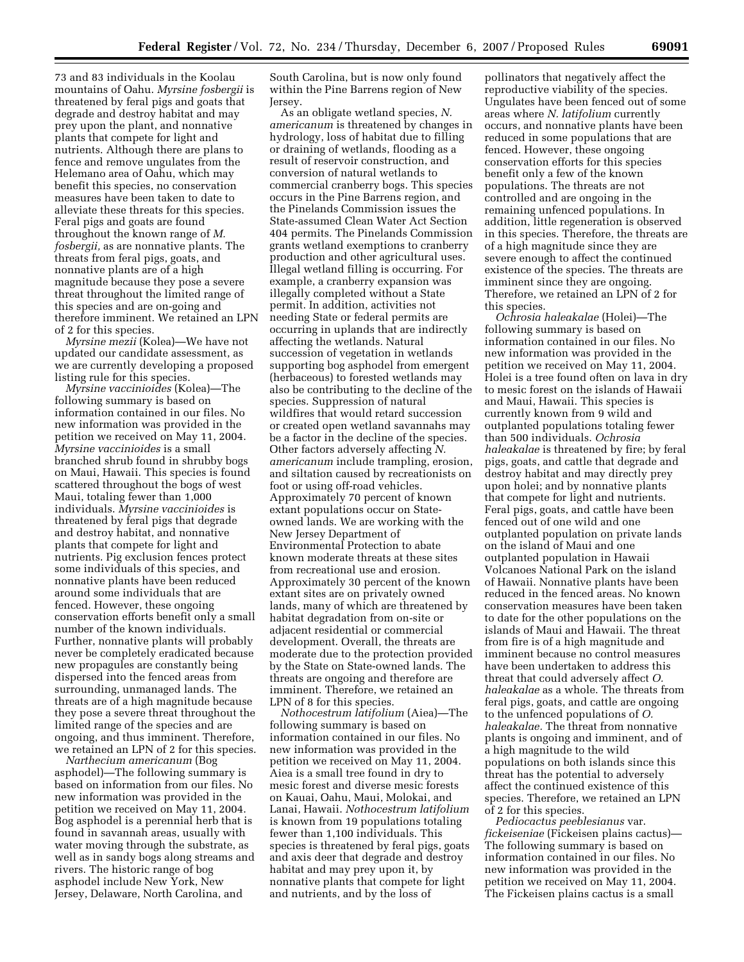73 and 83 individuals in the Koolau mountains of Oahu. *Myrsine fosbergii* is threatened by feral pigs and goats that degrade and destroy habitat and may prey upon the plant, and nonnative plants that compete for light and nutrients. Although there are plans to fence and remove ungulates from the Helemano area of Oahu, which may benefit this species, no conservation measures have been taken to date to alleviate these threats for this species. Feral pigs and goats are found throughout the known range of *M. fosbergii,* as are nonnative plants. The threats from feral pigs, goats, and nonnative plants are of a high magnitude because they pose a severe threat throughout the limited range of this species and are on-going and therefore imminent. We retained an LPN of 2 for this species.

*Myrsine mezii* (Kolea)—We have not updated our candidate assessment, as we are currently developing a proposed listing rule for this species.

*Myrsine vaccinioides* (Kolea)—The following summary is based on information contained in our files. No new information was provided in the petition we received on May 11, 2004. *Myrsine vaccinioides* is a small branched shrub found in shrubby bogs on Maui, Hawaii. This species is found scattered throughout the bogs of west Maui, totaling fewer than 1,000 individuals. *Myrsine vaccinioides* is threatened by feral pigs that degrade and destroy habitat, and nonnative plants that compete for light and nutrients. Pig exclusion fences protect some individuals of this species, and nonnative plants have been reduced around some individuals that are fenced. However, these ongoing conservation efforts benefit only a small number of the known individuals. Further, nonnative plants will probably never be completely eradicated because new propagules are constantly being dispersed into the fenced areas from surrounding, unmanaged lands. The threats are of a high magnitude because they pose a severe threat throughout the limited range of the species and are ongoing, and thus imminent. Therefore, we retained an LPN of 2 for this species.

*Narthecium americanum* (Bog asphodel)—The following summary is based on information from our files. No new information was provided in the petition we received on May 11, 2004. Bog asphodel is a perennial herb that is found in savannah areas, usually with water moving through the substrate, as well as in sandy bogs along streams and rivers. The historic range of bog asphodel include New York, New Jersey, Delaware, North Carolina, and

South Carolina, but is now only found within the Pine Barrens region of New Jersey.

As an obligate wetland species, *N. americanum* is threatened by changes in hydrology, loss of habitat due to filling or draining of wetlands, flooding as a result of reservoir construction, and conversion of natural wetlands to commercial cranberry bogs. This species occurs in the Pine Barrens region, and the Pinelands Commission issues the State-assumed Clean Water Act Section 404 permits. The Pinelands Commission grants wetland exemptions to cranberry production and other agricultural uses. Illegal wetland filling is occurring. For example, a cranberry expansion was illegally completed without a State permit. In addition, activities not needing State or federal permits are occurring in uplands that are indirectly affecting the wetlands. Natural succession of vegetation in wetlands supporting bog asphodel from emergent (herbaceous) to forested wetlands may also be contributing to the decline of the species. Suppression of natural wildfires that would retard succession or created open wetland savannahs may be a factor in the decline of the species. Other factors adversely affecting *N. americanum* include trampling, erosion, and siltation caused by recreationists on foot or using off-road vehicles. Approximately 70 percent of known extant populations occur on Stateowned lands. We are working with the New Jersey Department of Environmental Protection to abate known moderate threats at these sites from recreational use and erosion. Approximately 30 percent of the known extant sites are on privately owned lands, many of which are threatened by habitat degradation from on-site or adjacent residential or commercial development. Overall, the threats are moderate due to the protection provided by the State on State-owned lands. The threats are ongoing and therefore are imminent. Therefore, we retained an LPN of 8 for this species.

*Nothocestrum latifolium* (Aiea)—The following summary is based on information contained in our files. No new information was provided in the petition we received on May 11, 2004. Aiea is a small tree found in dry to mesic forest and diverse mesic forests on Kauai, Oahu, Maui, Molokai, and Lanai, Hawaii. *Nothocestrum latifolium*  is known from 19 populations totaling fewer than 1,100 individuals. This species is threatened by feral pigs, goats and axis deer that degrade and destroy habitat and may prey upon it, by nonnative plants that compete for light and nutrients, and by the loss of

pollinators that negatively affect the reproductive viability of the species. Ungulates have been fenced out of some areas where *N. latifolium* currently occurs, and nonnative plants have been reduced in some populations that are fenced. However, these ongoing conservation efforts for this species benefit only a few of the known populations. The threats are not controlled and are ongoing in the remaining unfenced populations. In addition, little regeneration is observed in this species. Therefore, the threats are of a high magnitude since they are severe enough to affect the continued existence of the species. The threats are imminent since they are ongoing. Therefore, we retained an LPN of 2 for this species.

*Ochrosia haleakalae* (Holei)—The following summary is based on information contained in our files. No new information was provided in the petition we received on May 11, 2004. Holei is a tree found often on lava in dry to mesic forest on the islands of Hawaii and Maui, Hawaii. This species is currently known from 9 wild and outplanted populations totaling fewer than 500 individuals. *Ochrosia haleakalae* is threatened by fire; by feral pigs, goats, and cattle that degrade and destroy habitat and may directly prey upon holei; and by nonnative plants that compete for light and nutrients. Feral pigs, goats, and cattle have been fenced out of one wild and one outplanted population on private lands on the island of Maui and one outplanted population in Hawaii Volcanoes National Park on the island of Hawaii. Nonnative plants have been reduced in the fenced areas. No known conservation measures have been taken to date for the other populations on the islands of Maui and Hawaii. The threat from fire is of a high magnitude and imminent because no control measures have been undertaken to address this threat that could adversely affect *O. haleakalae* as a whole. The threats from feral pigs, goats, and cattle are ongoing to the unfenced populations of *O. haleakalae.* The threat from nonnative plants is ongoing and imminent, and of a high magnitude to the wild populations on both islands since this threat has the potential to adversely affect the continued existence of this species. Therefore, we retained an LPN of 2 for this species.

*Pediocactus peeblesianus* var. *fickeiseniae* (Fickeisen plains cactus)— The following summary is based on information contained in our files. No new information was provided in the petition we received on May 11, 2004. The Fickeisen plains cactus is a small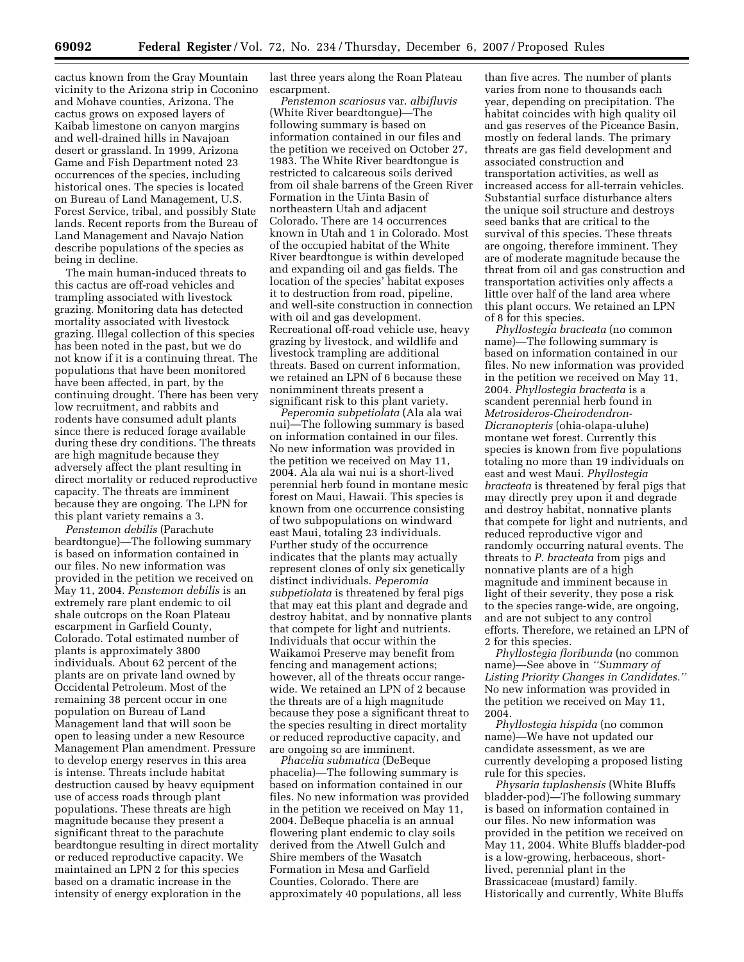cactus known from the Gray Mountain vicinity to the Arizona strip in Coconino and Mohave counties, Arizona. The cactus grows on exposed layers of Kaibab limestone on canyon margins and well-drained hills in Navajoan desert or grassland. In 1999, Arizona Game and Fish Department noted 23 occurrences of the species, including historical ones. The species is located on Bureau of Land Management, U.S. Forest Service, tribal, and possibly State lands. Recent reports from the Bureau of Land Management and Navajo Nation describe populations of the species as being in decline.

The main human-induced threats to this cactus are off-road vehicles and trampling associated with livestock grazing. Monitoring data has detected mortality associated with livestock grazing. Illegal collection of this species has been noted in the past, but we do not know if it is a continuing threat. The populations that have been monitored have been affected, in part, by the continuing drought. There has been very low recruitment, and rabbits and rodents have consumed adult plants since there is reduced forage available during these dry conditions. The threats are high magnitude because they adversely affect the plant resulting in direct mortality or reduced reproductive capacity. The threats are imminent because they are ongoing. The LPN for this plant variety remains a 3.

*Penstemon debilis* (Parachute beardtongue)—The following summary is based on information contained in our files. No new information was provided in the petition we received on May 11, 2004. *Penstemon debilis* is an extremely rare plant endemic to oil shale outcrops on the Roan Plateau escarpment in Garfield County, Colorado. Total estimated number of plants is approximately 3800 individuals. About 62 percent of the plants are on private land owned by Occidental Petroleum. Most of the remaining 38 percent occur in one population on Bureau of Land Management land that will soon be open to leasing under a new Resource Management Plan amendment. Pressure to develop energy reserves in this area is intense. Threats include habitat destruction caused by heavy equipment use of access roads through plant populations. These threats are high magnitude because they present a significant threat to the parachute beardtongue resulting in direct mortality or reduced reproductive capacity. We maintained an LPN 2 for this species based on a dramatic increase in the intensity of energy exploration in the

last three years along the Roan Plateau escarpment.

*Penstemon scariosus* var. *albifluvis*  (White River beardtongue)—The following summary is based on information contained in our files and the petition we received on October 27, 1983. The White River beardtongue is restricted to calcareous soils derived from oil shale barrens of the Green River Formation in the Uinta Basin of northeastern Utah and adjacent Colorado. There are 14 occurrences known in Utah and 1 in Colorado. Most of the occupied habitat of the White River beardtongue is within developed and expanding oil and gas fields. The location of the species' habitat exposes it to destruction from road, pipeline, and well-site construction in connection with oil and gas development. Recreational off-road vehicle use, heavy grazing by livestock, and wildlife and livestock trampling are additional threats. Based on current information, we retained an LPN of 6 because these nonimminent threats present a significant risk to this plant variety.

*Peperomia subpetiolata* (Ala ala wai nui)—The following summary is based on information contained in our files. No new information was provided in the petition we received on May 11, 2004. Ala ala wai nui is a short-lived perennial herb found in montane mesic forest on Maui, Hawaii. This species is known from one occurrence consisting of two subpopulations on windward east Maui, totaling 23 individuals. Further study of the occurrence indicates that the plants may actually represent clones of only six genetically distinct individuals. *Peperomia subpetiolata* is threatened by feral pigs that may eat this plant and degrade and destroy habitat, and by nonnative plants that compete for light and nutrients. Individuals that occur within the Waikamoi Preserve may benefit from fencing and management actions; however, all of the threats occur rangewide. We retained an LPN of 2 because the threats are of a high magnitude because they pose a significant threat to the species resulting in direct mortality or reduced reproductive capacity, and are ongoing so are imminent.

*Phacelia submutica* (DeBeque phacelia)—The following summary is based on information contained in our files. No new information was provided in the petition we received on May 11, 2004. DeBeque phacelia is an annual flowering plant endemic to clay soils derived from the Atwell Gulch and Shire members of the Wasatch Formation in Mesa and Garfield Counties, Colorado. There are approximately 40 populations, all less

than five acres. The number of plants varies from none to thousands each year, depending on precipitation. The habitat coincides with high quality oil and gas reserves of the Piceance Basin, mostly on federal lands. The primary threats are gas field development and associated construction and transportation activities, as well as increased access for all-terrain vehicles. Substantial surface disturbance alters the unique soil structure and destroys seed banks that are critical to the survival of this species. These threats are ongoing, therefore imminent. They are of moderate magnitude because the threat from oil and gas construction and transportation activities only affects a little over half of the land area where this plant occurs. We retained an LPN of 8 for this species.

*Phyllostegia bracteata* (no common name)—The following summary is based on information contained in our files. No new information was provided in the petition we received on May 11, 2004. *Phyllostegia bracteata* is a scandent perennial herb found in *Metrosideros-Cheirodendron-Dicranopteris* (ohia-olapa-uluhe) montane wet forest. Currently this species is known from five populations totaling no more than 19 individuals on east and west Maui. *Phyllostegia bracteata* is threatened by feral pigs that may directly prey upon it and degrade and destroy habitat, nonnative plants that compete for light and nutrients, and reduced reproductive vigor and randomly occurring natural events. The threats to *P. bracteata* from pigs and nonnative plants are of a high magnitude and imminent because in light of their severity, they pose a risk to the species range-wide, are ongoing, and are not subject to any control efforts. Therefore, we retained an LPN of 2 for this species.

*Phyllostegia floribunda* (no common name)—See above in *''Summary of Listing Priority Changes in Candidates.''* No new information was provided in the petition we received on May 11, 2004.

*Phyllostegia hispida* (no common name)—We have not updated our candidate assessment, as we are currently developing a proposed listing rule for this species.

*Physaria tuplashensis* (White Bluffs bladder-pod)—The following summary is based on information contained in our files. No new information was provided in the petition we received on May 11, 2004. White Bluffs bladder-pod is a low-growing, herbaceous, shortlived, perennial plant in the Brassicaceae (mustard) family. Historically and currently, White Bluffs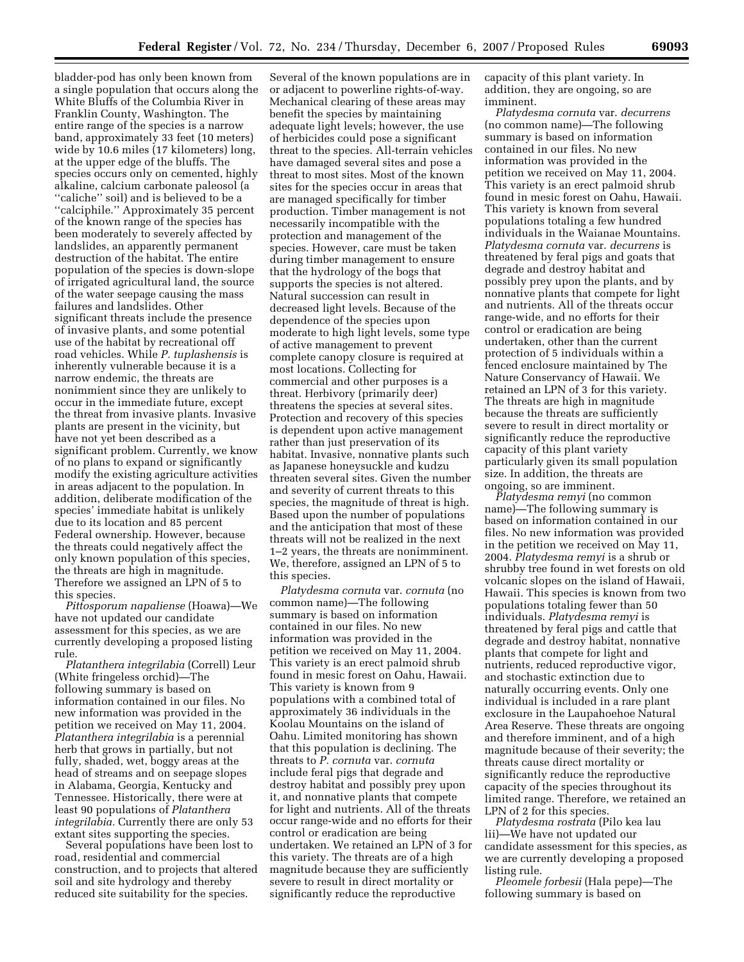bladder-pod has only been known from a single population that occurs along the White Bluffs of the Columbia River in Franklin County, Washington. The entire range of the species is a narrow band, approximately 33 feet (10 meters) wide by 10.6 miles (17 kilometers) long, at the upper edge of the bluffs. The species occurs only on cemented, highly alkaline, calcium carbonate paleosol (a ''caliche'' soil) and is believed to be a ''calciphile.'' Approximately 35 percent of the known range of the species has been moderately to severely affected by landslides, an apparently permanent destruction of the habitat. The entire population of the species is down-slope of irrigated agricultural land, the source of the water seepage causing the mass failures and landslides. Other significant threats include the presence of invasive plants, and some potential use of the habitat by recreational off road vehicles. While *P. tuplashensis* is inherently vulnerable because it is a narrow endemic, the threats are nonimmient since they are unlikely to occur in the immediate future, except the threat from invasive plants. Invasive plants are present in the vicinity, but have not yet been described as a significant problem. Currently, we know of no plans to expand or significantly modify the existing agriculture activities in areas adjacent to the population. In addition, deliberate modification of the species' immediate habitat is unlikely due to its location and 85 percent Federal ownership. However, because the threats could negatively affect the only known population of this species, the threats are high in magnitude. Therefore we assigned an LPN of 5 to this species.

*Pittosporum napaliense* (Hoawa)—We have not updated our candidate assessment for this species, as we are currently developing a proposed listing rule.

*Platanthera integrilabia* (Correll) Leur (White fringeless orchid)—The following summary is based on information contained in our files. No new information was provided in the petition we received on May 11, 2004. *Platanthera integrilabia* is a perennial herb that grows in partially, but not fully, shaded, wet, boggy areas at the head of streams and on seepage slopes in Alabama, Georgia, Kentucky and Tennessee. Historically, there were at least 90 populations of *Platanthera integrilabia.* Currently there are only 53 extant sites supporting the species.

Several populations have been lost to road, residential and commercial construction, and to projects that altered soil and site hydrology and thereby reduced site suitability for the species.

Several of the known populations are in or adjacent to powerline rights-of-way. Mechanical clearing of these areas may benefit the species by maintaining adequate light levels; however, the use of herbicides could pose a significant threat to the species. All-terrain vehicles have damaged several sites and pose a threat to most sites. Most of the known sites for the species occur in areas that are managed specifically for timber production. Timber management is not necessarily incompatible with the protection and management of the species. However, care must be taken during timber management to ensure that the hydrology of the bogs that supports the species is not altered. Natural succession can result in decreased light levels. Because of the dependence of the species upon moderate to high light levels, some type of active management to prevent complete canopy closure is required at most locations. Collecting for commercial and other purposes is a threat. Herbivory (primarily deer) threatens the species at several sites. Protection and recovery of this species is dependent upon active management rather than just preservation of its habitat. Invasive, nonnative plants such as Japanese honeysuckle and kudzu threaten several sites. Given the number and severity of current threats to this species, the magnitude of threat is high. Based upon the number of populations and the anticipation that most of these threats will not be realized in the next 1–2 years, the threats are nonimminent. We, therefore, assigned an LPN of 5 to this species.

*Platydesma cornuta* var. *cornuta* (no common name)—The following summary is based on information contained in our files. No new information was provided in the petition we received on May 11, 2004. This variety is an erect palmoid shrub found in mesic forest on Oahu, Hawaii. This variety is known from 9 populations with a combined total of approximately 36 individuals in the Koolau Mountains on the island of Oahu. Limited monitoring has shown that this population is declining. The threats to *P. cornuta* var. *cornuta*  include feral pigs that degrade and destroy habitat and possibly prey upon it, and nonnative plants that compete for light and nutrients. All of the threats occur range-wide and no efforts for their control or eradication are being undertaken. We retained an LPN of 3 for this variety. The threats are of a high magnitude because they are sufficiently severe to result in direct mortality or significantly reduce the reproductive

capacity of this plant variety. In addition, they are ongoing, so are imminent.

*Platydesma cornuta* var. *decurrens*  (no common name)—The following summary is based on information contained in our files. No new information was provided in the petition we received on May 11, 2004. This variety is an erect palmoid shrub found in mesic forest on Oahu, Hawaii. This variety is known from several populations totaling a few hundred individuals in the Waianae Mountains. *Platydesma cornuta* var. *decurrens* is threatened by feral pigs and goats that degrade and destroy habitat and possibly prey upon the plants, and by nonnative plants that compete for light and nutrients. All of the threats occur range-wide, and no efforts for their control or eradication are being undertaken, other than the current protection of 5 individuals within a fenced enclosure maintained by The Nature Conservancy of Hawaii. We retained an LPN of 3 for this variety. The threats are high in magnitude because the threats are sufficiently severe to result in direct mortality or significantly reduce the reproductive capacity of this plant variety particularly given its small population size. In addition, the threats are ongoing, so are imminent.

*Platydesma remyi* (no common name)—The following summary is based on information contained in our files. No new information was provided in the petition we received on May 11, 2004. *Platydesma remyi* is a shrub or shrubby tree found in wet forests on old volcanic slopes on the island of Hawaii, Hawaii. This species is known from two populations totaling fewer than 50 individuals. *Platydesma remyi* is threatened by feral pigs and cattle that degrade and destroy habitat, nonnative plants that compete for light and nutrients, reduced reproductive vigor, and stochastic extinction due to naturally occurring events. Only one individual is included in a rare plant exclosure in the Laupahoehoe Natural Area Reserve. These threats are ongoing and therefore imminent, and of a high magnitude because of their severity; the threats cause direct mortality or significantly reduce the reproductive capacity of the species throughout its limited range. Therefore, we retained an LPN of 2 for this species.

*Platydesma rostrata* (Pilo kea lau lii)—We have not updated our candidate assessment for this species, as we are currently developing a proposed listing rule.

*Pleomele forbesii* (Hala pepe)—The following summary is based on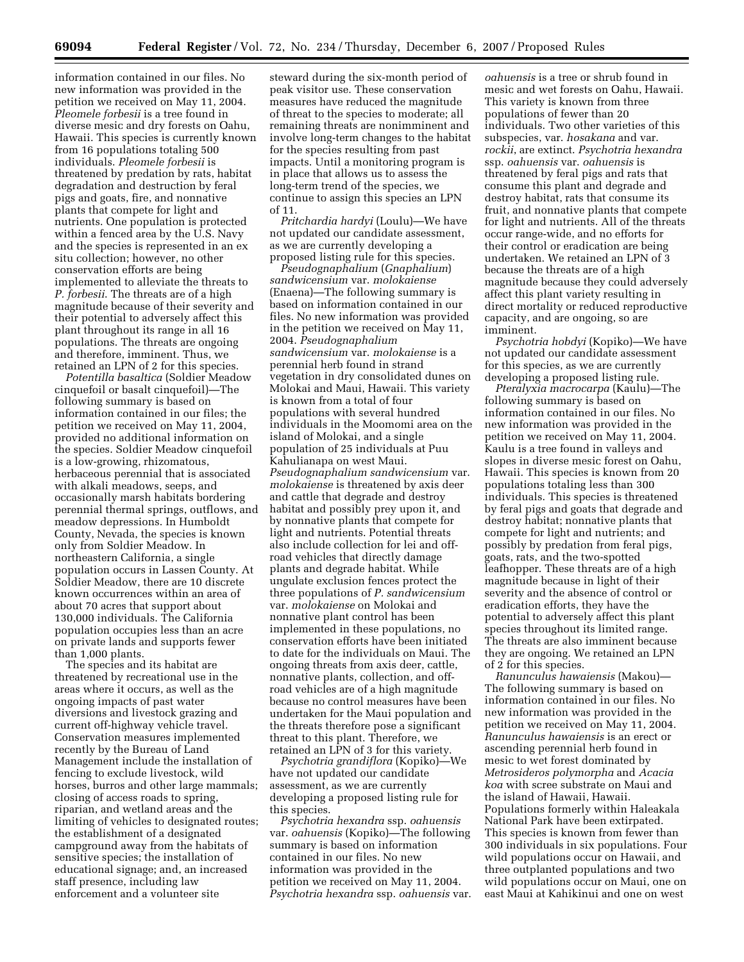information contained in our files. No new information was provided in the petition we received on May 11, 2004. *Pleomele forbesii* is a tree found in diverse mesic and dry forests on Oahu, Hawaii. This species is currently known from 16 populations totaling 500 individuals. *Pleomele forbesii* is threatened by predation by rats, habitat degradation and destruction by feral pigs and goats, fire, and nonnative plants that compete for light and nutrients. One population is protected within a fenced area by the U.S. Navy and the species is represented in an ex situ collection; however, no other conservation efforts are being implemented to alleviate the threats to *P. forbesii*. The threats are of a high magnitude because of their severity and their potential to adversely affect this plant throughout its range in all 16 populations. The threats are ongoing and therefore, imminent. Thus, we retained an LPN of 2 for this species.

*Potentilla basaltica* (Soldier Meadow cinquefoil or basalt cinquefoil)—The following summary is based on information contained in our files; the petition we received on May 11, 2004, provided no additional information on the species. Soldier Meadow cinquefoil is a low-growing, rhizomatous, herbaceous perennial that is associated with alkali meadows, seeps, and occasionally marsh habitats bordering perennial thermal springs, outflows, and meadow depressions. In Humboldt County, Nevada, the species is known only from Soldier Meadow. In northeastern California, a single population occurs in Lassen County. At Soldier Meadow, there are 10 discrete known occurrences within an area of about 70 acres that support about 130,000 individuals. The California population occupies less than an acre on private lands and supports fewer than 1,000 plants.

The species and its habitat are threatened by recreational use in the areas where it occurs, as well as the ongoing impacts of past water diversions and livestock grazing and current off-highway vehicle travel. Conservation measures implemented recently by the Bureau of Land Management include the installation of fencing to exclude livestock, wild horses, burros and other large mammals; closing of access roads to spring, riparian, and wetland areas and the limiting of vehicles to designated routes; the establishment of a designated campground away from the habitats of sensitive species; the installation of educational signage; and, an increased staff presence, including law enforcement and a volunteer site

steward during the six-month period of peak visitor use. These conservation measures have reduced the magnitude of threat to the species to moderate; all remaining threats are nonimminent and involve long-term changes to the habitat for the species resulting from past impacts. Until a monitoring program is in place that allows us to assess the long-term trend of the species, we continue to assign this species an LPN of 11.

*Pritchardia hardyi* (Loulu)—We have not updated our candidate assessment, as we are currently developing a proposed listing rule for this species.

*Pseudognaphalium* (*Gnaphalium*) *sandwicensium* var. *molokaiense*  (Enaena)—The following summary is based on information contained in our files. No new information was provided in the petition we received on May 11, 2004. *Pseudognaphalium sandwicensium* var. *molokaiense* is a perennial herb found in strand vegetation in dry consolidated dunes on Molokai and Maui, Hawaii. This variety is known from a total of four populations with several hundred individuals in the Moomomi area on the island of Molokai, and a single population of 25 individuals at Puu Kahulianapa on west Maui. *Pseudognaphalium sandwicensium* var. *molokaiense* is threatened by axis deer and cattle that degrade and destroy habitat and possibly prey upon it, and by nonnative plants that compete for light and nutrients. Potential threats also include collection for lei and offroad vehicles that directly damage plants and degrade habitat. While ungulate exclusion fences protect the three populations of *P. sandwicensium*  var. *molokaiense* on Molokai and nonnative plant control has been implemented in these populations, no conservation efforts have been initiated to date for the individuals on Maui. The ongoing threats from axis deer, cattle, nonnative plants, collection, and offroad vehicles are of a high magnitude because no control measures have been undertaken for the Maui population and the threats therefore pose a significant threat to this plant. Therefore, we retained an LPN of 3 for this variety.

*Psychotria grandiflora* (Kopiko)—We have not updated our candidate assessment, as we are currently developing a proposed listing rule for this species.

*Psychotria hexandra* ssp. *oahuensis*  var. *oahuensis* (Kopiko)—The following summary is based on information contained in our files. No new information was provided in the petition we received on May 11, 2004. *Psychotria hexandra* ssp. *oahuensis* var.

*oahuensis* is a tree or shrub found in mesic and wet forests on Oahu, Hawaii. This variety is known from three populations of fewer than 20 individuals. Two other varieties of this subspecies, var. *hosakana* and var. *rockii*, are extinct. *Psychotria hexandra*  ssp. *oahuensis* var. *oahuensis* is threatened by feral pigs and rats that consume this plant and degrade and destroy habitat, rats that consume its fruit, and nonnative plants that compete for light and nutrients. All of the threats occur range-wide, and no efforts for their control or eradication are being undertaken. We retained an LPN of 3 because the threats are of a high magnitude because they could adversely affect this plant variety resulting in direct mortality or reduced reproductive capacity, and are ongoing, so are imminent.

*Psychotria hobdyi* (Kopiko)—We have not updated our candidate assessment for this species, as we are currently developing a proposed listing rule.

*Pteralyxia macrocarpa* (Kaulu)—The following summary is based on information contained in our files. No new information was provided in the petition we received on May 11, 2004. Kaulu is a tree found in valleys and slopes in diverse mesic forest on Oahu, Hawaii. This species is known from 20 populations totaling less than 300 individuals. This species is threatened by feral pigs and goats that degrade and destroy habitat; nonnative plants that compete for light and nutrients; and possibly by predation from feral pigs, goats, rats, and the two-spotted leafhopper. These threats are of a high magnitude because in light of their severity and the absence of control or eradication efforts, they have the potential to adversely affect this plant species throughout its limited range. The threats are also imminent because they are ongoing. We retained an LPN of 2 for this species.

*Ranunculus hawaiensis* (Makou)— The following summary is based on information contained in our files. No new information was provided in the petition we received on May 11, 2004. *Ranunculus hawaiensis* is an erect or ascending perennial herb found in mesic to wet forest dominated by *Metrosideros polymorpha* and *Acacia koa* with scree substrate on Maui and the island of Hawaii, Hawaii. Populations formerly within Haleakala National Park have been extirpated. This species is known from fewer than 300 individuals in six populations. Four wild populations occur on Hawaii, and three outplanted populations and two wild populations occur on Maui, one on east Maui at Kahikinui and one on west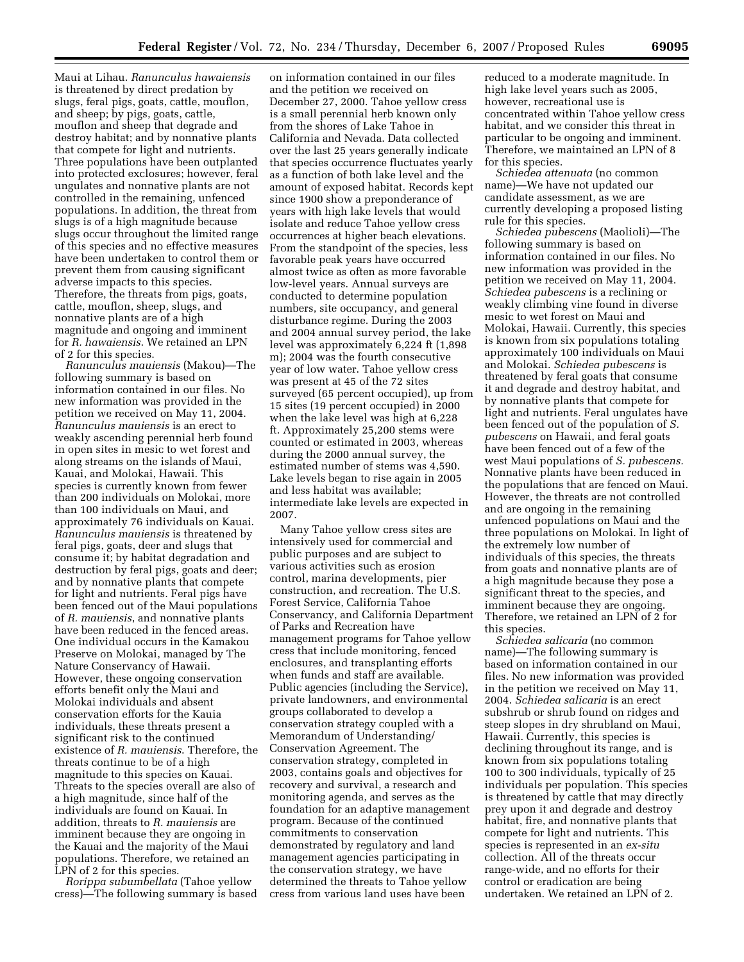Maui at Lihau. *Ranunculus hawaiensis*  is threatened by direct predation by slugs, feral pigs, goats, cattle, mouflon, and sheep; by pigs, goats, cattle, mouflon and sheep that degrade and destroy habitat; and by nonnative plants that compete for light and nutrients. Three populations have been outplanted into protected exclosures; however, feral ungulates and nonnative plants are not controlled in the remaining, unfenced populations. In addition, the threat from slugs is of a high magnitude because slugs occur throughout the limited range of this species and no effective measures have been undertaken to control them or prevent them from causing significant adverse impacts to this species. Therefore, the threats from pigs, goats, cattle, mouflon, sheep, slugs, and nonnative plants are of a high magnitude and ongoing and imminent for *R. hawaiensis*. We retained an LPN of 2 for this species.

*Ranunculus mauiensis* (Makou)—The following summary is based on information contained in our files. No new information was provided in the petition we received on May 11, 2004. *Ranunculus mauiensis* is an erect to weakly ascending perennial herb found in open sites in mesic to wet forest and along streams on the islands of Maui, Kauai, and Molokai, Hawaii. This species is currently known from fewer than 200 individuals on Molokai, more than 100 individuals on Maui, and approximately 76 individuals on Kauai. *Ranunculus mauiensis* is threatened by feral pigs, goats, deer and slugs that consume it; by habitat degradation and destruction by feral pigs, goats and deer; and by nonnative plants that compete for light and nutrients. Feral pigs have been fenced out of the Maui populations of *R. mauiensis*, and nonnative plants have been reduced in the fenced areas. One individual occurs in the Kamakou Preserve on Molokai, managed by The Nature Conservancy of Hawaii. However, these ongoing conservation efforts benefit only the Maui and Molokai individuals and absent conservation efforts for the Kauia individuals, these threats present a significant risk to the continued existence of *R. mauiensis*. Therefore, the threats continue to be of a high magnitude to this species on Kauai. Threats to the species overall are also of a high magnitude, since half of the individuals are found on Kauai. In addition, threats to *R. mauiensis* are imminent because they are ongoing in the Kauai and the majority of the Maui populations. Therefore, we retained an LPN of 2 for this species.

*Rorippa subumbellata* (Tahoe yellow cress)—The following summary is based

on information contained in our files and the petition we received on December 27, 2000. Tahoe yellow cress is a small perennial herb known only from the shores of Lake Tahoe in California and Nevada. Data collected over the last 25 years generally indicate that species occurrence fluctuates yearly as a function of both lake level and the amount of exposed habitat. Records kept since 1900 show a preponderance of years with high lake levels that would isolate and reduce Tahoe yellow cress occurrences at higher beach elevations. From the standpoint of the species, less favorable peak years have occurred almost twice as often as more favorable low-level years. Annual surveys are conducted to determine population numbers, site occupancy, and general disturbance regime. During the 2003 and 2004 annual survey period, the lake level was approximately 6,224 ft (1,898 m); 2004 was the fourth consecutive year of low water. Tahoe yellow cress was present at 45 of the 72 sites surveyed (65 percent occupied), up from 15 sites (19 percent occupied) in 2000 when the lake level was high at 6,228 ft. Approximately 25,200 stems were counted or estimated in 2003, whereas during the 2000 annual survey, the estimated number of stems was 4,590. Lake levels began to rise again in 2005 and less habitat was available; intermediate lake levels are expected in 2007.

Many Tahoe yellow cress sites are intensively used for commercial and public purposes and are subject to various activities such as erosion control, marina developments, pier construction, and recreation. The U.S. Forest Service, California Tahoe Conservancy, and California Department of Parks and Recreation have management programs for Tahoe yellow cress that include monitoring, fenced enclosures, and transplanting efforts when funds and staff are available. Public agencies (including the Service), private landowners, and environmental groups collaborated to develop a conservation strategy coupled with a Memorandum of Understanding/ Conservation Agreement. The conservation strategy, completed in 2003, contains goals and objectives for recovery and survival, a research and monitoring agenda, and serves as the foundation for an adaptive management program. Because of the continued commitments to conservation demonstrated by regulatory and land management agencies participating in the conservation strategy, we have determined the threats to Tahoe yellow cress from various land uses have been

reduced to a moderate magnitude. In high lake level years such as 2005, however, recreational use is concentrated within Tahoe yellow cress habitat, and we consider this threat in particular to be ongoing and imminent. Therefore, we maintained an LPN of 8 for this species.

*Schiedea attenuata* (no common name)—We have not updated our candidate assessment, as we are currently developing a proposed listing rule for this species.

*Schiedea pubescens* (Maolioli)—The following summary is based on information contained in our files. No new information was provided in the petition we received on May 11, 2004. *Schiedea pubescens* is a reclining or weakly climbing vine found in diverse mesic to wet forest on Maui and Molokai, Hawaii. Currently, this species is known from six populations totaling approximately 100 individuals on Maui and Molokai. *Schiedea pubescens* is threatened by feral goats that consume it and degrade and destroy habitat, and by nonnative plants that compete for light and nutrients. Feral ungulates have been fenced out of the population of *S. pubescens* on Hawaii, and feral goats have been fenced out of a few of the west Maui populations of *S. pubescens.*  Nonnative plants have been reduced in the populations that are fenced on Maui. However, the threats are not controlled and are ongoing in the remaining unfenced populations on Maui and the three populations on Molokai. In light of the extremely low number of individuals of this species, the threats from goats and nonnative plants are of a high magnitude because they pose a significant threat to the species, and imminent because they are ongoing. Therefore, we retained an LPN of 2 for this species.

*Schiedea salicaria* (no common name)—The following summary is based on information contained in our files. No new information was provided in the petition we received on May 11, 2004. *Schiedea salicaria* is an erect subshrub or shrub found on ridges and steep slopes in dry shrubland on Maui, Hawaii. Currently, this species is declining throughout its range, and is known from six populations totaling 100 to 300 individuals, typically of 25 individuals per population. This species is threatened by cattle that may directly prey upon it and degrade and destroy habitat, fire, and nonnative plants that compete for light and nutrients. This species is represented in an *ex-situ*  collection. All of the threats occur range-wide, and no efforts for their control or eradication are being undertaken. We retained an LPN of 2.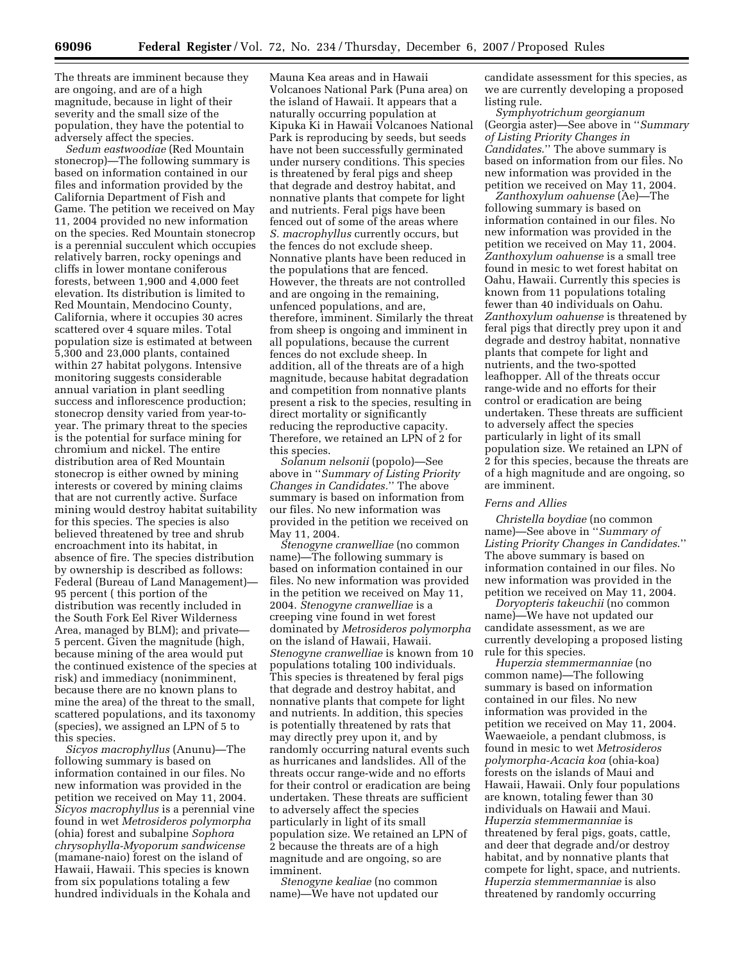The threats are imminent because they are ongoing, and are of a high magnitude, because in light of their severity and the small size of the population, they have the potential to adversely affect the species.

*Sedum eastwoodiae* (Red Mountain stonecrop)—The following summary is based on information contained in our files and information provided by the California Department of Fish and Game. The petition we received on May 11, 2004 provided no new information on the species. Red Mountain stonecrop is a perennial succulent which occupies relatively barren, rocky openings and cliffs in lower montane coniferous forests, between 1,900 and 4,000 feet elevation. Its distribution is limited to Red Mountain, Mendocino County, California, where it occupies 30 acres scattered over 4 square miles. Total population size is estimated at between 5,300 and 23,000 plants, contained within 27 habitat polygons. Intensive monitoring suggests considerable annual variation in plant seedling success and inflorescence production; stonecrop density varied from year-toyear. The primary threat to the species is the potential for surface mining for chromium and nickel. The entire distribution area of Red Mountain stonecrop is either owned by mining interests or covered by mining claims that are not currently active. Surface mining would destroy habitat suitability for this species. The species is also believed threatened by tree and shrub encroachment into its habitat, in absence of fire. The species distribution by ownership is described as follows: Federal (Bureau of Land Management)— 95 percent ( this portion of the distribution was recently included in the South Fork Eel River Wilderness Area, managed by BLM); and private— 5 percent. Given the magnitude (high, because mining of the area would put the continued existence of the species at risk) and immediacy (nonimminent, because there are no known plans to mine the area) of the threat to the small, scattered populations, and its taxonomy (species), we assigned an LPN of 5 to this species.

*Sicyos macrophyllus* (Anunu)—The following summary is based on information contained in our files. No new information was provided in the petition we received on May 11, 2004. *Sicyos macrophyllus* is a perennial vine found in wet *Metrosideros polymorpha*  (ohia) forest and subalpine *Sophora chrysophylla-Myoporum sandwicense*  (mamane-naio) forest on the island of Hawaii, Hawaii. This species is known from six populations totaling a few hundred individuals in the Kohala and

Mauna Kea areas and in Hawaii Volcanoes National Park (Puna area) on the island of Hawaii. It appears that a naturally occurring population at Kipuka Ki in Hawaii Volcanoes National Park is reproducing by seeds, but seeds have not been successfully germinated under nursery conditions. This species is threatened by feral pigs and sheep that degrade and destroy habitat, and nonnative plants that compete for light and nutrients. Feral pigs have been fenced out of some of the areas where *S. macrophyllus* currently occurs, but the fences do not exclude sheep. Nonnative plants have been reduced in the populations that are fenced. However, the threats are not controlled and are ongoing in the remaining, unfenced populations, and are, therefore, imminent. Similarly the threat from sheep is ongoing and imminent in all populations, because the current fences do not exclude sheep. In addition, all of the threats are of a high magnitude, because habitat degradation and competition from nonnative plants present a risk to the species, resulting in direct mortality or significantly reducing the reproductive capacity. Therefore, we retained an LPN of 2 for this species.

*Solanum nelsonii* (popolo)—See above in ''*Summary of Listing Priority Changes in Candidates.*'' The above summary is based on information from our files. No new information was provided in the petition we received on May 11, 2004.

*Stenogyne cranwelliae* (no common name)—The following summary is based on information contained in our files. No new information was provided in the petition we received on May 11, 2004. *Stenogyne cranwelliae* is a creeping vine found in wet forest dominated by *Metrosideros polymorpha*  on the island of Hawaii, Hawaii. *Stenogyne cranwelliae* is known from 10 populations totaling 100 individuals. This species is threatened by feral pigs that degrade and destroy habitat, and nonnative plants that compete for light and nutrients. In addition, this species is potentially threatened by rats that may directly prey upon it, and by randomly occurring natural events such as hurricanes and landslides. All of the threats occur range-wide and no efforts for their control or eradication are being undertaken. These threats are sufficient to adversely affect the species particularly in light of its small population size. We retained an LPN of 2 because the threats are of a high magnitude and are ongoing, so are imminent.

*Stenogyne kealiae* (no common name)—We have not updated our candidate assessment for this species, as we are currently developing a proposed listing rule.

*Symphyotrichum georgianum*  (Georgia aster)—See above in ''*Summary of Listing Priority Changes in Candidates*.'' The above summary is based on information from our files. No new information was provided in the petition we received on May 11, 2004.

*Zanthoxylum oahuense* (Ae)—The following summary is based on information contained in our files. No new information was provided in the petition we received on May 11, 2004. *Zanthoxylum oahuense* is a small tree found in mesic to wet forest habitat on Oahu, Hawaii. Currently this species is known from 11 populations totaling fewer than 40 individuals on Oahu. *Zanthoxylum oahuense* is threatened by feral pigs that directly prey upon it and degrade and destroy habitat, nonnative plants that compete for light and nutrients, and the two-spotted leafhopper. All of the threats occur range-wide and no efforts for their control or eradication are being undertaken. These threats are sufficient to adversely affect the species particularly in light of its small population size. We retained an LPN of 2 for this species, because the threats are of a high magnitude and are ongoing, so are imminent.

#### *Ferns and Allies*

*Christella boydiae* (no common name)—See above in ''*Summary of Listing Priority Changes in Candidates*.'' The above summary is based on information contained in our files. No new information was provided in the petition we received on May 11, 2004.

*Doryopteris takeuchii* (no common name)—We have not updated our candidate assessment, as we are currently developing a proposed listing rule for this species.

*Huperzia stemmermanniae* (no common name)—The following summary is based on information contained in our files. No new information was provided in the petition we received on May 11, 2004. Waewaeiole, a pendant clubmoss, is found in mesic to wet *Metrosideros polymorpha-Acacia koa* (ohia-koa) forests on the islands of Maui and Hawaii, Hawaii. Only four populations are known, totaling fewer than 30 individuals on Hawaii and Maui. *Huperzia stemmermanniae* is threatened by feral pigs, goats, cattle, and deer that degrade and/or destroy habitat, and by nonnative plants that compete for light, space, and nutrients. *Huperzia stemmermanniae* is also threatened by randomly occurring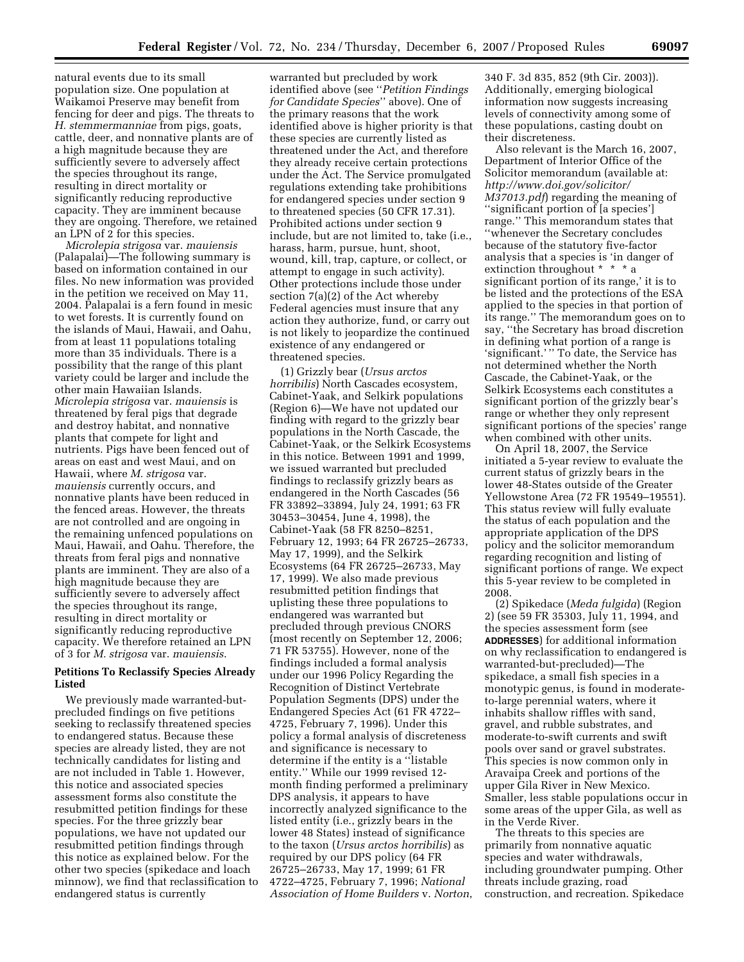natural events due to its small population size. One population at Waikamoi Preserve may benefit from fencing for deer and pigs. The threats to *H. stemmermanniae* from pigs, goats, cattle, deer, and nonnative plants are of a high magnitude because they are sufficiently severe to adversely affect the species throughout its range, resulting in direct mortality or significantly reducing reproductive capacity. They are imminent because they are ongoing. Therefore, we retained an LPN of 2 for this species.

*Microlepia strigosa* var. *mauiensis*  (Palapalai)—The following summary is based on information contained in our files. No new information was provided in the petition we received on May 11, 2004. Palapalai is a fern found in mesic to wet forests. It is currently found on the islands of Maui, Hawaii, and Oahu, from at least 11 populations totaling more than 35 individuals. There is a possibility that the range of this plant variety could be larger and include the other main Hawaiian Islands. *Microlepia strigosa* var. *mauiensis* is threatened by feral pigs that degrade and destroy habitat, and nonnative plants that compete for light and nutrients. Pigs have been fenced out of areas on east and west Maui, and on Hawaii, where *M. strigosa* var. *mauiensis* currently occurs, and nonnative plants have been reduced in the fenced areas. However, the threats are not controlled and are ongoing in the remaining unfenced populations on Maui, Hawaii, and Oahu. Therefore, the threats from feral pigs and nonnative plants are imminent. They are also of a high magnitude because they are sufficiently severe to adversely affect the species throughout its range, resulting in direct mortality or significantly reducing reproductive capacity. We therefore retained an LPN of 3 for *M. strigosa* var. *mauiensis*.

# **Petitions To Reclassify Species Already Listed**

We previously made warranted-butprecluded findings on five petitions seeking to reclassify threatened species to endangered status. Because these species are already listed, they are not technically candidates for listing and are not included in Table 1. However, this notice and associated species assessment forms also constitute the resubmitted petition findings for these species. For the three grizzly bear populations, we have not updated our resubmitted petition findings through this notice as explained below. For the other two species (spikedace and loach minnow), we find that reclassification to endangered status is currently

warranted but precluded by work identified above (see ''*Petition Findings for Candidate Species*'' above). One of the primary reasons that the work identified above is higher priority is that these species are currently listed as threatened under the Act, and therefore they already receive certain protections under the Act. The Service promulgated regulations extending take prohibitions for endangered species under section 9 to threatened species (50 CFR 17.31). Prohibited actions under section 9 include, but are not limited to, take (i.e., harass, harm, pursue, hunt, shoot, wound, kill, trap, capture, or collect, or attempt to engage in such activity). Other protections include those under section 7(a)(2) of the Act whereby Federal agencies must insure that any action they authorize, fund, or carry out is not likely to jeopardize the continued existence of any endangered or threatened species.

(1) Grizzly bear (*Ursus arctos horribilis*) North Cascades ecosystem, Cabinet-Yaak, and Selkirk populations (Region 6)—We have not updated our finding with regard to the grizzly bear populations in the North Cascade, the Cabinet-Yaak, or the Selkirk Ecosystems in this notice. Between 1991 and 1999, we issued warranted but precluded findings to reclassify grizzly bears as endangered in the North Cascades (56 FR 33892–33894, July 24, 1991; 63 FR 30453–30454, June 4, 1998), the Cabinet-Yaak (58 FR 8250–8251, February 12, 1993; 64 FR 26725–26733, May 17, 1999), and the Selkirk Ecosystems (64 FR 26725–26733, May 17, 1999). We also made previous resubmitted petition findings that uplisting these three populations to endangered was warranted but precluded through previous CNORS (most recently on September 12, 2006; 71 FR 53755). However, none of the findings included a formal analysis under our 1996 Policy Regarding the Recognition of Distinct Vertebrate Population Segments (DPS) under the Endangered Species Act (61 FR 4722– 4725, February 7, 1996). Under this policy a formal analysis of discreteness and significance is necessary to determine if the entity is a ''listable entity.'' While our 1999 revised 12 month finding performed a preliminary DPS analysis, it appears to have incorrectly analyzed significance to the listed entity (i.e., grizzly bears in the lower 48 States) instead of significance to the taxon (*Ursus arctos horribilis*) as required by our DPS policy (64 FR 26725-26733, May 17, 1999; 61 FR 4722–4725, February 7, 1996; *National Association of Home Builders* v. *Norton*,

340 F. 3d 835, 852 (9th Cir. 2003)). Additionally, emerging biological information now suggests increasing levels of connectivity among some of these populations, casting doubt on their discreteness.

Also relevant is the March 16, 2007, Department of Interior Office of the Solicitor memorandum (available at: *http://www.doi.gov/solicitor/ M37013.pdf*) regarding the meaning of ''significant portion of [a species'] range.'' This memorandum states that ''whenever the Secretary concludes because of the statutory five-factor analysis that a species is 'in danger of extinction throughout \* \* \* a significant portion of its range,' it is to be listed and the protections of the ESA applied to the species in that portion of its range.'' The memorandum goes on to say, ''the Secretary has broad discretion in defining what portion of a range is 'significant.' '' To date, the Service has not determined whether the North Cascade, the Cabinet-Yaak, or the Selkirk Ecosystems each constitutes a significant portion of the grizzly bear's range or whether they only represent significant portions of the species' range when combined with other units.

On April 18, 2007, the Service initiated a 5-year review to evaluate the current status of grizzly bears in the lower 48-States outside of the Greater Yellowstone Area (72 FR 19549–19551). This status review will fully evaluate the status of each population and the appropriate application of the DPS policy and the solicitor memorandum regarding recognition and listing of significant portions of range. We expect this 5-year review to be completed in 2008.

(2) Spikedace (*Meda fulgida*) (Region 2) (see 59 FR 35303, July 11, 1994, and the species assessment form (see **ADDRESSES**) for additional information on why reclassification to endangered is warranted-but-precluded)—The spikedace, a small fish species in a monotypic genus, is found in moderateto-large perennial waters, where it inhabits shallow riffles with sand, gravel, and rubble substrates, and moderate-to-swift currents and swift pools over sand or gravel substrates. This species is now common only in Aravaipa Creek and portions of the upper Gila River in New Mexico. Smaller, less stable populations occur in some areas of the upper Gila, as well as in the Verde River.

The threats to this species are primarily from nonnative aquatic species and water withdrawals, including groundwater pumping. Other threats include grazing, road construction, and recreation. Spikedace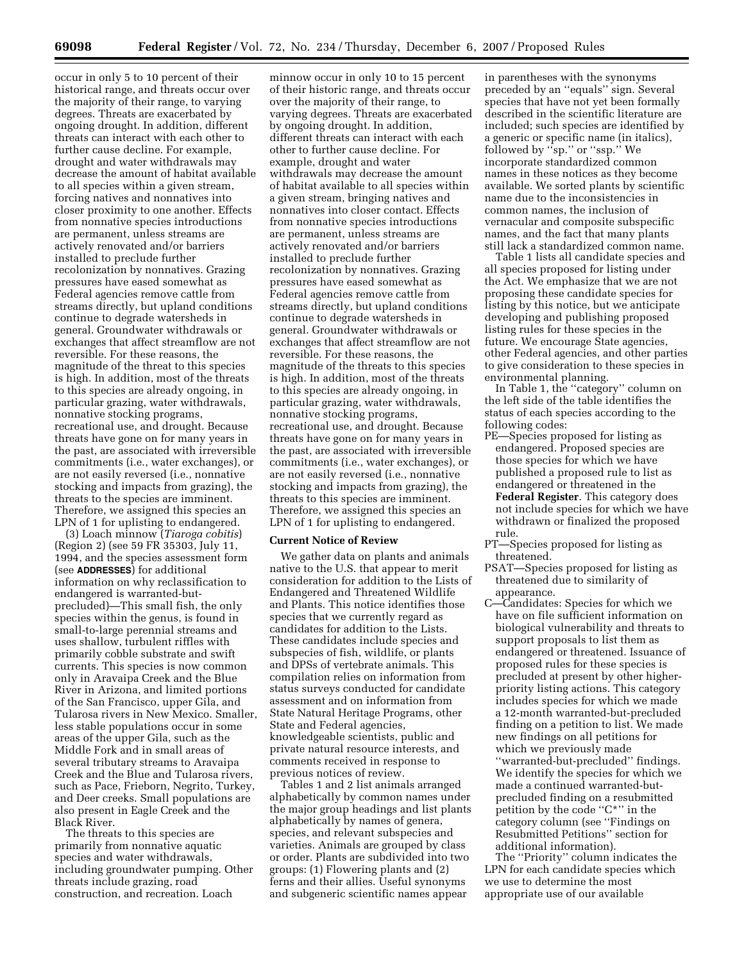occur in only 5 to 10 percent of their historical range, and threats occur over the majority of their range, to varying degrees. Threats are exacerbated by ongoing drought. In addition, different threats can interact with each other to further cause decline. For example, drought and water withdrawals may decrease the amount of habitat available to all species within a given stream, forcing natives and nonnatives into closer proximity to one another. Effects from nonnative species introductions are permanent, unless streams are actively renovated and/or barriers installed to preclude further recolonization by nonnatives. Grazing pressures have eased somewhat as Federal agencies remove cattle from streams directly, but upland conditions continue to degrade watersheds in general. Groundwater withdrawals or exchanges that affect streamflow are not reversible. For these reasons, the magnitude of the threat to this species is high. In addition, most of the threats to this species are already ongoing, in particular grazing, water withdrawals, nonnative stocking programs, recreational use, and drought. Because threats have gone on for many years in the past, are associated with irreversible commitments (i.e., water exchanges), or are not easily reversed (i.e., nonnative stocking and impacts from grazing), the threats to the species are imminent. Therefore, we assigned this species an LPN of 1 for uplisting to endangered.

(3) Loach minnow (*Tiaroga cobitis*) (Region 2) (see 59 FR 35303, July 11, 1994, and the species assessment form (see **ADDRESSES**) for additional information on why reclassification to endangered is warranted-butprecluded)—This small fish, the only species within the genus, is found in small-to-large perennial streams and uses shallow, turbulent riffles with primarily cobble substrate and swift currents. This species is now common only in Aravaipa Creek and the Blue River in Arizona, and limited portions of the San Francisco, upper Gila, and Tularosa rivers in New Mexico. Smaller, less stable populations occur in some areas of the upper Gila, such as the Middle Fork and in small areas of several tributary streams to Aravaipa Creek and the Blue and Tularosa rivers, such as Pace, Frieborn, Negrito, Turkey, and Deer creeks. Small populations are also present in Eagle Creek and the Black River.

The threats to this species are primarily from nonnative aquatic species and water withdrawals, including groundwater pumping. Other threats include grazing, road construction, and recreation. Loach

minnow occur in only 10 to 15 percent of their historic range, and threats occur over the majority of their range, to varying degrees. Threats are exacerbated by ongoing drought. In addition, different threats can interact with each other to further cause decline. For example, drought and water withdrawals may decrease the amount of habitat available to all species within a given stream, bringing natives and nonnatives into closer contact. Effects from nonnative species introductions are permanent, unless streams are actively renovated and/or barriers installed to preclude further recolonization by nonnatives. Grazing pressures have eased somewhat as Federal agencies remove cattle from streams directly, but upland conditions continue to degrade watersheds in general. Groundwater withdrawals or exchanges that affect streamflow are not reversible. For these reasons, the magnitude of the threats to this species is high. In addition, most of the threats to this species are already ongoing, in particular grazing, water withdrawals, nonnative stocking programs, recreational use, and drought. Because threats have gone on for many years in the past, are associated with irreversible commitments (i.e., water exchanges), or are not easily reversed (i.e., nonnative stocking and impacts from grazing), the threats to this species are imminent. Therefore, we assigned this species an LPN of 1 for uplisting to endangered.

#### **Current Notice of Review**

We gather data on plants and animals native to the U.S. that appear to merit consideration for addition to the Lists of Endangered and Threatened Wildlife and Plants. This notice identifies those species that we currently regard as candidates for addition to the Lists. These candidates include species and subspecies of fish, wildlife, or plants and DPSs of vertebrate animals. This compilation relies on information from status surveys conducted for candidate assessment and on information from State Natural Heritage Programs, other State and Federal agencies, knowledgeable scientists, public and private natural resource interests, and comments received in response to previous notices of review.

Tables 1 and 2 list animals arranged alphabetically by common names under the major group headings and list plants alphabetically by names of genera, species, and relevant subspecies and varieties. Animals are grouped by class or order. Plants are subdivided into two groups: (1) Flowering plants and (2) ferns and their allies. Useful synonyms and subgeneric scientific names appear

in parentheses with the synonyms preceded by an ''equals'' sign. Several species that have not yet been formally described in the scientific literature are included; such species are identified by a generic or specific name (in italics), followed by ''sp.'' or ''ssp.'' We incorporate standardized common names in these notices as they become available. We sorted plants by scientific name due to the inconsistencies in common names, the inclusion of vernacular and composite subspecific names, and the fact that many plants still lack a standardized common name.

Table 1 lists all candidate species and all species proposed for listing under the Act. We emphasize that we are not proposing these candidate species for listing by this notice, but we anticipate developing and publishing proposed listing rules for these species in the future. We encourage State agencies, other Federal agencies, and other parties to give consideration to these species in environmental planning.

In Table 1, the ''category'' column on the left side of the table identifies the status of each species according to the following codes:

PE—Species proposed for listing as endangered. Proposed species are those species for which we have published a proposed rule to list as endangered or threatened in the **Federal Register**. This category does not include species for which we have withdrawn or finalized the proposed rule.

- PT—Species proposed for listing as threatened.
- PSAT—Species proposed for listing as threatened due to similarity of appearance.
- C—Candidates: Species for which we have on file sufficient information on biological vulnerability and threats to support proposals to list them as endangered or threatened. Issuance of proposed rules for these species is precluded at present by other higherpriority listing actions. This category includes species for which we made a 12-month warranted-but-precluded finding on a petition to list. We made new findings on all petitions for which we previously made ''warranted-but-precluded'' findings. We identify the species for which we made a continued warranted-butprecluded finding on a resubmitted petition by the code ''C\*'' in the category column (see ''Findings on Resubmitted Petitions'' section for additional information).

The ''Priority'' column indicates the LPN for each candidate species which we use to determine the most appropriate use of our available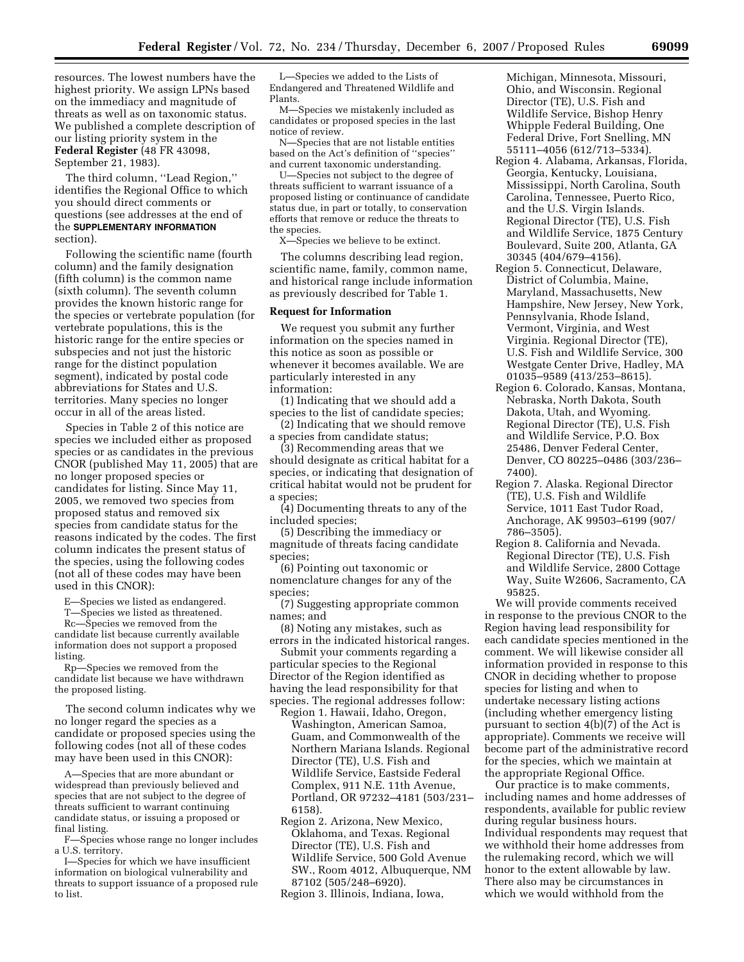resources. The lowest numbers have the highest priority. We assign LPNs based on the immediacy and magnitude of threats as well as on taxonomic status. We published a complete description of our listing priority system in the **Federal Register** (48 FR 43098, September 21, 1983).

The third column, ''Lead Region,'' identifies the Regional Office to which you should direct comments or questions (see addresses at the end of the **SUPPLEMENTARY INFORMATION** section).

Following the scientific name (fourth column) and the family designation (fifth column) is the common name (sixth column). The seventh column provides the known historic range for the species or vertebrate population (for vertebrate populations, this is the historic range for the entire species or subspecies and not just the historic range for the distinct population segment), indicated by postal code abbreviations for States and U.S. territories. Many species no longer occur in all of the areas listed.

Species in Table 2 of this notice are species we included either as proposed species or as candidates in the previous CNOR (published May 11, 2005) that are no longer proposed species or candidates for listing. Since May 11, 2005, we removed two species from proposed status and removed six species from candidate status for the reasons indicated by the codes. The first column indicates the present status of the species, using the following codes (not all of these codes may have been used in this CNOR):

-Species we listed as endangered.

T—Species we listed as threatened.

Rc—Species we removed from the candidate list because currently available information does not support a proposed listing.

Rp—Species we removed from the candidate list because we have withdrawn the proposed listing.

The second column indicates why we no longer regard the species as a candidate or proposed species using the following codes (not all of these codes may have been used in this CNOR):

A—Species that are more abundant or widespread than previously believed and species that are not subject to the degree of threats sufficient to warrant continuing candidate status, or issuing a proposed or final listing.

F—Species whose range no longer includes a U.S. territory.

I—Species for which we have insufficient information on biological vulnerability and threats to support issuance of a proposed rule to list.

L—Species we added to the Lists of Endangered and Threatened Wildlife and Plants.

M—Species we mistakenly included as candidates or proposed species in the last notice of review.

N—Species that are not listable entities based on the Act's definition of ''species'' and current taxonomic understanding.

U—Species not subject to the degree of threats sufficient to warrant issuance of a proposed listing or continuance of candidate status due, in part or totally, to conservation efforts that remove or reduce the threats to the species.

X—Species we believe to be extinct.

The columns describing lead region, scientific name, family, common name, and historical range include information as previously described for Table 1.

### **Request for Information**

We request you submit any further information on the species named in this notice as soon as possible or whenever it becomes available. We are particularly interested in any information:

(1) Indicating that we should add a species to the list of candidate species;

(2) Indicating that we should remove a species from candidate status;

(3) Recommending areas that we should designate as critical habitat for a species, or indicating that designation of critical habitat would not be prudent for a species;

(4) Documenting threats to any of the included species;

(5) Describing the immediacy or magnitude of threats facing candidate species;

(6) Pointing out taxonomic or nomenclature changes for any of the species;

(7) Suggesting appropriate common names; and

(8) Noting any mistakes, such as errors in the indicated historical ranges.

Submit your comments regarding a particular species to the Regional Director of the Region identified as having the lead responsibility for that species. The regional addresses follow:

- Region 1. Hawaii, Idaho, Oregon, Washington, American Samoa, Guam, and Commonwealth of the Northern Mariana Islands. Regional Director (TE), U.S. Fish and Wildlife Service, Eastside Federal Complex, 911 N.E. 11th Avenue, Portland, OR 97232–4181 (503/231– 6158).
- Region 2. Arizona, New Mexico, Oklahoma, and Texas. Regional Director (TE), U.S. Fish and Wildlife Service, 500 Gold Avenue SW., Room 4012, Albuquerque, NM 87102 (505/248–6920).

Region 3. Illinois, Indiana, Iowa,

Michigan, Minnesota, Missouri, Ohio, and Wisconsin. Regional Director (TE), U.S. Fish and Wildlife Service, Bishop Henry Whipple Federal Building, One Federal Drive, Fort Snelling, MN 55111–4056 (612/713–5334).

- Region 4. Alabama, Arkansas, Florida, Georgia, Kentucky, Louisiana, Mississippi, North Carolina, South Carolina, Tennessee, Puerto Rico, and the U.S. Virgin Islands. Regional Director (TE), U.S. Fish and Wildlife Service, 1875 Century Boulevard, Suite 200, Atlanta, GA 30345 (404/679–4156).
- Region 5. Connecticut, Delaware, District of Columbia, Maine, Maryland, Massachusetts, New Hampshire, New Jersey, New York, Pennsylvania, Rhode Island, Vermont, Virginia, and West Virginia. Regional Director (TE), U.S. Fish and Wildlife Service, 300 Westgate Center Drive, Hadley, MA 01035–9589 (413/253–8615).
- Region 6. Colorado, Kansas, Montana, Nebraska, North Dakota, South Dakota, Utah, and Wyoming. Regional Director (TE), U.S. Fish and Wildlife Service, P.O. Box 25486, Denver Federal Center, Denver, CO 80225–0486 (303/236– 7400).
- Region 7. Alaska. Regional Director (TE), U.S. Fish and Wildlife Service, 1011 East Tudor Road, Anchorage, AK 99503–6199 (907/ 786–3505).
- Region 8. California and Nevada. Regional Director (TE), U.S. Fish and Wildlife Service, 2800 Cottage Way, Suite W2606, Sacramento, CA 95825.

We will provide comments received in response to the previous CNOR to the Region having lead responsibility for each candidate species mentioned in the comment. We will likewise consider all information provided in response to this CNOR in deciding whether to propose species for listing and when to undertake necessary listing actions (including whether emergency listing pursuant to section 4(b)(7) of the Act is appropriate). Comments we receive will become part of the administrative record for the species, which we maintain at the appropriate Regional Office.

Our practice is to make comments, including names and home addresses of respondents, available for public review during regular business hours. Individual respondents may request that we withhold their home addresses from the rulemaking record, which we will honor to the extent allowable by law. There also may be circumstances in which we would withhold from the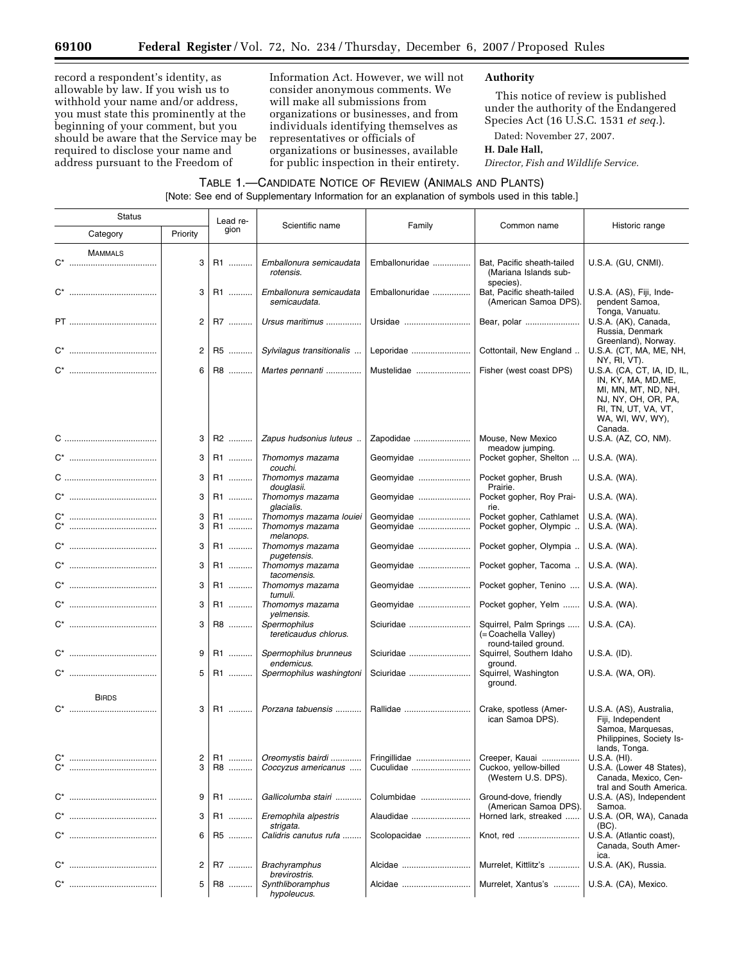Ξ

record a respondent's identity, as allowable by law. If you wish us to withhold your name and/or address, you must state this prominently at the beginning of your comment, but you should be aware that the Service may be required to disclose your name and address pursuant to the Freedom of

Information Act. However, we will not consider anonymous comments. We will make all submissions from organizations or businesses, and from individuals identifying themselves as representatives or officials of organizations or businesses, available for public inspection in their entirety.

# **Authority**

This notice of review is published under the authority of the Endangered Species Act (16 U.S.C. 1531 *et seq.*).

Dated: November 27, 2007.

## **H. Dale Hall,**

*Director, Fish and Wildlife Service.* 

# TABLE 1.—CANDIDATE NOTICE OF REVIEW (ANIMALS AND PLANTS) [Note: See end of Supplementary Information for an explanation of symbols used in this table.]

| <b>Status</b>  |                      | Lead re- | Scientific name                                        | Family                 | Common name                                                            | Historic range                                                                                                                              |
|----------------|----------------------|----------|--------------------------------------------------------|------------------------|------------------------------------------------------------------------|---------------------------------------------------------------------------------------------------------------------------------------------|
| Category       | Priority             | gion     |                                                        |                        |                                                                        |                                                                                                                                             |
| <b>MAMMALS</b> | 3                    | R1       | Emballonura semicaudata<br>rotensis.                   | Emballonuridae         | Bat, Pacific sheath-tailed<br>(Mariana Islands sub-                    | U.S.A. (GU, CNMI).                                                                                                                          |
|                | 3                    | R1       | Emballonura semicaudata<br>semicaudata.                | Emballonuridae         | species).<br>Bat, Pacific sheath-tailed<br>(American Samoa DPS).       | U.S.A. (AS), Fiji, Inde-<br>pendent Samoa,                                                                                                  |
|                | 2                    | R7       | Ursus maritimus                                        | Ursidae                | Bear, polar                                                            | Tonga, Vanuatu.<br>U.S.A. (AK), Canada,<br>Russia, Denmark                                                                                  |
|                | $\mathbf{2}^{\circ}$ | R5       | Sylvilagus transitionalis                              | Leporidae              | Cottontail, New England                                                | Greenland), Norway.<br>U.S.A. (CT, MA, ME, NH,<br>NY, RI, VT).                                                                              |
|                | 6                    | R8       | Martes pennanti                                        | Mustelidae             | Fisher (west coast DPS)                                                | U.S.A. (CA, CT, IA, ID, IL,<br>IN, KY, MA, MD, ME,<br>MI, MN, MT, ND, NH,<br>NJ, NY, OH, OR, PA,<br>RI, TN, UT, VA, VT,<br>WA, WI, WV, WY), |
|                | 3                    | R2       | Zapus hudsonius luteus                                 | Zapodidae              | Mouse, New Mexico<br>meadow jumping.                                   | Canada.<br>U.S.A. (AZ, CO, NM).                                                                                                             |
|                | 3                    | R1       | Thomomys mazama<br>couchi.                             | Geomyidae              | Pocket gopher, Shelton                                                 | U.S.A. (WA).                                                                                                                                |
|                | 3                    | R1       | Thomomys mazama<br>douglasii.                          | Geomyidae              | Pocket gopher, Brush<br>Prairie.                                       | U.S.A. (WA).                                                                                                                                |
|                | 3                    | R1       | Thomomys mazama<br>glacialis.                          | Geomyidae              | Pocket gopher, Roy Prai-<br>rie.                                       | U.S.A. (WA).                                                                                                                                |
|                | 3<br>3               | R1<br>R1 | Thomomys mazama louiei<br>Thomomys mazama<br>melanops. | Geomyidae<br>Geomyidae | Pocket gopher, Cathlamet<br>Pocket gopher, Olympic                     | U.S.A. (WA).<br>U.S.A. (WA).                                                                                                                |
|                | 3                    | R1       | Thomomys mazama<br>pugetensis.                         | Geomyidae              | Pocket gopher, Olympia                                                 | U.S.A. (WA).                                                                                                                                |
|                | 3                    | R1       | Thomomys mazama<br>tacomensis.                         | Geomyidae              | Pocket gopher, Tacoma                                                  | U.S.A. (WA).                                                                                                                                |
|                | 3                    | R1       | Thomomys mazama<br>tumuli.                             | Geomyidae              | Pocket gopher, Tenino                                                  | U.S.A. (WA).                                                                                                                                |
|                | 3                    | R1       | Thomomys mazama                                        | Geomyidae              | Pocket gopher, Yelm                                                    | U.S.A. (WA).                                                                                                                                |
|                | 3                    | R8       | yelmensis.<br>Spermophilus<br>tereticaudus chlorus.    | Sciuridae              | Squirrel, Palm Springs<br>(= Coachella Valley)<br>round-tailed ground. | U.S.A. (CA).                                                                                                                                |
|                | 9                    | R1       | Spermophilus brunneus<br>endemicus.                    | Sciuridae              | Squirrel, Southern Idaho<br>ground.                                    | U.S.A. (ID).                                                                                                                                |
|                | 5                    | R1       | Spermophilus washingtoni                               | Sciuridae              | Squirrel, Washington<br>ground.                                        | U.S.A. (WA, OR).                                                                                                                            |
| <b>BIRDS</b>   | 3                    | R1       | Porzana tabuensis                                      | Rallidae               | Crake, spotless (Amer-<br>ican Samoa DPS).                             | U.S.A. (AS), Australia,<br>Fiji, Independent<br>Samoa, Marquesas,<br>Philippines, Society Is-                                               |
|                | $\overline{c}$       | $R1$     | Oreomystis bairdi                                      | Fringillidae           | Creeper, Kauai                                                         | lands, Tonga.<br>U.S.A. (HI).                                                                                                               |
| $C^*$          | 3                    | R8       | Coccyzus americanus                                    | Cuculidae              | Cuckoo, yellow-billed<br>(Western U.S. DPS).                           | U.S.A. (Lower 48 States),<br>Canada, Mexico, Cen-<br>tral and South America.                                                                |
|                | 9                    | R1       | Gallicolumba stairi                                    | Columbidae             | Ground-dove, friendly<br>(American Samoa DPS).                         | U.S.A. (AS), Independent<br>Samoa.                                                                                                          |
|                | 3                    | R1       | Eremophila alpestris<br>strigata.                      | Alaudidae              | Horned lark, streaked                                                  | U.S.A. (OR, WA), Canada<br>$(BC)$ .                                                                                                         |
|                | 6                    | R5       | Calidris canutus rufa                                  | Scolopacidae           | Knot, red                                                              | U.S.A. (Atlantic coast),<br>Canada, South Amer-<br>ica.                                                                                     |
|                | $\overline{c}$       | R7       | <b>Brachyramphus</b><br>brevirostris.                  | Alcidae                | Murrelet, Kittlitz's                                                   | U.S.A. (AK), Russia.                                                                                                                        |
|                | 5                    | R8       | Synthliboramphus<br>hypoleucus.                        | Alcidae                | Murrelet, Xantus's                                                     | U.S.A. (CA), Mexico.                                                                                                                        |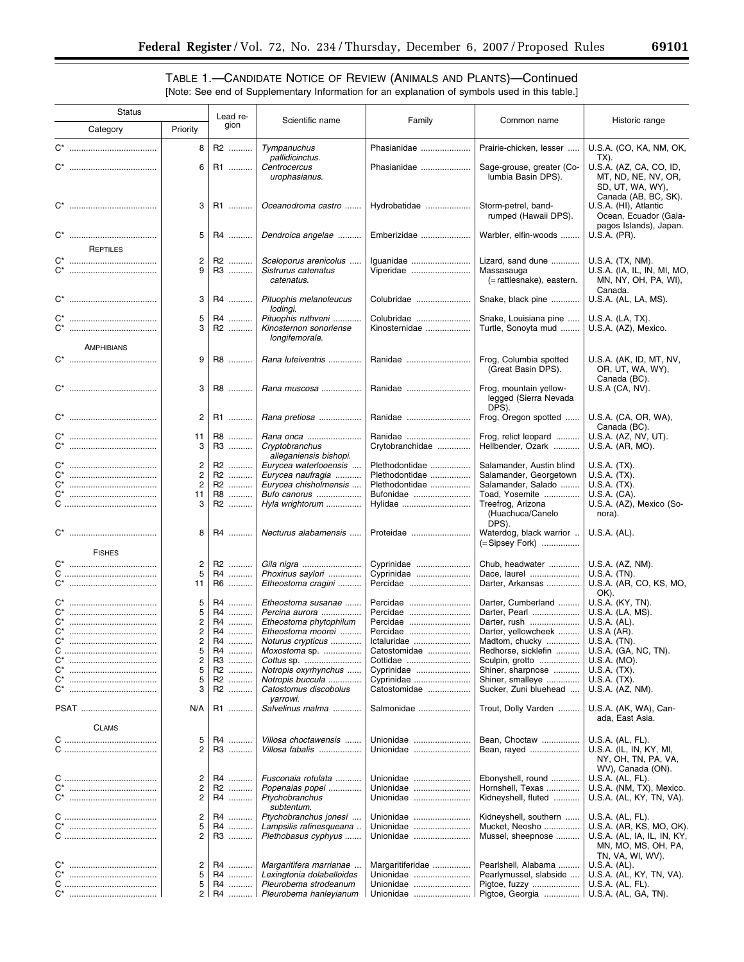▀

# TABLE 1.—CANDIDATE NOTICE OF REVIEW (ANIMALS AND PLANTS)—Continued [Note: See end of Supplementary Information for an explanation of symbols used in this table.]

| <b>Status</b> |                      | Lead re-       |          |                                                                |                             |                                                              |                                                                                            |
|---------------|----------------------|----------------|----------|----------------------------------------------------------------|-----------------------------|--------------------------------------------------------------|--------------------------------------------------------------------------------------------|
|               | Category             | Priority       | gion     | Scientific name                                                | Family                      | Common name                                                  | Historic range                                                                             |
|               |                      | 8              | R2       | Tympanuchus<br>pallidicinctus.                                 | Phasianidae                 | Prairie-chicken, lesser                                      | U.S.A. (CO, KA, NM, OK,<br>TX).                                                            |
|               |                      | 6              | R1       | Centrocercus<br>urophasianus.                                  | Phasianidae                 | Sage-grouse, greater (Co-<br>lumbia Basin DPS).              | U.S.A. (AZ, CA, CO, ID,<br>MT, ND, NE, NV, OR,<br>SD, UT, WA, WY),<br>Canada (AB, BC, SK). |
|               |                      | 3              | R1       | Oceanodroma castro                                             | Hydrobatidae                | Storm-petrel, band-<br>rumped (Hawaii DPS).                  | U.S.A. (HI), Atlantic<br>Ocean, Ecuador (Gala-<br>pagos Islands), Japan.                   |
|               | REPTILES             | 5              | R4       | Dendroica angelae                                              | Emberizidae                 | Warbler, elfin-woods                                         | U.S.A. (PR).                                                                               |
| $C^*$         |                      | 2<br>9         | R2<br>R3 | Sceloporus arenicolus<br>Sistrurus catenatus<br>catenatus.     | Iguanidae<br>Viperidae      | Lizard, sand dune<br>Massasauga<br>(= rattlesnake), eastern. | U.S.A. (TX, NM).<br>U.S.A. (IA, IL, IN, MI, MO,<br>MN, NY, OH, PA, WI),<br>Canada.         |
|               |                      | 3              | R4       | Pituophis melanoleucus<br>lodingi.                             | Colubridae                  | Snake, black pine                                            | U.S.A. (AL, LA, MS).                                                                       |
| $C^*$         | <b>AMPHIBIANS</b>    | 5<br>3         | R4<br>R2 | Pituophis ruthveni<br>Kinosternon sonoriense<br>longifemorale. | Colubridae<br>Kinosternidae | Snake, Louisiana pine<br>Turtle, Sonoyta mud                 | U.S.A. (LA, TX).<br>U.S.A. (AZ), Mexico.                                                   |
|               |                      | 9              | R8       | Rana luteiventris                                              | Ranidae                     | Frog, Columbia spotted<br>(Great Basin DPS).                 | U.S.A. (AK, ID, MT, NV,<br>OR, UT, WA, WY),<br>Canada (BC).                                |
|               |                      | 3              | R8       | Rana muscosa                                                   | Ranidae                     | Frog, mountain yellow-<br>legged (Sierra Nevada<br>DPS).     | U.S.A (CA, NV).                                                                            |
|               |                      | $\overline{2}$ | R1       | Rana pretiosa                                                  | Ranidae                     | Frog, Oregon spotted                                         | U.S.A. (CA, OR, WA),<br>Canada (BC).                                                       |
|               |                      | 11<br>3        | R8<br>R3 | Rana onca<br>Cryptobranchus<br>alleganiensis bishopi.          | Ranidae<br>Crytobranchidae  | Frog, relict leopard<br>Hellbender, Ozark                    | U.S.A. (AZ, NV, UT).<br>U.S.A. (AR, MO).                                                   |
|               |                      | $\overline{2}$ | R2       | Eurycea waterlooensis                                          | Plethodontidae              | Salamander, Austin blind                                     | $U.S.A.$ $(TX)$ .                                                                          |
| C'            |                      | $\overline{2}$ | R2       | Eurycea naufragia                                              | Plethodontidae              | Salamander, Georgetown                                       | $U.S.A.$ $(TX).$                                                                           |
| $C^*$         |                      | $\overline{2}$ | R2       | Eurycea chisholmensis                                          | Plethodontidae              | Salamander, Salado                                           | U.S.A. (TX).                                                                               |
| $C^*$         |                      | 11             | R8       | Bufo canorus                                                   | Bufonidae                   | Toad, Yosemite                                               | U.S.A. (CA).                                                                               |
|               |                      | 3              | R2       | Hyla wrightorum                                                | Hylidae                     | Treefrog, Arizona<br>(Huachuca/Canelo<br>DPS).               | U.S.A. (AZ), Mexico (So-<br>nora).                                                         |
|               | <b>FISHES</b>        | 8              | R4       | Necturus alabamensis                                           | Proteidae                   | Waterdog, black warrior<br>(= Sipsey Fork)                   | U.S.A. (AL).                                                                               |
|               |                      | 2              | R2       |                                                                | Cyprinidae                  | Chub, headwater                                              | U.S.A. (AZ, NM).                                                                           |
|               |                      | 5              | R4       | Phoxinus saylori                                               | Cyprinidae                  | Dace, laurel                                                 | U.S.A. (TN).                                                                               |
|               |                      | 11             | R6       | Etheostoma cragini                                             | Percidae                    | Darter, Arkansas                                             | U.S.A. (AR, CO, KS, MO,<br>OK).                                                            |
|               |                      | 5              | R4       | Etheostoma susanae                                             | Percidae                    | Darter, Cumberland                                           | U.S.A. (KY, TN).                                                                           |
| C*            |                      | 5              | R4       | Percina aurora                                                 | Percidae                    | Darter, Pearl                                                | U.S.A. (LA, MS).                                                                           |
| $C^*$         |                      | $\overline{c}$ | R4       | Etheostoma phytophilum                                         | Percidae                    | Darter, rush                                                 | U.S.A. (AL).                                                                               |
| $C^*$         |                      | $\overline{2}$ | R4       | Etheostoma moorei                                              | Percidae                    | Darter, yellowcheek                                          | U.S.A (AR).                                                                                |
|               |                      | 2              | R4       | Noturus crypticus                                              | Ictaluridae                 | Madtom, chucky                                               | U.S.A. (TN).                                                                               |
| С             |                      | 5              | R4       | Moxostoma sp.                                                  | Catostomidae                | Redhorse, sicklefin                                          | U.S.A. (GA, NC, TN).                                                                       |
| $C^*$         |                      | 2              | R3       | Cottus sp.                                                     | Cottidae                    | Sculpin, grotto                                              | U.S.A. (MO).                                                                               |
| $C^*$         |                      | 5              | R2       | Notropis oxyrhynchus                                           | Cyprinidae                  | Shiner, sharpnose                                            | U.S.A. (TX).                                                                               |
| $C^*$         |                      | 5              | R2       | Notropis buccula                                               | Cyprinidae                  | Shiner, smalleye                                             | U.S.A. (TX).                                                                               |
| $C^*$         |                      | 3              | R2       | Catostomus discobolus<br>varrowi.                              | Catostomidae                | Sucker, Zuni bluehead                                        | U.S.A. (AZ, NM).                                                                           |
|               | PSAT<br><b>CLAMS</b> | N/A            | R1       | Salvelinus malma                                               | Salmonidae                  | Trout, Dolly Varden                                          | U.S.A. (AK, WA), Can-<br>ada, East Asia.                                                   |
|               |                      | 5              | R4       | Villosa choctawensis                                           | Unionidae                   | Bean, Choctaw                                                | U.S.A. (AL, FL).                                                                           |
|               |                      | $\overline{2}$ | R3       | Villosa fabalis                                                | Unionidae                   | Bean, rayed                                                  | U.S.A. (IL, IN, KY, MI,<br>NY, OH, TN, PA, VA,<br>WV), Canada (ON).                        |
|               |                      | 2              | R4       | Fusconaia rotulata                                             | Unionidae                   | Ebonyshell, round                                            | U.S.A. (AL, FL).                                                                           |
| C             |                      | 2              | R2       | Popenaias popei                                                | Unionidae                   | Hornshell, Texas                                             | U.S.A. (NM, TX), Mexico.                                                                   |
| $C^*$         |                      | $\overline{2}$ | R4       | Ptychobranchus<br>subtentum.                                   | Unionidae                   | Kidneyshell, fluted                                          | U.S.A. (AL, KY, TN, VA).                                                                   |
|               |                      | 2              | R4       | Ptychobranchus jonesi                                          | Unionidae                   | Kidneyshell, southern                                        | U.S.A. (AL, FL).                                                                           |
|               |                      | 5              | R4       | Lampsilis rafinesqueana                                        | Unionidae                   | Mucket, Neosho                                               | U.S.A. (AR, KS, MO, OK).                                                                   |
|               |                      | $\overline{2}$ | R3       | Plethobasus cyphyus                                            | Unionidae                   | Mussel, sheepnose                                            | U.S.A. (AL, IA, IL, IN, KY,<br>MN, MO, MS, OH, PA,<br>TN, VA, WI, WV).                     |
|               |                      | 2              | R4       | Margaritifera marrianae                                        | Margaritiferidae            | Pearlshell, Alabama                                          | U.S.A. (AL).                                                                               |
| $C^*$         |                      | 5              | R4       | Lexingtonia dolabelloides                                      | Unionidae                   | Pearlymussel, slabside                                       | U.S.A. (AL, KY, TN, VA).                                                                   |
|               |                      | 5              | R4       | Pleurobema strodeanum                                          | Unionidae                   | Pigtoe, fuzzy                                                | U.S.A. (AL, FL).                                                                           |
|               |                      |                | 2 R4     | Pleurobema hanleyianum                                         | Unionidae                   | Pigtoe, Georgia                                              | U.S.A. (AL, GA, TN).                                                                       |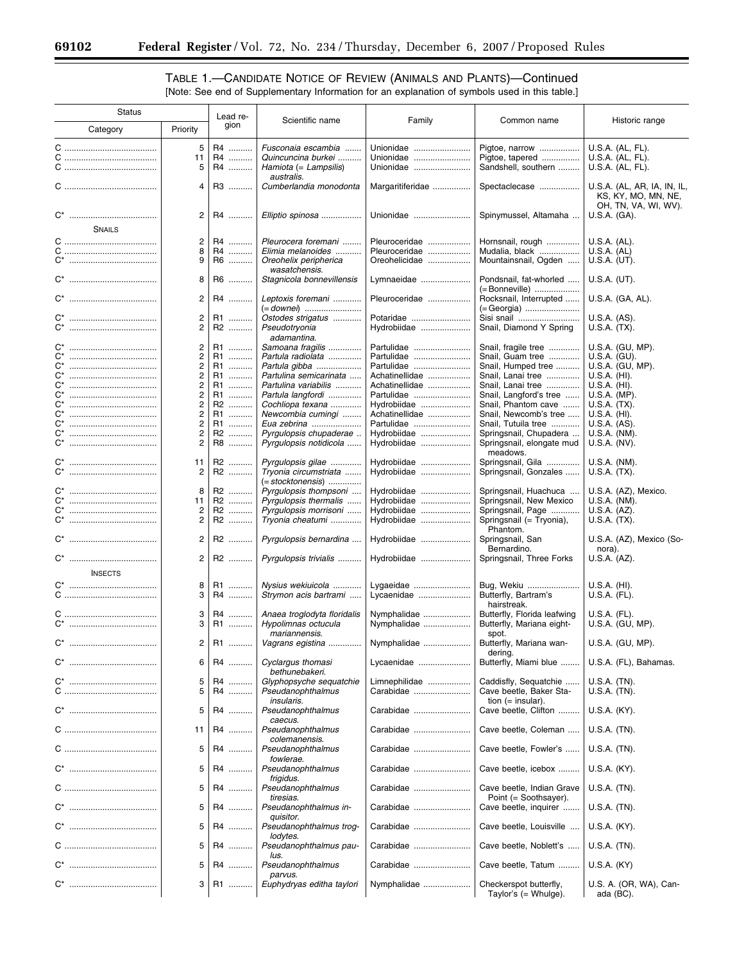۳

# TABLE 1.—CANDIDATE NOTICE OF REVIEW (ANIMALS AND PLANTS)—Continued

[Note: See end of Supplementary Information for an explanation of symbols used in this table.]

| Status         |                                           | Lead re-       | Scientific name                                                                 | Family                              | Common name                                              | Historic range                                           |
|----------------|-------------------------------------------|----------------|---------------------------------------------------------------------------------|-------------------------------------|----------------------------------------------------------|----------------------------------------------------------|
| Category       | Priority                                  | gion           |                                                                                 |                                     |                                                          |                                                          |
|                | 5<br>11<br>5                              | R4<br>R4<br>R4 | Fusconaia escambia<br>Quincuncina burkei<br>Hamiota (= Lampsilis)<br>australis. | Unionidae<br>Unionidae<br>Unionidae | Pigtoe, narrow<br>Pigtoe, tapered<br>Sandshell, southern | U.S.A. (AL, FL).<br>U.S.A. (AL, FL).<br>U.S.A. (AL, FL). |
|                | 4                                         | R3             | Cumberlandia monodonta                                                          | Margaritiferidae                    | Spectaclecase                                            | U.S.A. (AL, AR, IA, IN, IL,<br>KS, KY, MO, MN, NE,       |
|                | $\overline{2}$                            | R4             | Elliptio spinosa                                                                | Unionidae                           | Spinymussel, Altamaha                                    | OH, TN, VA, WI, WV).<br>U.S.A. (GA).                     |
| <b>SNAILS</b>  |                                           |                |                                                                                 |                                     |                                                          |                                                          |
|                | 2<br>8                                    | R4<br>R4       | Pleurocera foremani<br>Elimia melanoides                                        | Pleuroceridae<br>Pleuroceridae      | Hornsnail, rough<br>Mudalia, black                       | U.S.A. (AL).<br>U.S.A. (AL)                              |
|                | 9                                         | R6             | Oreohelix peripherica<br>wasatchensis.                                          | Oreohelicidae                       | Mountainsnail, Ogden                                     | U.S.A. (UT).                                             |
|                | 8                                         | R6             | Stagnicola bonnevillensis                                                       | Lymnaeidae                          | Pondsnail, fat-whorled<br>(= Bonneville)                 | $U.S.A.$ (UT).                                           |
|                | 2                                         | R4             | Leptoxis foremani                                                               | Pleuroceridae                       | Rocksnail, Interrupted<br>(= Georgia)                    | U.S.A. (GA, AL).                                         |
|                | 2                                         | R1             | Ostodes strigatus                                                               | Potaridae                           | Sisi snail                                               | U.S.A. (AS).                                             |
| $C^*$          | $\overline{2}$                            | R2             | Pseudotryonia<br>adamantina.                                                    | Hydrobiidae                         | Snail, Diamond Y Spring                                  | $U.S.A.$ $(TX).$                                         |
| $C^*$          | $\overline{c}$                            | R1             | Samoana fragilis                                                                | Partulidae                          | Snail, fragile tree                                      | U.S.A. (GU, MP).                                         |
| C*             | $\overline{c}$                            | R1             | Partula radiolata                                                               | Partulidae                          | Snail, Guam tree                                         | $U.S.A.$ (GU).                                           |
| C'             | 2                                         | R1             | Partula gibba                                                                   | Partulidae                          | Snail, Humped tree                                       | U.S.A. (GU, MP).                                         |
| C*<br>C*       | $\overline{c}$                            | R1             | Partulina semicarinata                                                          | Achatinellidae                      | Snail, Lanai tree                                        | U.S.A. (HI).                                             |
| <br>C*         | 2<br>$\overline{\mathbf{c}}$              | R1             | Partulina variabilis                                                            | Achatinellidae                      | Snail, Lanai tree                                        | $U.S.A.$ (HI).                                           |
| $C^*$          | $\overline{c}$                            | R1<br>R2       | Partula langfordi<br>Cochliopa texana                                           | Partulidae<br>Hydrobiidae           | Snail, Langford's tree<br>Snail, Phantom cave            | U.S.A. (MP).<br>$U.S.A.$ (TX).                           |
| C*             | $\overline{c}$                            | R1             | Newcombia cumingi                                                               | Achatinellidae                      | Snail, Newcomb's tree                                    | $U.S.A.$ (HI).                                           |
| C*<br>         | $\overline{c}$                            | R1             | Eua zebrina                                                                     | Partulidae                          | Snail, Tutuila tree                                      | U.S.A. (AS).                                             |
| $C^*$          | $\overline{c}$                            | R2             | Pyrgulopsis chupaderae                                                          | Hydrobiidae                         | Springsnail, Chupadera                                   | U.S.A. (NM).                                             |
| C*             | 2                                         | R8             | Pyrgulopsis notidicola                                                          | Hydrobiidae                         | Springsnail, elongate mud<br>meadows.                    | U.S.A. (NV).                                             |
| $C^*$<br>C*    | 11<br>2                                   | R2<br>R2       | Pyrgulopsis gilae<br>Tryonia circumstriata<br>(= stocktonensis)                 | Hydrobiidae<br>Hydrobiidae          | Springsnail, Gila<br>Springsnail, Gonzales               | U.S.A. (NM).<br>U.S.A. (TX).                             |
|                | 8                                         | R2             | Pyrgulopsis thompsoni                                                           | Hydrobiidae                         | Springsnail, Huachuca                                    | U.S.A. (AZ), Mexico.                                     |
| $C^*$          | 11                                        | R2             | Pyrgulopsis thermalis                                                           | Hydrobiidae                         | Springsnail, New Mexico                                  | U.S.A. (NM).                                             |
| C*             | $\overline{\mathbf{c}}$<br>$\overline{c}$ | R2<br>R2       | Pyrgulopsis morrisoni<br>Tryonia cheatumi                                       | Hydrobiidae<br>Hydrobiidae          | Springsnail, Page<br>Springsnail (= Tryonia),            | U.S.A. (AZ).<br>$U.S.A.$ (TX).                           |
|                | $\overline{2}$                            | R2             | Pyrgulopsis bernardina                                                          | Hydrobiidae                         | Phantom.<br>Springsnail, San<br>Bernardino.              | U.S.A. (AZ), Mexico (So-<br>nora).                       |
|                | $\overline{c}$                            | R2             | Pyrgulopsis trivialis                                                           | Hydrobiidae                         | Springsnail, Three Forks                                 | U.S.A. (AZ).                                             |
| <b>INSECTS</b> |                                           |                |                                                                                 |                                     |                                                          |                                                          |
|                | 8<br>3                                    | R1<br>R4       | Nysius wekiuicola<br>Strymon acis bartrami                                      | Lygaeidae<br>Lycaenidae             | Bug, Wekiu<br>Butterfly, Bartram's                       | $U.S.A.$ (HI).<br>U.S.A. (FL).                           |
|                | 3                                         | R4             | Anaea troglodyta floridalis                                                     | Nymphalidae                         | hairstreak.<br>Butterfly, Florida leafwing               | U.S.A. (FL).                                             |
|                | 3<br>$\mathbf{2}$                         | R1             | Hypolimnas octucula<br>mariannensis.                                            | Nymphalidae                         | Butterfly, Mariana eight-<br>spot.                       | U.S.A. (GU, MP).                                         |
|                | 6                                         | R1             | Vagrans egistina                                                                | Nymphalidae                         | Butterfly, Mariana wan-<br>dering.                       | U.S.A. (GU, MP).                                         |
|                | 5                                         | R4<br>R4       | Cyclargus thomasi<br>bethunebakeri.<br>Glyphopsyche sequatchie                  | Lycaenidae<br>Limnephilidae         | Butterfly, Miami blue<br>Caddisfly, Sequatchie           | U.S.A. (FL), Bahamas.<br>U.S.A. (TN).                    |
|                | 5                                         | R4             | Pseudanophthalmus<br><i>insularis.</i>                                          | Carabidae                           | Cave beetle, Baker Sta-<br>tion $(=$ insular).           | U.S.A. (TN).                                             |
|                | 5                                         | R4             | Pseudanophthalmus<br>caecus.                                                    | Carabidae                           | Cave beetle, Clifton                                     | U.S.A. (KY).                                             |
|                | 11                                        | R4             | Pseudanophthalmus<br>colemanensis.                                              | Carabidae                           | Cave beetle, Coleman                                     | U.S.A. (TN).                                             |
|                | 5                                         | R4             | Pseudanophthalmus<br>fowlerae.                                                  | Carabidae                           | Cave beetle, Fowler's                                    | U.S.A. (TN).                                             |
|                | 5                                         | R4             | Pseudanophthalmus<br>frigidus.                                                  | Carabidae                           | Cave beetle, icebox                                      | U.S.A. (KY).                                             |
|                | 5                                         | R4             | Pseudanophthalmus<br>tiresias.                                                  | Carabidae                           | Cave beetle, Indian Grave<br>Point (= Soothsayer).       | $U.S.A.$ (TN).                                           |
|                | 5                                         | R4             | Pseudanophthalmus in-<br>quisitor.                                              | Carabidae                           | Cave beetle, inquirer                                    | U.S.A. (TN).                                             |
|                | 5                                         | R4             | Pseudanophthalmus trog-<br>lodytes.                                             | Carabidae                           | Cave beetle, Louisville                                  | U.S.A. (KY).                                             |
|                | 5                                         | R4             | Pseudanophthalmus pau-<br>lus.                                                  | Carabidae                           | Cave beetle, Noblett's                                   | $U.S.A.$ (TN).                                           |
|                | 5                                         | R4             | Pseudanophthalmus<br>parvus.                                                    | Carabidae                           | Cave beetle, Tatum                                       | U.S.A. (KY)                                              |
|                | 3                                         | R1             | Euphydryas editha taylori                                                       | Nymphalidae                         | Checkerspot butterfly,<br>Taylor's $($ Whulge).          | U.S. A. (OR, WA), Can-<br>ada (BC).                      |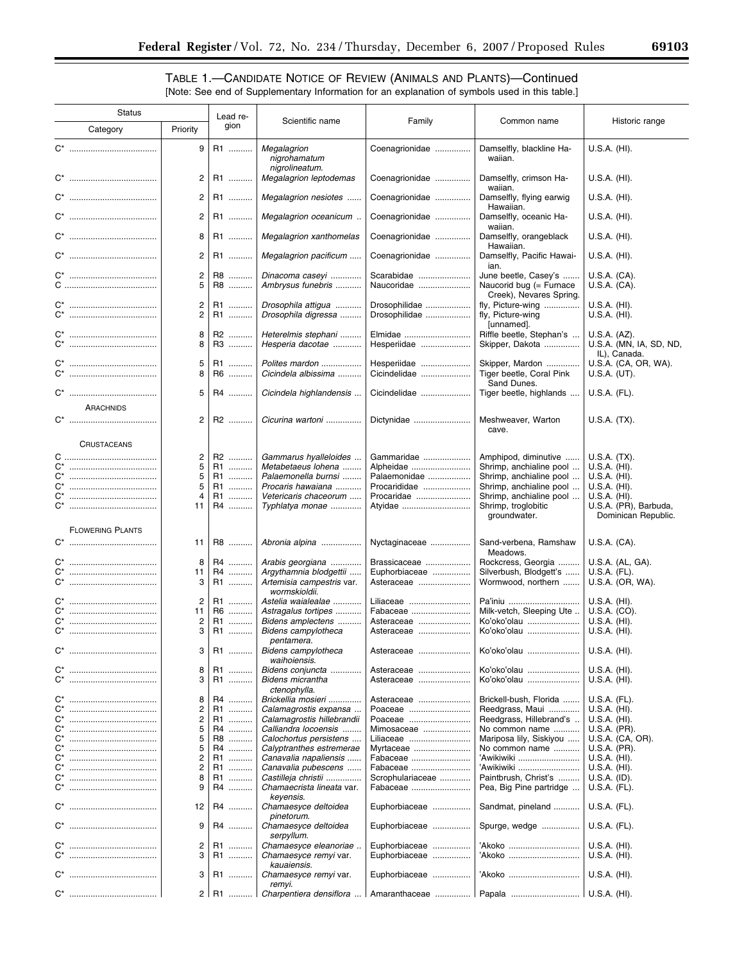▀

# TABLE 1.—CANDIDATE NOTICE OF REVIEW (ANIMALS AND PLANTS)—Continued [Note: See end of Supplementary Information for an explanation of symbols used in this table.]

| <b>Status</b>  |                         | Lead re-                         |                    |                                                                      |                                |                                                                            |                                                         |
|----------------|-------------------------|----------------------------------|--------------------|----------------------------------------------------------------------|--------------------------------|----------------------------------------------------------------------------|---------------------------------------------------------|
|                | Category                | Priority                         | gion               | Scientific name                                                      | Family                         | Common name                                                                | Historic range                                          |
|                |                         | 9                                | R1                 | Megalagrion<br>nigrohamatum<br>nigrolineatum.                        | Coenagrionidae                 | Damselfly, blackline Ha-<br>waiian.                                        | U.S.A. (HI).                                            |
|                |                         | 2                                | R1                 | Megalagrion leptodemas                                               | Coenagrionidae                 | Damselfly, crimson Ha-<br>waiian.                                          | U.S.A. (HI).                                            |
|                |                         | $\overline{c}$                   | R1                 | Megalagrion nesiotes                                                 | Coenagrionidae                 | Damselfly, flying earwig<br>Hawaiian.                                      | $U.S.A.$ (HI).                                          |
|                |                         | $\overline{c}$                   | R1                 | Megalagrion oceanicum .                                              | Coenagrionidae                 | Damselfly, oceanic Ha-<br>waiian.                                          | $U.S.A.$ (HI).                                          |
|                |                         | 8                                | R1                 | Megalagrion xanthomelas                                              | Coenagrionidae                 | Damselfly, orangeblack<br>Hawaiian.                                        | U.S.A. (HI).                                            |
|                |                         | $\overline{2}$                   | R1                 | Megalagrion pacificum                                                | Coenagrionidae                 | Damselfly, Pacific Hawai-<br>ian.                                          | $U.S.A.$ (HI).                                          |
|                |                         | $\overline{c}$<br>5              | R8<br>R8           | Dinacoma caseyi<br>Ambrysus funebris                                 | Scarabidae<br>Naucoridae       | June beetle, Casey's<br>Naucorid bug (= Furnace<br>Creek), Nevares Spring. | U.S.A. (CA).<br>U.S.A. (CA).                            |
|                |                         | $\overline{c}$<br>$\overline{2}$ | R1<br>R1           | Drosophila attigua<br>Drosophila digressa                            | Drosophilidae<br>Drosophilidae | fly, Picture-wing<br>fly, Picture-wing<br>[unnamed].                       | U.S.A. (HI).<br>$U.S.A.$ (HI).                          |
|                |                         | 8<br>8                           | R2<br>R3           | Heterelmis stephani<br>Hesperia dacotae                              | Elmidae<br>Hesperiidae         | Riffle beetle, Stephan's<br>Skipper, Dakota                                | U.S.A. (AZ).<br>U.S.A. (MN, IA, SD, ND,<br>IL), Canada. |
|                |                         | 5<br>8                           | R1<br>R6           | Polites mardon<br>Cicindela albissima                                | Hesperiidae<br>Cicindelidae    | Skipper, Mardon<br>Tiger beetle, Coral Pink<br>Sand Dunes.                 | U.S.A. (CA, OR, WA).<br>U.S.A. (UT).                    |
|                |                         | 5                                | R4                 | Cicindela highlandensis                                              | Cicindelidae                   | Tiger beetle, highlands                                                    | U.S.A. (FL).                                            |
|                | ARACHNIDS               | 2                                | R2                 | Cicurina wartoni                                                     | Dictynidae                     | Meshweaver, Warton                                                         | U.S.A. (TX).                                            |
|                | <b>CRUSTACEANS</b>      |                                  |                    |                                                                      |                                | cave.                                                                      |                                                         |
|                |                         | $\overline{\mathbf{c}}$          | R2                 | Gammarus hyalleloides                                                | Gammaridae                     | Amphipod, diminutive                                                       | $U.S.A.$ $(TX).$                                        |
| C*             |                         | 5                                | R1                 | Metabetaeus lohena                                                   | Alpheidae                      | Shrimp, anchialine pool                                                    | $U.S.A.$ (HI).                                          |
| $C^*$          |                         | 5                                | R1                 | Palaemonella burnsi                                                  | Palaemonidae                   | Shrimp, anchialine pool                                                    | U.S.A. (HI).                                            |
| $C^*$          |                         | 5                                | R1                 | Procaris hawaiana                                                    | Procarididae                   | Shrimp, anchialine pool                                                    | $U.S.A.$ (HI).                                          |
| $C^*$          |                         | 4                                | R1                 | Vetericaris chaceorum                                                | Procaridae                     | Shrimp, anchialine pool                                                    | U.S.A. (HI).                                            |
| $C^*$          |                         |                                  |                    |                                                                      |                                |                                                                            |                                                         |
|                |                         | 11                               | R4                 | Typhlatya monae                                                      | Atyidae                        | Shrimp, troglobitic<br>groundwater.                                        | U.S.A. (PR), Barbuda,<br>Dominican Republic.            |
|                | <b>FLOWERING PLANTS</b> |                                  |                    |                                                                      |                                |                                                                            |                                                         |
|                |                         | 11                               | R8                 | Abronia alpina                                                       | Nyctaginaceae                  | Sand-verbena, Ramshaw<br>Meadows.                                          | U.S.A. (CA).                                            |
| C*             |                         | 8                                | R4                 | Arabis georgiana                                                     | Brassicaceae                   | Rockcress, Georgia                                                         | U.S.A. (AL, GA).                                        |
| $C^*$<br>$C^*$ |                         | 11<br>3                          | R4<br>R1           | Argythamnia blodgettii<br>Artemisia campestris var.<br>wormskioldii. | Euphorbiaceae<br>Asteraceae    | Silverbush, Blodgett's<br>Wormwood, northern                               | U.S.A. (FL).<br>U.S.A. (OR, WA).                        |
|                |                         | 2                                | R1                 | Astelia waialealae                                                   | Liliaceae                      | Pa'iniu                                                                    | $U.S.A.$ (HI).                                          |
|                |                         | 11                               | R6                 | Astragalus tortipes                                                  | Fabaceae                       | Milk-vetch, Sleeping Ute                                                   | U.S.A. (CO).                                            |
|                |                         | 2                                | R1                 | Bidens amplectens                                                    | Asteraceae                     | Ko'oko'olau                                                                | $U.S.A.$ (HI).                                          |
|                |                         | 3                                | R1                 | Bidens campylotheca<br>pentamera.                                    | Asteraceae                     | Ko'oko'olau                                                                | $U.S.A.$ (HI).                                          |
| C*             |                         | 3                                | R1                 | Bidens campylotheca<br>waihoiensis.                                  | Asteraceae                     | Ko'oko'olau                                                                | U.S.A. (HI).                                            |
| C*             | <br>                    | 8<br>3                           | R1<br>.<br>R1      | Bidens conjuncta<br><b>Bidens micrantha</b>                          | Asteraceae<br>Asteraceae       | Ko'oko'olau<br>Ko'oko'olau                                                 | $U.S.A.$ (HI).<br>U.S.A. (HI).                          |
|                |                         |                                  |                    | ctenophylla.                                                         |                                |                                                                            |                                                         |
| $C^*$          |                         | 8                                | R4<br>.            | Brickellia mosieri                                                   | Asteraceae                     | Brickell-bush, Florida                                                     | U.S.A. (FL).                                            |
| $C^*$          |                         | 2                                | R1<br>.            | Calamagrostis expansa                                                | Poaceae                        | Reedgrass, Maui                                                            | U.S.A. (HI).                                            |
| $C^*$          |                         | 2                                | R1                 | Calamagrostis hillebrandii                                           | Poaceae                        | Reedgrass, Hillebrand's                                                    | U.S.A. (HI).                                            |
| C*             |                         | 5                                | R4<br>             | Calliandra locoensis                                                 | Mimosaceae                     | No common name                                                             | U.S.A. (PR).                                            |
| $C^*$          |                         | 5                                | R8<br>.            | Calochortus persistens                                               | Liliaceae                      | Mariposa lily, Siskiyou                                                    | U.S.A. (CA, OR).                                        |
| C*             |                         | 5                                | R4<br>             | Calyptranthes estremerae                                             | Myrtaceae                      | No common name                                                             | U.S.A. (PR).                                            |
| $C^*$          |                         | 2                                | R1<br>.            | Canavalia napaliensis                                                | Fabaceae                       | `Awikiwiki                                                                 | U.S.A. (HI).                                            |
| $C^*$          |                         | 2                                | R1<br>.            | Canavalia pubescens                                                  | Fabaceae                       | 'Awikiwiki                                                                 | $U.S.A.$ (HI).                                          |
| C*             |                         | 8                                | R1                 | Castilleja christii                                                  | Scrophulariaceae               | Paintbrush, Christ's                                                       | U.S.A. (ID).                                            |
| C*             |                         | 9                                | R4                 | Chamaecrista lineata var.<br>keyensis.                               | Fabaceae                       | Pea, Big Pine partridge                                                    | U.S.A. (FL).                                            |
|                |                         | 12                               | R4                 | Chamaesyce deltoidea<br>pinetorum.                                   | Euphorbiaceae                  | Sandmat, pineland                                                          | U.S.A. (FL).                                            |
|                |                         | 9                                | R4                 | Chamaesyce deltoidea<br>serpyllum.                                   | Euphorbiaceae                  | Spurge, wedge                                                              | U.S.A. (FL).                                            |
| $C^*$<br>$C^*$ |                         | 2<br>3                           | R1<br>.<br>R1<br>. | Chamaesyce eleanoriae.<br>Chamaesyce remyi var.<br>kauaiensis.       | Euphorbiaceae<br>Euphorbiaceae | 'Akoko<br>`Akoko                                                           | $U.S.A.$ (HI).<br>$U.S.A.$ (HI).                        |
|                |                         | 3                                | R1                 | Chamaesyce remyi var.<br>remyi.                                      | Euphorbiaceae                  | `Akoko                                                                     | U.S.A. (HI).                                            |
|                |                         | 2 <sup>1</sup>                   | R1                 | Charpentiera densiflora                                              | Amaranthaceae                  | Papala                                                                     | $U.S.A.$ (HI).                                          |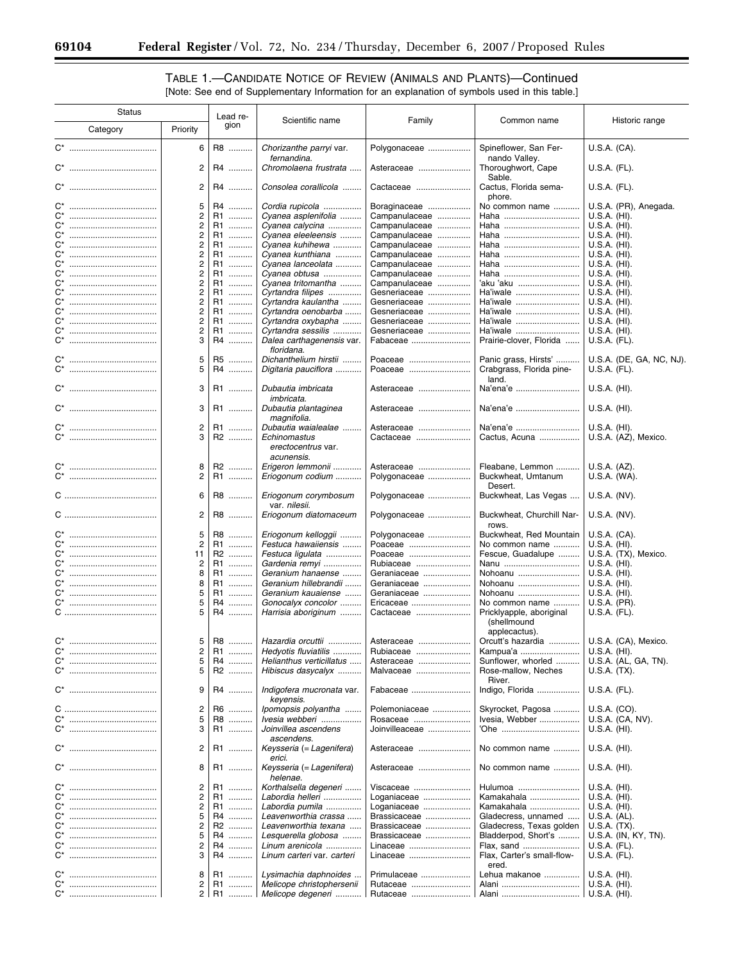Ξ

# TABLE 1.—CANDIDATE NOTICE OF REVIEW (ANIMALS AND PLANTS)—Continued [Note: See end of Supplementary Information for an explanation of symbols used in this table.]

| <b>Status</b> |                              |                |                     |                            |                |                            |                          |
|---------------|------------------------------|----------------|---------------------|----------------------------|----------------|----------------------------|--------------------------|
|               |                              |                | Lead re-            | Scientific name            | Family         | Common name                | Historic range           |
|               | Category                     | Priority       | gion                |                            |                |                            |                          |
|               |                              |                |                     |                            |                |                            |                          |
|               | C <sup>*</sup> ………………………………… | 6              | R8                  | Chorizanthe parryi var.    | Polygonaceae   | Spineflower, San Fer-      | U.S.A. (CA).             |
|               |                              |                |                     | fernandina.                |                | nando Valley.              |                          |
|               |                              | $\overline{2}$ | R4                  | Chromolaena frustrata      |                |                            |                          |
|               |                              |                |                     |                            | Asteraceae     | Thoroughwort, Cape         | U.S.A. (FL).             |
|               |                              |                |                     |                            |                | Sable.                     |                          |
|               |                              | $\overline{2}$ | R4                  | Consolea corallicola       | Cactaceae      | Cactus, Florida sema-      | U.S.A. (FL).             |
|               |                              |                |                     |                            |                | phore.                     |                          |
| C*            |                              | 5              | R <sub>4</sub><br>. | Cordia rupicola            | Boraginaceae   | No common name             | U.S.A. (PR), Anegada.    |
| C*            |                              | 2              | R1<br>.             | Cyanea asplenifolia        | Campanulaceae  | Haha                       | $U.S.A.$ (HI).           |
| C*            |                              | 2              | R1                  | Cyanea calycina            | Campanulaceae  | Haha                       | $U.S.A.$ (HI).           |
| C*            |                              | $\overline{c}$ | R1                  |                            |                |                            | $U.S.A.$ (HI).           |
|               |                              |                | .                   | Cyanea eleeleensis         | Campanulaceae  | Haha                       |                          |
| C*            |                              | 2              | R1                  | Cyanea kuhihewa            | Campanulaceae  | Haha                       | U.S.A. (HI).             |
| C*            |                              | 2              | R1                  | Cyanea kunthiana           | Campanulaceae  | Haha                       | $U.S.A.$ (HI).           |
| C*            |                              | $\overline{2}$ | R1                  | Cyanea lanceolata          | Campanulaceae  | Haha                       | $U.S.A.$ (HI).           |
| C*            |                              | 2              | R1                  | Cyanea obtusa              | Campanulaceae  | Haha                       | U.S.A. (HI).             |
| C*            |                              | 2              | R1<br>.             | Cyanea tritomantha         | Campanulaceae  | 'aku 'aku                  | $U.S.A.$ (HI).           |
| C*            |                              | $\overline{2}$ | R1                  | Cyrtandra filipes          | Gesneriaceae   | Ha'iwale                   | $U.S.A.$ (HI).           |
| C*            |                              | $\overline{2}$ | R1                  | Cyrtandra kaulantha        | Gesneriaceae   | Ha'iwale                   | U.S.A. (HI).             |
| C*            |                              | $\overline{2}$ | R1                  | Cyrtandra oenobarba        | Gesneriaceae   | Ha'iwale                   | $U.S.A.$ (HI).           |
|               |                              | $\overline{2}$ |                     |                            |                |                            |                          |
| C*            |                              |                | R1                  | Cyrtandra oxybapha         | Gesneriaceae   | Ha'iwale                   | $U.S.A.$ (HI).           |
| C*            |                              | 2              | R1                  | Cyrtandra sessilis         | Gesneriaceae   | Ha'iwale                   | $U.S.A.$ (HI).           |
| C*            |                              | 3              | R <sub>4</sub><br>. | Dalea carthagenensis var.  | Fabaceae       | Prairie-clover, Florida    | U.S.A. (FL).             |
|               |                              |                |                     | floridana.                 |                |                            |                          |
|               |                              | 5              | R <sub>5</sub><br>. | Dichanthelium hirstii      | Poaceae        | Panic grass, Hirsts'       | U.S.A. (DE, GA, NC, NJ). |
| C*            |                              | 5              | R <sub>4</sub><br>. | Digitaria pauciflora       | Poaceae        | Crabgrass, Florida pine-   | U.S.A. (FL).             |
|               |                              |                |                     |                            |                | land.                      |                          |
|               | C <sup>*</sup> ………………………………… | 3              | R1                  | Dubautia imbricata         | Asteraceae     | Na'ena'e                   | $U.S.A.$ (HI).           |
|               |                              |                |                     |                            |                |                            |                          |
|               |                              |                |                     | <i>imbricata.</i>          |                |                            |                          |
|               |                              | 3              | R1                  | Dubautia plantaginea       | Asteraceae     | Na'ena'e                   | $U.S.A.$ (HI).           |
|               |                              |                |                     | magnifolia.                |                |                            |                          |
|               |                              | $\overline{2}$ | R1                  | Dubautia waialealae        | Asteraceae     | Na'ena'e                   | $U.S.A.$ (HI).           |
|               |                              | 3              | R2                  | Echinomastus               | Cactaceae      | Cactus, Acuna              | U.S.A. (AZ), Mexico.     |
|               |                              |                |                     | erectocentrus var.         |                |                            |                          |
|               |                              |                |                     | acunensis.                 |                |                            |                          |
|               |                              |                |                     |                            |                |                            |                          |
| C*            |                              | 8              | R2                  | Erigeron lemmonii          | Asteraceae     | Fleabane, Lemmon           | U.S.A. (AZ).             |
| C*            |                              | $\overline{2}$ | R1                  | Eriogonum codium           | Polygonaceae   | Buckwheat, Umtanum         | U.S.A. (WA).             |
|               |                              |                |                     |                            |                | Desert.                    |                          |
|               |                              | 6              | R8                  | Eriogonum corymbosum       | Polygonaceae   | Buckwheat, Las Vegas       | U.S.A. (NV).             |
|               |                              |                |                     | var. nilesii.              |                |                            |                          |
|               |                              | $\overline{2}$ | R8                  | Eriogonum diatomaceum      | Polygonaceae   | Buckwheat, Churchill Nar-  | U.S.A. (NV).             |
|               |                              |                |                     |                            |                | rows.                      |                          |
| C*            |                              | 5              | R8<br>.             | Eriogonum kelloggii        | Polygonaceae   | Buckwheat, Red Mountain    | U.S.A. (CA).             |
| C*            |                              | 2              | R <sub>1</sub>      |                            | Poaceae        |                            |                          |
|               |                              |                | .                   | Festuca hawaiiensis        |                | No common name             | $U.S.A.$ (HI).           |
| C*            |                              | 11             | R2                  | Festuca ligulata           | Poaceae        | Fescue, Guadalupe          | U.S.A. (TX), Mexico.     |
| C*            |                              | 2              | R1<br>.             | Gardenia remyi             | Rubiaceae      | Nanu                       | $U.S.A.$ (HI).           |
| C*            |                              | 8              | R1<br>.             | Geranium hanaense          | Geraniaceae    | Nohoanu                    | $U.S.A.$ (HI).           |
| C*            |                              | 8              | R1                  | Geranium hillebrandii      | Geraniaceae    | Nohoanu                    | U.S.A. (HI).             |
| C*            |                              | 5              | R1                  | Geranium kauaiense         | Geraniaceae    | Nohoanu                    | U.S.A. (HI).             |
| C*            |                              |                | R <sub>4</sub><br>. | Gonocalyx concolor         | Ericaceae      | No common name             | U.S.A. (PR).             |
|               |                              |                | R4                  | Harrisia aboriginum        | Cactaceae      | Pricklyapple, aboriginal   | U.S.A. (FL).             |
|               |                              |                |                     |                            |                | (shellmound                |                          |
|               |                              |                |                     |                            |                |                            |                          |
|               |                              |                |                     |                            |                | applecactus).              |                          |
| C*            |                              | 5              | R8                  | Hazardia orcuttii          | Asteraceae     | Orcutt's hazardia          | U.S.A. (CA), Mexico.     |
| C*            |                              | 2              | R1                  | Hedyotis fluviatilis       | Rubiaceae      | Kampua'a                   | $U.S.A.$ (HI).           |
| C*            |                              | 5              | R4                  | Helianthus verticillatus   | Asteraceae     | Sunflower, whorled         | U.S.A. (AL, GA, TN).     |
|               | C* …………………………………             | 5              | R2                  | Hibiscus dasycalyx         | Malvaceae      | Rose-mallow, Neches        | U.S.A. (TX).             |
|               |                              |                |                     |                            |                | River.                     |                          |
|               | C* …………………………………             | 9              | R4                  | Indigofera mucronata var.  | Fabaceae       | Indigo, Florida            | U.S.A. (FL).             |
|               |                              |                |                     | keyensis.                  |                |                            |                          |
|               |                              | 2              | R6                  | lpomopsis polyantha        | Polemoniaceae  | Skyrocket, Pagosa          | U.S.A. (CO).             |
| C*            |                              |                |                     |                            |                |                            |                          |
|               |                              | 5              | R8                  | Ivesia webberi             | Rosaceae       | Ivesia, Webber             | U.S.A. (CA, NV).         |
|               |                              | 3              | R1                  | Joinvillea ascendens       | Joinvilleaceae | 'Ohe                       | U.S.A. (HI).             |
|               |                              |                |                     | ascendens.                 |                |                            |                          |
|               | C* …………………………………             | 2              | R1                  | Keysseria (= Lagenifera)   | Asteraceae     | No common name             | U.S.A. (HI).             |
|               |                              |                |                     | erici.                     |                |                            |                          |
|               |                              | 8              | R1                  | Keysseria (= Lagenifera)   | Asteraceae     | No common name             | $U.S.A.$ (HI).           |
|               |                              |                |                     | helenae.                   |                |                            |                          |
| C*            |                              | 2              | R1                  | Korthalsella degeneri      | Viscaceae      | Hulumoa                    | $U.S.A.$ (HI).           |
| C*            |                              | 2              | R1                  | Labordia helleri           | Loganiaceae    | Kamakahala                 | $U.S.A.$ (HI).           |
|               |                              |                |                     |                            |                |                            |                          |
| C*            |                              | 2              | R1<br>.             | Labordia pumila            | Loganiaceae    | Kamakahala                 | $U.S.A.$ (HI).           |
| $C^*$         |                              | 5              | R4<br>.             | Leavenworthia crassa       | Brassicaceae   | Gladecress, unnamed        | U.S.A. (AL).             |
| C*            |                              | 2              | R2                  | Leavenworthia texana       | Brassicaceae   | Gladecress, Texas golden   | U.S.A. (TX).             |
| C*            |                              | 5              | R <sub>4</sub><br>  | Lesquerella globosa        | Brassicaceae   | Bladderpod, Short's        | U.S.A. (IN, KY, TN).     |
| C*            |                              | 2              | R4                  | Linum arenicola            | Linaceae       | Flax, sand                 | U.S.A. (FL).             |
| C*            |                              | 3              | R4                  | Linum carteri var. carteri | Linaceae       | Flax, Carter's small-flow- | U.S.A. (FL).             |
|               |                              |                |                     |                            |                | ered.                      |                          |
| C*            |                              | 8              | R1                  | Lysimachia daphnoides      | Primulaceae    | Lehua makanoe              | $U.S.A.$ (HI).           |
| C*            |                              | 2              | R1                  | Melicope christophersenii  | Rutaceae       | Alani                      | U.S.A. (HI).             |
|               |                              |                |                     |                            |                |                            |                          |
|               |                              | 2 <sup>1</sup> | R1                  | Melicope degeneri          | Rutaceae       | Alani                      | U.S.A. (HI).             |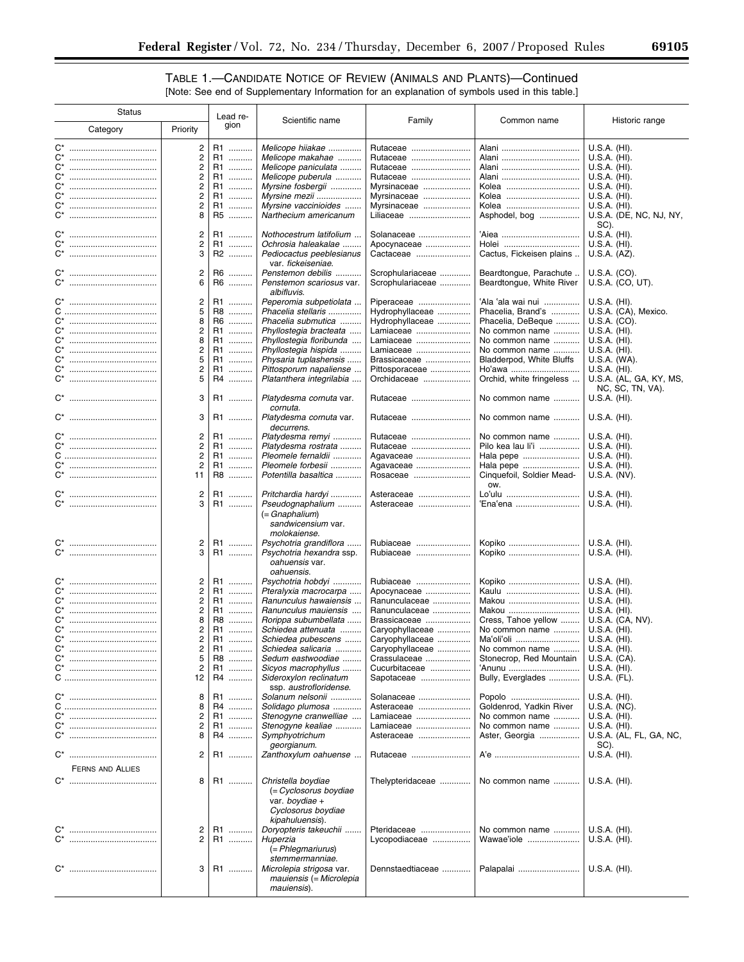$\equiv$ 

# TABLE 1.—CANDIDATE NOTICE OF REVIEW (ANIMALS AND PLANTS)—Continued

| [Note: See end of Supplementary Information for an explanation of symbols used in this table.] |  |  |
|------------------------------------------------------------------------------------------------|--|--|
|------------------------------------------------------------------------------------------------|--|--|

| <b>Status</b>    |                                  | Lead re- |                                                     |                                    |                                  |                                |
|------------------|----------------------------------|----------|-----------------------------------------------------|------------------------------------|----------------------------------|--------------------------------|
| Category         | Priority                         | gion     | Scientific name                                     | Family                             | Common name                      | Historic range                 |
| $C^*$            | $\overline{c}$                   | R1       | Melicope hiiakae                                    | Rutaceae                           | Alani                            | $U.S.A.$ (HI).                 |
| C*               | 2                                | R1       | Melicope makahae                                    | Rutaceae                           |                                  | $U.S.A.$ (HI).                 |
| C*<br>           | $\overline{c}$                   | R1       | Melicope paniculata                                 | Rutaceae                           | Alani                            | U.S.A. (HI).                   |
| C*               | 2                                | R1       | Melicope puberula                                   | Rutaceae                           |                                  | $U.S.A.$ (HI).                 |
| C*               | 2                                | R1       | Myrsine fosbergii                                   | Myrsinaceae                        | Kolea                            | U.S.A. (HI).                   |
| C*<br>           | 2                                | R1       | Myrsine mezii                                       | Myrsinaceae                        | Kolea                            | U.S.A. (HI).                   |
| C*               | 2                                | R1       | Myrsine vaccinioides                                | Myrsinaceae                        | Kolea                            | $U.S.A.$ (HI).                 |
| $C^*$            | 8                                | R5       | Narthecium americanum                               | Liliaceae                          | Asphodel, bog                    | U.S.A. (DE, NC, NJ, NY,        |
|                  |                                  |          |                                                     |                                    |                                  | SC).                           |
| $C^*$            | $\overline{c}$                   | R1       | Nothocestrum latifolium                             | Solanaceae                         | 'Aiea                            | U.S.A. (HI).                   |
| $C^*$            | 2                                | R1       | Ochrosia haleakalae                                 | Apocynaceae                        | Holei                            | $U.S.A.$ (HI).                 |
| $C^*$            | 3                                | R2       | Pediocactus peeblesianus                            | Cactaceae                          | Cactus, Fickeisen plains         | U.S.A. (AZ).                   |
|                  |                                  |          | var. fickeiseniae.                                  |                                    |                                  |                                |
| $C^*$            | $\overline{c}$                   | R6       | Penstemon debilis                                   | Scrophulariaceae                   | Beardtongue, Parachute           | U.S.A. (CO).                   |
| C*<br>           | 6                                | R6       | Penstemon scariosus var.                            | Scrophulariaceae                   | Beardtongue, White River         | U.S.A. (CO, UT).               |
|                  |                                  |          | albifluvis.                                         |                                    |                                  |                                |
| $C^*$            | $\overline{c}$                   | R1       | Peperomia subpetiolata                              | Piperaceae                         | 'Ala 'ala wai nui                | $U.S.A.$ (HI).                 |
|                  | 5                                | R8       | Phacelia stellaris                                  | Hydrophyllaceae                    | Phacelia, Brand's                | U.S.A. (CA), Mexico.           |
| <br>C*           | 8                                | R6       | Phacelia submutica                                  | Hydrophyllaceae                    | Phacelia, DeBeque                | U.S.A. (CO).                   |
| $C^*$<br>$C^*$   | 2<br>8                           | R1       | Phyllostegia bracteata                              | Lamiaceae                          | No common name                   | U.S.A. (HI).                   |
| C*               | 2                                | R1<br>R1 | Phyllostegia floribunda                             | Lamiaceae                          | No common name<br>No common name | $U.S.A.$ (HI).                 |
| <br>$C^*$        | 5                                | R1       | Phyllostegia hispida                                | Lamiaceae                          |                                  | U.S.A. (HI).                   |
| C*               | $\overline{c}$                   | R1       | Physaria tuplashensis<br>Pittosporum napaliense     | Brassicaceae                       | Bladderpod, White Bluffs         | U.S.A. (WA).<br>$U.S.A.$ (HI). |
| $C^*$            | 5                                | R4       | Platanthera integrilabia                            | Pittosporaceae<br>Orchidaceae      | Ho'awa                           | U.S.A. (AL, GA, KY, MS,        |
|                  |                                  |          |                                                     |                                    | Orchid, white fringeless         | NC, SC, TN, VA).               |
|                  | 3                                | R1       | Platydesma cornuta var.                             | Rutaceae                           | No common name                   | U.S.A. (HI).                   |
|                  |                                  |          | cornuta.                                            |                                    |                                  |                                |
|                  | 3                                | R1       | Platydesma cornuta var.                             | Rutaceae                           | No common name                   | U.S.A. (HI).                   |
|                  |                                  |          | decurrens.                                          |                                    |                                  |                                |
| $C^*$            | $\overline{c}$                   | R1<br>.  | Platydesma remyi                                    | Rutaceae                           | No common name                   | $U.S.A.$ (HI).                 |
| C*               | $\overline{\mathbf{c}}$          | R1       | Platydesma rostrata                                 | Rutaceae                           | Pilo kea lau li'i                | $U.S.A.$ (HI).                 |
|                  | $\overline{2}$                   | R1       | Pleomele fernaldii                                  | Agavaceae                          | Hala pepe                        | $U.S.A.$ (HI).                 |
| $C^*$            | $\overline{2}$                   | R1       | Pleomele forbesii                                   | Agavaceae                          | Hala pepe                        | U.S.A. (HI).                   |
| $C^*$            | 11                               | R8       | Potentilla basaltica                                | Rosaceae                           | Cinquefoil, Soldier Mead-        | U.S.A. (NV).                   |
|                  |                                  |          |                                                     |                                    | OW.                              |                                |
|                  | $\overline{c}$                   | R1<br>   | Pritchardia hardyi                                  | Asteraceae                         | Lo'ulu                           | U.S.A. (HI).                   |
| $C^*$            | 3                                | R1       | Pseudognaphalium                                    | Asteraceae                         | 'Ena'ena                         | $U.S.A.$ (HI).                 |
|                  |                                  |          | (= Gnaphalium)                                      |                                    |                                  |                                |
|                  |                                  |          | sandwicensium var.                                  |                                    |                                  |                                |
|                  |                                  |          | molokaiense.                                        |                                    |                                  |                                |
| <br>C*           | 2                                | R1       | Psychotria grandiflora                              | Rubiaceae                          | Kopiko                           | $U.S.A.$ (HI).                 |
|                  | 3                                | R1       | Psychotria hexandra ssp.                            | Rubiaceae                          | Kopiko                           | U.S.A. (HI).                   |
|                  |                                  |          | oahuensis var.                                      |                                    |                                  |                                |
|                  |                                  |          | oahuensis.                                          |                                    |                                  |                                |
| $C^*$            | 2                                | R1       | Psychotria hobdyi                                   | Rubiaceae                          | Kopiko                           | $U.S.A.$ (HI).                 |
| C*               | $\overline{c}$                   | R1<br>.  | Pteralyxia macrocarpa                               | Apocynaceae                        | Kaulu                            | $U.S.A.$ (HI).                 |
| $C^*$            | $\overline{c}$                   | R1       | Ranunculus hawaiensis                               | Ranunculaceae                      | Makou                            | $U.S.A.$ (HI).                 |
| $C^*$            | $\overline{c}$                   | R1       | Ranunculus mauiensis                                | Ranunculaceae                      | Makou                            | U.S.A. (HI).                   |
| C*<br>           | 8                                | R8       | Rorippa subumbellata                                | Brassicaceae                       | Cress, Tahoe yellow              | U.S.A. (CA, NV).               |
| $C^*$<br>C*      | $\overline{c}$<br>$\overline{c}$ | R1<br>R1 | Schiedea attenuata                                  | Caryophyllaceae                    | No common name<br>Ma'oli'oli     | U.S.A. (HI).<br>U.S.A. (HI).   |
|                  | 2                                | R1       | Schiedea pubescens<br>Schiedea salicaria            | Caryophyllaceae<br>Caryophyllaceae | No common name                   | $U.S.A.$ (HI).                 |
| C*<br>           | 5                                | R8       | Sedum eastwoodiae                                   | Crassulaceae                       | Stonecrop, Red Mountain          | $U.S.A.$ (CA).                 |
| C*               | $\overline{\mathbf{c}}$          | R1       | Sicyos macrophyllus                                 | Cucurbitaceae                      | 'Anunu                           | $U.S.A.$ (HI).                 |
|                  | 12                               | R4       | Sideroxylon reclinatum                              | Sapotaceae                         | Bully, Everglades                | U.S.A. (FL).                   |
|                  |                                  |          | ssp. austrofloridense.                              |                                    |                                  |                                |
|                  | 8                                | R1       | Solanum nelsonii                                    | Solanaceae                         | Popolo                           | $U.S.A.$ (HI).                 |
|                  | 8                                | R4       | Solidago plumosa                                    | Asteraceae                         | Goldenrod, Yadkin River          | U.S.A. (NC).                   |
| C*               | 2                                | R1       | Stenogyne cranwelliae                               | Lamiaceae                          | No common name                   | $U.S.A.$ (HI).                 |
| $C^*$            | 2                                | R1       | Stenogyne kealiae                                   | Lamiaceae                          | No common name                   | U.S.A. (HI).                   |
|                  | 8                                | R4       | Symphyotrichum                                      | Asteraceae                         | Aster, Georgia                   | U.S.A. (AL, FL, GA, NC,        |
|                  |                                  |          | georgianum.                                         |                                    |                                  | SC).                           |
|                  | 2                                | R1       | Zanthoxylum oahuense                                | Rutaceae                           |                                  | $U.S.A.$ (HI).                 |
|                  |                                  |          |                                                     |                                    |                                  |                                |
| FERNS AND ALLIES |                                  |          |                                                     |                                    |                                  |                                |
|                  | 8                                | R1       | Christella boydiae                                  | Thelypteridaceae                   | No common name                   | U.S.A. (HI).                   |
|                  |                                  |          | (= Cyclosorus boydiae                               |                                    |                                  |                                |
|                  |                                  |          | var. boydiae +                                      |                                    |                                  |                                |
|                  |                                  |          | Cyclosorus boydiae                                  |                                    |                                  |                                |
|                  |                                  |          | kipahuluensis).                                     |                                    |                                  |                                |
| C*               | 2                                | R1       | Doryopteris takeuchii                               | Pteridaceae                        | No common name                   | U.S.A. (HI).                   |
|                  | 2                                | R1       | Huperzia                                            | Lycopodiaceae                      | Wawae'iole                       | U.S.A. (HI).                   |
|                  |                                  |          | (= Phlegmariurus)                                   |                                    |                                  |                                |
|                  | 3                                | R1       | stemmermanniae.                                     | Dennstaedtiaceae                   | Palapalai                        | U.S.A. (HI).                   |
|                  |                                  |          | Microlepia strigosa var.<br>mauiensis (= Microlepia |                                    |                                  |                                |
|                  |                                  |          | mauiensis).                                         |                                    |                                  |                                |
|                  |                                  |          |                                                     |                                    |                                  |                                |